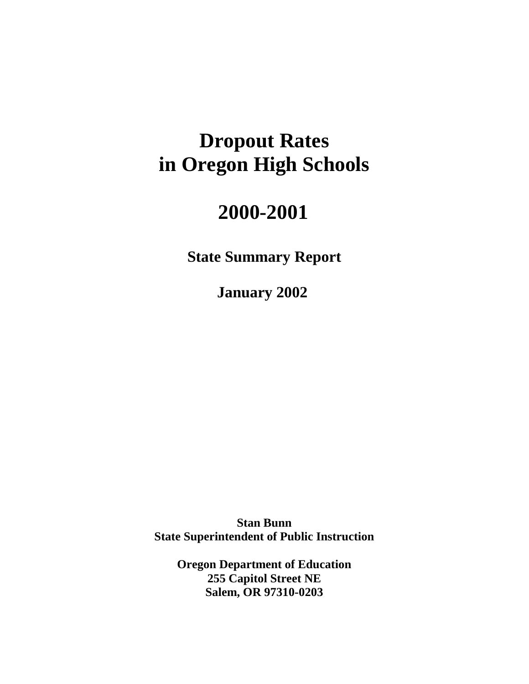# **Dropout Rates in Oregon High Schools**

# **2000-2001**

**State Summary Report** 

**January 2002**

**Stan Bunn State Superintendent of Public Instruction** 

> **Oregon Department of Education 255 Capitol Street NE Salem, OR 97310-0203**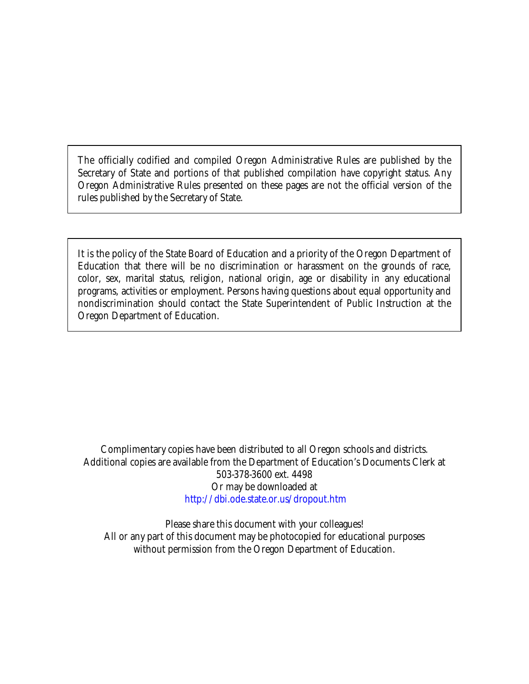The officially codified and compiled Oregon Administrative Rules are published by the Secretary of State and portions of that published compilation have copyright status. Any Oregon Administrative Rules presented on these pages are not the official version of the rules published by the Secretary of State.

It is the policy of the State Board of Education and a priority of the Oregon Department of Education that there will be no discrimination or harassment on the grounds of race, color, sex, marital status, religion, national origin, age or disability in any educational programs, activities or employment. Persons having questions about equal opportunity and nondiscrimination should contact the State Superintendent of Public Instruction at the Oregon Department of Education.

Complimentary copies have been distributed to all Oregon schools and districts. Additional copies are available from the Department of Education's Documents Clerk at 503-378-3600 ext. 4498 Or may be downloaded at http://[dbi.ode.state.or.us](http://dbi.ode.state.or.us/dropout.htm)/dropout.htm

Please share this document with your colleagues! All or any part of this document may be photocopied for educational purposes without permission from the Oregon Department of Education.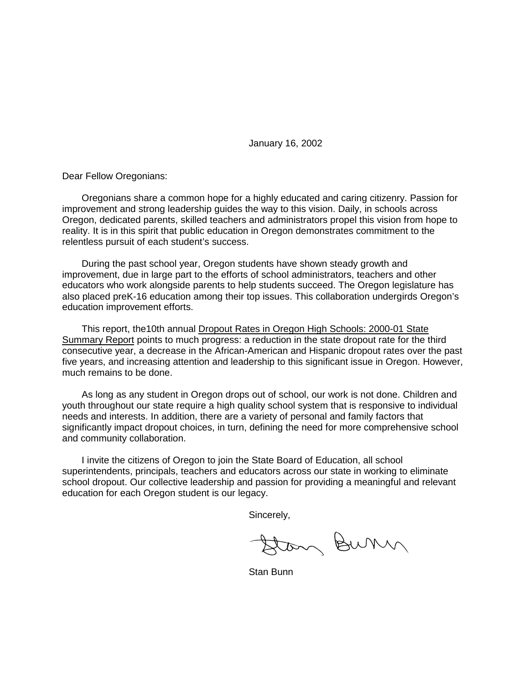January 16, 2002

Dear Fellow Oregonians:

Oregonians share a common hope for a highly educated and caring citizenry. Passion for improvement and strong leadership guides the way to this vision. Daily, in schools across Oregon, dedicated parents, skilled teachers and administrators propel this vision from hope to reality. It is in this spirit that public education in Oregon demonstrates commitment to the relentless pursuit of each student's success.

During the past school year, Oregon students have shown steady growth and improvement, due in large part to the efforts of school administrators, teachers and other educators who work alongside parents to help students succeed. The Oregon legislature has also placed preK-16 education among their top issues. This collaboration undergirds Oregon's education improvement efforts.

This report, the10th annual Dropout Rates in Oregon High Schools: 2000-01 State Summary Report points to much progress: a reduction in the state dropout rate for the third consecutive year, a decrease in the African-American and Hispanic dropout rates over the past five years, and increasing attention and leadership to this significant issue in Oregon. However, much remains to be done.

As long as any student in Oregon drops out of school, our work is not done. Children and youth throughout our state require a high quality school system that is responsive to individual needs and interests. In addition, there are a variety of personal and family factors that significantly impact dropout choices, in turn, defining the need for more comprehensive school and community collaboration.

I invite the citizens of Oregon to join the State Board of Education, all school superintendents, principals, teachers and educators across our state in working to eliminate school dropout. Our collective leadership and passion for providing a meaningful and relevant education for each Oregon student is our legacy.

Sincerely,

Stan Burn

Stan Bunn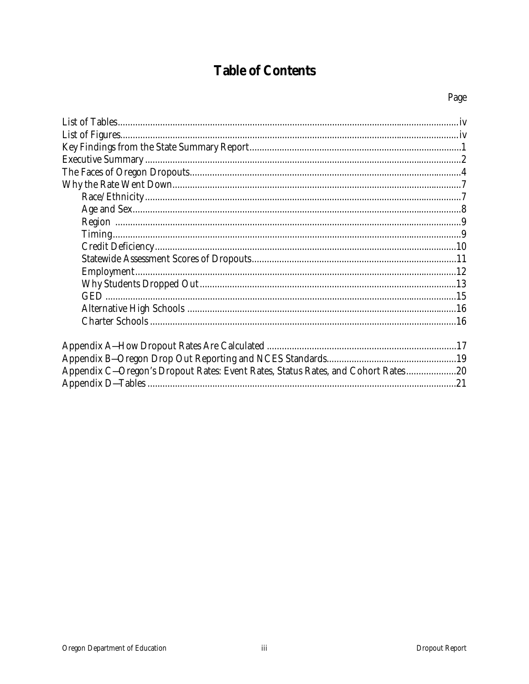# **Table of Contents**

| Appendix C-Oregon's Dropout Rates: Event Rates, Status Rates, and Cohort Rates20 |  |
|----------------------------------------------------------------------------------|--|
|                                                                                  |  |
|                                                                                  |  |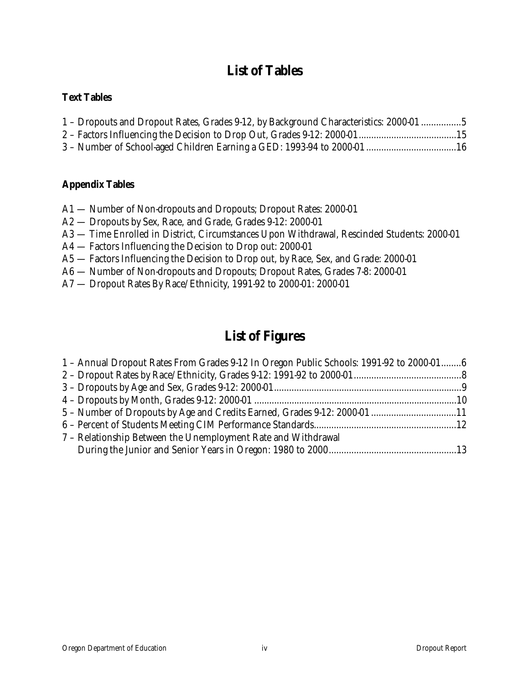## **List of Tables**

### **Text Tables**

| 1 - Dropouts and Dropout Rates, Grades 9-12, by Background Characteristics: 2000-01 5 |  |
|---------------------------------------------------------------------------------------|--|
|                                                                                       |  |
|                                                                                       |  |

### **Appendix Tables**

- A1 Number of Non-dropouts and Dropouts; Dropout Rates: 2000-01
- A2 Dropouts by Sex, Race, and Grade, Grades 9-12: 2000-01
- A3 Time Enrolled in District, Circumstances Upon Withdrawal, Rescinded Students: 2000-01
- A4 Factors Influencing the Decision to Drop out: 2000-01
- A5 Factors Influencing the Decision to Drop out, by Race, Sex, and Grade: 2000-01
- A6 Number of Non-dropouts and Dropouts; Dropout Rates, Grades 7-8: 2000-01
- A7 Dropout Rates By Race/Ethnicity, 1991-92 to 2000-01: 2000-01

## **List of Figures**

| 1 - Annual Dropout Rates From Grades 9-12 In Oregon Public Schools: 1991-92 to 2000-016 |  |
|-----------------------------------------------------------------------------------------|--|
|                                                                                         |  |
|                                                                                         |  |
|                                                                                         |  |
|                                                                                         |  |
|                                                                                         |  |
| 7 - Relationship Between the Unemployment Rate and Withdrawal                           |  |
|                                                                                         |  |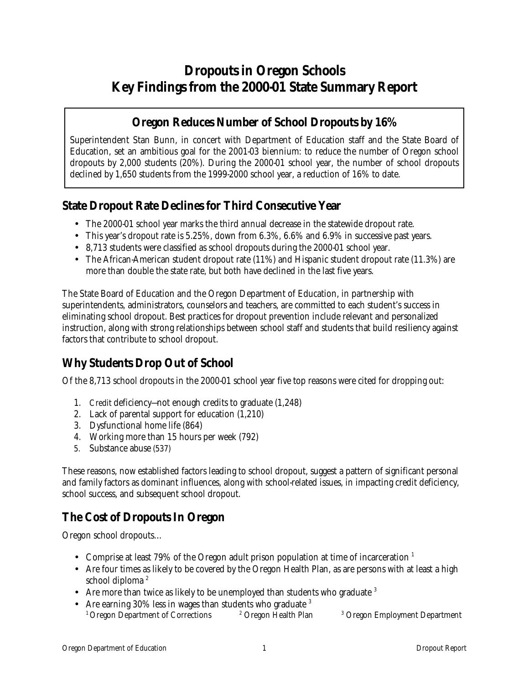## **Dropouts in Oregon Schools Key Findings from the 2000-01 State Summary Report**

### **Oregon Reduces Number of School Dropouts by 16%**

Superintendent Stan Bunn, in concert with Department of Education staff and the State Board of Education, set an ambitious goal for the 2001-03 biennium: to reduce the number of Oregon school dropouts by 2,000 students (20%). During the 2000-01 school year, the number of school dropouts declined by 1,650 students from the 1999-2000 school year, a reduction of 16% to date.

### **State Dropout Rate Declines for Third Consecutive Year**

- The 2000-01 school year marks the third annual decrease in the statewide dropout rate.
- This year's dropout rate is 5.25%, down from 6.3%, 6.6% and 6.9% in successive past years.
- 8,713 students were classified as school dropouts during the 2000-01 school year.
- The African-American student dropout rate (11%) and Hispanic student dropout rate (11.3%) are more than double the state rate, but both have declined in the last five years.

The State Board of Education and the Oregon Department of Education, in partnership with superintendents, administrators, counselors and teachers, are committed to each student's success in eliminating school dropout. Best practices for dropout prevention include relevant and personalized instruction, along with strong relationships between school staff and students that build resiliency against factors that contribute to school dropout.

## **Why Students Drop Out of School**

Of the 8,713 school dropouts in the 2000-01 school year five top reasons were cited for dropping out:

- 1. Credit deficiency—not enough credits to graduate (1,248)
- 2. Lack of parental support for education (1,210)
- 3. Dysfunctional home life (864)
- 4. Working more than 15 hours per week (792)
- 5. Substance abuse (537)

These reasons, now established factors leading to school dropout, suggest a pattern of significant personal and family factors as dominant influences, along with school-related issues, in impacting credit deficiency, school success, and subsequent school dropout.

## **The Cost of Dropouts In Oregon**

Oregon school dropouts…

- Comprise at least 79% of the Oregon adult prison population at time of incarceration  $<sup>1</sup>$ </sup>
- Are four times as likely to be covered by the Oregon Health Plan, as are persons with at least a high school diploma<sup>2</sup>
- Are more than twice as likely to be unemployed than students who graduate  $3$
- Are earning 30% less in wages than students who graduate  $3$ <sup>1</sup> Oregon Department of Corrections <sup>2</sup> Oregon Health Plan Oregon Employment Department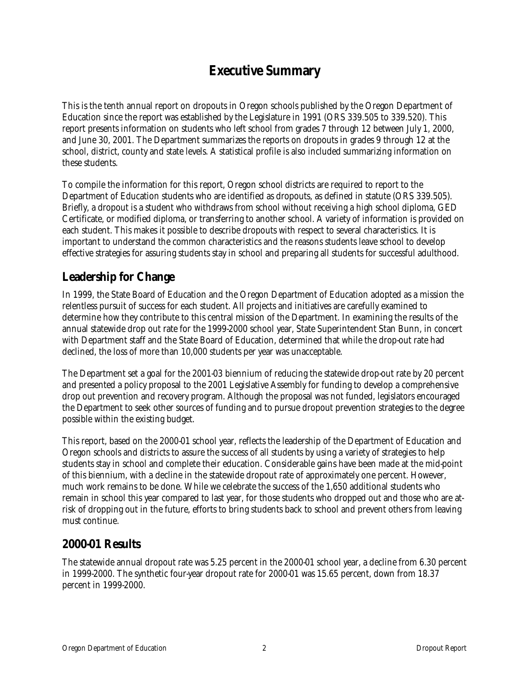## **Executive Summary**

This is the tenth annual report on dropouts in Oregon schools published by the Oregon Department of Education since the report was established by the Legislature in 1991 (ORS 339.505 to 339.520). This report presents information on students who left school from grades 7 through 12 between July 1, 2000, and June 30, 2001. The Department summarizes the reports on dropouts in grades 9 through 12 at the school, district, county and state levels. A statistical profile is also included summarizing information on these students.

To compile the information for this report, Oregon school districts are required to report to the Department of Education students who are identified as dropouts, as defined in statute (ORS 339.505). Briefly, a dropout is a student who withdraws from school without receiving a high school diploma, GED Certificate, or modified diploma, or transferring to another school. A variety of information is provided on each student. This makes it possible to describe dropouts with respect to several characteristics. It is important to understand the common characteristics and the reasons students leave school to develop effective strategies for assuring students stay in school and preparing all students for successful adulthood.

### **Leadership for Change**

In 1999, the State Board of Education and the Oregon Department of Education adopted as a mission the relentless pursuit of success for each student. All projects and initiatives are carefully examined to determine how they contribute to this central mission of the Department. In examining the results of the annual statewide drop out rate for the 1999-2000 school year, State Superintendent Stan Bunn, in concert with Department staff and the State Board of Education, determined that while the drop-out rate had declined, the loss of more than 10,000 students per year was unacceptable.

The Department set a goal for the 2001-03 biennium of reducing the statewide drop-out rate by 20 percent and presented a policy proposal to the 2001 Legislative Assembly for funding to develop a comprehensive drop out prevention and recovery program. Although the proposal was not funded, legislators encouraged the Department to seek other sources of funding and to pursue dropout prevention strategies to the degree possible within the existing budget.

This report, based on the 2000-01 school year, reflects the leadership of the Department of Education and Oregon schools and districts to assure the success of all students by using a variety of strategies to help students stay in school and complete their education. Considerable gains have been made at the mid-point of this biennium, with a decline in the statewide dropout rate of approximately one percent. However, much work remains to be done. While we celebrate the success of the 1,650 additional students who remain in school this year compared to last year, for those students who dropped out and those who are atrisk of dropping out in the future, efforts to bring students back to school and prevent others from leaving must continue.

### **2000-01 Results**

The statewide annual dropout rate was 5.25 percent in the 2000-01 school year, a decline from 6.30 percent in 1999-2000. The synthetic four-year dropout rate for 2000-01 was 15.65 percent, down from 18.37 percent in 1999-2000.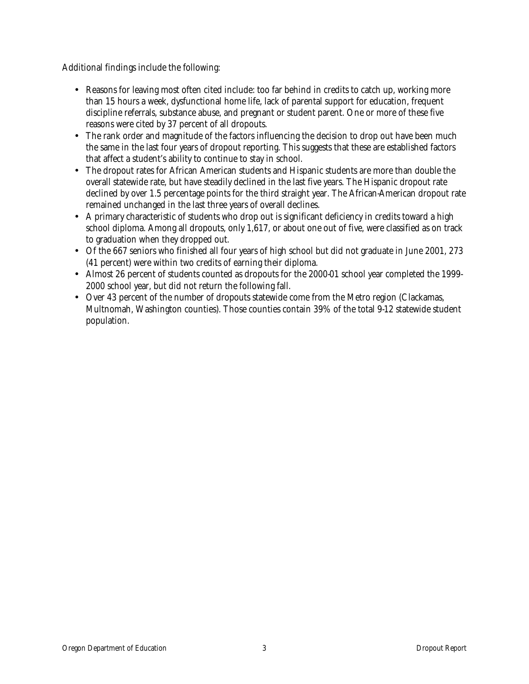Additional findings include the following:

- Reasons for leaving most often cited include: too far behind in credits to catch up, working more than 15 hours a week, dysfunctional home life, lack of parental support for education, frequent discipline referrals, substance abuse, and pregnant or student parent. One or more of these five reasons were cited by 37 percent of all dropouts.
- The rank order and magnitude of the factors influencing the decision to drop out have been much the same in the last four years of dropout reporting. This suggests that these are established factors that affect a student's ability to continue to stay in school.
- The dropout rates for African American students and Hispanic students are more than double the overall statewide rate, but have steadily declined in the last five years. The Hispanic dropout rate declined by over 1.5 percentage points for the third straight year. The African-American dropout rate remained unchanged in the last three years of overall declines.
- A primary characteristic of students who drop out is significant deficiency in credits toward a high school diploma. Among all dropouts, only 1,617, or about one out of five, were classified as on track to graduation when they dropped out.
- Of the 667 seniors who finished all four years of high school but did not graduate in June 2001, 273 (41 percent) were within two credits of earning their diploma.
- Almost 26 percent of students counted as dropouts for the 2000-01 school year completed the 1999-2000 school year, but did not return the following fall.
- Over 43 percent of the number of dropouts statewide come from the Metro region (Clackamas, Multnomah, Washington counties). Those counties contain 39% of the total 9-12 statewide student population.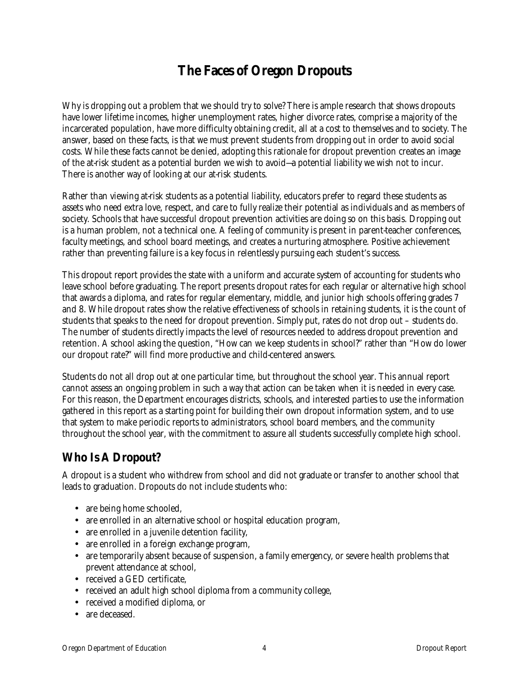## **The Faces of Oregon Dropouts**

Why is dropping out a problem that we should try to solve? There is ample research that shows dropouts have lower lifetime incomes, higher unemployment rates, higher divorce rates, comprise a majority of the incarcerated population, have more difficulty obtaining credit, all at a cost to themselves and to society. The answer, based on these facts, is that we must prevent students from dropping out in order to avoid social costs. While these facts cannot be denied, adopting this rationale for dropout prevention creates an image of the at-risk student as a potential burden we wish to avoid—a potential liability we wish not to incur. There is another way of looking at our at-risk students.

Rather than viewing at-risk students as a potential liability, educators prefer to regard these students as assets who need extra love, respect, and care to fully realize their potential as individuals and as members of society. Schools that have successful dropout prevention activities are doing so on this basis. Dropping out is a human problem, not a technical one. A feeling of community is present in parent-teacher conferences, faculty meetings, and school board meetings, and creates a nurturing atmosphere. Positive achievement rather than preventing failure is a key focus in relentlessly pursuing each student's success.

This dropout report provides the state with a uniform and accurate system of accounting for students who leave school before graduating. The report presents dropout rates for each regular or alternative high school that awards a diploma, and rates for regular elementary, middle, and junior high schools offering grades 7 and 8. While dropout rates show the relative effectiveness of schools in retaining students, it is the count of students that speaks to the need for dropout prevention. Simply put, rates do not drop out – students do. The number of students directly impacts the level of resources needed to address dropout prevention and retention. A school asking the question, "How can we keep students in school?" rather than "How do lower our dropout rate?" will find more productive and child-centered answers.

Students do not all drop out at one particular time, but throughout the school year. This annual report cannot assess an ongoing problem in such a way that action can be taken when it is needed in every case. For this reason, the Department encourages districts, schools, and interested parties to use the information gathered in this report as a starting point for building their own dropout information system, and to use that system to make periodic reports to administrators, school board members, and the community throughout the school year, with the commitment to assure all students successfully complete high school.

### **Who Is A Dropout?**

A dropout is a student who withdrew from school and did not graduate or transfer to another school that leads to graduation. Dropouts do not include students who:

- are being home schooled,
- are enrolled in an alternative school or hospital education program,
- are enrolled in a juvenile detention facility,
- are enrolled in a foreign exchange program,
- are temporarily absent because of suspension, a family emergency, or severe health problems that prevent attendance at school,
- received a GED certificate.
- received an adult high school diploma from a community college,
- received a modified diploma, or
- are deceased.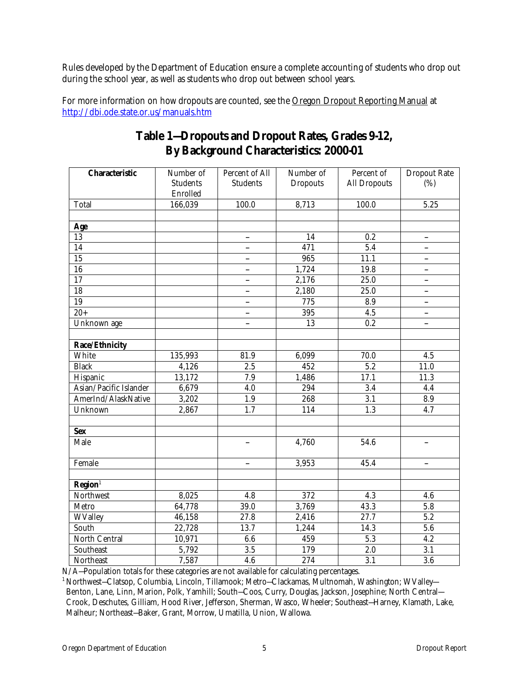Rules developed by the Department of Education ensure a complete accounting of students who drop out during the school year, as well as students who drop out between school years.

For more information on how dropouts are counted, see the Oregon Dropout Reporting Manual at http://dbi.ode.state.or.us/manuals.htm

| <b>Characteristic</b>        | Number of<br><b>Students</b> | Percent of All<br><b>Students</b> | Number of<br><b>Dropouts</b> | Percent of<br><b>All Dropouts</b> | <b>Dropout Rate</b><br>(%) |
|------------------------------|------------------------------|-----------------------------------|------------------------------|-----------------------------------|----------------------------|
|                              | Enrolled                     |                                   |                              |                                   |                            |
| <b>Total</b>                 | 166,039                      | 100.0                             | 8,713                        | 100.0                             | 5.25                       |
|                              |                              |                                   |                              |                                   |                            |
| Age                          |                              |                                   |                              |                                   |                            |
| $\overline{13}$              |                              | $\overline{\phantom{a}}$          | 14                           | $0.\overline{2}$                  | $\overline{\phantom{a}}$   |
| $\overline{14}$              |                              | $\overline{\phantom{a}}$          | 471                          | $\overline{5.4}$                  | $\overline{\phantom{a}}$   |
| 15                           |                              | $\overline{\phantom{a}}$          | 965                          | 11.1                              | $\overline{\phantom{a}}$   |
| $\overline{16}$              |                              | $\frac{1}{2}$                     | 1,724                        | 19.8                              | $\overline{\phantom{a}}$   |
| $\overline{17}$              |                              | ÷.                                | 2,176                        | 25.0                              | $\overline{\phantom{a}}$   |
| $\overline{18}$              |                              | $\overline{a}$                    | 2,180                        | 25.0                              | $\overline{\phantom{a}}$   |
| $\overline{19}$              |                              | $\overline{a}$                    | 775                          | 8.9                               | $\overline{\phantom{a}}$   |
| $\frac{1}{20+}$              |                              | $\overline{\phantom{a}}$          | 395                          | $\overline{4.5}$                  | $\overline{\phantom{a}}$   |
| Unknown age                  |                              | $\overline{a}$                    | 13                           | 0.2                               | $\frac{1}{2}$              |
|                              |                              |                                   |                              |                                   |                            |
| Race/Ethnicity               |                              |                                   |                              |                                   |                            |
| White                        | 135,993                      | 81.9                              | 6,099                        | 70.0                              | 4.5                        |
| <b>Black</b>                 | 4,126                        | $\overline{2.5}$                  | $\overline{452}$             | 5.2                               | 11.0                       |
| Hispanic                     | 13,172                       | 7.9                               | 1,486                        | 17.1                              | 11.3                       |
| Asian/Pacific Islander       | 6,679                        | 4.0                               | 294                          | 3.4                               | 4.4                        |
| AmerInd/AlaskNative          | 3,202                        | 1.9                               | 268                          | $\overline{3.1}$                  | 8.9                        |
| Unknown                      | 2,867                        | 1.7                               | 114                          | $\overline{1.3}$                  | 4.7                        |
|                              |                              |                                   |                              |                                   |                            |
| <b>Sex</b>                   |                              |                                   |                              |                                   |                            |
| Male                         |                              |                                   | 4,760                        | $\overline{5}$ 4.6                |                            |
| Female                       |                              | $\overline{\phantom{a}}$          | 3,953                        | 45.4                              | $\qquad \qquad -$          |
|                              |                              |                                   |                              |                                   |                            |
| $\overline{\text{Region}^1}$ |                              |                                   |                              |                                   |                            |
| Northwest                    | 8,025                        | 4.8                               | 372                          | 4.3                               | 4.6                        |
| Metro                        | 64,778                       | 39.0                              | 3,769                        | 43.3                              | 5.8                        |
| <b>WValley</b>               | 46,158                       | 27.8                              | 2,416                        | 27.7                              | 5.2                        |
| South                        | 22,728                       | 13.7                              | 1,244                        | $14.\overline{3}$                 | $\overline{5.6}$           |
| North Central                | 10,971                       | 6.6                               | 459                          | $\overline{5.3}$                  | 4.2                        |
| Southeast                    | 5,792                        | 3.5                               | 179                          | 2.0                               | 3.1                        |
| <b>Northeast</b>             | 7,587                        | 4.6                               | 274                          | 3.1                               | $\overline{3.6}$           |

### **Table 1—Dropouts and Dropout Rates, Grades 9-12, By Background Characteristics: 2000-01**

 $N/A$ –Population totals for these categories are not available for calculating percentages.

<sup>1</sup> Northwest–Clatsop, Columbia, Lincoln, Tillamook; Metro–Clackamas, Multnomah, Washington; WValley– Benton, Lane, Linn, Marion, Polk, Yamhill; South—Coos, Curry, Douglas, Jackson, Josephine; North Central— Crook, Deschutes, Gilliam, Hood River, Jefferson, Sherman, Wasco, Wheeler; Southeast—Harney, Klamath, Lake, Malheur; Northeast—Baker, Grant, Morrow, Umatilla, Union, Wallowa.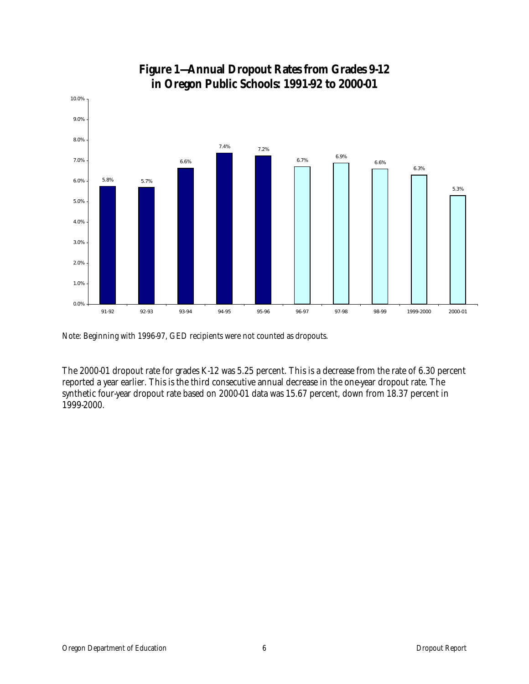

### **Figure 1—Annual Dropout Rates from Grades 9-12 in Oregon Public Schools: 1991-92 to 2000-01**

Note: Beginning with 1996-97, GED recipients were not counted as dropouts.

The 2000-01 dropout rate for grades K-12 was 5.25 percent. This is a decrease from the rate of 6.30 percent reported a year earlier. This is the third consecutive annual decrease in the one-year dropout rate. The synthetic four-year dropout rate based on 2000-01 data was 15.67 percent, down from 18.37 percent in 1999-2000.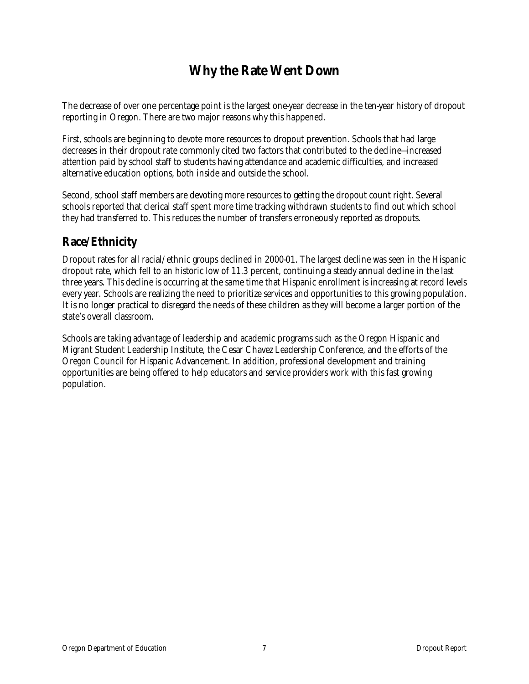## **Why the Rate Went Down**

The decrease of over one percentage point is the largest one-year decrease in the ten-year history of dropout reporting in Oregon. There are two major reasons why this happened.

First, schools are beginning to devote more resources to dropout prevention. Schools that had large decreases in their dropout rate commonly cited two factors that contributed to the decline—increased attention paid by school staff to students having attendance and academic difficulties, and increased alternative education options, both inside and outside the school.

Second, school staff members are devoting more resources to getting the dropout count right. Several schools reported that clerical staff spent more time tracking withdrawn students to find out which school they had transferred to. This reduces the number of transfers erroneously reported as dropouts.

### **Race/Ethnicity**

Dropout rates for all racial/ethnic groups declined in 2000-01. The largest decline was seen in the Hispanic dropout rate, which fell to an historic low of 11.3 percent, continuing a steady annual decline in the last three years. This decline is occurring at the same time that Hispanic enrollment is increasing at record levels every year. Schools are realizing the need to prioritize services and opportunities to this growing population. It is no longer practical to disregard the needs of these children as they will become a larger portion of the state's overall classroom.

Schools are taking advantage of leadership and academic programs such as the Oregon Hispanic and Migrant Student Leadership Institute, the Cesar Chavez Leadership Conference, and the efforts of the Oregon Council for Hispanic Advancement. In addition, professional development and training opportunities are being offered to help educators and service providers work with this fast growing population.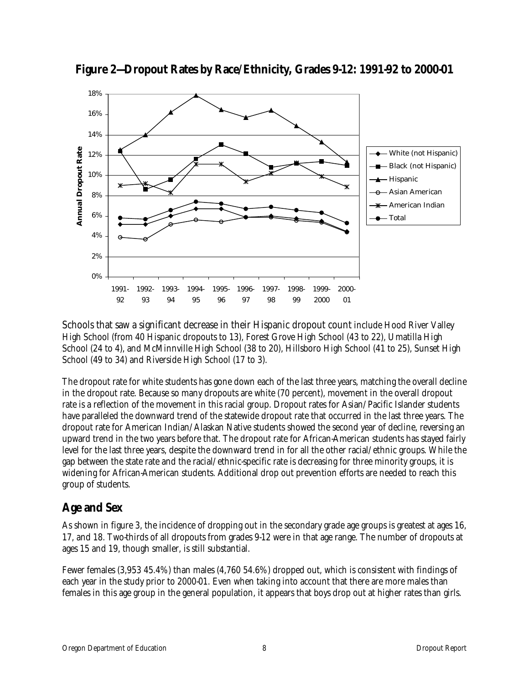

**Figure 2—Dropout Rates by Race/Ethnicity, Grades 9-12: 1991-92 to 2000-01** 

Schools that saw a significant decrease in their Hispanic dropout count include Hood River Valley High School (from 40 Hispanic dropouts to 13), Forest Grove High School (43 to 22), Umatilla High School (24 to 4), and McMinnville High School (38 to 20), Hillsboro High School (41 to 25), Sunset High School (49 to 34) and Riverside High School (17 to 3).

The dropout rate for white students has gone down each of the last three years, matching the overall decline in the dropout rate. Because so many dropouts are white (70 percent), movement in the overall dropout rate is a reflection of the movement in this racial group. Dropout rates for Asian/Pacific Islander students have paralleled the downward trend of the statewide dropout rate that occurred in the last three years. The dropout rate for American Indian/Alaskan Native students showed the second year of decline, reversing an upward trend in the two years before that. The dropout rate for African-American students has stayed fairly level for the last three years, despite the downward trend in for all the other racial/ethnic groups. While the gap between the state rate and the racial/ethnic-specific rate is decreasing for three minority groups, it is widening for African-American students. Additional drop out prevention efforts are needed to reach this group of students.

### **Age and Sex**

As shown in figure 3, the incidence of dropping out in the secondary grade age groups is greatest at ages 16, 17, and 18. Two-thirds of all dropouts from grades 9-12 were in that age range. The number of dropouts at ages 15 and 19, though smaller, is still substantial.

Fewer females (3,953 45.4%) than males (4,760 54.6%) dropped out, which is consistent with findings of each year in the study prior to 2000-01. Even when taking into account that there are more males than females in this age group in the general population, it appears that boys drop out at higher rates than girls.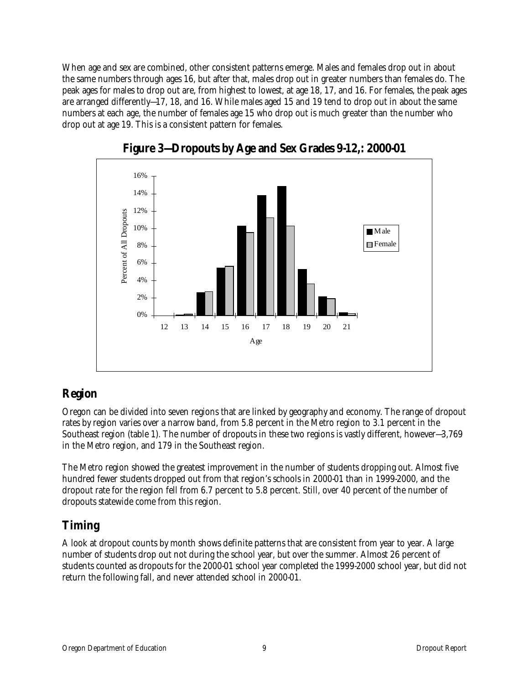When age and sex are combined, other consistent patterns emerge. Males and females drop out in about the same numbers through ages 16, but after that, males drop out in greater numbers than females do. The peak ages for males to drop out are, from highest to lowest, at age 18, 17, and 16. For females, the peak ages are arranged differently—17, 18, and 16. While males aged 15 and 19 tend to drop out in about the same numbers at each age, the number of females age 15 who drop out is much greater than the number who drop out at age 19. This is a consistent pattern for females.



**Figure 3—Dropouts by Age and Sex Grades 9-12,: 2000-01** 

### **Region**

Oregon can be divided into seven regions that are linked by geography and economy. The range of dropout rates by region varies over a narrow band, from 5.8 percent in the Metro region to 3.1 percent in the Southeast region (table 1). The number of dropouts in these two regions is vastly different, however—3,769 in the Metro region, and 179 in the Southeast region.

The Metro region showed the greatest improvement in the number of students dropping out. Almost five hundred fewer students dropped out from that region's schools in 2000-01 than in 1999-2000, and the dropout rate for the region fell from 6.7 percent to 5.8 percent. Still, over 40 percent of the number of dropouts statewide come from this region.

## **Timing**

A look at dropout counts by month shows definite patterns that are consistent from year to year. A large number of students drop out not during the school year, but over the summer. Almost 26 percent of students counted as dropouts for the 2000-01 school year completed the 1999-2000 school year, but did not return the following fall, and never attended school in 2000-01.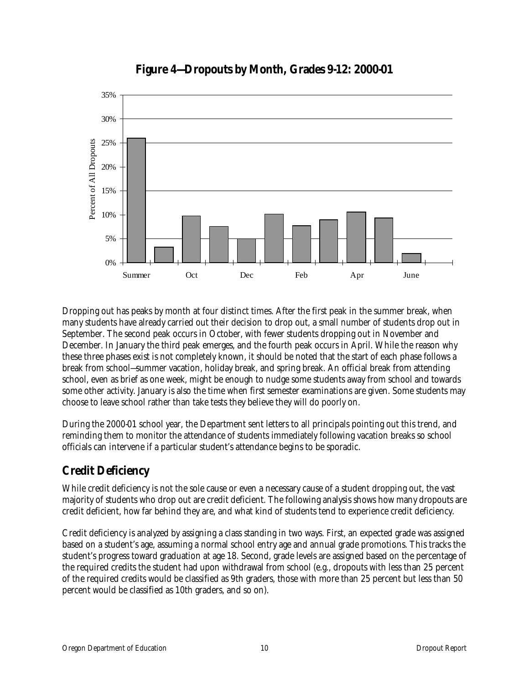

### **Figure 4—Dropouts by Month, Grades 9-12: 2000-01**

Dropping out has peaks by month at four distinct times. After the first peak in the summer break, when many students have already carried out their decision to drop out, a small number of students drop out in September. The second peak occurs in October, with fewer students dropping out in November and December. In January the third peak emerges, and the fourth peak occurs in April. While the reason why these three phases exist is not completely known, it should be noted that the start of each phase follows a break from school—summer vacation, holiday break, and spring break. An official break from attending school, even as brief as one week, might be enough to nudge some students away from school and towards some other activity. January is also the time when first semester examinations are given. Some students may choose to leave school rather than take tests they believe they will do poorly on.

During the 2000-01 school year, the Department sent letters to all principals pointing out this trend, and reminding them to monitor the attendance of students immediately following vacation breaks so school officials can intervene if a particular student's attendance begins to be sporadic.

## **Credit Deficiency**

While credit deficiency is not the sole cause or even a necessary cause of a student dropping out, the vast majority of students who drop out are credit deficient. The following analysis shows how many dropouts are credit deficient, how far behind they are, and what kind of students tend to experience credit deficiency.

Credit deficiency is analyzed by assigning a class standing in two ways. First, an expected grade was assigned based on a student's age, assuming a normal school entry age and annual grade promotions. This tracks the student's progress toward graduation at age 18. Second, grade levels are assigned based on the percentage of the required credits the student had upon withdrawal from school (e.g., dropouts with less than 25 percent of the required credits would be classified as 9th graders, those with more than 25 percent but less than 50 percent would be classified as 10th graders, and so on).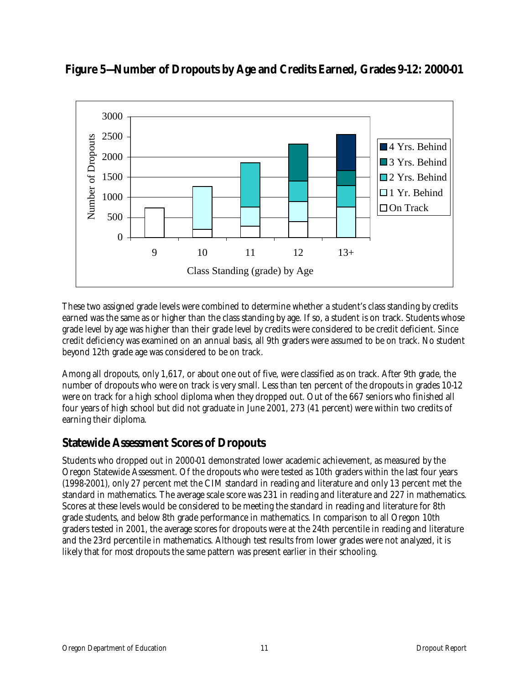

**Figure 5—Number of Dropouts by Age and Credits Earned, Grades 9-12: 2000-01** 

These two assigned grade levels were combined to determine whether a student's class standing by credits earned was the same as or higher than the class standing by age. If so, a student is on track. Students whose grade level by age was higher than their grade level by credits were considered to be credit deficient. Since credit deficiency was examined on an annual basis, all 9th graders were assumed to be on track. No student beyond 12th grade age was considered to be on track.

Among all dropouts, only 1,617, or about one out of five, were classified as on track. After 9th grade, the number of dropouts who were on track is very small. Less than ten percent of the dropouts in grades 10-12 were on track for a high school diploma when they dropped out. Out of the 667 seniors who finished all four years of high school but did not graduate in June 2001, 273 (41 percent) were within two credits of earning their diploma.

### **Statewide Assessment Scores of Dropouts**

Students who dropped out in 2000-01 demonstrated lower academic achievement, as measured by the Oregon Statewide Assessment. Of the dropouts who were tested as 10th graders within the last four years (1998-2001), only 27 percent met the CIM standard in reading and literature and only 13 percent met the standard in mathematics. The average scale score was 231 in reading and literature and 227 in mathematics. Scores at these levels would be considered to be meeting the standard in reading and literature for 8th grade students, and below 8th grade performance in mathematics. In comparison to all Oregon 10th graders tested in 2001, the average scores for dropouts were at the 24th percentile in reading and literature and the 23rd percentile in mathematics. Although test results from lower grades were not analyzed, it is likely that for most dropouts the same pattern was present earlier in their schooling.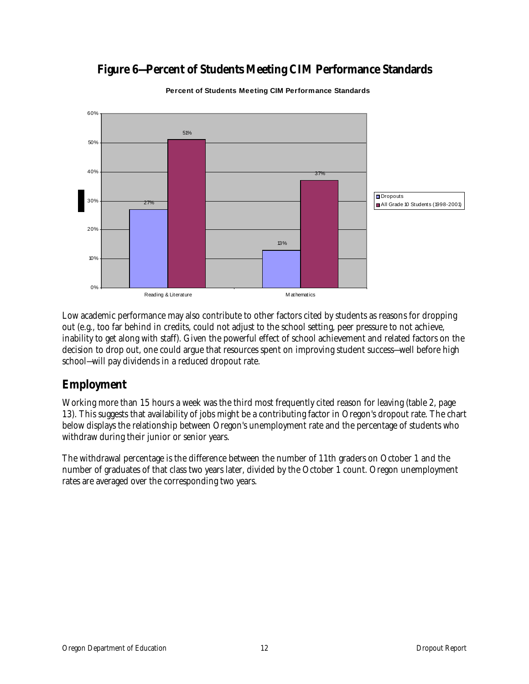

## **Figure 6—Percent of Students Meeting CIM Performance Standards**

**Percent of Students Meeting CIM Performance Standards**

Low academic performance may also contribute to other factors cited by students as reasons for dropping out (e.g., too far behind in credits, could not adjust to the school setting, peer pressure to not achieve, inability to get along with staff). Given the powerful effect of school achievement and related factors on the decision to drop out, one could argue that resources spent on improving student success—well before high school—will pay dividends in a reduced dropout rate.

### **Employment**

Working more than 15 hours a week was the third most frequently cited reason for leaving (table 2, page 13). This suggests that availability of jobs might be a contributing factor in Oregon's dropout rate. The chart below displays the relationship between Oregon's unemployment rate and the percentage of students who withdraw during their junior or senior years.

The withdrawal percentage is the difference between the number of 11th graders on October 1 and the number of graduates of that class two years later, divided by the October 1 count. Oregon unemployment rates are averaged over the corresponding two years.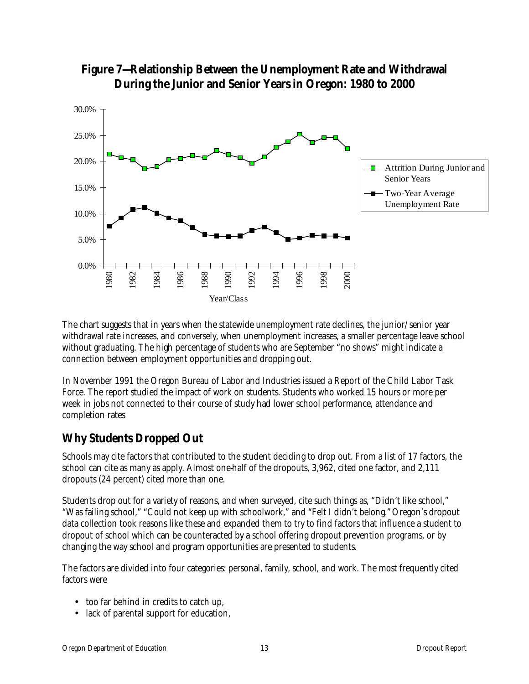



The chart suggests that in years when the statewide unemployment rate declines, the junior/senior year withdrawal rate increases, and conversely, when unemployment increases, a smaller percentage leave school without graduating. The high percentage of students who are September "no shows" might indicate a connection between employment opportunities and dropping out.

In November 1991 the Oregon Bureau of Labor and Industries issued a Report of the Child Labor Task Force. The report studied the impact of work on students. Students who worked 15 hours or more per week in jobs not connected to their course of study had lower school performance, attendance and completion rates

### **Why Students Dropped Out**

Schools may cite factors that contributed to the student deciding to drop out. From a list of 17 factors, the school can cite as many as apply. Almost one-half of the dropouts, 3,962, cited one factor, and 2,111 dropouts (24 percent) cited more than one.

Students drop out for a variety of reasons, and when surveyed, cite such things as, "Didn't like school," "Was failing school," "Could not keep up with schoolwork," and "Felt I didn't belong."Oregon's dropout data collection took reasons like these and expanded them to try to find factors that influence a student to dropout of school which can be counteracted by a school offering dropout prevention programs, or by changing the way school and program opportunities are presented to students.

The factors are divided into four categories: personal, family, school, and work. The most frequently cited factors were

- too far behind in credits to catch up,
- lack of parental support for education,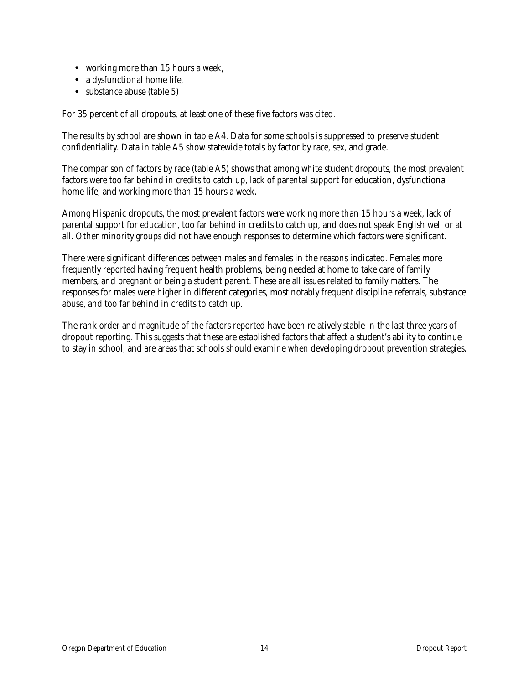- working more than 15 hours a week,
- a dysfunctional home life,
- substance abuse (table 5)

For 35 percent of all dropouts, at least one of these five factors was cited.

The results by school are shown in table A4. Data for some schools is suppressed to preserve student confidentiality. Data in table A5 show statewide totals by factor by race, sex, and grade.

The comparison of factors by race (table A5) shows that among white student dropouts, the most prevalent factors were too far behind in credits to catch up, lack of parental support for education, dysfunctional home life, and working more than 15 hours a week.

Among Hispanic dropouts, the most prevalent factors were working more than 15 hours a week, lack of parental support for education, too far behind in credits to catch up, and does not speak English well or at all. Other minority groups did not have enough responses to determine which factors were significant.

There were significant differences between males and females in the reasons indicated. Females more frequently reported having frequent health problems, being needed at home to take care of family members, and pregnant or being a student parent. These are all issues related to family matters. The responses for males were higher in different categories, most notably frequent discipline referrals, substance abuse, and too far behind in credits to catch up.

The rank order and magnitude of the factors reported have been relatively stable in the last three years of dropout reporting. This suggests that these are established factors that affect a student's ability to continue to stay in school, and are areas that schools should examine when developing dropout prevention strategies.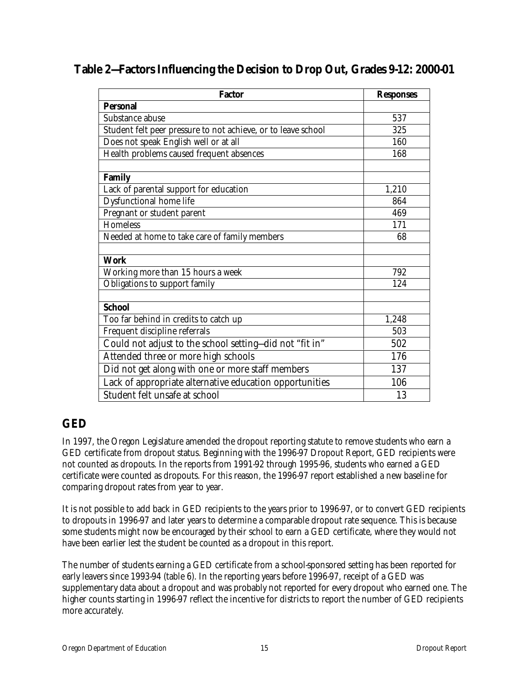| <b>Factor</b>                                                 | <b>Responses</b> |
|---------------------------------------------------------------|------------------|
| <b>Personal</b>                                               |                  |
| Substance abuse                                               | 537              |
| Student felt peer pressure to not achieve, or to leave school | 325              |
| Does not speak English well or at all                         | 160              |
| Health problems caused frequent absences                      | 168              |
|                                                               |                  |
| <b>Family</b>                                                 |                  |
| Lack of parental support for education                        | 1,210            |
| <b>Dysfunctional home life</b>                                | 864              |
| Pregnant or student parent                                    | 469              |
| <b>Homeless</b>                                               | 171              |
| Needed at home to take care of family members                 | 68               |
|                                                               |                  |
| <b>Work</b>                                                   |                  |
| Working more than 15 hours a week                             | 792              |
| Obligations to support family                                 | 124              |
|                                                               |                  |
| <b>School</b>                                                 |                  |
| Too far behind in credits to catch up                         | 1,248            |
| Frequent discipline referrals                                 | 503              |
| Could not adjust to the school setting-did not "fit in"       | 502              |
| Attended three or more high schools                           | 176              |
| Did not get along with one or more staff members              | 137              |
| Lack of appropriate alternative education opportunities       | 106              |
| Student felt unsafe at school                                 | 13               |

## **GED**

In 1997, the Oregon Legislature amended the dropout reporting statute to remove students who earn a GED certificate from dropout status. Beginning with the 1996-97 Dropout Report, GED recipients were not counted as dropouts. In the reports from 1991-92 through 1995-96, students who earned a GED certificate were counted as dropouts. For this reason, the 1996-97 report established a new baseline for comparing dropout rates from year to year.

It is not possible to add back in GED recipients to the years prior to 1996-97, or to convert GED recipients to dropouts in 1996-97 and later years to determine a comparable dropout rate sequence. This is because some students might now be encouraged by their school to earn a GED certificate, where they would not have been earlier lest the student be counted as a dropout in this report.

The number of students earning a GED certificate from a school-sponsored setting has been reported for early leavers since 1993-94 (table 6). In the reporting years before 1996-97, receipt of a GED was supplementary data about a dropout and was probably not reported for every dropout who earned one. The higher counts starting in 1996-97 reflect the incentive for districts to report the number of GED recipients more accurately.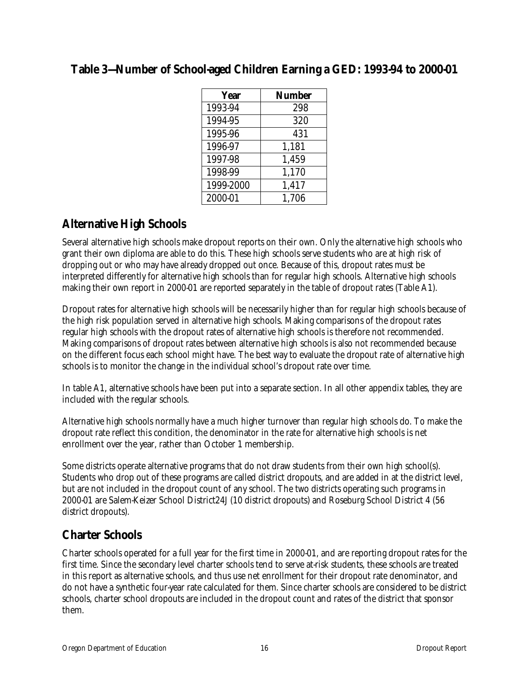| Year      | <b>Number</b> |
|-----------|---------------|
| 1993-94   | 298           |
| 1994-95   | 320           |
| 1995-96   | 431           |
| 1996-97   | 1,181         |
| 1997-98   | 1,459         |
| 1998-99   | 1,170         |
| 1999-2000 | 1,417         |
| 2000-01   | 1,706         |

### **Table 3—Number of School-aged Children Earning a GED: 1993-94 to 2000-01**

## **Alternative High Schools**

Several alternative high schools make dropout reports on their own. Only the alternative high schools who grant their own diploma are able to do this. These high schools serve students who are at high risk of dropping out or who may have already dropped out once. Because of this, dropout rates must be interpreted differently for alternative high schools than for regular high schools. Alternative high schools making their own report in 2000-01 are reported separately in the table of dropout rates (Table A1).

Dropout rates for alternative high schools will be necessarily higher than for regular high schools because of the high risk population served in alternative high schools. Making comparisons of the dropout rates regular high schools with the dropout rates of alternative high schools is therefore not recommended. Making comparisons of dropout rates between alternative high schools is also not recommended because on the different focus each school might have. The best way to evaluate the dropout rate of alternative high schools is to monitor the change in the individual school's dropout rate over time.

In table A1, alternative schools have been put into a separate section. In all other appendix tables, they are included with the regular schools.

Alternative high schools normally have a much higher turnover than regular high schools do. To make the dropout rate reflect this condition, the denominator in the rate for alternative high schools is net enrollment over the year, rather than October 1 membership.

Some districts operate alternative programs that do not draw students from their own high school(s). Students who drop out of these programs are called district dropouts, and are added in at the district level, but are not included in the dropout count of any school. The two districts operating such programs in 2000-01 are Salem-Keizer School District24J (10 district dropouts) and Roseburg School District 4 (56 district dropouts).

### **Charter Schools**

Charter schools operated for a full year for the first time in 2000-01, and are reporting dropout rates for the first time. Since the secondary level charter schools tend to serve at-risk students, these schools are treated in this report as alternative schools, and thus use net enrollment for their dropout rate denominator, and do not have a synthetic four-year rate calculated for them. Since charter schools are considered to be district schools, charter school dropouts are included in the dropout count and rates of the district that sponsor them.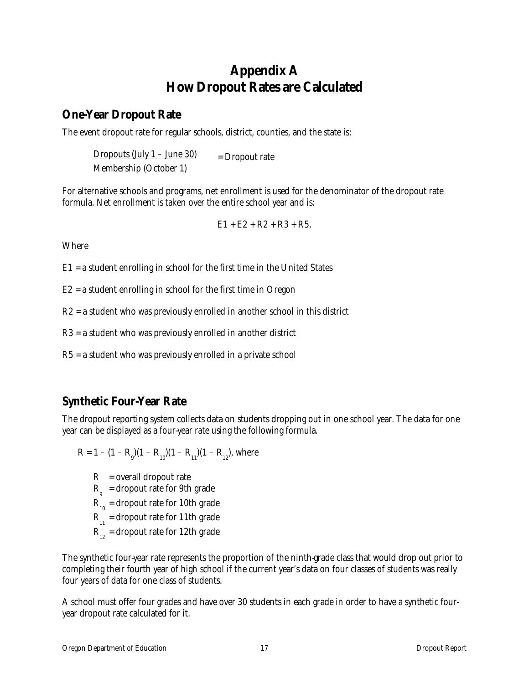## **Appendix A How Dropout Rates are Calculated**

### **One-Year Dropout Rate**

The event dropout rate for regular schools, district, counties, and the state is:

Dropouts (July  $1 -$  June 30) = Dropout rate Membership (October 1)

For alternative schools and programs, net enrollment is used for the denominator of the dropout rate formula. Net enrollment is taken over the entire school year and is:

$$
E1 + E2 + R2 + R3 + R5,
$$

Where

E1 = a student enrolling in school for the first time in the United States

E2 = a student enrolling in school for the first time in Oregon

R2 = a student who was previously enrolled in another school in this district

R3 = a student who was previously enrolled in another district

R5 = a student who was previously enrolled in a private school

### **Synthetic Four-Year Rate**

The dropout reporting system collects data on students dropping out in one school year. The data for one year can be displayed as a four-year rate using the following formula.

 $R = 1 - (1 - R_{9})(1 - R_{10})(1 - R_{11})(1 - R_{12})$ , where

 $R$  = overall dropout rate  $R_{\text{g}}$  = dropout rate for 9th grade  $R_{10}$  = dropout rate for 10th grade  $R_{11}$  = dropout rate for 11th grade  $R_{12}$  = dropout rate for 12th grade

The synthetic four-year rate represents the proportion of the ninth-grade class that would drop out prior to completing their fourth year of high school if the current year's data on four classes of students was really four years of data for one class of students.

A school must offer four grades and have over 30 students in each grade in order to have a synthetic fouryear dropout rate calculated for it.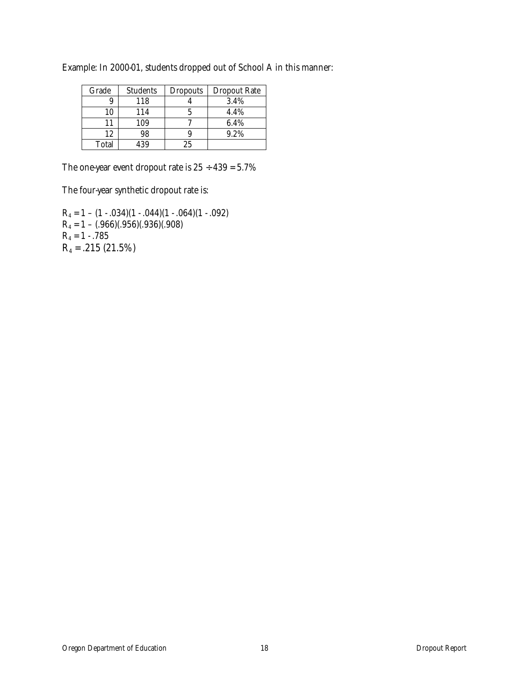| Grade | <b>Students</b> | <b>Dropouts</b> | <b>Dropout Rate</b> |
|-------|-----------------|-----------------|---------------------|
| 9     | 118             |                 | 3.4%                |
| 10    | 114             |                 | 4.4%                |
| 11    | 109             |                 | 6.4%                |
| 12    | 98              |                 | 9.2%                |
| Total | 139             |                 |                     |

Example: In 2000-01, students dropped out of School A in this manner:

The one-year event dropout rate is  $25 \div 439 = 5.7\%$ 

The four-year synthetic dropout rate is:

 $R_4 = 1 - (1 - .034)(1 - .044)(1 - .064)(1 - .092)$  $R_4 = 1 - (.966)(.956)(.936)(.908)$  $R_4 = 1 - .785$  $R_4 = .215 (21.5%)$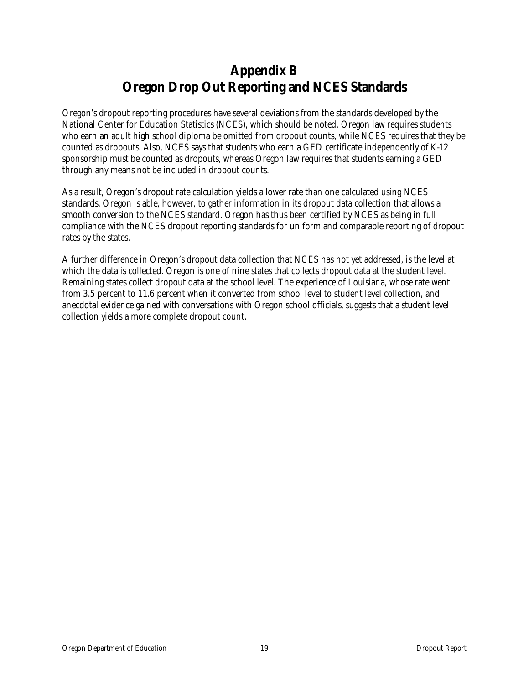## **Appendix B Oregon Drop Out Reporting and NCES Standards**

Oregon's dropout reporting procedures have several deviations from the standards developed by the National Center for Education Statistics (NCES), which should be noted. Oregon law requires students who earn an adult high school diploma be omitted from dropout counts, while NCES requires that they be counted as dropouts. Also, NCES says that students who earn a GED certificate independently of K-12 sponsorship must be counted as dropouts, whereas Oregon law requires that students earning a GED through any means not be included in dropout counts.

As a result, Oregon's dropout rate calculation yields a lower rate than one calculated using NCES standards. Oregon is able, however, to gather information in its dropout data collection that allows a smooth conversion to the NCES standard. Oregon has thus been certified by NCES as being in full compliance with the NCES dropout reporting standards for uniform and comparable reporting of dropout rates by the states.

A further difference in Oregon's dropout data collection that NCES has not yet addressed, is the level at which the data is collected. Oregon is one of nine states that collects dropout data at the student level. Remaining states collect dropout data at the school level. The experience of Louisiana, whose rate went from 3.5 percent to 11.6 percent when it converted from school level to student level collection, and anecdotal evidence gained with conversations with Oregon school officials, suggests that a student level collection yields a more complete dropout count.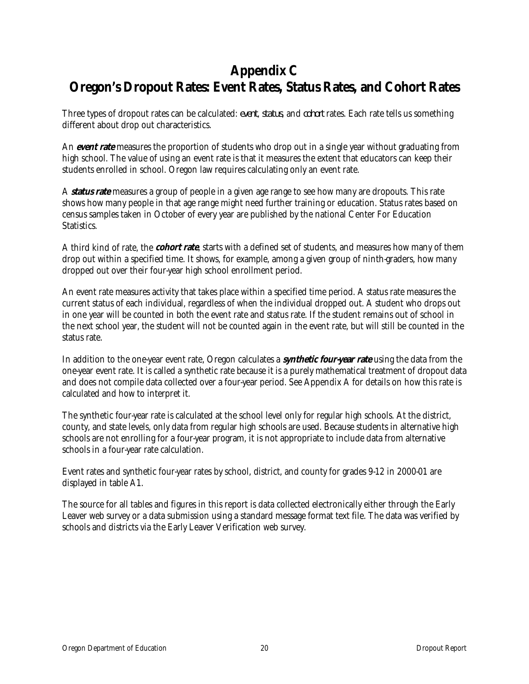## **Appendix C Oregon's Dropout Rates: Event Rates, Status Rates, and Cohort Rates**

Three types of dropout rates can be calculated: *event*, *status*, and *cohort* rates. Each rate tells us something different about drop out characteristics.

An **event rate** measures the proportion of students who drop out in a single year without graduating from high school. The value of using an event rate is that it measures the extent that educators can keep their students enrolled in school. Oregon law requires calculating only an event rate.

A **status rate** measures a group of people in a given age range to see how many are dropouts. This rate shows how many people in that age range might need further training or education. Status rates based on census samples taken in October of every year are published by the national Center For Education Statistics.

A third kind of rate, the **cohort rate**, starts with a defined set of students, and measures how many of them drop out within a specified time. It shows, for example, among a given group of ninth-graders, how many dropped out over their four-year high school enrollment period.

An event rate measures activity that takes place within a specified time period. A status rate measures the current status of each individual, regardless of when the individual dropped out. A student who drops out in one year will be counted in both the event rate and status rate. If the student remains out of school in the next school year, the student will not be counted again in the event rate, but will still be counted in the status rate.

In addition to the one-year event rate, Oregon calculates a **synthetic four-year rate** using the data from the one-year event rate. It is called a synthetic rate because it is a purely mathematical treatment of dropout data and does not compile data collected over a four-year period. See Appendix A for details on how this rate is calculated and how to interpret it.

The synthetic four-year rate is calculated at the school level only for regular high schools. At the district, county, and state levels, only data from regular high schools are used. Because students in alternative high schools are not enrolling for a four-year program, it is not appropriate to include data from alternative schools in a four-year rate calculation.

Event rates and synthetic four-year rates by school, district, and county for grades 9-12 in 2000-01 are displayed in table A1.

The source for all tables and figures in this report is data collected electronically either through the Early Leaver web survey or a data submission using a standard message format text file. The data was verified by schools and districts via the Early Leaver Verification web survey.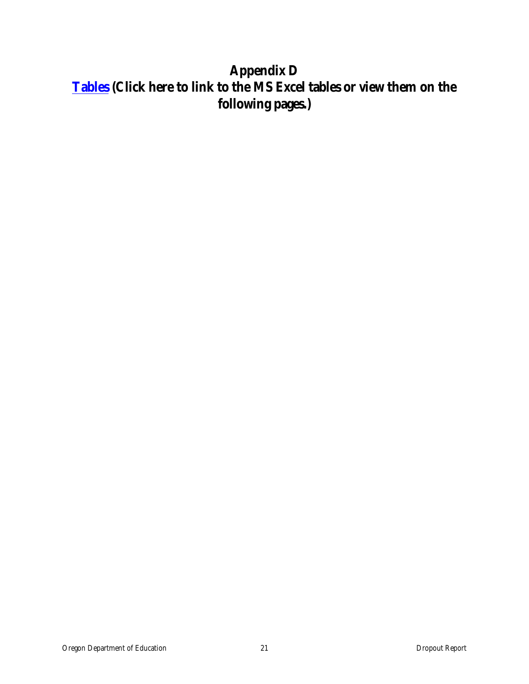# **Appendix D [Tables](http://dbi.ode.state.or.us/docs/students/0001tables.xls) (Click here to link to t[he MS Ex](/stats/students/0001tables.xls)cel tables or view them on the following pages.)**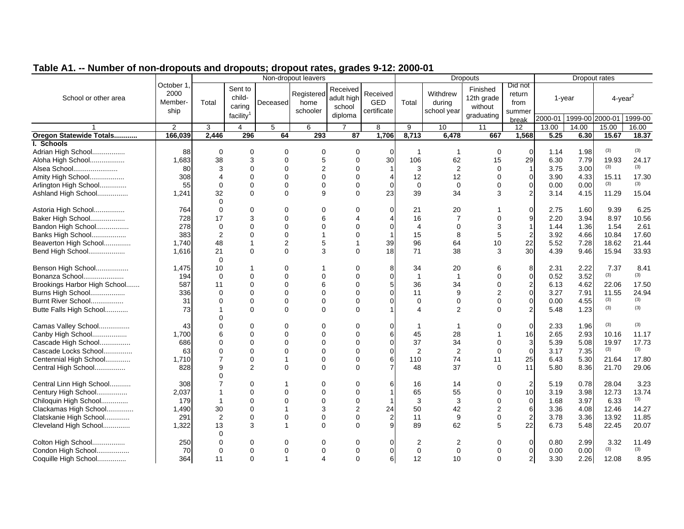|                              |                                      |                   |                             | disposits and disposits, areport rates, grades vira. 2000 or<br>Non-dropout leavers | <b>Dropouts</b>                | Dropout rates                    |                                |                       |                                   |                                   |                                     |                         |        |       |                        |
|------------------------------|--------------------------------------|-------------------|-----------------------------|-------------------------------------------------------------------------------------|--------------------------------|----------------------------------|--------------------------------|-----------------------|-----------------------------------|-----------------------------------|-------------------------------------|-------------------------|--------|-------|------------------------|
| School or other area         | October 1<br>2000<br>Member-<br>ship | Total             | Sent to<br>child-<br>caring | Deceased                                                                            | Registered<br>home<br>schooler | Received<br>adult high<br>school | Received<br>GED<br>certificate | Total                 | Withdrew<br>during<br>school year | Finished<br>12th grade<br>without | Did not<br>return<br>from<br>summer |                         | 1-year |       | $4$ -year <sup>2</sup> |
|                              |                                      |                   | facility <sup>1</sup>       |                                                                                     |                                | diploma                          |                                |                       |                                   | graduating                        | break                               | 2000-01 1999-00 2000-01 |        |       | 1999-00                |
|                              | $\overline{2}$                       | 3                 | 4                           | 5                                                                                   | 6                              | $\overline{7}$                   | 8                              | 9                     | 10                                | 11                                | 12                                  | 13.00                   | 14.00  | 15.00 | 16.00                  |
| Oregon Statewide Totals      | 166,039                              | 2,446             | 296                         | 64                                                                                  | 293                            | 87                               | 1,706                          | 8,713                 | 6,478                             | 667                               | 1,568                               | 5.25                    | 6.30   | 15.67 | 18.37                  |
| I. Schools                   |                                      |                   |                             |                                                                                     |                                |                                  |                                |                       |                                   |                                   |                                     |                         |        |       |                        |
| Adrian High School           | 88                                   | $\mathbf 0$       | 0                           | $\Omega$                                                                            | 0                              | 0                                | $\Omega$                       | -1                    | $\mathbf{1}$                      | $\mathbf 0$                       | $\Omega$                            | 1.14                    | 1.98   | (3)   | (3)                    |
| Aloha High School            | 1,683                                | 38                | 3                           | $\Omega$                                                                            | 5                              | $\Omega$                         | 30                             | 106                   | 62                                | 15                                | 29                                  | 6.30                    | 7.79   | 19.93 | 24.17                  |
| Alsea School                 | 80                                   | 3                 | $\Omega$                    | $\Omega$                                                                            | $\overline{2}$                 | $\Omega$                         |                                | 3                     | 2                                 | $\Omega$                          | $\mathbf{1}$                        | 3.75                    | 3.00   | (3)   | (3)                    |
| Amity High School            | 308                                  | 4                 | $\Omega$                    | $\Omega$                                                                            | $\Omega$                       | $\Omega$                         |                                | 12                    | 12                                | $\Omega$                          | $\mathbf 0$                         | 3.90                    | 4.33   | 15.11 | 17.30                  |
| Arlington High School        | 55                                   | $\mathbf 0$       | 0                           | $\mathbf 0$                                                                         | $\mathbf 0$                    | $\Omega$                         | $\Omega$                       | $\mathbf 0$           | $\mathbf 0$                       | 0                                 | 0                                   | 0.00                    | 0.00   | (3)   | (3)                    |
| Ashland High School          | 1,241                                | 32<br>$\mathbf 0$ | $\Omega$                    | $\Omega$                                                                            | 9                              | $\Omega$                         | 23                             | 39                    | 34                                | 3                                 | $\overline{2}$                      | 3.14                    | 4.15   | 11.29 | 15.04                  |
| Astoria High School          | 764                                  | $\Omega$          | $\Omega$                    | $\Omega$                                                                            | $\Omega$                       | O                                |                                | 21                    | 20                                |                                   | 0                                   | 2.75                    | 1.60   | 9.39  | 6.25                   |
| Baker High School            | 728                                  | 17                | 3                           | $\Omega$                                                                            | 6                              |                                  |                                | 16                    | 7                                 | $\Omega$                          | 9                                   | 2.20                    | 3.94   | 8.97  | 10.56                  |
| Bandon High School           | 278                                  | $\mathbf 0$       | $\Omega$                    | $\Omega$                                                                            | $\Omega$                       | $\Omega$                         | 0                              | $\overline{4}$        | $\Omega$                          | 3                                 |                                     | 1.44                    | 1.36   | 1.54  | 2.61                   |
| Banks High School            | 383                                  | $\overline{2}$    | $\Omega$                    | $\Omega$                                                                            |                                | $\Omega$                         |                                | 15                    | 8                                 | 5                                 | $\overline{2}$                      | 3.92                    | 4.66   | 10.84 | 17.60                  |
| Beaverton High School        | 1,740                                | 48                | 1                           | $\overline{2}$                                                                      | 5                              | 1                                | 39                             | 96                    | 64                                | 10                                | 22                                  | 5.52                    | 7.28   | 18.62 | 21.44                  |
| Bend High School             | 1,616                                | 21                | $\mathbf 0$                 | $\mathbf 0$                                                                         | 3                              | $\Omega$                         | 18                             | 71                    | 38                                | 3                                 | 30                                  | 4.39                    | 9.46   | 15.94 | 33.93                  |
|                              |                                      | $\Omega$          |                             |                                                                                     |                                |                                  |                                |                       |                                   |                                   |                                     |                         |        |       |                        |
| Benson High School           | 1,475                                | 10                | 1                           | $\Omega$                                                                            |                                | O                                | 8                              | 34                    | 20                                |                                   | 8                                   | 2.31                    | 2.22   | 7.37  | 8.41                   |
| Bonanza School               | 194                                  | $\Omega$          | $\Omega$                    | $\Omega$                                                                            | $\Omega$                       | $\Omega$                         | ∩                              | $\mathbf{1}$          | $\mathbf{1}$                      | ∩                                 | $\overline{0}$                      | 0.52                    | 3.52   | (3)   | (3)                    |
| Brookings Harbor High School | 587                                  | 11                | 0                           | $\Omega$                                                                            | 6                              | $\Omega$                         | 5                              | 36                    | 34                                | 0                                 | $\frac{2}{0}$                       | 6.13                    | 4.62   | 22.06 | 17.50                  |
| Burns High School            | 336                                  | $\Omega$          | 0                           | $\Omega$                                                                            | $\Omega$                       | $\Omega$                         |                                | 11                    | 9                                 | $\mathfrak{p}$                    |                                     | 3.27                    | 7.91   | 11.55 | 24.94                  |
| Burnt River School           | 31                                   | $\Omega$          | $\Omega$                    | $\Omega$                                                                            | $\Omega$                       | $\Omega$                         | ∩                              | $\Omega$              | $\Omega$                          | $\Omega$                          | $\pmb{0}$                           | 0.00                    | 4.55   | (3)   | (3)                    |
| Butte Falls High School      | 73                                   |                   | $\Omega$                    | $\Omega$                                                                            | $\Omega$                       | $\Omega$                         |                                | $\boldsymbol{\Delta}$ | $\overline{2}$                    | ∩                                 | $\overline{2}$                      | 5.48                    | 1.23   | (3)   | (3)                    |
|                              |                                      | O                 |                             |                                                                                     |                                |                                  |                                |                       |                                   |                                   |                                     |                         |        |       |                        |
| Camas Valley School          | 43                                   | $\Omega$          | O                           | $\Omega$                                                                            | $\Omega$                       | $\Omega$                         |                                | 1                     |                                   |                                   | $\mathbf 0$                         | 2.33                    | 1.96   | (3)   | (3)                    |
| Canby High School            | 1,700                                | 6                 | 0                           | $\Omega$                                                                            | $\Omega$                       | $\Omega$                         | 6                              | 45                    | 28                                |                                   | 16                                  | 2.65                    | 2.93   | 10.16 | 11.17                  |
| Cascade High School          | 686                                  | $\Omega$          | 0                           | $\Omega$                                                                            | $\Omega$                       | $\Omega$                         | $\Omega$                       | 37                    | 34                                | 0                                 | 3                                   | 5.39                    | 5.08   | 19.97 | 17.73                  |
| Cascade Locks School         | 63                                   | $\Omega$          | 0                           | $\Omega$                                                                            | $\Omega$                       | $\Omega$                         | $\Omega$                       | $\overline{2}$        | $\overline{2}$                    | $\Omega$                          | $\mathbf 0$                         | 3.17                    | 7.35   | (3)   | (3)                    |
| Centennial High School       | 1,710                                | 7                 | $\mathbf 0$                 |                                                                                     | $\mathbf 0$                    | $\Omega$                         | 6                              | 110                   | 74                                | 11                                | 25                                  | 6.43                    | 5.30   | 21.64 | 17.80                  |
| Central High School          | 828                                  | 9                 | $\overline{2}$              | $\Omega$                                                                            | $\Omega$                       | $\Omega$                         |                                | 48                    | 37                                | $\Omega$                          | 11                                  | 5.80                    | 8.36   | 21.70 | 29.06                  |
|                              |                                      |                   |                             |                                                                                     |                                |                                  |                                |                       |                                   |                                   |                                     |                         |        |       |                        |
| Central Linn High School     | 308                                  |                   | 0                           |                                                                                     | $\Omega$                       | $\Omega$                         | 6                              | 16                    | 14                                |                                   | $\mathbf 2$                         | 5.19                    | 0.78   | 28.04 | 3.23                   |
| Century High School          | 2,037                                | -1                | $\mathbf 0$                 | $\Omega$                                                                            | $\Omega$                       | $\Omega$                         |                                | 65                    | 55                                | O                                 | 10                                  | 3.19                    | 3.98   | 12.73 | 13.74                  |
| Chiloquin High School        | 179                                  | 1                 | $\Omega$                    | $\Omega$                                                                            | $\Omega$                       | $\mathbf 0$                      |                                | 3                     | 3                                 | 0                                 | $\mathbf 0$                         | 1.68                    | 3.97   | 6.33  | (3)                    |
| Clackamas High School        | 1,490                                | 30                | $\mathbf 0$                 |                                                                                     | 3                              | $\overline{2}$                   | 24                             | 50                    | 42                                | $\overline{2}$                    | 6                                   | 3.36                    | 4.08   | 12.46 | 14.27                  |
| Clatskanie High School       | 291                                  | 2                 | $\mathbf 0$                 | $\Omega$                                                                            | $\Omega$                       | $\Omega$                         | $\overline{2}$                 | 11                    | 9                                 | $\Omega$                          | $\overline{2}$                      | 3.78                    | 3.36   | 13.92 | 11.85                  |
| Cleveland High School        | 1,322                                | 13                | 3                           |                                                                                     | $\Omega$                       | $\Omega$                         |                                | 89                    | 62                                | 5                                 | 22                                  | 6.73                    | 5.48   | 22.45 | 20.07                  |
|                              |                                      |                   |                             |                                                                                     |                                |                                  |                                |                       |                                   |                                   |                                     |                         |        |       |                        |
| Colton High School           | 250                                  |                   | 0                           | $\Omega$                                                                            | O                              | 0                                |                                | 2                     | 2                                 |                                   | 0                                   | 0.80                    | 2.99   | 3.32  | 11.49                  |
| Condon High School           | 70                                   | $\Omega$          | 0                           | $\Omega$                                                                            | $\Omega$                       | $\Omega$                         | $\Omega$                       | $\Omega$              | $\Omega$                          | ∩                                 | $\pmb{0}$                           | 0.00                    | 0.00   | (3)   | (3)                    |
| Coquille High School         | 364                                  | 11                | $\Omega$                    |                                                                                     |                                | $\Omega$                         | 6                              | 12                    | 10                                | $\Omega$                          | $\overline{2}$                      | 3.30                    | 2.26   | 12.08 | 8.95                   |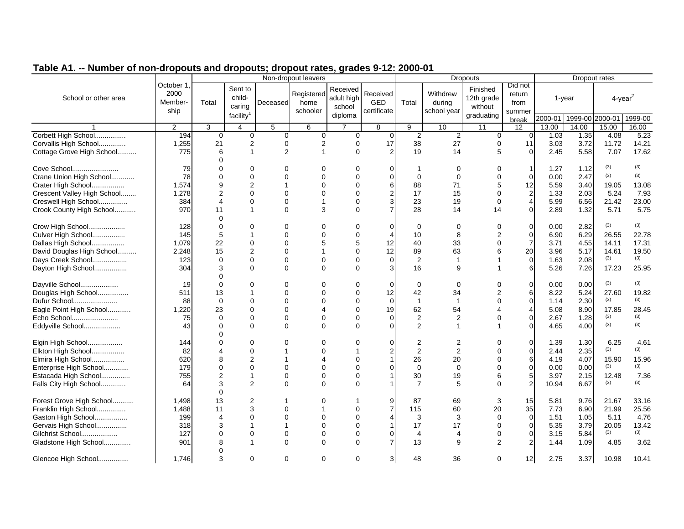| Table A1. -- Number of non-dropouts and dropouts; dropout rates, grades 9-12: 2000-01 |
|---------------------------------------------------------------------------------------|
|---------------------------------------------------------------------------------------|

| <b>INATING AT TIOT</b>                           | diopodio dila diopodio, diopodi ratoo, gradoo offer zooo of<br>Non-dropout leavers<br><b>Dropouts</b> |                       |                                                      |                |                                |                                             |                                | Dropout rates        |                                   |                                                 |                                     |                         |              |                        |               |
|--------------------------------------------------|-------------------------------------------------------------------------------------------------------|-----------------------|------------------------------------------------------|----------------|--------------------------------|---------------------------------------------|--------------------------------|----------------------|-----------------------------------|-------------------------------------------------|-------------------------------------|-------------------------|--------------|------------------------|---------------|
| School or other area                             | October 1.<br>2000<br>Member-<br>ship                                                                 | Total                 | Sent to<br>child-<br>caring<br>facility <sup>1</sup> | Deceased       | Registered<br>home<br>schooler | Received<br>adult high<br>school<br>diploma | Received<br>GED<br>certificate | Total                | Withdrew<br>during<br>school year | Finished<br>12th grade<br>without<br>graduating | Did not<br>return<br>from<br>summer |                         | 1-year       | $4$ -year <sup>2</sup> |               |
|                                                  |                                                                                                       |                       |                                                      |                |                                |                                             |                                |                      |                                   |                                                 | break                               | 2000-01 1999-00 2000-01 |              |                        | 1999-00       |
|                                                  | $\overline{2}$                                                                                        | 3                     | $\overline{4}$                                       | 5              | 6                              | $\overline{7}$                              | 8                              | 9                    | 10                                | 11                                              | 12                                  | 13.00                   | 14.00        | 15.00                  | 16.00         |
| Corbett High School<br>Corvallis High School     | 194<br>1,255                                                                                          | $\mathbf 0$<br>21     | $\mathbf 0$                                          | 0              | 0                              | 0<br>$\mathbf 0$                            | $\mathbf 0$<br>17              | $\overline{2}$<br>38 | $\overline{2}$<br>27              | $\mathbf 0$                                     | ∩<br>11                             | 1.03<br>3.03            | 1.35<br>3.72 | 4.08<br>11.72          | 5.23<br>14.21 |
|                                                  |                                                                                                       |                       | $\overline{2}$                                       | 0              | 2<br>1                         |                                             |                                |                      |                                   | 0<br>5                                          |                                     |                         |              |                        |               |
| Cottage Grove High School                        | 775                                                                                                   | 6<br>$\Omega$         | $\mathbf{1}$                                         | $\overline{2}$ |                                | $\Omega$                                    |                                | 19                   | 14                                |                                                 | $\Omega$                            | 2.45                    | 5.58         | 7.07                   | 17.62         |
| Cove School                                      | 79                                                                                                    | 0                     | $\Omega$                                             | 0              | $\Omega$                       | $\Omega$                                    |                                | -1                   | 0                                 | $\Omega$                                        | $\mathbf{1}$                        | 1.27                    | 1.12         | (3)                    | (3)           |
| Crane Union High School                          | 78                                                                                                    | $\Omega$              | $\Omega$                                             | $\Omega$       | $\Omega$                       | $\Omega$                                    | $\Omega$                       | $\Omega$             | $\Omega$                          | $\Omega$                                        | $\Omega$                            | 0.00                    | 2.47         | (3)                    | (3)           |
| Crater High School                               | 1,574                                                                                                 | 9                     | $\overline{2}$                                       |                | $\Omega$                       | $\Omega$                                    | 6                              | 88                   | 71                                | 5                                               | 12                                  | 5.59                    | 3.40         | 19.05                  | 13.08         |
| Crescent Valley High School                      | 1,278                                                                                                 | $\overline{2}$        | $\Omega$                                             | $\Omega$       | $\Omega$                       | $\Omega$                                    |                                | 17                   | 15                                | $\Omega$                                        | $\mathbf 2$                         | 1.33                    | 2.03         | 5.24                   | 7.93          |
|                                                  | 384                                                                                                   | $\boldsymbol{\Delta}$ | $\Omega$                                             | $\Omega$       | 1                              | $\Omega$                                    |                                | 23                   | 19                                | 0                                               | $\overline{4}$                      | 5.99                    | 6.56         | 21.42                  | 23.00         |
| Creswell High School<br>Crook County High School | 970                                                                                                   | 11                    | $\mathbf{1}$                                         | $\Omega$       | 3                              | $\Omega$                                    |                                | 28                   | 14                                | 14                                              | $\mathbf 0$                         | 2.89                    | 1.32         | 5.71                   | 5.75          |
|                                                  |                                                                                                       | $\Omega$              |                                                      |                |                                |                                             |                                |                      |                                   |                                                 |                                     |                         |              |                        |               |
| Crow High School                                 | 128                                                                                                   | $\Omega$              | $\Omega$                                             | 0              | O                              | $\Omega$                                    | $\Omega$                       | $\mathbf 0$          | 0                                 | 0                                               | 0                                   | 0.00                    | 2.82         | (3)                    | (3)           |
| Culver High School                               | 145                                                                                                   | 5                     |                                                      | $\Omega$       | $\Omega$                       | $\Omega$                                    |                                | 10                   | 8                                 |                                                 | $\mathbf 0$                         | 6.90                    | 6.29         | 26.55                  | 22.78         |
| Dallas High School                               | 1,079                                                                                                 | 22                    | $\Omega$                                             | $\Omega$       | 5                              | 5                                           | 12                             | 40                   | 33                                | $\overline{0}$                                  | $\overline{7}$                      | 3.71                    | 4.55         | 14.11                  | 17.31         |
| David Douglas High School                        | 2,248                                                                                                 | 15                    | $\overline{2}$                                       | $\Omega$       |                                | $\Omega$                                    | 12                             | 89                   | 63                                | 6                                               | 20                                  | 3.96                    | 5.17         | 14.61                  | 19.50         |
| Days Creek School                                | 123                                                                                                   | $\Omega$              | $\Omega$                                             | $\Omega$       | $\Omega$                       | $\Omega$                                    | $\Omega$                       | 2                    | $\mathbf{1}$                      |                                                 | $\mathbf 0$                         | 1.63                    | 2.08         | (3)                    | (3)           |
| Dayton High School                               | 304                                                                                                   | 3                     | $\Omega$                                             | $\Omega$       | $\Omega$                       | $\Omega$                                    |                                | 16                   | 9                                 |                                                 | 6                                   | 5.26                    | 7.26         | 17.23                  | 25.95         |
|                                                  |                                                                                                       | $\Omega$              |                                                      |                |                                |                                             |                                |                      |                                   |                                                 |                                     |                         |              |                        |               |
| Dayville School                                  | 19                                                                                                    | $\Omega$              | $\Omega$                                             | 0              | $\Omega$                       | $\Omega$                                    | 0                              | $\mathbf 0$          | $\mathbf 0$                       | U                                               | 0                                   | 0.00                    | 0.00         | (3)                    | (3)           |
| Douglas High School                              | 511                                                                                                   | 13                    |                                                      | $\Omega$       | $\Omega$                       | $\Omega$                                    | 12                             | 42                   | 34                                |                                                 | 6                                   | 8.22                    | 5.24         | 27.60                  | 19.82         |
| Dufur School                                     | 88                                                                                                    | $\Omega$              | $\Omega$                                             | $\Omega$       | $\Omega$                       | $\Omega$                                    | $\Omega$                       | $\mathbf{1}$         | $\overline{1}$                    | $\Omega$                                        | $\mathbf 0$                         | 1.14                    | 2.30         | (3)                    | (3)           |
| Eagle Point High School                          | 1,220                                                                                                 | 23                    | $\Omega$                                             | $\Omega$       | Δ                              | $\Omega$                                    | 19                             | 62                   | 54                                |                                                 | $\overline{4}$                      | 5.08                    | 8.90         | 17.85                  | 28.45         |
| Echo School                                      | 75                                                                                                    | $\Omega$              | $\Omega$                                             | $\Omega$       | $\Omega$                       | $\Omega$                                    | $\Omega$                       | $\sqrt{2}$           | $\overline{2}$                    | 0                                               | $\mathbf 0$                         | 2.67                    | 1.28         | (3)                    | (3)           |
| Eddyville School                                 | 43                                                                                                    | $\Omega$              | $\Omega$                                             | $\Omega$       | $\Omega$                       | $\Omega$                                    |                                | 2                    | $\overline{1}$                    |                                                 | $\Omega$                            | 4.65                    | 4.00         | (3)                    | (3)           |
|                                                  |                                                                                                       |                       |                                                      |                |                                |                                             |                                |                      |                                   |                                                 |                                     |                         |              |                        |               |
| Elgin High School                                | 144                                                                                                   | U                     | $\Omega$                                             | U              | $\Omega$                       |                                             |                                | $\overline{2}$       | 2                                 | U                                               | $\Omega$                            | 1.39                    | 1.30         | 6.25                   | 4.61          |
| Elkton High School                               | 82                                                                                                    | Δ                     | $\Omega$                                             |                | $\Omega$                       |                                             |                                | 2                    | $\overline{2}$                    | $\Omega$                                        | $\Omega$                            | 2.44                    | 2.35         | (3)                    | (3)           |
| Elmira High School                               | 620                                                                                                   | 8                     | $\overline{2}$                                       |                | Δ                              | $\Omega$                                    |                                | 26                   | 20                                | $\Omega$                                        | 6                                   | 4.19                    | 4.07         | 15.90                  | 15.96         |
| Enterprise High School                           | 179                                                                                                   | $\Omega$              | $\Omega$                                             | $\Omega$       | $\Omega$                       | $\Omega$                                    |                                | $\mathbf 0$          | $\mathbf 0$                       | $\Omega$                                        | $\overline{0}$                      | 0.00                    | 0.00         | (3)                    | (3)           |
| Estacada High School                             | 755                                                                                                   | $\overline{2}$        | $\mathbf{1}$                                         | $\Omega$       | $\Omega$                       | $\Omega$                                    |                                | 30                   | 19                                | 6                                               | 5                                   | 3.97                    | 2.15         | 12.48                  | 7.36          |
| Falls City High School                           | 64                                                                                                    | 3                     | $\overline{2}$                                       | $\Omega$       | $\Omega$                       | $\Omega$                                    |                                | $\overline{7}$       | 5                                 | $\Omega$                                        | $\overline{2}$                      | 10.94                   | 6.67         | (3)                    | (3)           |
|                                                  |                                                                                                       | $\Omega$              |                                                      |                |                                |                                             |                                |                      |                                   |                                                 |                                     |                         |              |                        |               |
| Forest Grove High School                         | 1,498                                                                                                 | 13                    | $\overline{2}$                                       |                | O                              |                                             |                                | 87                   | 69                                | 3                                               | 15                                  | 5.81                    | 9.76         | 21.67                  | 33.16         |
| Franklin High School                             | 1,488                                                                                                 | 11                    | 3                                                    | $\Omega$       |                                | $\Omega$                                    |                                | 115                  | 60                                | 20                                              | 35                                  | 7.73                    | 6.90         | 21.99                  | 25.56         |
| Gaston High School                               | 199                                                                                                   | $\boldsymbol{\Delta}$ | $\Omega$                                             | $\Omega$       | $\Omega$                       | $\Omega$                                    |                                | 3                    | 3                                 | $\Omega$                                        | 0                                   | 1.51                    | 1.05         | 5.11                   | 4.76          |
| Gervais High School                              | 318                                                                                                   | 3                     | $\mathbf 1$                                          | 1              | $\Omega$                       | $\Omega$                                    |                                | 17                   | 17                                | $\Omega$                                        | $\mathbf 0$                         | 5.35                    | 3.79         | 20.05                  | 13.42         |
| Gilchrist School                                 | 127                                                                                                   | $\Omega$              | $\Omega$                                             | $\Omega$       | $\Omega$                       | $\Omega$                                    |                                | $\overline{4}$       | $\overline{4}$                    | 0                                               | 0                                   | 3.15                    | 5.84         | (3)                    | (3)           |
| Gladstone High School                            | 901                                                                                                   | 8                     | $\mathbf{1}$                                         | $\Omega$       | $\Omega$                       | $\Omega$                                    |                                | 13                   | 9                                 | $\overline{2}$                                  | $\overline{2}$                      | 1.44                    | 1.09         | 4.85                   | 3.62          |
|                                                  |                                                                                                       |                       |                                                      |                |                                |                                             |                                |                      |                                   |                                                 |                                     |                         |              |                        |               |
| Glencoe High School                              | 1,746                                                                                                 | 3                     | $\Omega$                                             | $\Omega$       | $\Omega$                       | $\Omega$                                    | 3                              | 48                   | 36                                | $\Omega$                                        | 12                                  | 2.75                    | 3.37         | 10.98                  | 10.41         |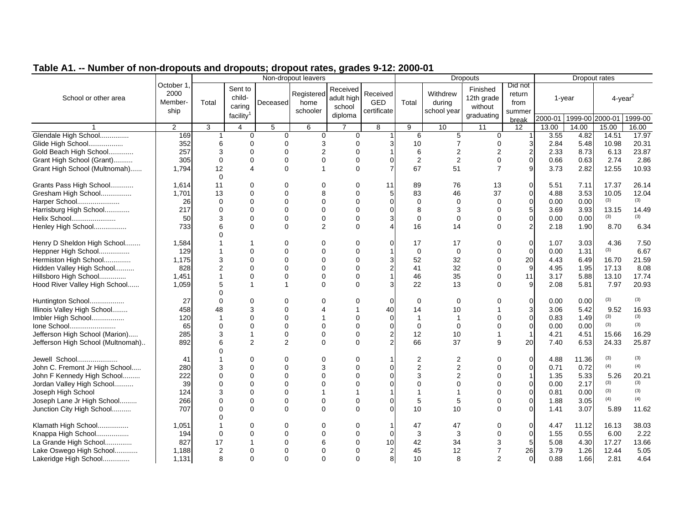|                                   | $\frac{1}{2}$ and anopout $\frac{1}{2}$ anopout nation, graduo o nei 2000<br>Non-dropout leavers<br><b>Dropouts</b> |                      |                                             |                |                                |                                             |                                       | Dropout rates  |                                   |                                                 |                                     |                         |        |                |              |
|-----------------------------------|---------------------------------------------------------------------------------------------------------------------|----------------------|---------------------------------------------|----------------|--------------------------------|---------------------------------------------|---------------------------------------|----------------|-----------------------------------|-------------------------------------------------|-------------------------------------|-------------------------|--------|----------------|--------------|
| School or other area              | October 1.<br>2000<br>Member-<br>ship                                                                               | Total                | Sent to<br>child-<br>caring<br>facility $1$ | Deceased       | Registered<br>home<br>schooler | Received<br>adult high<br>school<br>diploma | Received<br><b>GED</b><br>certificate | Total          | Withdrew<br>during<br>school year | Finished<br>12th grade<br>without<br>graduating | Did not<br>return<br>from<br>summer |                         | 1-year | $4$ -year $^2$ |              |
|                                   |                                                                                                                     |                      |                                             |                |                                |                                             |                                       |                |                                   |                                                 | break                               | 2000-01 1999-00 2000-01 |        |                | 1999-00      |
|                                   | $\overline{2}$                                                                                                      | 3                    | $\overline{4}$                              | 5              | 6                              | $\overline{7}$                              | 8                                     | 9              | 10                                | 11                                              | 12                                  | 13.00                   | 14.00  | 15.00          | 16.00        |
| Glendale High School              | 169                                                                                                                 |                      | $\mathbf 0$                                 | $\Omega$       | $\mathbf 0$                    | 0                                           |                                       | 6              | 5                                 | 0                                               |                                     | 3.55                    | 4.82   | 14.51          | 17.97        |
| Glide High School                 | 352                                                                                                                 | 6                    | $\Omega$                                    | $\Omega$       | 3                              | 0                                           |                                       | 10             | $\overline{7}$                    | 0                                               | 3                                   | 2.84                    | 5.48   | 10.98          | 20.31        |
| Gold Beach High School            | 257                                                                                                                 | 3                    | $\Omega$                                    | 0              | $\overline{2}$                 | $\Omega$                                    |                                       | 6              | $\overline{2}$                    | 2                                               | $\overline{c}$                      | 2.33                    | 8.73   | 6.13           | 23.87        |
| Grant High School (Grant)         | 305                                                                                                                 | $\mathbf 0$          | 0                                           | $\Omega$       | $\mathbf 0$                    | 0                                           |                                       | $\sqrt{2}$     | 2                                 | 0                                               | $\mathsf 0$                         | 0.66                    | 0.63   | 2.74           | 2.86         |
| Grant High School (Multnomah)     | 1,794                                                                                                               | 12                   | 4                                           | $\Omega$       | $\overline{1}$                 | $\Omega$                                    |                                       | 67             | 51                                | $\overline{7}$                                  | 9                                   | 3.73                    | 2.82   | 12.55          | 10.93        |
| Grants Pass High School           | 1,614                                                                                                               | $\Omega$<br>11       | 0                                           | 0              | $\Omega$                       | 0                                           | 11                                    | 89             | 76                                | 13                                              | 0                                   | 5.51                    | 7.11   | 17.37          | 26.14        |
|                                   | 1.701                                                                                                               |                      | $\Omega$                                    | $\Omega$       | 8                              | $\Omega$                                    | 5                                     |                | 46                                | 37                                              | 0                                   | 4.88                    | 3.53   | 10.05          | 12.04        |
| Gresham High School               |                                                                                                                     | 13                   |                                             | $\Omega$       |                                |                                             |                                       | 83             |                                   |                                                 |                                     |                         |        | (3)            | (3)          |
| Harper School                     | 26                                                                                                                  | $\Omega$<br>$\Omega$ | $\Omega$                                    |                | $\Omega$                       | 0                                           |                                       | $\mathbf 0$    | $\mathbf 0$                       | 0                                               | $\pmb{0}$                           | 0.00                    | 0.00   |                |              |
| Harrisburg High School            | 217                                                                                                                 |                      | $\Omega$                                    | 0              | $\Omega$                       | 0                                           |                                       | 8              | 3                                 | 0                                               | 5                                   | 3.69                    | 3.93   | 13.15<br>(3)   | 14.49<br>(3) |
| Helix School                      | 50                                                                                                                  | 3                    | $\Omega$                                    | $\Omega$       | $\mathbf 0$                    | $\Omega$                                    |                                       | $\Omega$       | $\mathbf 0$                       | $\Omega$                                        | $\pmb{0}$                           | 0.00                    | 0.00   |                |              |
| Henley High School                | 733                                                                                                                 | 6                    | $\Omega$                                    | $\Omega$       | 2                              | $\Omega$                                    |                                       | 16             | 14                                | 0                                               | $\overline{2}$                      | 2.18                    | 1.90   | 8.70           | 6.34         |
| Henry D Sheldon High School       | 1,584                                                                                                               |                      |                                             | $\Omega$       | $\Omega$                       | $\Omega$                                    |                                       | 17             | 17                                | $\Omega$                                        | 0                                   | 1.07                    | 3.03   | 4.36           | 7.50         |
| Heppner High School               | 129                                                                                                                 |                      | $\Omega$                                    | 0              | $\Omega$                       | $\Omega$                                    |                                       | 0              | $\mathbf 0$                       | 0                                               | $\mathbf 0$                         | 0.00                    | 1.31   | (3)            | 6.67         |
| Hermiston High School             | 1,175                                                                                                               | 3                    | $\mathbf 0$                                 | 0              | $\Omega$                       | 0                                           |                                       | 52             | 32                                | 0                                               | 20                                  | 4.43                    | 6.49   | 16.70          | 21.59        |
| Hidden Valley High School         | 828                                                                                                                 | $\overline{2}$       | $\mathbf 0$                                 | 0              | $\Omega$                       | $\Omega$                                    |                                       | 41             | 32                                | $\Omega$                                        | 9                                   | 4.95                    | 1.95   | 17.13          | 8.08         |
| Hillsboro High School             | 1,451                                                                                                               |                      | $\mathbf 0$                                 | 0              | $\mathbf 0$                    | $\Omega$                                    |                                       | 46             | 35                                | $\Omega$                                        | 11                                  | 3.17                    | 5.88   | 13.10          | 17.74        |
| Hood River Valley High School     | 1.059                                                                                                               | 5                    | 1                                           | $\overline{1}$ | $\Omega$                       | $\Omega$                                    |                                       | 22             | 13                                | $\Omega$                                        | 9                                   | 2.08                    | 5.81   | 7.97           | 20.93        |
|                                   |                                                                                                                     |                      |                                             |                |                                |                                             |                                       |                |                                   |                                                 |                                     |                         |        |                |              |
| Huntington School                 | 27                                                                                                                  | $\Omega$             | $\Omega$                                    | $\Omega$       | $\Omega$                       | ∩                                           |                                       | $\mathbf 0$    | $\Omega$                          |                                                 | 0                                   | 0.00                    | 0.00   | (3)            | (3)          |
| Illinois Valley High School       | 458                                                                                                                 | 48                   | 3                                           | $\Omega$       |                                |                                             | 40                                    | 14             | 10                                |                                                 | 3                                   | 3.06                    | 5.42   | 9.52           | 16.93        |
| Imbler High School                | 120                                                                                                                 | -1                   | 0                                           | 0              |                                | 0                                           | $\Omega$                              | $\mathbf{1}$   | $\mathbf{1}$                      | U                                               | $\pmb{0}$                           | 0.83                    | 1.49   | (3)            | (3)          |
| Ione School                       | 65                                                                                                                  | $\Omega$             | $\Omega$                                    | $\Omega$       | $\Omega$                       | $\Omega$                                    |                                       | $\Omega$       | $\Omega$                          | $\Omega$                                        | $\mathbf 0$                         | 0.00                    | 0.00   | (3)            | (3)          |
| Jefferson High School (Marion)    | 285                                                                                                                 | 3                    | $\overline{1}$                              | $\mathbf 0$    | $\mathbf 0$                    | $\Omega$                                    |                                       | 12             | 10                                | 1                                               | $\mathbf{1}$                        | 4.21                    | 4.51   | 15.66          | 16.29        |
| Jefferson High School (Multnomah) | 892                                                                                                                 |                      | $\overline{2}$                              | 2              | $\Omega$                       | 0                                           |                                       | 66             | 37                                | 9                                               | 20                                  | 7.40                    | 6.53   | 24.33          | 25.87        |
|                                   |                                                                                                                     |                      |                                             |                |                                |                                             |                                       |                |                                   |                                                 |                                     |                         |        |                |              |
| Jewell School                     | 41                                                                                                                  |                      |                                             | $\Omega$       | $\Omega$                       | $\Omega$                                    |                                       | $\overline{2}$ | $\overline{2}$                    | $\Omega$                                        | 0                                   | 4.88                    | 11.36  | (3)            | (3)          |
| John C. Fremont Jr High School    | 280                                                                                                                 | 3                    | $\Omega$                                    | 0              | 3                              | 0                                           |                                       | $\overline{2}$ | $\overline{2}$                    | $\Omega$                                        | $\mathbf 0$                         | 0.71                    | 0.72   | (4)            | (4)          |
| John F Kennedy High School        | 222                                                                                                                 | $\Omega$             | 0                                           | 0              | $\mathbf 0$                    | $\mathbf 0$                                 |                                       | 3              | 2                                 | 0                                               | $\mathbf{1}$                        | 1.35                    | 5.33   | 5.26           | 20.21        |
| Jordan Valley High School         | 39                                                                                                                  | $\Omega$             | $\Omega$                                    | 0              | $\Omega$                       | $\Omega$                                    |                                       | $\Omega$       | 0                                 | $\Omega$                                        | 0                                   | 0.00                    | 2.17   | (3)            | (3)          |
| Joseph High School                | 124                                                                                                                 | 3                    | $\Omega$                                    | 0              |                                |                                             |                                       | 1              |                                   | $\Omega$                                        | 0                                   | 0.81                    | 0.00   | (3)            | (3)          |
| Joseph Lane Jr High School        | 266                                                                                                                 | $\Omega$             | $\Omega$                                    | 0              | $\Omega$                       | 0                                           |                                       | 5              | 5                                 | $\Omega$                                        | 0                                   | 1.88                    | 3.05   | (4)            | (4)          |
| Junction City High School         | 707                                                                                                                 | $\Omega$             | $\Omega$                                    | $\Omega$       | $\Omega$                       | $\Omega$                                    |                                       | 10             | 10                                | $\Omega$                                        | 0                                   | 1.41                    | 3.07   | 5.89           | 11.62        |
|                                   |                                                                                                                     |                      |                                             |                |                                |                                             |                                       |                |                                   |                                                 |                                     |                         |        |                |              |
| Klamath High School               | 1,051                                                                                                               |                      | 0                                           | 0              | $\Omega$                       | 0                                           |                                       | 47             | 47                                | 0                                               | 0                                   | 4.47                    | 11.12  | 16.13          | 38.03        |
| Knappa High School                | 194                                                                                                                 | $\Omega$             | $\Omega$                                    | 0              | $\Omega$                       | $\Omega$                                    |                                       | 3              | 3                                 | $\Omega$                                        | $\mathbf 0$                         | 1.55                    | 0.55   | 6.00           | 2.22         |
| La Grande High School             | 827                                                                                                                 | 17                   | 1                                           | $\Omega$       | 6                              | $\Omega$                                    | 10                                    | 42             | 34                                | 3                                               | $\mathbf 5$                         | 5.08                    | 4.30   | 17.27          | 13.66        |
| Lake Oswego High School           | 1,188                                                                                                               | $\overline{2}$       | $\Omega$                                    | $\Omega$       | $\Omega$                       | 0                                           |                                       | 45             | 12                                | $\overline{7}$                                  | 26                                  | 3.79                    | 1.26   | 12.44          | 5.05         |
| Lakeridge High School             | 1,131                                                                                                               | 8                    | $\Omega$                                    | $\Omega$       | $\Omega$                       | $\Omega$                                    | 8                                     | 10             | 8                                 | $\overline{2}$                                  | 0                                   | 0.88                    | 1.66   | 2.81           | 4.64         |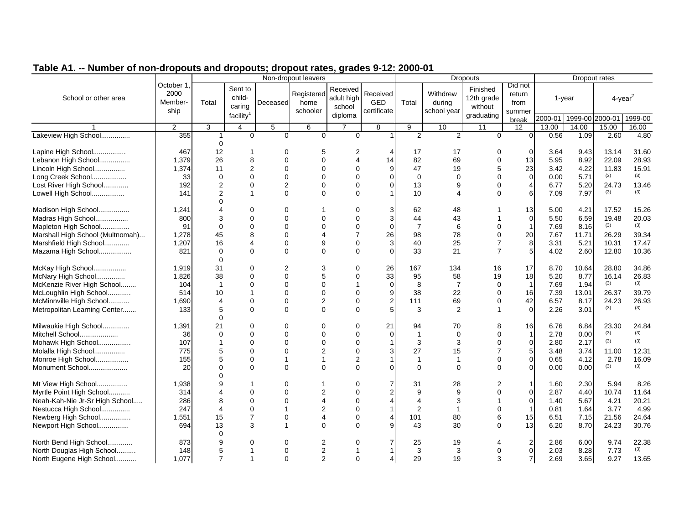|  | Table A1. -- Number of non-dropouts and dropouts; dropout rates, grades 9-12: 2000-01 |  |
|--|---------------------------------------------------------------------------------------|--|
|  |                                                                                       |  |

| <b>Turnber of fiore are pouts and are pouts, are pout rates, grades viral zood of</b> |                                       |                            |                                                      |          | Non-dropout leavers            |                                             |                                |                |                                   | <b>Dropouts</b>                                 |                                     |                         |        | Dropout rates          |              |
|---------------------------------------------------------------------------------------|---------------------------------------|----------------------------|------------------------------------------------------|----------|--------------------------------|---------------------------------------------|--------------------------------|----------------|-----------------------------------|-------------------------------------------------|-------------------------------------|-------------------------|--------|------------------------|--------------|
| School or other area                                                                  | October 1.<br>2000<br>Member-<br>ship | Total                      | Sent to<br>child-<br>caring<br>facility <sup>1</sup> | Deceased | Registered<br>home<br>schooler | Received<br>adult high<br>school<br>diploma | Received<br>GED<br>certificate | Total          | Withdrew<br>during<br>school year | Finished<br>12th grade<br>without<br>graduating | Did not<br>return<br>from<br>summer |                         | 1-year | $4$ -year <sup>2</sup> |              |
|                                                                                       |                                       |                            |                                                      |          |                                |                                             |                                |                |                                   |                                                 | break                               | 2000-01 1999-00 2000-01 |        |                        | 1999-00      |
|                                                                                       | 2                                     | 3                          | 4                                                    | 5        | 6                              | $\overline{7}$                              | 8                              | 9              | 10                                | 11                                              | 12 <sup>°</sup>                     | 13.00                   | 14.00  | 15.00                  | 16.00        |
| Lakeview High School                                                                  | 355                                   | 1<br>$\Omega$              | $\Omega$                                             | $\Omega$ | $\overline{0}$                 | $\Omega$                                    |                                | $\overline{2}$ | $\overline{2}$                    | $\mathbf 0$                                     | $\overline{0}$                      | 0.56                    | 1.09   | 2.60                   | 4.80         |
| Lapine High School                                                                    | 467                                   | 12                         | $\mathbf 1$                                          | $\Omega$ | 5                              |                                             |                                | 17             | 17                                | 0                                               | $\Omega$                            | 3.64                    | 9.43   | 13.14                  | 31.60        |
| Lebanon High School                                                                   | 1,379                                 | 26                         | 8                                                    | $\Omega$ | $\Omega$                       |                                             | 14                             | 82             | 69                                | $\Omega$                                        | 13                                  | 5.95                    | 8.92   | 22.09                  | 28.93        |
| Lincoln High School                                                                   | 1,374                                 | 11                         | $\overline{2}$                                       | $\Omega$ | $\Omega$                       |                                             |                                | 47             | 19                                | 5                                               | 23                                  | 3.42                    | 4.22   | 11.83                  | 15.91        |
| Long Creek School                                                                     |                                       | $\Omega$                   | $\Omega$                                             | $\Omega$ | $\Omega$                       | $\Omega$                                    |                                | $\Omega$       | $\Omega$                          | $\Omega$                                        | $\mathbf 0$                         | 0.00                    | 5.71   | (3)                    | (3)          |
|                                                                                       | 33                                    |                            | $\Omega$                                             |          |                                | $\Omega$                                    |                                |                |                                   |                                                 |                                     |                         |        |                        |              |
| Lost River High School                                                                | 192                                   | $\overline{2}$             |                                                      | 2        | $\Omega$                       |                                             |                                | 13             | 9                                 | 0                                               | 4                                   | 6.77                    | 5.20   | 24.73<br>(3)           | 13.46<br>(3) |
| Lowell High School                                                                    | 141                                   | $\overline{2}$<br>$\Omega$ | $\mathbf{1}$                                         | $\Omega$ | $\Omega$                       | $\Omega$                                    |                                | 10             | $\overline{4}$                    | $\Omega$                                        | 6                                   | 7.09                    | 7.97   |                        |              |
| Madison High School                                                                   | 1,241                                 |                            | $\Omega$                                             | $\Omega$ |                                | $\Omega$                                    |                                | 62             | 48                                |                                                 | 13                                  | 5.00                    | 4.21   | 17.52                  | 15.26        |
| Madras High School                                                                    | 800                                   | 3                          | $\Omega$                                             | $\Omega$ | 0                              | $\Omega$                                    | 3                              | 44             | 43                                |                                                 | $\mathbf 0$                         | 5.50                    | 6.59   | 19.48                  | 20.03        |
| Mapleton High School                                                                  | 91                                    | $\Omega$                   | $\Omega$                                             | $\Omega$ | $\Omega$                       | $\Omega$                                    | ∩                              | $\overline{7}$ | 6                                 | $\Omega$                                        | $\mathbf{1}$                        | 7.69                    | 8.16   | (3)                    | (3)          |
| Marshall High School (Multnomah)                                                      | 1,278                                 | 45                         | 8                                                    | $\Omega$ | 4                              |                                             | 26                             | 98             | 78                                | $\Omega$                                        | 20                                  | 7.67                    | 11.71  | 26.29                  | 39.34        |
|                                                                                       |                                       | 16                         | $\boldsymbol{\Delta}$                                | 0        | 9                              | $\Omega$                                    | 3                              | 40             | 25                                |                                                 | 8                                   | 3.31                    | 5.21   | 10.31                  | 17.47        |
| Marshfield High School                                                                | 1,207                                 |                            |                                                      |          |                                |                                             |                                |                |                                   | $\overline{7}$                                  | 5                                   |                         |        |                        |              |
| Mazama High School                                                                    | 821                                   | $\Omega$<br>$\Omega$       | $\Omega$                                             | $\Omega$ | $\Omega$                       | $\Omega$                                    |                                | 33             | 21                                |                                                 |                                     | 4.02                    | 2.60   | 12.80                  | 10.36        |
| McKay High School                                                                     | 1,919                                 | 31                         | $\Omega$                                             | 2        | 3                              | $\Omega$                                    | 26                             | 167            | 134                               | 16                                              | 17                                  | 8.70                    | 10.64  | 28.80                  | 34.86        |
| McNary High School                                                                    | 1,826                                 | 38                         | $\Omega$                                             | $\Omega$ | 5                              | $\Omega$                                    | 33                             | 95             | 58                                | 19                                              | 18                                  | 5.20                    | 8.77   | 16.14                  | 26.83        |
| McKenzie River High School                                                            | 104                                   | $\overline{1}$             | $\Omega$                                             | $\Omega$ | $\Omega$                       |                                             | $\Omega$                       | 8              | $\overline{7}$                    | 0                                               | 1                                   | 7.69                    | 1.94   | (3)                    | (3)          |
| McLoughlin High School                                                                | 514                                   | 10                         |                                                      | $\Omega$ | $\Omega$                       | $\Omega$                                    | 9                              | 38             | 22                                | $\Omega$                                        | 16                                  | 7.39                    | 13.01  | 26.37                  | 39.79        |
| McMinnville High School                                                               | 1,690                                 | $\overline{4}$             | 0                                                    | 0        | $\overline{2}$                 | $\Omega$                                    | $\mathbf{2}^{\prime}$          | 111            | 69                                | 0                                               | 42                                  | 6.57                    | 8.17   | 24.23                  | 26.93        |
|                                                                                       | 133                                   | 5                          | $\Omega$                                             | $\Omega$ | $\Omega$                       | $\Omega$                                    |                                | 3              | 2                                 |                                                 | $\Omega$                            | 2.26                    | 3.01   | (3)                    | (3)          |
| Metropolitan Learning Center                                                          |                                       | $\Omega$                   |                                                      |          |                                |                                             |                                |                |                                   |                                                 |                                     |                         |        |                        |              |
| Milwaukie High School                                                                 | 1,391                                 | 21                         | $\Omega$                                             | $\Omega$ | 0                              | $\Omega$                                    | 21                             | 94             | 70                                | 8                                               | 16                                  | 6.76                    | 6.84   | 23.30                  | 24.84        |
| Mitchell School                                                                       | 36                                    | $\Omega$                   | $\Omega$                                             | $\Omega$ | $\Omega$                       | $\Omega$                                    | $\Omega$                       | $\mathbf{1}$   | $\mathbf 0$                       | $\Omega$                                        | $\mathbf{1}$                        | 2.78                    | 0.00   | (3)                    | (3)          |
| Mohawk High School                                                                    | 107                                   |                            | $\Omega$                                             | $\Omega$ | $\Omega$                       | $\Omega$                                    |                                | 3              | 3                                 | 0                                               | 0                                   | 2.80                    | 2.17   | (3)                    | (3)          |
| Molalla High School                                                                   | 775                                   | 5                          | $\Omega$                                             | $\Omega$ | $\overline{2}$                 | $\Omega$                                    |                                | 27             | 15                                | $\overline{7}$                                  | 5                                   | 3.48                    | 3.74   | 11.00                  | 12.31        |
| Monroe High School                                                                    | 155                                   | 5                          | $\mathbf 0$                                          |          | $\mathbf 1$                    | $\overline{2}$                              |                                | $\mathbf{1}$   | $\mathbf{1}$                      | 0                                               | $\mathbf 0$                         | 0.65                    | 4.12   | 2.78                   | 16.09        |
| Monument School                                                                       | 20                                    | $\Omega$                   | $\Omega$                                             | $\Omega$ | $\Omega$                       | $\Omega$                                    |                                | $\Omega$       | $\Omega$                          | $\Omega$                                        | $\Omega$                            | 0.00                    | 0.00   | (3)                    | (3)          |
|                                                                                       |                                       | O                          |                                                      |          |                                |                                             |                                |                |                                   |                                                 |                                     |                         |        |                        |              |
| Mt View High School                                                                   | 1,938                                 |                            | -1                                                   | 0        |                                | $\Omega$                                    |                                | 31             | 28                                | 2                                               | $\mathbf{1}$                        | 1.60                    | 2.30   | 5.94                   | 8.26         |
| Myrtle Point High School                                                              | 314                                   | Δ                          | $\Omega$                                             | $\Omega$ | $\overline{2}$                 | $\Omega$                                    |                                | 9              | 9                                 | $\Omega$                                        | $\mathbf 0$                         | 2.87                    | 4.40   | 10.74                  | 11.64        |
| Neah-Kah-Nie Jr-Sr High School                                                        | 286                                   | 8                          | $\Omega$                                             | $\Omega$ | $\boldsymbol{\Delta}$          | $\Omega$                                    |                                | $\overline{4}$ | 3                                 |                                                 | $\mathbf 0$                         | 1.40                    | 5.67   | 4.21                   | 20.21        |
| Nestucca High School                                                                  | 247                                   | $\boldsymbol{\Delta}$      | $\Omega$                                             |          | $\overline{2}$                 | $\Omega$                                    |                                | $\overline{2}$ | 1                                 | $\Omega$                                        | $\mathbf{1}$                        | 0.81                    | 1.64   | 3.77                   | 4.99         |
| Newberg High School                                                                   | 1,551                                 | 15                         | $\overline{7}$                                       | $\Omega$ | 4                              | $\Omega$                                    |                                | 101            | 80                                | 6                                               | 15                                  | 6.51                    | 7.15   | 21.56                  | 24.64        |
| Newport High School                                                                   | 694                                   | 13                         | 3                                                    | 1        | $\Omega$                       | $\Omega$                                    |                                | 43             | 30                                | $\Omega$                                        | 13                                  | 6.20                    | 8.70   | 24.23                  | 30.76        |
|                                                                                       |                                       | $\Omega$                   |                                                      |          |                                |                                             |                                |                |                                   |                                                 |                                     |                         |        |                        |              |
| North Bend High School                                                                | 873                                   | 9                          | $\Omega$                                             | 0        | 2                              | $\Omega$                                    |                                | 25             | 19                                |                                                 | $\overline{\mathbf{c}}$             | 2.86                    | 6.00   | 9.74                   | 22.38        |
| North Douglas High School                                                             | 148                                   | 5                          |                                                      | $\Omega$ | 2                              |                                             |                                | 3              | 3                                 | 0                                               | $\mathsf 0$                         | 2.03                    | 8.28   | 7.73                   | (3)          |
| North Eugene High School                                                              | 1,077                                 | $\overline{7}$             | $\overline{1}$                                       | $\Omega$ | 2                              | $\Omega$                                    |                                | 29             | 19                                | 3                                               | $\overline{7}$                      | 2.69                    | 3.65   | 9.27                   | 13.65        |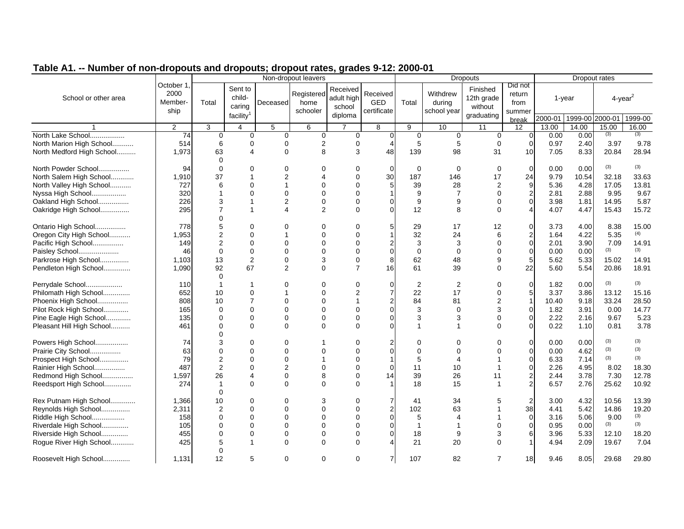|                           |                                       | $\frac{1}{2}$ and an openion and pour ratio; graduo $\frac{1}{2}$ is 2000<br>Non-dropout leavers |                                             |                 |                                |                                             |                                       |                |                                   | <b>Dropouts</b>                                 |                                     |         |               | Dropout rates   |              |
|---------------------------|---------------------------------------|--------------------------------------------------------------------------------------------------|---------------------------------------------|-----------------|--------------------------------|---------------------------------------------|---------------------------------------|----------------|-----------------------------------|-------------------------------------------------|-------------------------------------|---------|---------------|-----------------|--------------|
| School or other area      | October 1,<br>2000<br>Member-<br>ship | Total                                                                                            | Sent to<br>child-<br>caring<br>facility $1$ | Deceased        | Registered<br>home<br>schooler | Received<br>adult high<br>school<br>diploma | Received<br><b>GED</b><br>certificate | Total          | Withdrew<br>during<br>school year | Finished<br>12th grade<br>without<br>graduating | Did not<br>return<br>from<br>summer | 1-year  |               | $4$ -year $^2$  |              |
|                           |                                       |                                                                                                  |                                             |                 |                                |                                             |                                       |                |                                   |                                                 | break                               | 2000-01 |               | 1999-00 2000-01 | 1999-00      |
|                           | 2                                     | 3                                                                                                | $\overline{4}$                              | $5\phantom{.0}$ | 6                              | $\overline{7}$                              | 8                                     | 9              | 10                                | 11                                              | 12                                  | 13.00   | 14.00         | 15.00<br>(3)    | 16.00<br>(3) |
| North Lake School         | 74                                    | $\mathbf 0$                                                                                      | $\mathbf 0$                                 | $\mathbf 0$     | 0                              | 0                                           | $\overline{0}$                        | $\mathbf 0$    | $\mathbf 0$                       | $\mathbf 0$                                     | 0                                   | 0.00    | 0.00          |                 |              |
| North Marion High School  | 514                                   | 6                                                                                                | 0                                           | 0               | 2                              | $\mathbf 0$                                 | 4                                     | 5              | 5                                 | 0                                               | $\mathbf 0$                         | 0.97    | 2.40          | 3.97            | 9.78         |
| North Medford High School | 1,973                                 | 63                                                                                               | $\boldsymbol{\Delta}$                       | $\Omega$        | 8                              | 3                                           | 48                                    | 139            | 98                                | 31                                              | 10                                  | 7.05    | 8.33          | 20.84           | 28.94        |
| North Powder School       | 94                                    | $\mathbf 0$<br>$\Omega$                                                                          | $\Omega$                                    | $\Omega$        | $\Omega$                       | 0                                           | $\Omega$                              | $\mathbf 0$    | $\mathbf 0$                       | 0                                               | $\mathbf 0$                         | 0.00    | 0.00          | (3)             | (3)          |
|                           |                                       |                                                                                                  |                                             | 2               | Δ                              | $\Omega$                                    |                                       |                | 146                               | 17                                              | 24                                  |         |               |                 | 33.63        |
| North Salem High School   | 1,910                                 | 37<br>6                                                                                          | $\Omega$                                    |                 | ი                              |                                             | 30<br>5                               | 187<br>39      | 28                                | 2                                               | 9                                   | 9.79    | 10.54<br>4.28 | 32.18<br>17.05  | 13.81        |
| North Valley High School  | 727                                   |                                                                                                  | $\Omega$                                    | $\Omega$        | $\Omega$                       | $\Omega$                                    |                                       |                | $\overline{7}$                    | $\Omega$                                        |                                     | 5.36    |               |                 |              |
| Nyssa High School         | 320                                   |                                                                                                  |                                             |                 |                                |                                             |                                       | 9              |                                   |                                                 | $\overline{2}$                      | 2.81    | 2.88          | 9.95            | 9.67         |
| Oakland High School       | 226                                   | 3<br>7                                                                                           | 1                                           | $\overline{2}$  | 0                              | $\Omega$                                    | 0                                     | 9              | 9                                 | 0                                               | $\mathbf 0$                         | 3.98    | 1.81          | 14.95           | 5.87         |
| Oakridge High School      | 295                                   | $\Omega$                                                                                         | $\mathbf{1}$                                | Δ               | $\overline{2}$                 | $\Omega$                                    | U                                     | 12             | 8                                 | $\Omega$                                        | $\overline{4}$                      | 4.07    | 4.47          | 15.43           | 15.72        |
| Ontario High School       | 778                                   | 5                                                                                                | $\mathbf 0$                                 | $\Omega$        | 0                              | $\Omega$                                    |                                       | 29             | 17                                | 12                                              | $\mathbf 0$                         | 3.73    | 4.00          | 8.38            | 15.00        |
| Oregon City High School   | 1,953                                 | $\overline{2}$                                                                                   | $\Omega$                                    |                 | U                              | $\Omega$                                    |                                       | 32             | 24                                | 6                                               | $\overline{2}$                      | 1.64    | 4.22          | 5.35            | (4)          |
| Pacific High School       | 149                                   | 2                                                                                                | $\mathbf 0$                                 | $\Omega$        | O                              |                                             |                                       | 3              | 3                                 | $\Omega$                                        | $\boldsymbol{0}$                    | 2.01    | 3.90          | 7.09            | 14.91        |
| Paisley School            | 46                                    | $\Omega$                                                                                         | $\Omega$                                    | $\Omega$        | $\Omega$                       | $\Omega$                                    | 0                                     | $\Omega$       | $\Omega$                          | 0                                               | $\mathbf 0$                         | 0.00    | 0.00          | (3)             | (3)          |
| Parkrose High School      | 1,103                                 | 13                                                                                               | $\overline{2}$                              | $\mathbf 0$     | 3                              | $\mathbf 0$                                 | 8                                     | 62             | 48                                | 9                                               | $\overline{5}$                      | 5.62    | 5.33          | 15.02           | 14.91        |
| Pendleton High School     | 1,090                                 | 92                                                                                               | 67                                          | $\overline{2}$  | $\Omega$                       | $\overline{7}$                              | 16                                    | 61             | 39                                | 0                                               | 22                                  | 5.60    | 5.54          | 20.86           | 18.91        |
|                           |                                       | $\Omega$                                                                                         |                                             |                 |                                |                                             |                                       |                |                                   |                                                 |                                     |         |               |                 |              |
| Perrydale School          | 110                                   |                                                                                                  | -1                                          | $\Omega$        | $\Omega$                       | $\Omega$                                    | 0                                     | 2              | 2                                 | $\Omega$                                        | $\mathbf 0$                         | 1.82    | 0.00          | (3)             | (3)          |
| Philomath High School     | 652                                   | 10                                                                                               | $\Omega$                                    |                 | 0                              | 2                                           |                                       | 22             | 17                                | 0                                               | 5                                   | 3.37    | 3.86          | 13.12           | 15.16        |
| Phoenix High School       | 808                                   | 10                                                                                               | $\overline{7}$                              | $\Omega$        | $\Omega$                       |                                             |                                       | 84             | 81                                | $\overline{2}$                                  | $\mathbf{1}$                        | 10.40   | 9.18          | 33.24           | 28.50        |
| Pilot Rock High School    | 165                                   | $\mathbf 0$                                                                                      | $\Omega$                                    | $\Omega$        | $\Omega$                       | $\Omega$                                    | 0                                     | 3              | $\Omega$                          | 3                                               | $\mathbf 0$                         | 1.82    | 3.91          | 0.00            | 14.77        |
| Pine Eagle High School    | 135                                   | $\mathbf 0$                                                                                      | $\mathbf 0$                                 | 0               | $\Omega$                       | 0                                           | 0                                     | 3              | 3                                 | 0                                               | 0                                   | 2.22    | 2.16          | 9.67            | 5.23         |
| Pleasant Hill High School | 461                                   | $\Omega$                                                                                         | $\Omega$                                    | $\Omega$        | $\Omega$                       | $\Omega$                                    |                                       | 1              |                                   | $\Omega$                                        | $\Omega$                            | 0.22    | 1.10          | 0.81            | 3.78         |
|                           |                                       | $\Omega$                                                                                         |                                             |                 |                                |                                             |                                       |                |                                   |                                                 |                                     |         |               |                 |              |
| Powers High School        | 74                                    | 3                                                                                                | $\Omega$                                    | 0               |                                | ∩                                           |                                       | $\Omega$       | 0                                 | ∩                                               | $\mathbf 0$                         | 0.00    | 0.00          | (3)             | (3)          |
| Prairie City School       | 63                                    | $\Omega$                                                                                         | $\Omega$                                    | $\Omega$        | U                              |                                             | 0                                     | $\Omega$       | 0                                 |                                                 | $\mathbf 0$                         | 0.00    | 4.62          | (3)             | (3)          |
| Prospect High School      | 79                                    | $\overline{2}$                                                                                   | $\Omega$                                    | $\Omega$        |                                |                                             |                                       | 5              | 4                                 |                                                 | $\mathbf 0$                         | 6.33    | 7.14          | (3)             | (3)          |
| Rainier High School       | 487                                   | 2                                                                                                | $\Omega$                                    | 2               | U                              | $\Omega$                                    | $\Omega$                              | 11             | 10                                |                                                 | $\mathbf 0$                         | 2.26    | 4.95          | 8.02            | 18.30        |
| Redmond High School       | 1,597                                 | 26                                                                                               | $\overline{4}$                              | $\mathbf 0$     | 8                              | $\mathbf 0$                                 | 14                                    | 39             | 26                                | 11                                              | $\overline{\mathbf{c}}$             | 2.44    | 3.78          | 7.30            | 12.78        |
| Reedsport High School     | 274                                   | $\overline{1}$                                                                                   | $\Omega$                                    | $\Omega$        | $\Omega$                       | $\Omega$                                    |                                       | 18             | 15                                | 1                                               | $\overline{2}$                      | 6.57    | 2.76          | 25.62           | 10.92        |
|                           |                                       | $\Omega$                                                                                         |                                             |                 |                                |                                             |                                       |                |                                   |                                                 |                                     |         |               |                 |              |
| Rex Putnam High School    | 1,366                                 | 10                                                                                               | $\mathbf 0$                                 | 0               | 3                              | $\Omega$                                    |                                       | 41             | 34                                |                                                 | $\boldsymbol{2}$                    | 3.00    | 4.32          | 10.56           | 13.39        |
| Reynolds High School      | 2,311                                 | $\overline{2}$                                                                                   | $\Omega$                                    | $\Omega$        | $\Omega$                       | $\Omega$                                    | 2                                     | 102            | 63                                |                                                 | 38                                  | 4.41    | 5.42          | 14.86           | 19.20        |
| Riddle High School        | 158                                   | $\Omega$                                                                                         | $\Omega$                                    | $\Omega$        | $\Omega$                       | $\Omega$                                    | 0                                     | 5              | 4                                 |                                                 | $\mathbf 0$                         | 3.16    | 5.06          | 9.00            | (3)          |
| Riverdale High School     | 105                                   | 0                                                                                                | $\Omega$                                    | $\Omega$        | U                              | $\Omega$                                    | 0                                     | $\overline{1}$ | 1                                 | $\Omega$                                        | $\mathbf 0$                         | 0.95    | 0.00          | (3)             | (3)          |
| Riverside High School     | 455                                   | $\Omega$                                                                                         | $\mathbf 0$                                 | $\Omega$        | $\Omega$                       | 0                                           | 0                                     | 18             | 9                                 | 3                                               | 6                                   | 3.96    | 5.33          | 12.10           | 18.20        |
| Rogue River High School   | 425                                   | 5                                                                                                | $\mathbf{1}$                                | $\Omega$        | $\Omega$                       | $\Omega$                                    |                                       | 21             | 20                                | $\Omega$                                        | $\mathbf{1}$                        | 4.94    | 2.09          | 19.67           | 7.04         |
|                           |                                       | O                                                                                                |                                             |                 |                                |                                             |                                       |                |                                   |                                                 |                                     |         |               |                 |              |
| Roosevelt High School     | 1,131                                 | 12                                                                                               | 5                                           | 0               | $\Omega$                       | $\Omega$                                    | 7                                     | 107            | 82                                | $\overline{7}$                                  | 18                                  | 9.46    | 8.05          | 29.68           | 29.80        |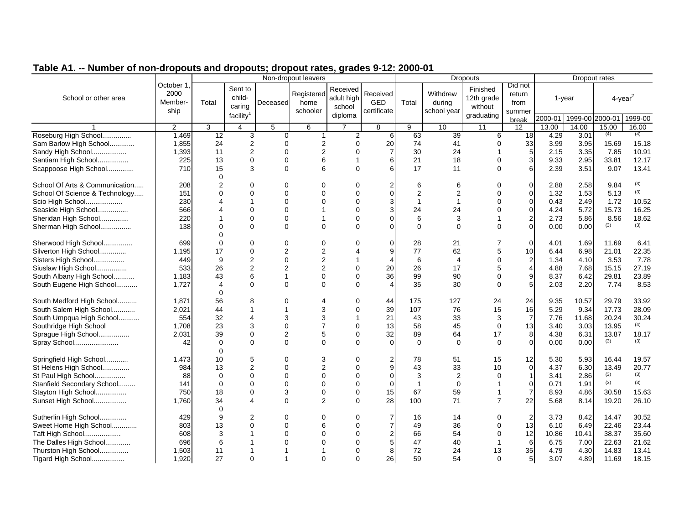|                                            |                                       | alo and arepeale; arepeal rated; graded v TET 2000<br>Non-dropout leavers |                                             |                |                                |                                             |                                |                |                                   | <b>Dropouts</b>                                 |                                     |              |              | Dropout rates          |              |
|--------------------------------------------|---------------------------------------|---------------------------------------------------------------------------|---------------------------------------------|----------------|--------------------------------|---------------------------------------------|--------------------------------|----------------|-----------------------------------|-------------------------------------------------|-------------------------------------|--------------|--------------|------------------------|--------------|
| School or other area                       | October 1,<br>2000<br>Member-<br>ship | Total                                                                     | Sent to<br>child-<br>caring<br>facility $1$ | Deceased       | Registered<br>home<br>schooler | Received<br>adult high<br>school<br>diploma | Received<br>GED<br>certificate | Total          | Withdrew<br>during<br>school year | Finished<br>12th grade<br>without<br>graduating | Did not<br>return<br>from<br>summer |              | 1-year       | $4$ -year <sup>2</sup> |              |
|                                            |                                       |                                                                           |                                             |                |                                |                                             |                                |                |                                   |                                                 | break                               | 2000-01      |              | 1999-00 2000-01        | 1999-00      |
|                                            | $\overline{2}$                        | 3                                                                         | $\overline{4}$                              | 5              | 6                              | $\overline{7}$                              | 8                              | 9              | 10                                | 11                                              | 12                                  | 13.00        | 14.00        | 15.00                  | 16.00        |
| Roseburg High School                       | 1,469                                 | 12                                                                        | 3                                           | $\Omega$       | 1                              | $\overline{2}$                              | 6                              | 63             | 39                                | 6                                               | 18                                  | 4.29         | 3.01         | (4)                    | (4)          |
| Sam Barlow High School                     | 1,855                                 | 24                                                                        | $\overline{2}$                              | $\Omega$       | $\overline{2}$                 | $\Omega$                                    | 20                             | 74             | 41                                | 0                                               | 33                                  | 3.99         | 3.95         | 15.69                  | 15.18        |
| Sandy High School                          | 1,393                                 | 11                                                                        | 2                                           | $\Omega$       | 2                              | $\Omega$                                    | $\overline{7}$                 | 30             | 24                                |                                                 | 5                                   | 2.15         | 3.35         | 7.85                   | 10.91        |
| Santiam High School                        | 225                                   | 13                                                                        | $\mathbf 0$                                 | $\Omega$       | 6                              |                                             | 6                              | 21             | 18                                | 0                                               | 3                                   | 9.33         | 2.95         | 33.81                  | 12.17        |
| Scappoose High School                      | 710                                   | 15                                                                        | 3                                           | $\Omega$       | 6                              | $\Omega$                                    | 6                              | 17             | 11                                | $\Omega$                                        | 6                                   | 2.39         | 3.51         | 9.07                   | 13.41        |
|                                            |                                       | $\Omega$                                                                  |                                             |                |                                |                                             |                                |                |                                   |                                                 |                                     |              |              |                        |              |
| School Of Arts & Communication             | 208                                   | $\overline{2}$                                                            | $\Omega$                                    | $\Omega$       | U                              |                                             |                                | 6              | 6                                 | ∩                                               | 0                                   | 2.88         | 2.58         | 9.84                   | (3)          |
| School Of Science & Technology             | 151                                   | $\Omega$                                                                  | $\Omega$                                    | $\Omega$       | $\Omega$                       |                                             | 0                              | 2              | $\overline{2}$                    | $\Omega$                                        | $\mathbf 0$                         | 1.32         | 1.53         | 5.13                   | (3)          |
| Scio High School                           | 230                                   | 4                                                                         | $\mathbf{1}$                                | $\Omega$       | 0                              | 0                                           | 3                              | $\overline{1}$ | $\overline{1}$                    | $\Omega$                                        | $\mathbf 0$                         | 0.43         | 2.49         | 1.72                   | 10.52        |
| Seaside High School                        | 566                                   | 4                                                                         | $\Omega$                                    | $\Omega$       |                                | $\Omega$                                    |                                | 24             | 24                                | 0                                               | $\mathbf 0$                         | 4.24         | 5.72         | 15.73                  | 16.25        |
| Sheridan High School                       | 220                                   |                                                                           | $\mathbf 0$                                 | $\Omega$       | 1                              | $\Omega$                                    | 0                              | 6              | 3                                 |                                                 | $\overline{2}$                      | 2.73         | 5.86         | 8.56                   | 18.62        |
| Sherman High School                        | 138                                   | $\Omega$                                                                  | $\mathbf 0$                                 | $\Omega$       | $\Omega$                       | $\Omega$                                    |                                | $\Omega$       | 0                                 | $\Omega$                                        | $\mathbf 0$                         | 0.00         | 0.00         | (3)                    | (3)          |
|                                            |                                       | ∩                                                                         |                                             |                |                                |                                             |                                |                |                                   |                                                 |                                     |              |              |                        |              |
| Sherwood High School                       | 699                                   | $\Omega$                                                                  | $\mathbf 0$                                 | $\Omega$       | 0                              |                                             | 0                              | 28             | 21                                |                                                 | $\mathbf 0$                         | 4.01         | 1.69         | 11.69                  | 6.41         |
| Silverton High School                      | 1,195                                 | 17                                                                        | $\mathbf 0$                                 | $\overline{2}$ | 2                              |                                             | 9                              | 77             | 62                                | 5                                               | 10                                  | 6.44         | 6.98         | 21.01                  | 22.35        |
| Sisters High School                        | 449                                   | 9                                                                         | $\overline{2}$                              | $\Omega$       | 2                              |                                             | 4                              | 6              | 4                                 | 0                                               | $\overline{\mathbf{c}}$             | 1.34         | 4.10         | 3.53                   | 7.78         |
| Siuslaw High School                        | 533                                   | 26                                                                        | 2                                           | $\overline{2}$ | $\overline{2}$                 | $\Omega$                                    | 20                             | 26             | 17                                | 5                                               | $\overline{4}$                      | 4.88         | 7.68         | 15.15                  | 27.19        |
| South Albany High School                   | 1.183                                 | 43                                                                        | 6                                           | 1              | $\Omega$                       | $\Omega$                                    | 36                             | 99             | 90                                | $\Omega$                                        | 9                                   | 8.37         | 6.42         | 29.81                  | 23.89        |
| South Eugene High School                   | 1,727                                 | $\overline{4}$                                                            | $\Omega$                                    | $\Omega$       | $\Omega$                       | $\Omega$                                    | 4                              | 35             | 30                                | 0                                               | 5                                   | 2.03         | 2.20         | 7.74                   | 8.53         |
|                                            |                                       | $\Omega$                                                                  |                                             |                | Δ                              |                                             |                                |                |                                   |                                                 |                                     |              |              |                        |              |
| South Medford High School                  | 1.871                                 | 56                                                                        | 8                                           | $\Omega$       |                                | $\Omega$                                    | 44                             | 175            | 127                               | 24                                              | 24                                  | 9.35         | 10.57        | 29.79                  | 33.92        |
| South Salem High School                    | 2,021                                 | 44                                                                        | 1                                           | 1              | 3                              | $\Omega$                                    | 39                             | 107            | 76                                | 15                                              | 16                                  | 5.29         | 9.34         | 17.73                  | 28.09        |
| South Umpqua High School                   | 554                                   | 32                                                                        | $\overline{4}$                              | 3              | 3<br>$\overline{7}$            |                                             | 21                             | 43             | 33                                | 3                                               | $\overline{7}$                      | 7.76         | 11.68        | 20.24                  | 30.24<br>(4) |
| Southridge High School                     | 1,708                                 | 23                                                                        | 3                                           | $\Omega$       |                                | $\Omega$                                    | 13                             | 58             | 45                                | $\Omega$                                        | 13                                  | 3.40         | 3.03         | 13.95                  |              |
| Sprague High School                        | 2,031                                 | 39                                                                        | $\Omega$                                    | $\overline{2}$ | 5                              | $\Omega$                                    | 32                             | 89             | 64                                | 17                                              | 8                                   | 4.38         | 6.31         | 13.87<br>(3)           | 18.17<br>(3) |
| Spray School                               | 42                                    | $\Omega$<br>$\Omega$                                                      | $\Omega$                                    | $\Omega$       | $\Omega$                       | $\Omega$                                    | $\Omega$                       | $\Omega$       | $\Omega$                          | $\Omega$                                        | $\mathbf 0$                         | 0.00         | 0.00         |                        |              |
| Springfield High School                    |                                       | 10                                                                        | 5                                           | 0              | 3                              | $\Omega$                                    | 2                              | 78             | 51                                | 15                                              | 12                                  | 5.30         | 5.93         | 16.44                  | 19.57        |
| St Helens High School                      | 1,473                                 | 13                                                                        | $\overline{2}$                              | $\Omega$       | $\overline{2}$                 | $\Omega$                                    | 9                              | 43             | 33                                | 10                                              | 0                                   | 4.37         | 6.30         | 13.49                  | 20.77        |
| St Paul High School                        | 984<br>88                             | $\Omega$                                                                  | $\mathbf 0$                                 | $\Omega$       | $\Omega$                       | $\Omega$                                    | $\Omega$                       | 3              | 2                                 | 0                                               | $\mathbf{1}$                        | 3.41         | 2.86         | (3)                    | (3)          |
|                                            |                                       | $\mathbf 0$                                                               | $\mathbf 0$                                 | $\Omega$       | 0                              | $\Omega$                                    |                                | $\overline{1}$ | $\mathbf 0$                       |                                                 | $\mathbf 0$                         |              |              | (3)                    | (3)          |
| Stanfield Secondary School                 | 141                                   |                                                                           | $\Omega$                                    | 3              | 0                              | $\Omega$                                    | 0<br>15                        | 67             | 59                                |                                                 | $\overline{7}$                      | 0.71         | 1.91         |                        | 15.63        |
| Stayton High School                        | 750                                   | 18<br>34                                                                  | $\overline{4}$                              | $\Omega$       | $\overline{2}$                 | $\Omega$                                    | 28                             | 100            | 71                                | $\overline{7}$                                  | 22                                  | 8.93<br>5.68 | 4.86<br>8.14 | 30.58<br>19.20         | 26.10        |
| Sunset High School                         | 1,760                                 | $\Omega$                                                                  |                                             |                |                                |                                             |                                |                |                                   |                                                 |                                     |              |              |                        |              |
| Sutherlin High School                      | 429                                   | 9                                                                         | $\overline{2}$                              | 0              | 0                              | $\Omega$                                    |                                | 16             | 14                                | 0                                               | $\overline{2}$                      | 3.73         | 8.42         | 14.47                  | 30.52        |
|                                            | 803                                   | 13                                                                        | $\Omega$                                    | $\Omega$       | 6                              |                                             |                                | 49             | 36                                | $\Omega$                                        | 13                                  | 6.10         | 6.49         | 22.46                  | 23.44        |
| Sweet Home High School<br>Taft High School | 608                                   | 3                                                                         |                                             | $\Omega$       | U                              |                                             | $\overline{2}$                 | 66             | 54                                | $\Omega$                                        | 12                                  | 10.86        | 10.41        | 38.37                  | 35.60        |
|                                            | 696                                   | 6                                                                         |                                             | ∩              |                                |                                             | 5                              | 47             | 40                                |                                                 | 6                                   |              | 7.00         | 22.63                  | 21.62        |
| The Dalles High School                     |                                       |                                                                           |                                             |                |                                |                                             | 8                              | 72             | 24                                | 13                                              | 35                                  | 6.75<br>4.79 | 4.30         | 14.83                  | 13.41        |
| Thurston High School                       | 1,503<br>1.920                        | 11<br>27                                                                  | $\Omega$                                    | 1              | $\Omega$                       | $\Omega$                                    | 26                             | 59             | 54                                | $\Omega$                                        | $5\overline{)}$                     | 3.07         | 4.89         | 11.69                  | 18.15        |
| Tigard High School                         |                                       |                                                                           |                                             |                |                                |                                             |                                |                |                                   |                                                 |                                     |              |              |                        |              |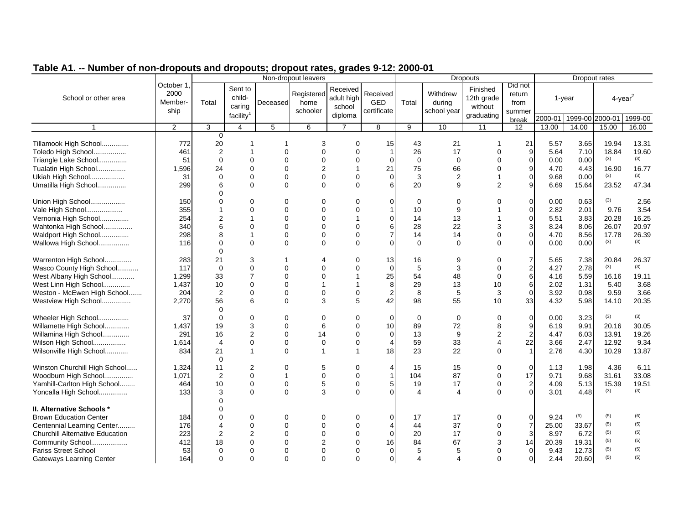#### 2000-01 1999-00 2000-01 1999-00 1 2 3 4 5 6 7 8 9 10 11 12 13.00 14.00 15.00 16.00School or other areamann Member- I Total Sent to childcaring facility<sup>1</sup> October 1, 2000 ship Non-dropout leavers Deceased **Registered** home schoolerReceived adult high school diploma Received GED certificateDropouts Dropout rates Did not return from summer break $\overline{12}$ Total with the 12th grade  $\begin{bmatrix} 1 & 1 & 1 \\ 1 & 1 & 1 \end{bmatrix}$  and the 1-year  $\begin{bmatrix} 1 & 1 & 1 \\ 1 & 1 & 1 \end{bmatrix}$  and  $\begin{bmatrix} 1 & 1 & 1 \\ 1 & 1 & 1 \end{bmatrix}$  and  $\begin{bmatrix} 1 & 1 & 1 \\ 1 & 1 & 1 \end{bmatrix}$  and  $\begin{bmatrix} 1 & 1 & 1 \\ 1 & 1 & 1 \end{bmatrix}$  and  $\begin{$ Withdrew<br>Total during school year Finished 12th grade without graduating 0Tillamook High School.............. 772 20 1 1 3 0 15 43 21 1 21 5.57 3.65 19.94 13.31 Toledo High School................. 461 2 1 0 0 0 1 26 17 0 9 5.64 7.10 18.84 19.60 Triangle Lake School............... <sup>51</sup> <sup>0</sup> <sup>0</sup> <sup>0</sup> <sup>0</sup> <sup>0</sup> <sup>0</sup> <sup>0</sup> <sup>0</sup> <sup>0</sup> <sup>0</sup> 0.00 0.00 (3) (3) Tualatin High School............... 1,596 24 0 0 2 1 21 75 66 0 9 4.70 4.43 16.90 16.77 Ukiah High School.................. <sup>31</sup> <sup>0</sup> <sup>0</sup> <sup>0</sup> <sup>0</sup> <sup>0</sup> <sup>0</sup> <sup>3</sup> <sup>2</sup> <sup>1</sup> <sup>0</sup> 9.68 0.00 (3) (3) Umatilla High School............... 299 6 0 0 0 0 6 20 9 2 9 6.69 15.64 23.52 47.34  $\Omega$ Union High School.................. <sup>150</sup> <sup>0</sup> <sup>0</sup> <sup>0</sup> <sup>0</sup> <sup>0</sup> <sup>0</sup> <sup>0</sup> <sup>0</sup> <sup>0</sup> <sup>0</sup> 0.00 0.63 (3) 2.56 Vale High School................... 355 1 0 0 0 0 1 10 9 1 0 2.82 2.01 9.76 3.54 Vernonia High School............... 254 2 1 0 0 1 0 14 13 1 0 5.51 3.83 20.28 16.25 Wahtonka High School............... 340 6 0 0 0 0 6 28 22 3 3 8.24 8.06 26.07 20.97 Waldport High School............... 298 8 1 0 0 0 7 14 14 0 0 4.70 8.56 17.78 26.39 Wallowa High School................ <sup>116</sup> <sup>0</sup> <sup>0</sup> <sup>0</sup> <sup>0</sup> <sup>0</sup> <sup>0</sup> <sup>0</sup> <sup>0</sup> <sup>0</sup> <sup>0</sup> 0.00 0.00 (3) (3)  $\Omega$ Warrenton High School.............. 283 21 3 1 4 0 13 16 9 0 7 5.65 7.38 20.84 26.37 Wasco County High School........... | 117 0 0 0 0 0 0 0 0 5 3 0 2 4.27 2.78 <sup>(3)</sup> <sup>(3)</sup><br>West Albany High School............ | 1.299 33 7 0 0 1 25 54 48 0 6 4.16 5.59 16.16 19.11 West Albany High School............. | 1,299 33 7 0 0 1 25 54 48 0 6<br>West Linn High School............... | 1,437 10 0 0 0 1 1 8 29 13 10 6 West Linn High School.............. 1,437 10 0 0 1 1 8 29 13 10 6 2.02 1.31 5.40 3.68 Weston - McEwen High School....... 204 2 0 0 0 0 2 8 5 3 0 3.92 0.98 9.59 3.66<br>Westview High School............... 2.270 56 6 0 3 5 42 98 55 10 Westview High School............... 2,270 56 6 0 3 5 42 98 55 10 33 4.32 5.98 14.10 20.35 0Wheeler High School................. ( 37 0 0 0 0 0 0 0 0 0 0 0 0 0 0 0 0 0 3.23 <sup>(3)</sup> <sup>(3)</sup><br>Willamette High School.............. ( 1.437 19 3 0 6 0 10 89 72 8 9 6.19 9.91 20.16 30 Willamette High School............. 1,437 19 3 0 6 0 10 89 72 8 9 6.19 9.91 20.16 30.05 Willamina High School.............. 291 16 2 0 14 0 0 13 9 2 2 4.47 6.03 13.91 19.26 Wilson High School................. 1,614 4 0 0 0 0 4 59 33 4 22 3.66 2.47 12.92 9.34 Wilsonville High School............. | 834 21 1 0 1 1 18 23 22 0 1 2.76 4.30 10.29 13.87 0Winston Churchill High School...... | 1,324 11 2 0 5 0 4 15 15 0 0 1.13 1.98 4.36 6.11<br>Woodburn High School................ | 1.071 2 0 1 0 0 1 104 87 0 17 9.71 9.68 31.61 33.08 Woodburn High School............... 1,071 2 0 1 0 0 1 104 87 0 17 9.71 9.68 31.61 33.08 Vamhill-Carlton High School........ | 464 10 0 0 5 0 5 19 17 0 2 4.09 5.13 15.39 19.51<br>Yoncalla High School............... | 133 3 0 0 3 0 0 4 4 0 0 3.01 4.48 <sup>(3)</sup> <sup>(3)</sup> Yoncalla High School............... <sup>133</sup> <sup>3</sup> <sup>0</sup> <sup>0</sup> <sup>3</sup> <sup>0</sup> <sup>0</sup> <sup>4</sup> <sup>4</sup> <sup>0</sup> <sup>0</sup> 3.01 4.48 (3) (3)  $\Omega$ **II. Alternative Schools \*** $\star$  0  $\overline{0}$ Brown Education Centerr | 184 | 0 0 0 0 0 0 0 17 17 0 0 9.24 (6) (5) (6) Centennial Learning Center......... | 176 | 4 0 0 0 0 0 4 44 37 0 7 25.00 33.67 <sup>(5)</sup> <sup>(5)</sup> (5)<br>Churchill Alternative Education | 223 | 2 2 0 0 0 0 0 20 17 0 3 8.97 6.72 <sup>(5)</sup> (5) Churchill Alternative Education 223 2 2 0 0 0 0 20 17 0 3 8.97 6.72(5)  $(5)$   $(5)$   $(5)$

Community School................... <sup>412</sup> <sup>18</sup> <sup>0</sup> <sup>0</sup> <sup>2</sup> <sup>0</sup> <sup>16</sup> <sup>84</sup> <sup>67</sup> <sup>3</sup> <sup>14</sup> 20.39 19.31 (5) (5)

Gateways Learning Center | 164 0 0 0 0 0 0 0 4 4 0 0 2.44 20.60 <sup>(5)</sup> (5)

(5) (5)

Fariss Street School | 53 0 0 0 0 0 0 0 5 5 0 0 9.43 12.73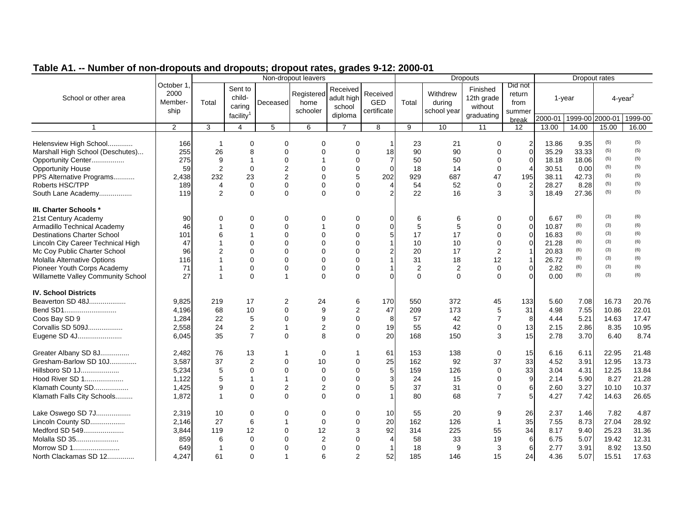| October 1<br>Did not<br>Sent to<br>Finished<br>Received<br>2000<br>Registered<br>Received<br>Withdrew<br>return<br>child-<br>12th grade<br>School or other area<br>adult high<br>$4$ -year <sup>2</sup><br>$1$ -year<br><b>GED</b><br>Total<br>during<br>Member-<br>Total<br>home<br>Deceased<br>from<br>caring<br>school<br>without<br>certificate<br>ship<br>school year<br>schooler<br>summer<br>facility <sup>1</sup><br>diploma<br>graduating<br>2000-01 1999-00 2000-01<br>1999-00<br>break<br>2<br>3<br>5<br>6<br>$\overline{7}$<br>9<br>10<br>11<br>13.00<br>15.00<br>4<br>8<br>12<br>14.00<br>16.00<br>(5)<br>(5)<br>Helensview High School<br>$\mathbf 0$<br>$\mathbf 0$<br>$\overline{\mathbf{c}}$<br>9.35<br>166<br>0<br>0<br>23<br>21<br>13.86<br>0<br>$\mathbf 0$<br>(5)<br>(5)<br>90<br>Marshall High School (Deschutes)<br>255<br>26<br>8<br>$\mathbf 0$<br>$\Omega$<br>$\Omega$<br>18<br>90<br>35.29<br>33.33<br>$\Omega$<br>(5)<br>(5)<br>$\mathbf 0$<br>275<br>50<br>Opportunity Center<br>9<br>$\mathbf 0$<br>$\Omega$<br>$\overline{7}$<br>50<br>$\Omega$<br>18.18<br>18.06<br>1<br>1<br>(5)<br>(5)<br>$\overline{2}$<br>$\mathbf 0$<br>$\overline{2}$<br>$\mathbf 0$<br><b>Opportunity House</b><br>59<br>$\Omega$<br>$\Omega$<br>18<br>14<br>30.51<br>0.00<br>$\Omega$<br>4<br>(5)<br>(5)<br>PPS Alternative Programs<br>232<br>23<br>$\overline{2}$<br>$\Omega$<br>5<br>202<br>929<br>687<br>47<br>195<br>42.73<br>2,438<br>38.11<br>(5)<br>(5)<br>$\overline{c}$<br>Roberts HSC/TPP<br>$\mathbf 0$<br>$\mathbf 0$<br>$\mathbf 0$<br>54<br>52<br>$\mathbf 0$<br>28.27<br>8.28<br>189<br>4<br>$\Omega$<br>4<br>$\mathbf{3}$<br>(5)<br>(5)<br>$\Omega$<br>$\Omega$<br>$\overline{2}$<br>$\Omega$<br>$\Omega$<br>2<br>16<br>3<br>18.49<br>27.36<br>South Lane Academy<br>119<br>22<br>(3)<br>(6)<br>(6)<br>21st Century Academy<br>$\mathbf 0$<br>6.67<br>90<br>$\Omega$<br>0<br>0<br>$\mathbf 0$<br>0<br>6<br>$\Omega$<br>6<br>0<br>(6)<br>(3)<br>(6)<br>$\overline{0}$<br>$\Omega$<br>5<br>5<br>10.87<br>Armadillo Technical Academy<br>46<br>$\Omega$<br>1<br>$\Omega$<br>$\Omega$<br>$\pmb{0}$<br>(6)<br>(3)<br>(6)<br><b>Destinations Charter School</b><br>$\mathbf 0$<br>17<br>17<br>$\Omega$<br>6<br>$\Omega$<br>$\Omega$<br>16.83<br>101<br>(6)<br>(3)<br>(6)<br>$\mathbf 0$<br>$\overline{0}$<br>Lincoln City Career Technical High<br>$\Omega$<br>10<br>10<br>21.28<br>47<br>$\Omega$<br>0<br>$\Omega$<br>(6)<br>(3)<br>(6)<br>$\overline{2}$<br>Mc Coy Public Charter School<br>96<br>$\overline{2}$<br>$\Omega$<br>$\Omega$<br>$\Omega$<br>$\Omega$<br>20<br>17<br>20.83<br>1<br>(6)<br>(3)<br>(6)<br>$\Omega$<br>$\overline{0}$<br>31<br>12<br>26.72<br><b>Molalla Alternative Options</b><br>$\Omega$<br>$\Omega$<br>18<br>116<br>1<br>(6)<br>(3)<br>(6)<br>Pioneer Youth Corps Academy<br>$\mathbf 0$<br>71<br>0<br>$\mathbf 0$<br>$\mathbf 0$<br>$\Omega$<br>$\overline{2}$<br>$\overline{2}$<br>$\mathbf 0$<br>2.82<br>(6)<br>(3)<br>(6)<br>$\Omega$<br>Willamette Valley Community School<br>27<br>$\Omega$<br>$\overline{1}$<br>$\Omega$<br>$\Omega$<br>$\Omega$<br>$\Omega$<br>$\Omega$<br>0.00<br><b>IV. School Districts</b><br>Beaverton SD 48J<br>9.825<br>17<br>$\overline{2}$<br>170<br>372<br>133<br>5.60<br>7.08<br>16.73<br>20.76<br>219<br>24<br>6<br>550<br>45<br>Bend SD1<br>68<br>$\Omega$<br>9<br>47<br>173<br>31<br>7.55<br>10.86<br>22.01<br>4.196<br>10<br>$\overline{2}$<br>209<br>5<br>4.98<br>Coos Bay SD 9<br>5<br>9<br>42<br>$\overline{7}$<br>5.21<br>17.47<br>1,284<br>22<br>0<br>$\Omega$<br>8<br>57<br>8<br>4.44<br>14.63<br>13<br>Corvallis SD 509J<br>2,558<br>2<br>$\overline{1}$<br>$\overline{2}$<br>$\mathbf 0$<br>19<br>55<br>42<br>$\mathbf 0$<br>2.86<br>8.35<br>10.95<br>24<br>2.15<br>$\overline{7}$<br>8<br>20<br>15<br>3.70<br>8.74<br>Eugene SD 4J<br>35<br>$\Omega$<br>$\Omega$<br>168<br>150<br>3<br>2.78<br>6.40<br>6,045<br>21.48<br>Greater Albany SD 8J<br>2,482<br>76<br>13<br>61<br>153<br>138<br>15<br>6.16<br>6.11<br>22.95<br>$\mathbf 0$<br>0<br>-1<br>1<br>25<br>Gresham-Barlow SD 10J<br>37<br>$\overline{2}$<br>37<br>33<br>3.91<br>12.95<br>13.73<br>3,587<br>$\mathbf 0$<br>10<br>$\Omega$<br>162<br>92<br>4.52<br>33<br>Hillsboro SD 1J<br>$\Omega$<br>5<br>126<br>$\Omega$<br>3.04<br>12.25<br>13.84<br>5,234<br>5<br>$\Omega$<br>$\mathbf 0$<br>$\Omega$<br>159<br>4.31<br>$\boldsymbol{9}$<br>Hood River SD 1<br>$\mathbf 0$<br>15<br>2.14<br>5.90<br>8.27<br>21.28<br>1,122<br>5<br>$\overline{1}$<br>$\Omega$<br>3<br>24<br>$\Omega$<br>1<br>Klamath County SD<br>$\overline{2}$<br>$\overline{2}$<br>31<br>6<br>3.27<br>10.37<br>1,425<br>9<br>$\mathbf 0$<br>$\Omega$<br>37<br>$\Omega$<br>2.60<br>10.10<br>$\Omega$<br>5<br>7.42<br>Klamath Falls City Schools<br>$\Omega$<br>$\Omega$<br>$\Omega$<br>68<br>$\overline{7}$<br>4.27<br>14.63<br>26.65<br>1,872<br>1<br>80<br>Lake Oswego SD 7J<br>7.82<br>4.87<br>2,319<br>0<br>$\mathbf 0$<br>0<br>10<br>55<br>9<br>26<br>2.37<br>1.46<br>10<br>0<br>20<br>Lincoln County SD<br>27<br>6<br>$\mathbf 0$<br>20<br>126<br>$\mathbf{1}$<br>35<br>7.55<br>8.73<br>27.04<br>28.92<br>2,146<br>$\Omega$<br>162<br>Medford SD 549<br>92<br>34<br>12<br>314<br>225<br>55<br>8.17<br>9.40<br>25.23<br>31.36<br>3,844<br>119<br>12<br>$\Omega$<br>3<br>Molalla SD 35<br>12.31<br>$\Omega$<br>2<br>58<br>33<br>19<br>6<br>6.75<br>5.07<br>19.42<br>859<br>6<br>$\Omega$<br>$\Omega$<br>4<br>Morrow SD 1<br>6<br>13.50<br>$\Omega$<br>3<br>2.77<br>3.91<br>8.92<br>649<br>$\Omega$<br>$\Omega$<br>$\Omega$<br>18<br>9<br>-1<br>1<br>North Clackamas SD 12<br>4.247<br>$\Omega$<br>6<br>$\overline{2}$<br>52<br>15<br>24<br>4.36<br>5.07<br>15.51<br>17.63<br>61<br>$\overline{1}$<br>185<br>146 |                        |  | $m$ $m$ $p$ $m$ | $m$ epour ratio, graage $v$ i=<br>Non-dropout leavers |  |  | <b>Dropouts</b> |  | Dropout rates |  |
|------------------------------------------------------------------------------------------------------------------------------------------------------------------------------------------------------------------------------------------------------------------------------------------------------------------------------------------------------------------------------------------------------------------------------------------------------------------------------------------------------------------------------------------------------------------------------------------------------------------------------------------------------------------------------------------------------------------------------------------------------------------------------------------------------------------------------------------------------------------------------------------------------------------------------------------------------------------------------------------------------------------------------------------------------------------------------------------------------------------------------------------------------------------------------------------------------------------------------------------------------------------------------------------------------------------------------------------------------------------------------------------------------------------------------------------------------------------------------------------------------------------------------------------------------------------------------------------------------------------------------------------------------------------------------------------------------------------------------------------------------------------------------------------------------------------------------------------------------------------------------------------------------------------------------------------------------------------------------------------------------------------------------------------------------------------------------------------------------------------------------------------------------------------------------------------------------------------------------------------------------------------------------------------------------------------------------------------------------------------------------------------------------------------------------------------------------------------------------------------------------------------------------------------------------------------------------------------------------------------------------------------------------------------------------------------------------------------------------------------------------------------------------------------------------------------------------------------------------------------------------------------------------------------------------------------------------------------------------------------------------------------------------------------------------------------------------------------------------------------------------------------------------------------------------------------------------------------------------------------------------------------------------------------------------------------------------------------------------------------------------------------------------------------------------------------------------------------------------------------------------------------------------------------------------------------------------------------------------------------------------------------------------------------------------------------------------------------------------------------------------------------------------------------------------------------------------------------------------------------------------------------------------------------------------------------------------------------------------------------------------------------------------------------------------------------------------------------------------------------------------------------------------------------------------------------------------------------------------------------------------------------------------------------------------------------------------------------------------------------------------------------------------------------------------------------------------------------------------------------------------------------------------------------------------------------------------------------------------------------------------------------------------------------------------------------------------------------------------------------------------------------------------------------------------------------------------------------------------------------------------------------------------------------------------------------------------------------------------------------------------------------------------------------------------------------------------------------------------------------------------------------------------------------------------------------------------------------------------------------------------------------------------------------------------------------------------------------------------------------------------------------------------------------------------------------------------------------------------------------------------------------------------------------------------------------------------------------------------------------------------------------------------------------------------------------------------------------------------------------------|------------------------|--|-----------------|-------------------------------------------------------|--|--|-----------------|--|---------------|--|
|                                                                                                                                                                                                                                                                                                                                                                                                                                                                                                                                                                                                                                                                                                                                                                                                                                                                                                                                                                                                                                                                                                                                                                                                                                                                                                                                                                                                                                                                                                                                                                                                                                                                                                                                                                                                                                                                                                                                                                                                                                                                                                                                                                                                                                                                                                                                                                                                                                                                                                                                                                                                                                                                                                                                                                                                                                                                                                                                                                                                                                                                                                                                                                                                                                                                                                                                                                                                                                                                                                                                                                                                                                                                                                                                                                                                                                                                                                                                                                                                                                                                                                                                                                                                                                                                                                                                                                                                                                                                                                                                                                                                                                                                                                                                                                                                                                                                                                                                                                                                                                                                                                                                                                                                                                                                                                                                                                                                                                                                                                                                                                                                                                                                                                                                                |                        |  |                 |                                                       |  |  |                 |  |               |  |
|                                                                                                                                                                                                                                                                                                                                                                                                                                                                                                                                                                                                                                                                                                                                                                                                                                                                                                                                                                                                                                                                                                                                                                                                                                                                                                                                                                                                                                                                                                                                                                                                                                                                                                                                                                                                                                                                                                                                                                                                                                                                                                                                                                                                                                                                                                                                                                                                                                                                                                                                                                                                                                                                                                                                                                                                                                                                                                                                                                                                                                                                                                                                                                                                                                                                                                                                                                                                                                                                                                                                                                                                                                                                                                                                                                                                                                                                                                                                                                                                                                                                                                                                                                                                                                                                                                                                                                                                                                                                                                                                                                                                                                                                                                                                                                                                                                                                                                                                                                                                                                                                                                                                                                                                                                                                                                                                                                                                                                                                                                                                                                                                                                                                                                                                                |                        |  |                 |                                                       |  |  |                 |  |               |  |
|                                                                                                                                                                                                                                                                                                                                                                                                                                                                                                                                                                                                                                                                                                                                                                                                                                                                                                                                                                                                                                                                                                                                                                                                                                                                                                                                                                                                                                                                                                                                                                                                                                                                                                                                                                                                                                                                                                                                                                                                                                                                                                                                                                                                                                                                                                                                                                                                                                                                                                                                                                                                                                                                                                                                                                                                                                                                                                                                                                                                                                                                                                                                                                                                                                                                                                                                                                                                                                                                                                                                                                                                                                                                                                                                                                                                                                                                                                                                                                                                                                                                                                                                                                                                                                                                                                                                                                                                                                                                                                                                                                                                                                                                                                                                                                                                                                                                                                                                                                                                                                                                                                                                                                                                                                                                                                                                                                                                                                                                                                                                                                                                                                                                                                                                                |                        |  |                 |                                                       |  |  |                 |  |               |  |
|                                                                                                                                                                                                                                                                                                                                                                                                                                                                                                                                                                                                                                                                                                                                                                                                                                                                                                                                                                                                                                                                                                                                                                                                                                                                                                                                                                                                                                                                                                                                                                                                                                                                                                                                                                                                                                                                                                                                                                                                                                                                                                                                                                                                                                                                                                                                                                                                                                                                                                                                                                                                                                                                                                                                                                                                                                                                                                                                                                                                                                                                                                                                                                                                                                                                                                                                                                                                                                                                                                                                                                                                                                                                                                                                                                                                                                                                                                                                                                                                                                                                                                                                                                                                                                                                                                                                                                                                                                                                                                                                                                                                                                                                                                                                                                                                                                                                                                                                                                                                                                                                                                                                                                                                                                                                                                                                                                                                                                                                                                                                                                                                                                                                                                                                                |                        |  |                 |                                                       |  |  |                 |  |               |  |
|                                                                                                                                                                                                                                                                                                                                                                                                                                                                                                                                                                                                                                                                                                                                                                                                                                                                                                                                                                                                                                                                                                                                                                                                                                                                                                                                                                                                                                                                                                                                                                                                                                                                                                                                                                                                                                                                                                                                                                                                                                                                                                                                                                                                                                                                                                                                                                                                                                                                                                                                                                                                                                                                                                                                                                                                                                                                                                                                                                                                                                                                                                                                                                                                                                                                                                                                                                                                                                                                                                                                                                                                                                                                                                                                                                                                                                                                                                                                                                                                                                                                                                                                                                                                                                                                                                                                                                                                                                                                                                                                                                                                                                                                                                                                                                                                                                                                                                                                                                                                                                                                                                                                                                                                                                                                                                                                                                                                                                                                                                                                                                                                                                                                                                                                                |                        |  |                 |                                                       |  |  |                 |  |               |  |
|                                                                                                                                                                                                                                                                                                                                                                                                                                                                                                                                                                                                                                                                                                                                                                                                                                                                                                                                                                                                                                                                                                                                                                                                                                                                                                                                                                                                                                                                                                                                                                                                                                                                                                                                                                                                                                                                                                                                                                                                                                                                                                                                                                                                                                                                                                                                                                                                                                                                                                                                                                                                                                                                                                                                                                                                                                                                                                                                                                                                                                                                                                                                                                                                                                                                                                                                                                                                                                                                                                                                                                                                                                                                                                                                                                                                                                                                                                                                                                                                                                                                                                                                                                                                                                                                                                                                                                                                                                                                                                                                                                                                                                                                                                                                                                                                                                                                                                                                                                                                                                                                                                                                                                                                                                                                                                                                                                                                                                                                                                                                                                                                                                                                                                                                                |                        |  |                 |                                                       |  |  |                 |  |               |  |
|                                                                                                                                                                                                                                                                                                                                                                                                                                                                                                                                                                                                                                                                                                                                                                                                                                                                                                                                                                                                                                                                                                                                                                                                                                                                                                                                                                                                                                                                                                                                                                                                                                                                                                                                                                                                                                                                                                                                                                                                                                                                                                                                                                                                                                                                                                                                                                                                                                                                                                                                                                                                                                                                                                                                                                                                                                                                                                                                                                                                                                                                                                                                                                                                                                                                                                                                                                                                                                                                                                                                                                                                                                                                                                                                                                                                                                                                                                                                                                                                                                                                                                                                                                                                                                                                                                                                                                                                                                                                                                                                                                                                                                                                                                                                                                                                                                                                                                                                                                                                                                                                                                                                                                                                                                                                                                                                                                                                                                                                                                                                                                                                                                                                                                                                                |                        |  |                 |                                                       |  |  |                 |  |               |  |
|                                                                                                                                                                                                                                                                                                                                                                                                                                                                                                                                                                                                                                                                                                                                                                                                                                                                                                                                                                                                                                                                                                                                                                                                                                                                                                                                                                                                                                                                                                                                                                                                                                                                                                                                                                                                                                                                                                                                                                                                                                                                                                                                                                                                                                                                                                                                                                                                                                                                                                                                                                                                                                                                                                                                                                                                                                                                                                                                                                                                                                                                                                                                                                                                                                                                                                                                                                                                                                                                                                                                                                                                                                                                                                                                                                                                                                                                                                                                                                                                                                                                                                                                                                                                                                                                                                                                                                                                                                                                                                                                                                                                                                                                                                                                                                                                                                                                                                                                                                                                                                                                                                                                                                                                                                                                                                                                                                                                                                                                                                                                                                                                                                                                                                                                                |                        |  |                 |                                                       |  |  |                 |  |               |  |
|                                                                                                                                                                                                                                                                                                                                                                                                                                                                                                                                                                                                                                                                                                                                                                                                                                                                                                                                                                                                                                                                                                                                                                                                                                                                                                                                                                                                                                                                                                                                                                                                                                                                                                                                                                                                                                                                                                                                                                                                                                                                                                                                                                                                                                                                                                                                                                                                                                                                                                                                                                                                                                                                                                                                                                                                                                                                                                                                                                                                                                                                                                                                                                                                                                                                                                                                                                                                                                                                                                                                                                                                                                                                                                                                                                                                                                                                                                                                                                                                                                                                                                                                                                                                                                                                                                                                                                                                                                                                                                                                                                                                                                                                                                                                                                                                                                                                                                                                                                                                                                                                                                                                                                                                                                                                                                                                                                                                                                                                                                                                                                                                                                                                                                                                                |                        |  |                 |                                                       |  |  |                 |  |               |  |
|                                                                                                                                                                                                                                                                                                                                                                                                                                                                                                                                                                                                                                                                                                                                                                                                                                                                                                                                                                                                                                                                                                                                                                                                                                                                                                                                                                                                                                                                                                                                                                                                                                                                                                                                                                                                                                                                                                                                                                                                                                                                                                                                                                                                                                                                                                                                                                                                                                                                                                                                                                                                                                                                                                                                                                                                                                                                                                                                                                                                                                                                                                                                                                                                                                                                                                                                                                                                                                                                                                                                                                                                                                                                                                                                                                                                                                                                                                                                                                                                                                                                                                                                                                                                                                                                                                                                                                                                                                                                                                                                                                                                                                                                                                                                                                                                                                                                                                                                                                                                                                                                                                                                                                                                                                                                                                                                                                                                                                                                                                                                                                                                                                                                                                                                                |                        |  |                 |                                                       |  |  |                 |  |               |  |
|                                                                                                                                                                                                                                                                                                                                                                                                                                                                                                                                                                                                                                                                                                                                                                                                                                                                                                                                                                                                                                                                                                                                                                                                                                                                                                                                                                                                                                                                                                                                                                                                                                                                                                                                                                                                                                                                                                                                                                                                                                                                                                                                                                                                                                                                                                                                                                                                                                                                                                                                                                                                                                                                                                                                                                                                                                                                                                                                                                                                                                                                                                                                                                                                                                                                                                                                                                                                                                                                                                                                                                                                                                                                                                                                                                                                                                                                                                                                                                                                                                                                                                                                                                                                                                                                                                                                                                                                                                                                                                                                                                                                                                                                                                                                                                                                                                                                                                                                                                                                                                                                                                                                                                                                                                                                                                                                                                                                                                                                                                                                                                                                                                                                                                                                                |                        |  |                 |                                                       |  |  |                 |  |               |  |
|                                                                                                                                                                                                                                                                                                                                                                                                                                                                                                                                                                                                                                                                                                                                                                                                                                                                                                                                                                                                                                                                                                                                                                                                                                                                                                                                                                                                                                                                                                                                                                                                                                                                                                                                                                                                                                                                                                                                                                                                                                                                                                                                                                                                                                                                                                                                                                                                                                                                                                                                                                                                                                                                                                                                                                                                                                                                                                                                                                                                                                                                                                                                                                                                                                                                                                                                                                                                                                                                                                                                                                                                                                                                                                                                                                                                                                                                                                                                                                                                                                                                                                                                                                                                                                                                                                                                                                                                                                                                                                                                                                                                                                                                                                                                                                                                                                                                                                                                                                                                                                                                                                                                                                                                                                                                                                                                                                                                                                                                                                                                                                                                                                                                                                                                                | III. Charter Schools * |  |                 |                                                       |  |  |                 |  |               |  |
|                                                                                                                                                                                                                                                                                                                                                                                                                                                                                                                                                                                                                                                                                                                                                                                                                                                                                                                                                                                                                                                                                                                                                                                                                                                                                                                                                                                                                                                                                                                                                                                                                                                                                                                                                                                                                                                                                                                                                                                                                                                                                                                                                                                                                                                                                                                                                                                                                                                                                                                                                                                                                                                                                                                                                                                                                                                                                                                                                                                                                                                                                                                                                                                                                                                                                                                                                                                                                                                                                                                                                                                                                                                                                                                                                                                                                                                                                                                                                                                                                                                                                                                                                                                                                                                                                                                                                                                                                                                                                                                                                                                                                                                                                                                                                                                                                                                                                                                                                                                                                                                                                                                                                                                                                                                                                                                                                                                                                                                                                                                                                                                                                                                                                                                                                |                        |  |                 |                                                       |  |  |                 |  |               |  |
|                                                                                                                                                                                                                                                                                                                                                                                                                                                                                                                                                                                                                                                                                                                                                                                                                                                                                                                                                                                                                                                                                                                                                                                                                                                                                                                                                                                                                                                                                                                                                                                                                                                                                                                                                                                                                                                                                                                                                                                                                                                                                                                                                                                                                                                                                                                                                                                                                                                                                                                                                                                                                                                                                                                                                                                                                                                                                                                                                                                                                                                                                                                                                                                                                                                                                                                                                                                                                                                                                                                                                                                                                                                                                                                                                                                                                                                                                                                                                                                                                                                                                                                                                                                                                                                                                                                                                                                                                                                                                                                                                                                                                                                                                                                                                                                                                                                                                                                                                                                                                                                                                                                                                                                                                                                                                                                                                                                                                                                                                                                                                                                                                                                                                                                                                |                        |  |                 |                                                       |  |  |                 |  |               |  |
|                                                                                                                                                                                                                                                                                                                                                                                                                                                                                                                                                                                                                                                                                                                                                                                                                                                                                                                                                                                                                                                                                                                                                                                                                                                                                                                                                                                                                                                                                                                                                                                                                                                                                                                                                                                                                                                                                                                                                                                                                                                                                                                                                                                                                                                                                                                                                                                                                                                                                                                                                                                                                                                                                                                                                                                                                                                                                                                                                                                                                                                                                                                                                                                                                                                                                                                                                                                                                                                                                                                                                                                                                                                                                                                                                                                                                                                                                                                                                                                                                                                                                                                                                                                                                                                                                                                                                                                                                                                                                                                                                                                                                                                                                                                                                                                                                                                                                                                                                                                                                                                                                                                                                                                                                                                                                                                                                                                                                                                                                                                                                                                                                                                                                                                                                |                        |  |                 |                                                       |  |  |                 |  |               |  |
|                                                                                                                                                                                                                                                                                                                                                                                                                                                                                                                                                                                                                                                                                                                                                                                                                                                                                                                                                                                                                                                                                                                                                                                                                                                                                                                                                                                                                                                                                                                                                                                                                                                                                                                                                                                                                                                                                                                                                                                                                                                                                                                                                                                                                                                                                                                                                                                                                                                                                                                                                                                                                                                                                                                                                                                                                                                                                                                                                                                                                                                                                                                                                                                                                                                                                                                                                                                                                                                                                                                                                                                                                                                                                                                                                                                                                                                                                                                                                                                                                                                                                                                                                                                                                                                                                                                                                                                                                                                                                                                                                                                                                                                                                                                                                                                                                                                                                                                                                                                                                                                                                                                                                                                                                                                                                                                                                                                                                                                                                                                                                                                                                                                                                                                                                |                        |  |                 |                                                       |  |  |                 |  |               |  |
|                                                                                                                                                                                                                                                                                                                                                                                                                                                                                                                                                                                                                                                                                                                                                                                                                                                                                                                                                                                                                                                                                                                                                                                                                                                                                                                                                                                                                                                                                                                                                                                                                                                                                                                                                                                                                                                                                                                                                                                                                                                                                                                                                                                                                                                                                                                                                                                                                                                                                                                                                                                                                                                                                                                                                                                                                                                                                                                                                                                                                                                                                                                                                                                                                                                                                                                                                                                                                                                                                                                                                                                                                                                                                                                                                                                                                                                                                                                                                                                                                                                                                                                                                                                                                                                                                                                                                                                                                                                                                                                                                                                                                                                                                                                                                                                                                                                                                                                                                                                                                                                                                                                                                                                                                                                                                                                                                                                                                                                                                                                                                                                                                                                                                                                                                |                        |  |                 |                                                       |  |  |                 |  |               |  |
|                                                                                                                                                                                                                                                                                                                                                                                                                                                                                                                                                                                                                                                                                                                                                                                                                                                                                                                                                                                                                                                                                                                                                                                                                                                                                                                                                                                                                                                                                                                                                                                                                                                                                                                                                                                                                                                                                                                                                                                                                                                                                                                                                                                                                                                                                                                                                                                                                                                                                                                                                                                                                                                                                                                                                                                                                                                                                                                                                                                                                                                                                                                                                                                                                                                                                                                                                                                                                                                                                                                                                                                                                                                                                                                                                                                                                                                                                                                                                                                                                                                                                                                                                                                                                                                                                                                                                                                                                                                                                                                                                                                                                                                                                                                                                                                                                                                                                                                                                                                                                                                                                                                                                                                                                                                                                                                                                                                                                                                                                                                                                                                                                                                                                                                                                |                        |  |                 |                                                       |  |  |                 |  |               |  |
|                                                                                                                                                                                                                                                                                                                                                                                                                                                                                                                                                                                                                                                                                                                                                                                                                                                                                                                                                                                                                                                                                                                                                                                                                                                                                                                                                                                                                                                                                                                                                                                                                                                                                                                                                                                                                                                                                                                                                                                                                                                                                                                                                                                                                                                                                                                                                                                                                                                                                                                                                                                                                                                                                                                                                                                                                                                                                                                                                                                                                                                                                                                                                                                                                                                                                                                                                                                                                                                                                                                                                                                                                                                                                                                                                                                                                                                                                                                                                                                                                                                                                                                                                                                                                                                                                                                                                                                                                                                                                                                                                                                                                                                                                                                                                                                                                                                                                                                                                                                                                                                                                                                                                                                                                                                                                                                                                                                                                                                                                                                                                                                                                                                                                                                                                |                        |  |                 |                                                       |  |  |                 |  |               |  |
|                                                                                                                                                                                                                                                                                                                                                                                                                                                                                                                                                                                                                                                                                                                                                                                                                                                                                                                                                                                                                                                                                                                                                                                                                                                                                                                                                                                                                                                                                                                                                                                                                                                                                                                                                                                                                                                                                                                                                                                                                                                                                                                                                                                                                                                                                                                                                                                                                                                                                                                                                                                                                                                                                                                                                                                                                                                                                                                                                                                                                                                                                                                                                                                                                                                                                                                                                                                                                                                                                                                                                                                                                                                                                                                                                                                                                                                                                                                                                                                                                                                                                                                                                                                                                                                                                                                                                                                                                                                                                                                                                                                                                                                                                                                                                                                                                                                                                                                                                                                                                                                                                                                                                                                                                                                                                                                                                                                                                                                                                                                                                                                                                                                                                                                                                |                        |  |                 |                                                       |  |  |                 |  |               |  |
|                                                                                                                                                                                                                                                                                                                                                                                                                                                                                                                                                                                                                                                                                                                                                                                                                                                                                                                                                                                                                                                                                                                                                                                                                                                                                                                                                                                                                                                                                                                                                                                                                                                                                                                                                                                                                                                                                                                                                                                                                                                                                                                                                                                                                                                                                                                                                                                                                                                                                                                                                                                                                                                                                                                                                                                                                                                                                                                                                                                                                                                                                                                                                                                                                                                                                                                                                                                                                                                                                                                                                                                                                                                                                                                                                                                                                                                                                                                                                                                                                                                                                                                                                                                                                                                                                                                                                                                                                                                                                                                                                                                                                                                                                                                                                                                                                                                                                                                                                                                                                                                                                                                                                                                                                                                                                                                                                                                                                                                                                                                                                                                                                                                                                                                                                |                        |  |                 |                                                       |  |  |                 |  |               |  |
|                                                                                                                                                                                                                                                                                                                                                                                                                                                                                                                                                                                                                                                                                                                                                                                                                                                                                                                                                                                                                                                                                                                                                                                                                                                                                                                                                                                                                                                                                                                                                                                                                                                                                                                                                                                                                                                                                                                                                                                                                                                                                                                                                                                                                                                                                                                                                                                                                                                                                                                                                                                                                                                                                                                                                                                                                                                                                                                                                                                                                                                                                                                                                                                                                                                                                                                                                                                                                                                                                                                                                                                                                                                                                                                                                                                                                                                                                                                                                                                                                                                                                                                                                                                                                                                                                                                                                                                                                                                                                                                                                                                                                                                                                                                                                                                                                                                                                                                                                                                                                                                                                                                                                                                                                                                                                                                                                                                                                                                                                                                                                                                                                                                                                                                                                |                        |  |                 |                                                       |  |  |                 |  |               |  |
|                                                                                                                                                                                                                                                                                                                                                                                                                                                                                                                                                                                                                                                                                                                                                                                                                                                                                                                                                                                                                                                                                                                                                                                                                                                                                                                                                                                                                                                                                                                                                                                                                                                                                                                                                                                                                                                                                                                                                                                                                                                                                                                                                                                                                                                                                                                                                                                                                                                                                                                                                                                                                                                                                                                                                                                                                                                                                                                                                                                                                                                                                                                                                                                                                                                                                                                                                                                                                                                                                                                                                                                                                                                                                                                                                                                                                                                                                                                                                                                                                                                                                                                                                                                                                                                                                                                                                                                                                                                                                                                                                                                                                                                                                                                                                                                                                                                                                                                                                                                                                                                                                                                                                                                                                                                                                                                                                                                                                                                                                                                                                                                                                                                                                                                                                |                        |  |                 |                                                       |  |  |                 |  |               |  |
|                                                                                                                                                                                                                                                                                                                                                                                                                                                                                                                                                                                                                                                                                                                                                                                                                                                                                                                                                                                                                                                                                                                                                                                                                                                                                                                                                                                                                                                                                                                                                                                                                                                                                                                                                                                                                                                                                                                                                                                                                                                                                                                                                                                                                                                                                                                                                                                                                                                                                                                                                                                                                                                                                                                                                                                                                                                                                                                                                                                                                                                                                                                                                                                                                                                                                                                                                                                                                                                                                                                                                                                                                                                                                                                                                                                                                                                                                                                                                                                                                                                                                                                                                                                                                                                                                                                                                                                                                                                                                                                                                                                                                                                                                                                                                                                                                                                                                                                                                                                                                                                                                                                                                                                                                                                                                                                                                                                                                                                                                                                                                                                                                                                                                                                                                |                        |  |                 |                                                       |  |  |                 |  |               |  |
|                                                                                                                                                                                                                                                                                                                                                                                                                                                                                                                                                                                                                                                                                                                                                                                                                                                                                                                                                                                                                                                                                                                                                                                                                                                                                                                                                                                                                                                                                                                                                                                                                                                                                                                                                                                                                                                                                                                                                                                                                                                                                                                                                                                                                                                                                                                                                                                                                                                                                                                                                                                                                                                                                                                                                                                                                                                                                                                                                                                                                                                                                                                                                                                                                                                                                                                                                                                                                                                                                                                                                                                                                                                                                                                                                                                                                                                                                                                                                                                                                                                                                                                                                                                                                                                                                                                                                                                                                                                                                                                                                                                                                                                                                                                                                                                                                                                                                                                                                                                                                                                                                                                                                                                                                                                                                                                                                                                                                                                                                                                                                                                                                                                                                                                                                |                        |  |                 |                                                       |  |  |                 |  |               |  |
|                                                                                                                                                                                                                                                                                                                                                                                                                                                                                                                                                                                                                                                                                                                                                                                                                                                                                                                                                                                                                                                                                                                                                                                                                                                                                                                                                                                                                                                                                                                                                                                                                                                                                                                                                                                                                                                                                                                                                                                                                                                                                                                                                                                                                                                                                                                                                                                                                                                                                                                                                                                                                                                                                                                                                                                                                                                                                                                                                                                                                                                                                                                                                                                                                                                                                                                                                                                                                                                                                                                                                                                                                                                                                                                                                                                                                                                                                                                                                                                                                                                                                                                                                                                                                                                                                                                                                                                                                                                                                                                                                                                                                                                                                                                                                                                                                                                                                                                                                                                                                                                                                                                                                                                                                                                                                                                                                                                                                                                                                                                                                                                                                                                                                                                                                |                        |  |                 |                                                       |  |  |                 |  |               |  |
|                                                                                                                                                                                                                                                                                                                                                                                                                                                                                                                                                                                                                                                                                                                                                                                                                                                                                                                                                                                                                                                                                                                                                                                                                                                                                                                                                                                                                                                                                                                                                                                                                                                                                                                                                                                                                                                                                                                                                                                                                                                                                                                                                                                                                                                                                                                                                                                                                                                                                                                                                                                                                                                                                                                                                                                                                                                                                                                                                                                                                                                                                                                                                                                                                                                                                                                                                                                                                                                                                                                                                                                                                                                                                                                                                                                                                                                                                                                                                                                                                                                                                                                                                                                                                                                                                                                                                                                                                                                                                                                                                                                                                                                                                                                                                                                                                                                                                                                                                                                                                                                                                                                                                                                                                                                                                                                                                                                                                                                                                                                                                                                                                                                                                                                                                |                        |  |                 |                                                       |  |  |                 |  |               |  |
|                                                                                                                                                                                                                                                                                                                                                                                                                                                                                                                                                                                                                                                                                                                                                                                                                                                                                                                                                                                                                                                                                                                                                                                                                                                                                                                                                                                                                                                                                                                                                                                                                                                                                                                                                                                                                                                                                                                                                                                                                                                                                                                                                                                                                                                                                                                                                                                                                                                                                                                                                                                                                                                                                                                                                                                                                                                                                                                                                                                                                                                                                                                                                                                                                                                                                                                                                                                                                                                                                                                                                                                                                                                                                                                                                                                                                                                                                                                                                                                                                                                                                                                                                                                                                                                                                                                                                                                                                                                                                                                                                                                                                                                                                                                                                                                                                                                                                                                                                                                                                                                                                                                                                                                                                                                                                                                                                                                                                                                                                                                                                                                                                                                                                                                                                |                        |  |                 |                                                       |  |  |                 |  |               |  |
|                                                                                                                                                                                                                                                                                                                                                                                                                                                                                                                                                                                                                                                                                                                                                                                                                                                                                                                                                                                                                                                                                                                                                                                                                                                                                                                                                                                                                                                                                                                                                                                                                                                                                                                                                                                                                                                                                                                                                                                                                                                                                                                                                                                                                                                                                                                                                                                                                                                                                                                                                                                                                                                                                                                                                                                                                                                                                                                                                                                                                                                                                                                                                                                                                                                                                                                                                                                                                                                                                                                                                                                                                                                                                                                                                                                                                                                                                                                                                                                                                                                                                                                                                                                                                                                                                                                                                                                                                                                                                                                                                                                                                                                                                                                                                                                                                                                                                                                                                                                                                                                                                                                                                                                                                                                                                                                                                                                                                                                                                                                                                                                                                                                                                                                                                |                        |  |                 |                                                       |  |  |                 |  |               |  |
|                                                                                                                                                                                                                                                                                                                                                                                                                                                                                                                                                                                                                                                                                                                                                                                                                                                                                                                                                                                                                                                                                                                                                                                                                                                                                                                                                                                                                                                                                                                                                                                                                                                                                                                                                                                                                                                                                                                                                                                                                                                                                                                                                                                                                                                                                                                                                                                                                                                                                                                                                                                                                                                                                                                                                                                                                                                                                                                                                                                                                                                                                                                                                                                                                                                                                                                                                                                                                                                                                                                                                                                                                                                                                                                                                                                                                                                                                                                                                                                                                                                                                                                                                                                                                                                                                                                                                                                                                                                                                                                                                                                                                                                                                                                                                                                                                                                                                                                                                                                                                                                                                                                                                                                                                                                                                                                                                                                                                                                                                                                                                                                                                                                                                                                                                |                        |  |                 |                                                       |  |  |                 |  |               |  |
|                                                                                                                                                                                                                                                                                                                                                                                                                                                                                                                                                                                                                                                                                                                                                                                                                                                                                                                                                                                                                                                                                                                                                                                                                                                                                                                                                                                                                                                                                                                                                                                                                                                                                                                                                                                                                                                                                                                                                                                                                                                                                                                                                                                                                                                                                                                                                                                                                                                                                                                                                                                                                                                                                                                                                                                                                                                                                                                                                                                                                                                                                                                                                                                                                                                                                                                                                                                                                                                                                                                                                                                                                                                                                                                                                                                                                                                                                                                                                                                                                                                                                                                                                                                                                                                                                                                                                                                                                                                                                                                                                                                                                                                                                                                                                                                                                                                                                                                                                                                                                                                                                                                                                                                                                                                                                                                                                                                                                                                                                                                                                                                                                                                                                                                                                |                        |  |                 |                                                       |  |  |                 |  |               |  |
|                                                                                                                                                                                                                                                                                                                                                                                                                                                                                                                                                                                                                                                                                                                                                                                                                                                                                                                                                                                                                                                                                                                                                                                                                                                                                                                                                                                                                                                                                                                                                                                                                                                                                                                                                                                                                                                                                                                                                                                                                                                                                                                                                                                                                                                                                                                                                                                                                                                                                                                                                                                                                                                                                                                                                                                                                                                                                                                                                                                                                                                                                                                                                                                                                                                                                                                                                                                                                                                                                                                                                                                                                                                                                                                                                                                                                                                                                                                                                                                                                                                                                                                                                                                                                                                                                                                                                                                                                                                                                                                                                                                                                                                                                                                                                                                                                                                                                                                                                                                                                                                                                                                                                                                                                                                                                                                                                                                                                                                                                                                                                                                                                                                                                                                                                |                        |  |                 |                                                       |  |  |                 |  |               |  |
|                                                                                                                                                                                                                                                                                                                                                                                                                                                                                                                                                                                                                                                                                                                                                                                                                                                                                                                                                                                                                                                                                                                                                                                                                                                                                                                                                                                                                                                                                                                                                                                                                                                                                                                                                                                                                                                                                                                                                                                                                                                                                                                                                                                                                                                                                                                                                                                                                                                                                                                                                                                                                                                                                                                                                                                                                                                                                                                                                                                                                                                                                                                                                                                                                                                                                                                                                                                                                                                                                                                                                                                                                                                                                                                                                                                                                                                                                                                                                                                                                                                                                                                                                                                                                                                                                                                                                                                                                                                                                                                                                                                                                                                                                                                                                                                                                                                                                                                                                                                                                                                                                                                                                                                                                                                                                                                                                                                                                                                                                                                                                                                                                                                                                                                                                |                        |  |                 |                                                       |  |  |                 |  |               |  |
|                                                                                                                                                                                                                                                                                                                                                                                                                                                                                                                                                                                                                                                                                                                                                                                                                                                                                                                                                                                                                                                                                                                                                                                                                                                                                                                                                                                                                                                                                                                                                                                                                                                                                                                                                                                                                                                                                                                                                                                                                                                                                                                                                                                                                                                                                                                                                                                                                                                                                                                                                                                                                                                                                                                                                                                                                                                                                                                                                                                                                                                                                                                                                                                                                                                                                                                                                                                                                                                                                                                                                                                                                                                                                                                                                                                                                                                                                                                                                                                                                                                                                                                                                                                                                                                                                                                                                                                                                                                                                                                                                                                                                                                                                                                                                                                                                                                                                                                                                                                                                                                                                                                                                                                                                                                                                                                                                                                                                                                                                                                                                                                                                                                                                                                                                |                        |  |                 |                                                       |  |  |                 |  |               |  |
|                                                                                                                                                                                                                                                                                                                                                                                                                                                                                                                                                                                                                                                                                                                                                                                                                                                                                                                                                                                                                                                                                                                                                                                                                                                                                                                                                                                                                                                                                                                                                                                                                                                                                                                                                                                                                                                                                                                                                                                                                                                                                                                                                                                                                                                                                                                                                                                                                                                                                                                                                                                                                                                                                                                                                                                                                                                                                                                                                                                                                                                                                                                                                                                                                                                                                                                                                                                                                                                                                                                                                                                                                                                                                                                                                                                                                                                                                                                                                                                                                                                                                                                                                                                                                                                                                                                                                                                                                                                                                                                                                                                                                                                                                                                                                                                                                                                                                                                                                                                                                                                                                                                                                                                                                                                                                                                                                                                                                                                                                                                                                                                                                                                                                                                                                |                        |  |                 |                                                       |  |  |                 |  |               |  |
|                                                                                                                                                                                                                                                                                                                                                                                                                                                                                                                                                                                                                                                                                                                                                                                                                                                                                                                                                                                                                                                                                                                                                                                                                                                                                                                                                                                                                                                                                                                                                                                                                                                                                                                                                                                                                                                                                                                                                                                                                                                                                                                                                                                                                                                                                                                                                                                                                                                                                                                                                                                                                                                                                                                                                                                                                                                                                                                                                                                                                                                                                                                                                                                                                                                                                                                                                                                                                                                                                                                                                                                                                                                                                                                                                                                                                                                                                                                                                                                                                                                                                                                                                                                                                                                                                                                                                                                                                                                                                                                                                                                                                                                                                                                                                                                                                                                                                                                                                                                                                                                                                                                                                                                                                                                                                                                                                                                                                                                                                                                                                                                                                                                                                                                                                |                        |  |                 |                                                       |  |  |                 |  |               |  |
|                                                                                                                                                                                                                                                                                                                                                                                                                                                                                                                                                                                                                                                                                                                                                                                                                                                                                                                                                                                                                                                                                                                                                                                                                                                                                                                                                                                                                                                                                                                                                                                                                                                                                                                                                                                                                                                                                                                                                                                                                                                                                                                                                                                                                                                                                                                                                                                                                                                                                                                                                                                                                                                                                                                                                                                                                                                                                                                                                                                                                                                                                                                                                                                                                                                                                                                                                                                                                                                                                                                                                                                                                                                                                                                                                                                                                                                                                                                                                                                                                                                                                                                                                                                                                                                                                                                                                                                                                                                                                                                                                                                                                                                                                                                                                                                                                                                                                                                                                                                                                                                                                                                                                                                                                                                                                                                                                                                                                                                                                                                                                                                                                                                                                                                                                |                        |  |                 |                                                       |  |  |                 |  |               |  |
|                                                                                                                                                                                                                                                                                                                                                                                                                                                                                                                                                                                                                                                                                                                                                                                                                                                                                                                                                                                                                                                                                                                                                                                                                                                                                                                                                                                                                                                                                                                                                                                                                                                                                                                                                                                                                                                                                                                                                                                                                                                                                                                                                                                                                                                                                                                                                                                                                                                                                                                                                                                                                                                                                                                                                                                                                                                                                                                                                                                                                                                                                                                                                                                                                                                                                                                                                                                                                                                                                                                                                                                                                                                                                                                                                                                                                                                                                                                                                                                                                                                                                                                                                                                                                                                                                                                                                                                                                                                                                                                                                                                                                                                                                                                                                                                                                                                                                                                                                                                                                                                                                                                                                                                                                                                                                                                                                                                                                                                                                                                                                                                                                                                                                                                                                |                        |  |                 |                                                       |  |  |                 |  |               |  |
|                                                                                                                                                                                                                                                                                                                                                                                                                                                                                                                                                                                                                                                                                                                                                                                                                                                                                                                                                                                                                                                                                                                                                                                                                                                                                                                                                                                                                                                                                                                                                                                                                                                                                                                                                                                                                                                                                                                                                                                                                                                                                                                                                                                                                                                                                                                                                                                                                                                                                                                                                                                                                                                                                                                                                                                                                                                                                                                                                                                                                                                                                                                                                                                                                                                                                                                                                                                                                                                                                                                                                                                                                                                                                                                                                                                                                                                                                                                                                                                                                                                                                                                                                                                                                                                                                                                                                                                                                                                                                                                                                                                                                                                                                                                                                                                                                                                                                                                                                                                                                                                                                                                                                                                                                                                                                                                                                                                                                                                                                                                                                                                                                                                                                                                                                |                        |  |                 |                                                       |  |  |                 |  |               |  |
|                                                                                                                                                                                                                                                                                                                                                                                                                                                                                                                                                                                                                                                                                                                                                                                                                                                                                                                                                                                                                                                                                                                                                                                                                                                                                                                                                                                                                                                                                                                                                                                                                                                                                                                                                                                                                                                                                                                                                                                                                                                                                                                                                                                                                                                                                                                                                                                                                                                                                                                                                                                                                                                                                                                                                                                                                                                                                                                                                                                                                                                                                                                                                                                                                                                                                                                                                                                                                                                                                                                                                                                                                                                                                                                                                                                                                                                                                                                                                                                                                                                                                                                                                                                                                                                                                                                                                                                                                                                                                                                                                                                                                                                                                                                                                                                                                                                                                                                                                                                                                                                                                                                                                                                                                                                                                                                                                                                                                                                                                                                                                                                                                                                                                                                                                |                        |  |                 |                                                       |  |  |                 |  |               |  |
|                                                                                                                                                                                                                                                                                                                                                                                                                                                                                                                                                                                                                                                                                                                                                                                                                                                                                                                                                                                                                                                                                                                                                                                                                                                                                                                                                                                                                                                                                                                                                                                                                                                                                                                                                                                                                                                                                                                                                                                                                                                                                                                                                                                                                                                                                                                                                                                                                                                                                                                                                                                                                                                                                                                                                                                                                                                                                                                                                                                                                                                                                                                                                                                                                                                                                                                                                                                                                                                                                                                                                                                                                                                                                                                                                                                                                                                                                                                                                                                                                                                                                                                                                                                                                                                                                                                                                                                                                                                                                                                                                                                                                                                                                                                                                                                                                                                                                                                                                                                                                                                                                                                                                                                                                                                                                                                                                                                                                                                                                                                                                                                                                                                                                                                                                |                        |  |                 |                                                       |  |  |                 |  |               |  |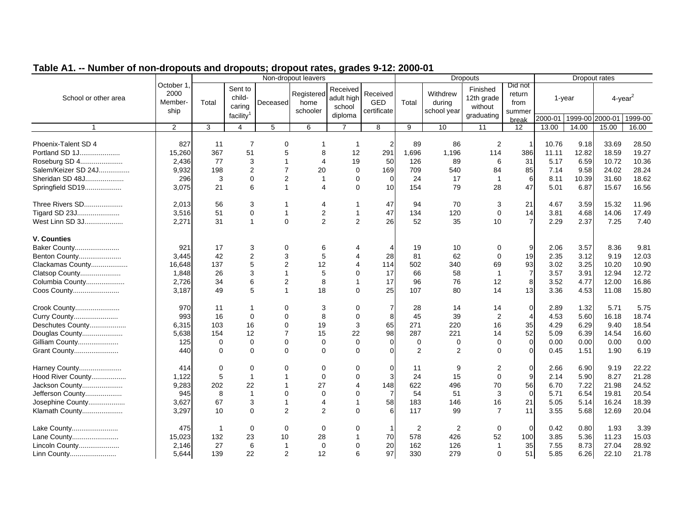|                      |                                      | Non-dropout leavers |                                                      |                |                                |                                             |                                |             |                                   | <b>Dropouts</b>                                 |                                     |                         |           | Dropout rates |                        |
|----------------------|--------------------------------------|---------------------|------------------------------------------------------|----------------|--------------------------------|---------------------------------------------|--------------------------------|-------------|-----------------------------------|-------------------------------------------------|-------------------------------------|-------------------------|-----------|---------------|------------------------|
| School or other area | October 1<br>2000<br>Member-<br>ship | Total               | Sent to<br>child-<br>caring<br>facility <sup>1</sup> | Deceased       | Registered<br>home<br>schooler | Received<br>adult high<br>school<br>diploma | Received<br>GED<br>certificate | Total       | Withdrew<br>during<br>school year | Finished<br>12th grade<br>without<br>graduating | Did not<br>return<br>from<br>summer |                         | $1$ -year |               | $4$ -year <sup>2</sup> |
|                      |                                      |                     |                                                      |                |                                |                                             |                                |             |                                   |                                                 | break                               | 2000-01 1999-00 2000-01 |           |               | 1999-00                |
| $\mathbf{1}$         | $\overline{2}$                       | 3                   | $\overline{4}$                                       | 5              | 6                              | $\overline{7}$                              | 8                              | 9           | 10                                | 11                                              | 12                                  | 13.00                   | 14.00     | 15.00         | 16.00                  |
| Phoenix-Talent SD 4  | 827                                  | 11                  | $\overline{7}$                                       | $\mathbf 0$    | 1                              | $\mathbf{1}$                                |                                | 89          | 86                                | 2                                               | -1                                  | 10.76                   | 9.18      | 33.69         | 28.50                  |
| Portland SD 1J       | 15,260                               | 367                 | 51                                                   | 5              | 8                              | 12                                          | 291                            | 1,696       | 1,196                             | 114                                             | 386                                 | 11.11                   | 12.82     | 18.59         | 19.27                  |
| Roseburg SD 4        | 2,436                                | 77                  | 3                                                    | -1             | $\overline{4}$                 | 19                                          | 50                             | 126         | 89                                | 6                                               | 31                                  | 5.17                    | 6.59      | 10.72         | 10.36                  |
| Salem/Keizer SD 24J  | 9,932                                | 198                 | $\overline{2}$                                       | $\overline{7}$ | 20                             | $\Omega$                                    | 169                            | 709         | 540                               | 84                                              | 85                                  | 7.14                    | 9.58      | 24.02         | 28.24                  |
| Sheridan SD 48J      | 296                                  | 3                   | $\mathbf 0$                                          | $\overline{2}$ | $\mathbf{1}$                   | $\Omega$                                    | $\Omega$                       | 24          | 17                                | $\overline{1}$                                  | 6                                   | 8.11                    | 10.39     | 31.60         | 18.62                  |
| Springfield SD19     | 3,075                                | 21                  | 6                                                    | $\mathbf{1}$   | $\overline{A}$                 | $\Omega$                                    | 10                             | 154         | 79                                | 28                                              | 47                                  | 5.01                    | 6.87      | 15.67         | 16.56                  |
|                      |                                      |                     |                                                      |                |                                |                                             |                                |             |                                   |                                                 |                                     |                         |           |               |                        |
| Three Rivers SD      | 2,013                                | 56                  | 3                                                    | -1             | $\overline{4}$                 | 1                                           | 47                             | 94          | 70                                | 3                                               | 21                                  | 4.67                    | 3.59      | 15.32         | 11.96                  |
| Tigard SD 23J        | 3,516                                | 51                  | 0                                                    | $\overline{1}$ | $\sqrt{2}$                     | 1                                           | 47                             | 134         | 120                               | 0                                               | 14                                  | 3.81                    | 4.68      | 14.06         | 17.49                  |
| West Linn SD 3J      | 2,271                                | 31                  | $\mathbf{1}$                                         | $\Omega$       | $\overline{2}$                 | $\overline{2}$                              | 26                             | 52          | 35                                | 10                                              | $\overline{7}$                      | 2.29                    | 2.37      | 7.25          | 7.40                   |
|                      |                                      |                     |                                                      |                |                                |                                             |                                |             |                                   |                                                 |                                     |                         |           |               |                        |
| <b>V. Counties</b>   |                                      |                     |                                                      |                |                                |                                             |                                |             |                                   |                                                 |                                     |                         |           |               |                        |
| Baker County         | 921                                  | 17                  | 3                                                    | 0              | 6                              |                                             |                                | 19          | 10                                | 0                                               | 9                                   | 2.06                    | 3.57      | 8.36          | 9.81                   |
| Benton County        | 3,445                                | 42                  | $\overline{2}$                                       | 3              | 5                              | 4                                           | 28                             | 81          | 62                                | $\Omega$                                        | 19                                  | 2.35                    | 3.12      | 9.19          | 12.03                  |
| Clackamas County     | 16,648                               | 137                 | 5                                                    | $\overline{2}$ | 12                             | 4                                           | 114                            | 502         | 340                               | 69                                              | 93                                  | 3.02                    | 3.25      | 10.20         | 10.90                  |
| Clatsop County       | 1,848                                | 26                  | 3                                                    | $\overline{1}$ | 5                              | $\Omega$                                    | 17                             | 66          | 58                                | $\overline{1}$                                  | $\overline{7}$                      | 3.57                    | 3.91      | 12.94         | 12.72                  |
| Columbia County      | 2,726                                | 34                  | 6                                                    | $\overline{2}$ | 8                              | 1                                           | 17                             | 96          | 76                                | 12                                              | 8                                   | 3.52                    | 4.77      | 12.00         | 16.86                  |
| Coos County          | 3,187                                | 49                  | 5                                                    | $\overline{1}$ | 18                             | $\Omega$                                    | 25                             | 107         | 80                                | 14                                              | 13                                  | 3.36                    | 4.53      | 11.08         | 15.80                  |
|                      |                                      |                     |                                                      |                |                                |                                             |                                |             |                                   |                                                 |                                     |                         |           |               |                        |
| Crook County         | 970                                  | 11                  | 1                                                    | 0              | 3                              | 0                                           |                                | 28          | 14                                | 14                                              | $\mathbf 0$                         | 2.89                    | 1.32      | 5.71          | 5.75                   |
| Curry County         | 993                                  | 16                  | $\mathbf 0$                                          | $\mathbf 0$    | 8                              | 0                                           | 8                              | 45          | 39                                | $\overline{2}$                                  | $\overline{4}$                      | 4.53                    | 5.60      | 16.18         | 18.74                  |
| Deschutes County     | 6,315                                | 103                 | 16                                                   | $\mathbf 0$    | 19                             | 3                                           | 65                             | 271         | 220                               | 16                                              | 35                                  | 4.29                    | 6.29      | 9.40          | 18.54                  |
| Douglas County       | 5,638                                | 154                 | 12                                                   | $\overline{7}$ | 15                             | 22                                          | 98                             | 287         | 221                               | 14                                              | 52                                  | 5.09                    | 6.39      | 14.54         | 16.60                  |
| Gilliam County       | 125                                  | 0                   | $\mathbf 0$                                          | $\Omega$       | $\mathbf 0$                    | $\Omega$                                    | $\Omega$                       | $\mathbf 0$ | 0                                 | $\Omega$                                        | $\mathbf 0$                         | 0.00                    | 0.00      | 0.00          | 0.00                   |
| Grant County         | 440                                  | $\Omega$            | $\mathbf 0$                                          | $\Omega$       | $\mathbf 0$                    | $\Omega$                                    | $\Omega$                       | 2           | 2                                 | $\Omega$                                        | $\Omega$                            | 0.45                    | 1.51      | 1.90          | 6.19                   |
|                      |                                      |                     |                                                      |                |                                |                                             |                                |             |                                   |                                                 |                                     |                         |           |               |                        |
| Harney County        | 414                                  | 0                   | $\mathbf 0$                                          | $\Omega$       | $\mathbf 0$                    | 0                                           | $\Omega$                       | 11          | 9                                 | 2                                               | $\mathbf 0$                         | 2.66                    | 6.90      | 9.19          | 22.22                  |
| Hood River County    | 1,122                                | 5                   | $\mathbf{1}$                                         |                | $\mathbf 0$                    | $\Omega$                                    | 3                              | 24          | 15                                | $\Omega$                                        | 9                                   | 2.14                    | 5.90      | 8.27          | 21.28                  |
| Jackson County       | 9,283                                | 202                 | 22                                                   | -1             | 27                             | 4                                           | 148                            | 622         | 496                               | 70                                              | 56                                  | 6.70                    | 7.22      | 21.98         | 24.52                  |
| Jefferson County     | 945                                  | 8                   | $\mathbf{1}$                                         | $\mathbf 0$    | $\mathbf 0$                    | $\Omega$                                    | 7                              | 54          | 51                                | 3                                               | $\mathbf 0$                         | 5.71                    | 6.54      | 19.81         | 20.54                  |
| Josephine County     | 3,627                                | 67                  | 3                                                    | $\mathbf{1}$   | $\overline{4}$                 | $\mathbf 1$                                 | 58                             | 183         | 146                               | 16                                              | 21                                  | 5.05                    | 5.14      | 16.24         | 18.39                  |
| Klamath County       | 3,297                                | 10                  | $\mathbf 0$                                          | 2              | 2                              | $\Omega$                                    | 6                              | 117         | 99                                | $\overline{7}$                                  | 11                                  | 3.55                    | 5.68      | 12.69         | 20.04                  |
|                      |                                      | $\overline{1}$      | $\Omega$                                             |                | $\Omega$                       | $\Omega$                                    | $\mathbf{1}$                   | 2           |                                   | $\mathbf 0$                                     |                                     | 0.42                    |           | 1.93          | 3.39                   |
| Lake County          | 475                                  |                     |                                                      | $\mathbf 0$    |                                | 1                                           | 70                             |             | 2                                 |                                                 | 0                                   |                         | 0.80      |               |                        |
| Lane County          | 15,023                               | 132                 | 23                                                   | 10             | 28                             |                                             |                                | 578         | 426                               | 52                                              | 100                                 | 3.85                    | 5.36      | 11.23         | 15.03                  |
| Lincoln County       | 2.146                                | 27                  | 6                                                    | $\overline{1}$ | $\mathbf 0$                    | $\Omega$                                    | 20                             | 162         | 126                               | $\mathbf{1}$                                    | 35                                  | 7.55                    | 8.73      | 27.04         | 28.92                  |
| Linn County          | 5.644                                | 139                 | 22                                                   | 2              | 12                             | 6                                           | 97                             | 330         | 279                               | $\Omega$                                        | 51                                  | 5.85                    | 6.26      | 22.10         | 21.78                  |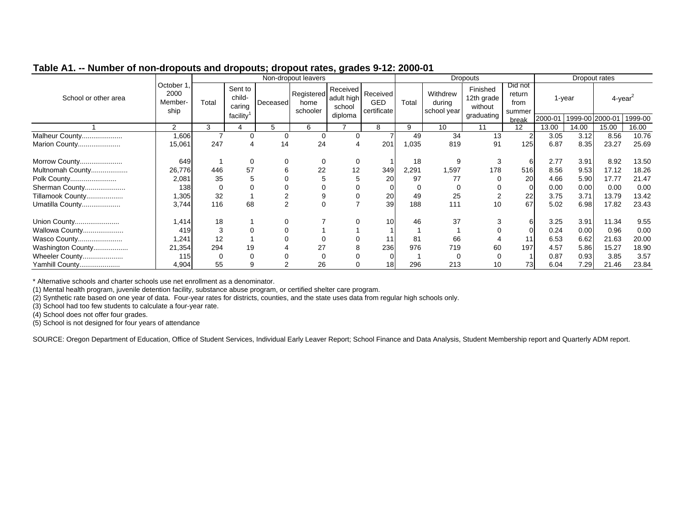|                      |                                      |          |                             |          | Non-dropout leavers            |                                  |                                |       |                                   | <b>Dropouts</b>                   |                                     |         |        | Dropout rates   |         |
|----------------------|--------------------------------------|----------|-----------------------------|----------|--------------------------------|----------------------------------|--------------------------------|-------|-----------------------------------|-----------------------------------|-------------------------------------|---------|--------|-----------------|---------|
| School or other area | October 1<br>2000<br>Member-<br>ship | Total    | Sent to<br>child-<br>caring | Deceased | Registered<br>home<br>schooler | Received<br>adult high<br>school | Received<br>GED<br>certificate | Total | Withdrew<br>during<br>school year | Finished<br>12th grade<br>without | Did not<br>return<br>from<br>summer |         | 1-year | 4-year          |         |
|                      |                                      |          | facility <sup>1</sup>       |          |                                | diploma                          |                                |       |                                   | graduating                        | break                               | 2000-01 |        | 1999-00 2000-01 | 1999-00 |
|                      | 2                                    | 3        |                             | 5        | 6                              |                                  | 8                              | 9     | 10                                | 11                                | 12                                  | 13.00   | 14.00  | 15.00           | 16.00   |
| Malheur County       | 1,606                                |          | $\mathbf 0$                 | 0        |                                |                                  |                                | 49    | 34                                | 13                                |                                     | 3.05    | 3.12   | 8.56            | 10.76   |
| Marion County        | 15,061                               | 247      | 4                           | 14       | 24                             |                                  | 201                            | 1,035 | 819                               | 91                                | 125                                 | 6.87    | 8.35   | 23.27           | 25.69   |
| Morrow County        | 649                                  |          | 0                           | 0        | 0                              | $\Omega$                         |                                | 18    | 9                                 | 3                                 | 6                                   | 2.77    | 3.91   | 8.92            | 13.50   |
| Multnomah County     | 26,776                               | 446      | 57                          | 6        | 22                             | 12                               | 349                            | 2,291 | 1,597                             | 178                               | 516                                 | 8.56    | 9.53   | 17.12           | 18.26   |
| Polk County          | 2,081                                | 35       | 5                           | 0        |                                | G                                | 20                             | 97    | 77                                |                                   | 20                                  | 4.66    | 5.90   | 17.77           | 21.47   |
| Sherman County       | 138                                  | $\Omega$ | 0                           |          |                                |                                  |                                |       |                                   |                                   | 0                                   | 0.00    | 0.00   | 0.00            | 0.00    |
| Tillamook County     | 1,305                                | 32       |                             |          |                                |                                  | 20                             | 49    | 25                                |                                   | 22                                  | 3.75    | 3.71   | 13.79           | 13.42   |
| Umatilla County      | 3,744                                | 116      | 68                          | 2        |                                |                                  | 39                             | 188   | 111                               | 10                                | 67                                  | 5.02    | 6.98   | 17.82           | 23.43   |
| Union County         | 1,414                                | 18       |                             | 0        |                                |                                  | 10                             | 46    | 37                                |                                   | 6                                   | 3.25    | 3.91   | 11.34           | 9.55    |
| Wallowa County       | 419                                  | 3        | 0                           |          |                                |                                  |                                |       |                                   |                                   |                                     | 0.24    | 0.00   | 0.96            | 0.00    |
| Wasco County         | 1.241                                | 12       |                             |          |                                |                                  |                                | 81    | 66                                |                                   |                                     | 6.53    | 6.62   | 21.63           | 20.00   |
| Washington County    | 21,354                               | 294      | 19                          |          | 27                             |                                  | 236                            | 976   | 719                               | 60                                | 197                                 | 4.57    | 5.86   | 15.27           | 18.90   |
| Wheeler County       | 115                                  | $\Omega$ | 0                           |          |                                |                                  |                                |       |                                   | 0                                 |                                     | 0.87    | 0.93   | 3.85            | 3.57    |
| Yamhill County       | 4,904                                | 55       | 9                           |          | 26                             |                                  | 18                             | 296   | 213                               | 10                                | 73                                  | 6.04    | 7.29   | 21.46           | 23.84   |

\* Alternative schools and charter schools use net enrollment as a denominator.

(1) Mental health program, juvenile detention facility, substance abuse program, or certified shelter care program.

(2) Synthetic rate based on one year of data. Four-year rates for districts, counties, and the state uses data from regular high schools only.

(3) School had too few students to calculate a four-year rate.

(4) School does not offer four grades.

(5) School is not designed for four years of attendance

SOURCE: Oregon Department of Education, Office of Student Services, Individual Early Leaver Report; School Finance and Data Analysis, Student Membership report and Quarterly ADM report.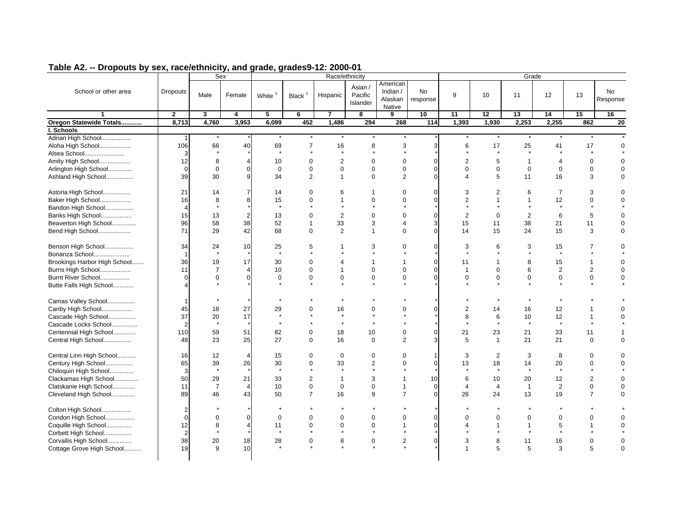|                              |                | Sex            |                |                          |                             | Race/ethnicity         |                                |                                           |                         |                               |                | Grade                         |                |                         |                         |
|------------------------------|----------------|----------------|----------------|--------------------------|-----------------------------|------------------------|--------------------------------|-------------------------------------------|-------------------------|-------------------------------|----------------|-------------------------------|----------------|-------------------------|-------------------------|
| School or other area         | Dropouts       | Male           | Female         | White                    | Black $1$                   | Hispanic               | Asian /<br>Pacific<br>Islander | American<br>Indian /<br>Alaskan<br>Native | No<br>response          | 9                             | 10             | 11                            | 12             | 13                      | No.<br>Response         |
| $\blacktriangleleft$         | $\mathbf{2}$   | 3              | 4              | 5                        | 6                           | $\overline{7}$         | 8                              | 9                                         | 10                      | 11                            | 12             | 13                            | 14             | 15                      | 16                      |
| Oregon Statewide Totals      | 8,713          | 4,760          | 3,953          | 6,099                    | 452                         | 1,486                  | 294                            | 268                                       | 114                     | 1,393                         | 1,930          | 2,253                         | 2,255          | 862                     | $\overline{20}$         |
| I. Schools                   |                |                |                |                          |                             |                        |                                |                                           |                         |                               |                |                               |                |                         |                         |
| Adrian High School           | $\mathbf{1}$   |                |                |                          |                             |                        |                                |                                           |                         |                               |                |                               |                |                         |                         |
| Aloha High School            | 106            | 66             | 40             | 69                       | 7                           | 16                     | 8                              | 3                                         | 3                       | 6                             | 17             | 25                            | 41             | 17                      | $\mathbf 0$             |
| Alsea School                 | 3              |                |                | $\star$                  | $\star$                     | $\star$                | $\star$                        | $\star$                                   |                         | $\star$                       | $\star$        | $\star$                       | $\star$        | $\star$                 |                         |
| Amity High School            | 12             | 8              | $\overline{4}$ | 10                       | $\mathbf 0$                 | $\overline{2}$         | $\mathbf 0$                    | $\mathbf 0$                               | $\mathbf 0$             | $\overline{2}$                | 5              | $\overline{1}$                | $\overline{4}$ | $\mathbf 0$             | $\Omega$                |
| Arlington High School        | $\overline{0}$ | $\mathbf 0$    | 0              | $\mathbf 0$              | $\mathbf 0$                 | $\mathbf 0$            | $\mathbf 0$                    | $\mathbf 0$                               | $\mathbf 0$             | $\Omega$                      | $\mathbf 0$    | $\mathbf{0}$                  | $\mathbf 0$    | $\mathbf 0$             | $\Omega$                |
| Ashland High School          | 39             | 30             | 9              | 34                       | $\overline{2}$              | $\mathbf{1}$           | $\mathbf 0$                    | $\overline{2}$                            | $\mathbf{0}$            | $\overline{\mathbf{A}}$       | 5              | 11                            | 16             | 3                       | 0                       |
|                              |                |                |                |                          |                             |                        |                                |                                           |                         |                               |                |                               |                |                         |                         |
| Astoria High School          | 21             | 14             | $\overline{7}$ | 14                       | $\Omega$                    | 6                      | $\mathbf 1$                    | $\Omega$                                  | $\Omega$                | 3                             | 2              | 6                             | $\overline{7}$ | 3                       | $\Omega$                |
| Baker High School            | 16             | 8              | 8              | 15                       | $\mathbf 0$                 | $\mathbf{1}$           | $\mathbf 0$                    | $\mathbf 0$                               | $\mathbf 0$             | $\overline{2}$                | $\overline{1}$ | $\mathbf 1$                   | 12             | $\mathbf 0$             | $\mathbf 0$             |
| Bandon High School           | 4              | $\star$        |                | $\star$                  | $\star$                     | $\star$                | $\star$                        | ÷                                         |                         | $\star$                       |                | $\star$                       | $\star$        |                         |                         |
| Banks High School            | 15             | 13             | $\overline{2}$ | 13                       | $\mathbf 0$                 | 2                      | $\mathbf 0$                    | $\mathbf 0$                               | $\mathbf 0$             | 2                             | $\mathbf 0$    | $\overline{2}$                | 6              | 5                       | $\mathbf 0$             |
| Beaverton High School        | 96             | 58             | 38             | 52                       | $\mathbf{1}$                | 33                     | 3                              | $\overline{4}$                            | 3                       | 15                            | 11             | 38                            | 21             | 11                      | 0                       |
| Bend High School             | 71             | 29             | 42             | 68                       | $\mathbf 0$                 | $\overline{2}$         | $\mathbf{1}$                   | $\mathbf 0$                               | $\mathbf 0$             | 14                            | 15             | 24                            | 15             | 3                       | $\mathbf 0$             |
|                              |                |                |                |                          |                             |                        |                                |                                           |                         |                               |                |                               |                |                         |                         |
| Benson High School           | 34             | 24             | 10             | 25                       | 5                           | $\mathbf{1}$           | 3                              | $\mathbf 0$                               | $\mathbf 0$             | 3                             | 6              | 3                             | 15             | 7                       | 0                       |
| Bonanza School               | $\mathbf 1$    | $\star$        |                | $\star$                  | $\star$                     | $\star$                | $\star$                        | $\star$                                   |                         | $\star$                       | $\star$        | $\star$                       | $^\star$       | $\star$                 |                         |
| Brookings Harbor High School | 36             | 19             | 17             | 30                       | $\mathbf 0$                 | 4                      | $\mathbf{1}$                   | $\mathbf{1}$                              | $\mathbf 0$             | 11                            | $\mathbf{1}$   | 8                             | 15             | $\mathbf{1}$            | $\Omega$                |
| Burns High School            | 11             | $\overline{7}$ | 4              | 10                       | $\mathbf 0$                 | $\mathbf{1}$           | $\mathbf 0$                    | $\mathbf 0$                               | $\mathbf 0$             | $\mathbf{1}$                  | $\overline{0}$ | 6                             | $\overline{2}$ | $\overline{2}$          | $\mathbf 0$             |
| Burnt River School           | $\Omega$       | $\mathbf 0$    | 0              | $\boldsymbol{0}$         | 0                           | $\mathbf 0$            | $\mathbf 0$                    | $\mathbf 0$                               | $\mathbf{0}$            | $\mathbf 0$                   | $\mathbf 0$    | $\mathbf 0$                   | $\mathbf 0$    | $\mathbf 0$             | $\mathbf 0$             |
|                              |                |                |                | $\overline{\phantom{a}}$ | $\star$                     | $\star$                | $\star$                        | $\star$                                   |                         |                               | $\star$        | $\star$                       | $\star$        | $\star$                 |                         |
| Butte Falls High School      |                |                |                |                          |                             |                        |                                |                                           |                         |                               |                |                               |                |                         |                         |
| Camas Valley School          | $\mathbf 1$    |                |                |                          |                             |                        |                                |                                           |                         |                               |                |                               |                |                         |                         |
| Canby High School            | 45             | 18             | 27             | 29                       | 0                           | 16                     | $\mathbf 0$                    | $\mathbf 0$                               | $\mathbf 0$             | $\overline{2}$                | 14             | 16                            | 12             | 1                       | 0                       |
| Cascade High School          | 37             | 20             | 17             | $\star$                  |                             | $\star$                | $\star$                        |                                           |                         | 8                             | 6              | 10                            | 12             | $\overline{1}$          | $\Omega$                |
| Cascade Locks School         | $\overline{2}$ |                |                | $\star$                  |                             | $\star$                | $\star$                        |                                           |                         |                               | $\star$        | $\star$                       | $\star$        |                         |                         |
| Centennial High School       | 110            |                | 51             |                          | 0                           |                        |                                | $\mathbf 0$                               | $\mathbf 0$             |                               |                |                               |                |                         |                         |
|                              |                | 59             |                | 82<br>27                 | $\Omega$                    | 18<br>16               | 10<br>$\mathbf 0$              | $\overline{2}$                            | 3                       | 21                            | 23             | 21                            | 33             | 11<br>$\mathbf 0$       | $\Omega$                |
| Central High School          | 48             | 23             | 25             |                          |                             |                        |                                |                                           |                         | 5                             | $\overline{1}$ | 21                            | 21             |                         |                         |
| Central Linn High School     | 16             | 12             | $\overline{4}$ | 15                       | $\Omega$                    | $\Omega$               | $\Omega$                       | $\Omega$                                  | $\mathbf{1}$            | 3                             | 2              | 3                             | 8              | $\Omega$                | $\Omega$                |
| Century High School          | 65             | 39             | 26             | 30                       | 0                           | 33                     | 2                              | $\mathbf 0$                               | $\mathbf 0$             | 13                            | 18             | 14                            | 20             | $\mathbf 0$             | $\mathbf 0$             |
| Chiloquin High School        | 3              | $\star$        |                | $\star$                  | $\star$                     | $\star$                | $\star$                        | $\star$                                   |                         | $\star$                       | $\star$        | $\star$                       | $\star$        | $\star$                 |                         |
| Clackamas High School        | 50             | 29             | 21             | 33                       | $\overline{2}$              | $\mathbf{1}$           | 3                              | $\mathbf{1}$                              | 10                      | 6                             | 10             | 20                            | 12             | $\mathbf{2}$            | $\mathbf 0$             |
| Clatskanie High School       | 11             | $\overline{7}$ | $\overline{4}$ | 10                       | $\mathbf 0$                 | $\mathbf 0$            | $\mathbf 0$                    | $\mathbf{1}$                              | $\mathbf{0}$            | $\overline{4}$                | $\overline{4}$ | $\overline{1}$                | 2              | $\mathbf 0$             | $\mathbf 0$             |
|                              |                |                | 43             |                          | $\overline{7}$              |                        | 9                              | $\overline{7}$                            | $\mathbf{0}$            |                               |                |                               |                | $\overline{7}$          | $\mathbf 0$             |
| Cleveland High School        | 89             | 46             |                | 50                       |                             | 16                     |                                |                                           |                         | 26                            | 24             | 13                            | 19             |                         |                         |
| Colton High School           | $\overline{2}$ |                |                |                          |                             |                        |                                |                                           |                         |                               |                |                               |                |                         |                         |
|                              | $\Omega$       |                | $\Omega$       |                          |                             |                        | $\mathbf 0$                    | $\mathbf 0$                               |                         |                               | $\mathbf 0$    |                               |                |                         |                         |
| Condon High School           |                | $\mathbf 0$    |                | $\mathbf 0$              | 0                           | $\mathbf 0$            |                                |                                           | $\mathbf 0$<br>$\Omega$ | $\mathbf 0$<br>$\overline{4}$ | $\overline{1}$ | $\mathbf 0$<br>$\overline{1}$ | $\mathbf 0$    | $\mathbf 0$             | $\mathbf 0$<br>$\Omega$ |
| Coquille High School         | 12             | 8<br>$\star$   | 4              | 11<br>$\star$            | $\mathbf 0$<br>$\pmb{\ast}$ | $\mathbf 0$<br>$\star$ | $\mathbf 0$<br>$\star$         | $\mathbf{1}$<br>$\star$                   |                         |                               | $\star$        | $\star$                       | 5<br>$\star$   | $\mathbf{1}$<br>$\star$ |                         |
| Corbett High School          | $\overline{2}$ |                |                |                          |                             |                        |                                |                                           |                         |                               |                |                               |                |                         |                         |
| Corvallis High School        | 38             | 20             | 18             | 28                       | $\mathbf 0$                 | 8                      | $\boldsymbol{0}$               | 2                                         | $\mathbf{0}$            | 3                             | 8              | 11                            | 16             | $\mathbf 0$             | $\Omega$                |
| Cottage Grove High School    | 19             | 9              | 10             |                          |                             |                        |                                |                                           |                         | $\overline{1}$                | 5              | 5                             | 3              | 5                       | 0                       |
|                              |                |                |                |                          |                             |                        |                                |                                           |                         |                               |                |                               |                |                         |                         |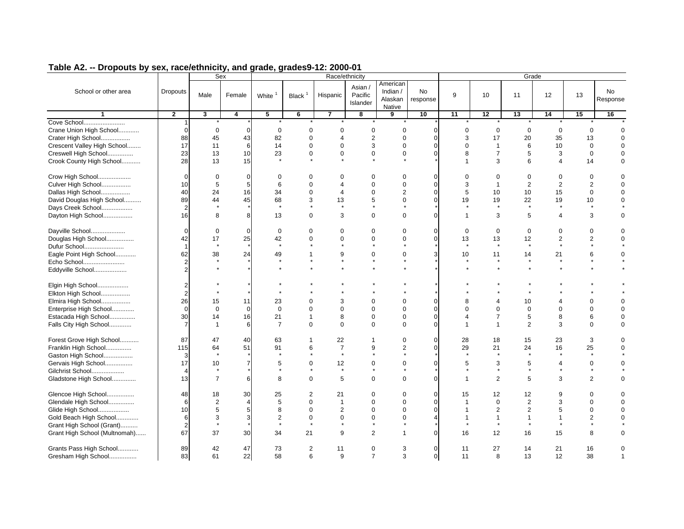|                                                |                         | Sex            |                |                    |                     |                | Race/ethnicity                 |                                           |                         |                          |                | Grade          |                         |                |                |
|------------------------------------------------|-------------------------|----------------|----------------|--------------------|---------------------|----------------|--------------------------------|-------------------------------------------|-------------------------|--------------------------|----------------|----------------|-------------------------|----------------|----------------|
| School or other area                           | <b>Dropouts</b>         | Male           | Female         | White <sup>1</sup> | Black $1$           | Hispanic       | Asian /<br>Pacific<br>Islander | American<br>Indian /<br>Alaskan<br>Native | No<br>response          | 9                        | 10             | 11             | 12                      | 13             | No<br>Response |
| $\mathbf{1}$                                   | $\overline{2}$          | $\mathbf{3}$   | 4              | 5                  | 6                   | $\overline{7}$ | 8                              | 9                                         | 10                      | 11                       | 12             | 13             | 14                      | 15             | 16             |
| Cove School                                    |                         |                |                |                    |                     |                |                                | $\star$                                   |                         |                          |                |                |                         |                |                |
| Crane Union High School                        | $\mathbf 0$             | $\mathbf 0$    | $\Omega$       | $\mathbf 0$        | $\mathbf 0$         | $\mathbf 0$    | $\mathbf 0$                    | $\mathbf 0$                               | $\mathbf 0$             | $\mathbf 0$              | $\mathbf 0$    | $\mathbf 0$    | $\mathbf 0$             | $\mathbf 0$    |                |
| Crater High School                             | 88                      | 45             | 43             | 82                 | $\mathbf 0$         | $\overline{4}$ | $\overline{2}$                 | $\overline{0}$                            | $\Omega$                | 3                        | 17             | 20             | 35                      | 13             | $\Omega$       |
| Crescent Valley High School                    | 17                      | 11             | 6              | 14                 | $\Omega$            | $\Omega$       | 3                              | $\overline{0}$                            | $\Omega$                | $\Omega$                 | $\overline{1}$ | 6              | 10                      | $\mathbf 0$    | $\Omega$       |
| Creswell High School                           | 23                      | 13             | 10             | 23                 | $\mathbf 0$         | $\mathbf 0$    | $\mathbf 0$                    | $\mathbf 0$                               | $\Omega$                | 8                        | $\overline{7}$ | 5              | 3                       | 0              | $\mathbf 0$    |
| Crook County High School                       | 28                      | 13             | 15             | $\star$            |                     |                |                                | $\star$                                   |                         | $\mathbf{1}$             | 3              | 6              | 4                       | 14             | $\Omega$       |
| Crow High School                               | $\mathbf 0$             | 0              | $\mathbf 0$    | $\Omega$           | 0                   | $\mathbf 0$    | 0                              | $\mathbf 0$                               | $\mathbf 0$             | $\Omega$                 | 0              | 0              | $\mathbf 0$             | 0              | $\mathbf 0$    |
| Culver High School                             | 10                      | 5              | 5              | 6                  | $\Omega$            | $\overline{4}$ | $\Omega$                       | $\overline{0}$                            | $\Omega$                | 3                        | $\overline{1}$ | $\overline{2}$ | $\overline{2}$          | $\overline{2}$ | $\mathbf 0$    |
| Dallas High School                             | 40                      | 24             | 16             | 34                 | $\mathbf 0$         | $\overline{4}$ | $\mathbf 0$                    | $\overline{2}$                            | $\Omega$                | 5                        | 10             | 10             | 15                      | $\mathbf 0$    | $\Omega$       |
| David Douglas High School                      | 89                      | 44             | 45             | 68                 | 3                   | 13             | 5                              | $\overline{0}$                            | $\Omega$                | 19                       | 19             | 22             | 19                      | 10             | $\Omega$       |
| Days Creek School                              | $\overline{2}$          |                |                | $\star$            |                     |                |                                |                                           |                         |                          | $\star$        | $\star$        | $\star$                 | $\star$        |                |
| Dayton High School                             | 16                      | 8              | 8              | 13                 | $\Omega$            | 3              | $\Omega$                       | $\mathbf 0$                               | $\Omega$                | $\mathbf{1}$             | 3              | 5              | 4                       | 3              | $\Omega$       |
| Dayville School                                | $\Omega$                | 0              | $\Omega$       | 0                  | $\mathbf 0$         | $\mathbf 0$    | $\mathbf 0$                    | $\mathbf 0$                               | $\Omega$                | $\mathbf 0$              | $\mathbf 0$    | $\mathbf 0$    | $\mathbf 0$             | 0              | $\mathbf 0$    |
| Douglas High School                            | 42                      | 17             | 25             | 42                 | $\mathbf 0$         | $\mathbf 0$    | $\mathbf 0$                    | $\mathbf 0$                               | $\mathbf 0$             | 13                       | 13             | 12             | $\overline{\mathbf{c}}$ | $\overline{2}$ | $\Omega$       |
| Dufur School                                   | $\mathbf 1$             | $\star$        |                | $\star$            |                     |                |                                |                                           |                         | $^\star$                 | $\star$        | $\star$        | $\star$                 |                |                |
| Eagle Point High School                        | 62                      | 38             | 24             | 49                 | $\mathbf{1}$        | 9              | $\mathbf 0$                    | $\mathbf 0$                               | 3                       | 10                       | 11             | 14             | 21                      | 6              | $\Omega$       |
| Echo School                                    | $\overline{2}$          | $\star$        |                | $\star$            | $\star$             | $\star$        | $\star$                        | $\star$                                   |                         | $^\star$                 | $\star$        | $\star$        |                         | $\star$        |                |
| Eddyville School                               | $\overline{2}$          |                |                |                    |                     |                |                                |                                           |                         |                          |                |                |                         |                |                |
| Elgin High School                              | $\overline{\mathbf{c}}$ |                |                |                    |                     |                |                                |                                           |                         |                          |                |                |                         |                |                |
| Elkton High School                             | $\overline{2}$          |                |                |                    |                     |                |                                |                                           |                         |                          |                |                |                         |                |                |
| Elmira High School                             | 26                      | 15             | 11             | 23                 | $\Omega$            | 3              | $\Omega$                       | $\Omega$                                  | $\Omega$                | 8                        | 4              | 10             |                         | $\Omega$       | $\Omega$       |
| Enterprise High School                         | $\mathbf 0$             | $\mathbf 0$    | $\mathbf 0$    | $\mathbf 0$        | $\Omega$            | $\mathbf 0$    | $\mathbf 0$                    | $\mathbf 0$                               | $\mathbf 0$             | $\Omega$                 | $\Omega$       | $\mathbf 0$    | $\Omega$                | $\Omega$       | $\Omega$       |
| Estacada High School                           | 30                      | 14             | 16             | 21                 | $\mathbf{1}$        | 8              | $\mathbf 0$                    | $\mathbf 0$                               | $\mathbf 0$             | $\overline{\mathcal{A}}$ | $\overline{7}$ | 5              | 8                       | 6              | $\Omega$       |
| Falls City High School                         |                         | $\mathbf{1}$   | 6              | $\overline{7}$     | $\mathbf 0$         | $\mathbf 0$    | $\mathbf 0$                    | $\mathbf 0$                               | $\Omega$                | $\overline{1}$           | $\overline{1}$ | 2              | 3                       | $\Omega$       | $\mathbf 0$    |
| Forest Grove High School                       | 87                      | 47             | 40             | 63                 | $\mathbf{1}$        | 22             | $\mathbf{1}$                   | $\mathbf 0$                               | $\mathbf 0$             | 28                       | 18             | 15             | 23                      | 3              | $\mathbf 0$    |
| Franklin High School                           | 115                     | 64             | 51             | 91                 | 6                   | $\overline{7}$ | 9                              | $\mathbf{2}$                              | $\mathbf 0$             | 29                       | 21             | 24             | 16                      | 25             | $\Omega$       |
| Gaston High School                             | 3                       | $\star$        |                |                    | $\star$             | $\star$        | $\star$                        | $\star$                                   |                         | $\star$                  | $\star$        | $\star$        |                         |                |                |
| Gervais High School                            | 17                      | 10             | $\overline{7}$ | 5                  | $\Omega$            | 12             | $\mathbf 0$                    | $\mathbf 0$                               | $\mathbf 0$             | 5                        | 3              | 5              | 4                       | $\Omega$       | $\Omega$       |
| Gilchrist School                               | $\overline{4}$          | $\star$        |                |                    |                     | $\star$        | $\star$                        | $\star$                                   |                         |                          | $\star$        | $\star$        |                         |                |                |
| Gladstone High School                          | 13                      | $\overline{7}$ | 6              | 8                  | $\Omega$            | 5              | $\Omega$                       | $\Omega$                                  | $\Omega$                | $\overline{1}$           | 2              | 5              | 3                       | $\overline{2}$ | $\Omega$       |
| Glencoe High School                            | 48                      | 18             | 30             | 25                 | $\overline{2}$      | 21             | $\mathbf 0$                    | $\mathbf 0$                               | $\mathbf 0$             | 15                       | 12             | 12             | 9                       | $\Omega$       | 0              |
| Glendale High School                           | 6                       | $\overline{2}$ | $\overline{4}$ | 5                  | $\mathbf 0$         | $\mathbf{1}$   | $\mathbf 0$                    | $\mathbf 0$                               | $\Omega$                | $\overline{\mathbf{1}}$  | $\mathbf 0$    | $\overline{2}$ | 3                       | $\Omega$       | $\Omega$       |
| Glide High School                              | 10                      | 5              | 5              | 8                  | $\mathbf 0$         | $\overline{2}$ | $\mathbf 0$                    | $\mathbf 0$                               | $\mathbf 0$             | $\mathbf{1}$             | 2              | 2              | 5                       | 0              | $\Omega$       |
| Gold Beach High School                         | 6                       | 3              | 3              | $\overline{2}$     | $\mathbf 0$         | $\mathbf 0$    | $\mathbf 0$                    | $\mathbf 0$                               | $\boldsymbol{\Delta}$   | $\mathbf{1}$             | $\overline{1}$ | $\overline{1}$ | $\mathbf 1$             | 2              | $\Omega$       |
| Grant High School (Grant)                      | $\overline{2}$          |                |                |                    | $\star$             |                |                                |                                           |                         |                          | $\star$        |                |                         |                |                |
| Grant High School (Multnomah)                  | 67                      | 37             | 30             | 34                 | 21                  | 9              | 2                              | $\overline{1}$                            | $\Omega$                | 16                       | 12             | 16             | 15                      | 8              | $\Omega$       |
| Grants Pass High School<br>Gresham High School | 89<br>83                | 42<br>61       | 47<br>22       | 73<br>58           | $\overline{2}$<br>6 | 11<br>9        | $\mathbf 0$<br>$\overline{7}$  | 3<br>3                                    | $\Omega$<br>$\mathbf 0$ | 11<br>11                 | 27<br>8        | 14<br>13       | 21<br>12                | 16<br>38       | $\Omega$<br>1  |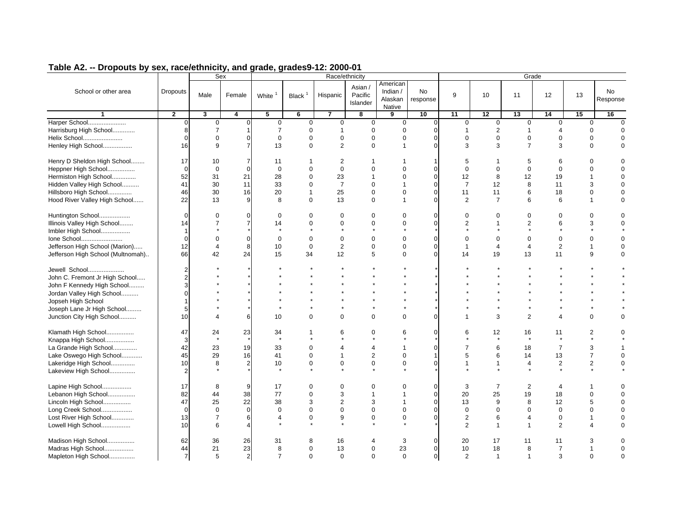|                                   |                | Sex            |                  |                    |              |                        | Race/ethnicity                 |                                           |                |                |                |                       | Grade          |                |                       |
|-----------------------------------|----------------|----------------|------------------|--------------------|--------------|------------------------|--------------------------------|-------------------------------------------|----------------|----------------|----------------|-----------------------|----------------|----------------|-----------------------|
| School or other area              | Dropouts       | Male           | Female           | White <sup>1</sup> | Black $1$    | Hispanic               | Asian /<br>Pacific<br>Islander | American<br>Indian /<br>Alaskan<br>Native | No<br>response | 9              | 10             | 11                    | 12             | 13             | <b>No</b><br>Response |
| $\mathbf{1}$                      | $\overline{2}$ | 3              | $\overline{4}$   | $\overline{5}$     | 6            | $\overline{7}$         | 8                              | 9                                         | 10             | 11             | 12             | 13                    | 14             | 15             | 16                    |
| Harper School                     | $\Omega$       | $\mathbf 0$    | $\mathbf{0}$     | $\mathbf 0$        | $\Omega$     | $\mathbf 0$            | $\mathbf 0$                    | $\mathbf 0$                               | $\mathbf 0$    | $\mathbf 0$    | $\mathbf 0$    | $\mathbf 0$           | $\mathbf 0$    | $\mathbf 0$    | $\Omega$              |
| Harrisburg High School            | 8              | $\overline{7}$ | 1                | $\overline{7}$     | $\Omega$     | $\mathbf 1$            | $\Omega$                       | $\mathbf 0$                               | $\Omega$       | $\mathbf{1}$   | 2              | $\mathbf 1$           | $\overline{4}$ | $\mathbf 0$    | $\Omega$              |
| Helix School                      | $\Omega$       | $\mathbf 0$    | $\mathbf{0}$     | $\mathbf 0$        | $\mathbf 0$  | $\mathbf 0$            | $\mathbf 0$                    | $\mathbf 0$                               | $\Omega$       | $\mathbf 0$    | $\overline{0}$ | $\mathbf 0$           | $\mathbf 0$    | $\Omega$       | $\Omega$              |
| Henley High School                | 16             | 9              | $\overline{7}$   | 13                 | $\Omega$     | $\overline{2}$         | $\Omega$                       | $\mathbf{1}$                              | $\Omega$       | 3              | 3              | $\overline{7}$        | 3              | $\Omega$       | $\Omega$              |
| Henry D Sheldon High School       | 17             | 10             | $\overline{7}$   | 11                 | 1            | 2                      | 1                              | -1                                        | $\mathbf 1$    | 5              | $\mathbf{1}$   | 5                     | 6              | O              | 0                     |
| Heppner High School               | $\Omega$       | $\mathbf 0$    | $\mathbf 0$      | $\mathbf 0$        | $\mathbf 0$  | $\mathbf 0$            | $\mathbf 0$                    | $\mathbf 0$                               | $\mathbf 0$    | $\mathbf 0$    | $\mathbf 0$    | $\mathbf 0$           | $\mathbf 0$    | $\mathbf 0$    | $\Omega$              |
| Hermiston High School             | 52             | 31             | 21               | 28                 | 0            | 23                     | $\mathbf{1}$                   | $\mathbf 0$                               | $\mathbf 0$    | 12             | 8              | 12                    | 19             | $\overline{1}$ | $\mathbf 0$           |
| Hidden Valley High School         | 41             | 30             | 11               | 33                 | $\mathbf 0$  | $\overline{7}$         | $\mathbf 0$                    | $\overline{1}$                            | $\mathbf 0$    | $\overline{7}$ | 12             | 8                     | 11             | 3              | $\Omega$              |
| Hillsboro High School             | 46             | 30             | 16               | 20                 | $\mathbf{1}$ | 25                     | $\mathbf 0$                    | $\mathbf 0$                               | $\mathbf 0$    | 11             | 11             | 6                     | 18             | $\mathbf 0$    | $\Omega$              |
| Hood River Valley High School     | 22             | 13             | $\overline{9}$   | 8                  | $\Omega$     | 13                     | $\Omega$                       | $\mathbf{1}$                              | $\Omega$       | 2              | $\overline{7}$ | 6                     | 6              | $\mathbf{1}$   | $\mathbf 0$           |
|                                   |                |                |                  |                    | $\Omega$     |                        |                                |                                           | $\Omega$       |                |                |                       |                |                |                       |
| Huntington School                 | $\Omega$       | $\mathbf 0$    | $\mathbf{0}$     | $\mathbf 0$        |              | $\Omega$               | $\mathbf 0$                    | $\Omega$                                  |                | $\mathbf 0$    | $\mathbf 0$    | $\mathbf 0$           | $\Omega$       | $\Omega$       | $\Omega$              |
| Illinois Valley High School       | 14             | $\overline{7}$ | $\overline{7}$   | 14                 | 0            | $\mathbf 0$<br>$\star$ | $\mathbf 0$                    | $\Omega$                                  | $\Omega$       | $\overline{2}$ | $\overline{1}$ | $\overline{2}$        | 6              | 3              | $\Omega$              |
| Imbler High School                | -1             |                |                  |                    |              |                        |                                |                                           |                |                |                |                       |                |                |                       |
| Ione School                       | $\Omega$       | $\mathbf 0$    | $\mathbf 0$      | $\mathbf 0$        | $\mathbf 0$  | $\mathbf 0$            | $\mathbf 0$                    | $\mathbf 0$                               | $\mathbf 0$    | $\mathbf 0$    | $\mathbf 0$    | $\mathbf 0$           | $\mathbf 0$    | $\mathbf 0$    | $\Omega$              |
| Jefferson High School (Marion)    | 12             | $\overline{4}$ | 8                | 10                 | $\mathbf 0$  | $\overline{2}$         | $\mathbf 0$                    | $\mathbf 0$                               | $\mathbf 0$    | $\mathbf{1}$   | $\overline{4}$ | $\overline{4}$        | $\overline{2}$ | $\overline{1}$ | $\mathbf 0$           |
| Jefferson High School (Multnomah) | 66             | 42             | 24               | 15                 | 34           | 12                     | 5                              | $\Omega$                                  | $\Omega$       | 14             | 19             | 13                    | 11             | 9              | $\Omega$              |
| Jewell School                     | $\overline{2}$ |                |                  |                    |              |                        |                                |                                           |                |                |                |                       |                |                |                       |
| John C. Fremont Jr High School    | $\overline{2}$ |                |                  |                    |              |                        |                                |                                           |                |                |                |                       |                |                |                       |
| John F Kennedy High School        | 3              |                |                  |                    |              |                        |                                |                                           |                |                |                |                       |                |                |                       |
| Jordan Valley High School         | O              |                |                  |                    |              |                        |                                |                                           |                |                |                |                       |                |                |                       |
| Jopseh High School                | $\mathbf{1}$   |                |                  |                    |              |                        |                                |                                           |                |                |                |                       |                |                |                       |
| Joseph Lane Jr High School        | 5              |                |                  |                    |              |                        |                                |                                           |                |                |                |                       |                |                |                       |
| Junction City High School         | 10             | 4              | $6 \overline{6}$ | 10                 | $\Omega$     | $\mathbf 0$            | $\mathbf 0$                    | $\mathbf 0$                               | $\mathbf 0$    | $\mathbf 1$    | 3              | 2                     | 4              | $\Omega$       | 0                     |
| Klamath High School               | 47             | 24             | 23               | 34                 | 1            | 6                      | $\mathbf 0$                    | 6                                         | $\mathbf 0$    | 6              | 12             | 16                    | 11             | $\overline{2}$ | $\Omega$              |
| Knappa High School                | 3              | $\star$        |                  | $\star$            | $\star$      | $\star$                | $\star$                        |                                           |                |                | $\star$        | $\star$               | $\star$        |                |                       |
| La Grande High School             | 42             | 23             | 19               | 33                 | $\mathbf 0$  | $\overline{4}$         | 4                              | $\mathbf{1}$                              | $\mathbf 0$    | 7              | 6              | 18                    | $\overline{7}$ | 3              |                       |
| Lake Oswego High School           | 45             | 29             | 16               | 41                 | $\mathbf 0$  | 1                      | $\overline{2}$                 | $\mathbf 0$                               | $\mathbf{1}$   | 5              | 6              | 14                    | 13             | $\overline{7}$ | $\Omega$              |
| Lakeridge High School             | 10             | 8              | $\overline{c}$   | 10                 | $\mathbf 0$  | $\mathbf 0$            | $\mathbf 0$                    | $\mathbf 0$                               | $\mathbf 0$    | $\mathbf{1}$   | $\overline{1}$ | $\overline{4}$        | $\overline{2}$ | $\mathbf{2}$   | $\Omega$              |
| Lakeview High School              | $\overline{2}$ |                |                  |                    |              |                        |                                |                                           |                |                |                |                       | $\star$        |                |                       |
| Lapine High School                | 17             | 8              | 9                | 17                 | 0            | 0                      | 0                              | 0                                         | $\mathbf 0$    | 3              | $\overline{7}$ | $\overline{2}$        | 4              | 1              | $\Omega$              |
| Lebanon High School               | 82             | 44             | 38               | 77                 | $\mathbf 0$  | 3                      | 1                              | $\mathbf{1}$                              | $\mathbf 0$    | 20             | 25             | 19                    | 18             | $\Omega$       | $\Omega$              |
| Lincoln High School               | 47             | 25             | 22               | 38                 | 3            | $\overline{2}$         | 3                              | $\mathbf{1}$                              | $\Omega$       | 13             | 9              | 8                     | 12             | 5              | 0                     |
| Long Creek School                 | $\Omega$       | $\mathbf 0$    | $\mathbf{0}$     | $\mathbf 0$        | $\mathbf 0$  | $\mathbf 0$            | $\mathbf 0$                    | $\mathbf 0$                               | $\mathbf 0$    | $\mathbf 0$    | $\mathbf 0$    | $\mathbf 0$           | $\mathbf 0$    | $\mathbf 0$    | $\Omega$              |
| Lost River High School            | 13             | $\overline{7}$ | 6                | 4                  | 0            | 9                      | $\mathbf 0$                    | $\mathbf 0$                               | $\Omega$       | $\overline{2}$ | 6              | $\boldsymbol{\Delta}$ | $\mathbf 0$    | 1              | $\mathbf 0$           |
| Lowell High School                | 10             | 6              | $\overline{4}$   |                    |              |                        |                                |                                           |                | 2              | $\overline{1}$ | $\overline{1}$        | 2              | $\Delta$       | $\Omega$              |
|                                   |                |                |                  |                    |              |                        |                                |                                           |                |                |                |                       |                |                |                       |
| Madison High School               | 62             | 36             | 26               | 31                 | 8            | 16                     | $\overline{4}$                 | 3                                         | $\mathbf 0$    | 20             | 17             | 11                    | 11             | 3              | $\Omega$              |
| Madras High School                | 44             | 21             | 23               | 8                  | $\Omega$     | 13                     | $\mathbf 0$                    | 23                                        | $\Omega$       | 10             | 18             | 8                     | $\overline{7}$ | 1              | $\Omega$              |
| Mapleton High School              | $\overline{7}$ | 5              | $\overline{2}$   | $\overline{7}$     | $\Omega$     | $\Omega$               | $\Omega$                       | $\Omega$                                  | $\mathbf 0$    | 2              | $\overline{1}$ | $\overline{1}$        | 3              | $\Omega$       | $\Omega$              |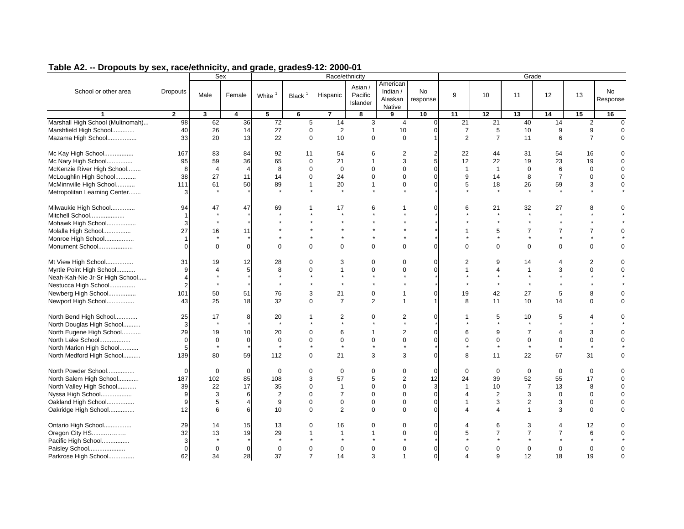|                                  |                 |                | Sex            |                    |                 |                | Race/ethnicity                 |                                           |                |                        |                | Grade          |                |                |                |
|----------------------------------|-----------------|----------------|----------------|--------------------|-----------------|----------------|--------------------------------|-------------------------------------------|----------------|------------------------|----------------|----------------|----------------|----------------|----------------|
| School or other area             | <b>Dropouts</b> | Male           | Female         | White <sup>1</sup> | Black $1$       | Hispanic       | Asian /<br>Pacific<br>Islander | American<br>Indian /<br>Alaskan<br>Native | No<br>response | 9                      | 10             | 11             | 12             | 13             | No<br>Response |
| $\mathbf{1}$                     | $\overline{2}$  | 3              | 4              | 5                  | $6\overline{6}$ | $\overline{7}$ | 8                              | 9                                         | 10             | 11                     | 12             | 13             | 14             | 15             | 16             |
| Marshall High School (Multnomah) | 98              | 62             | 36             | 72                 | $\overline{5}$  | 14             | 3                              | $\overline{4}$                            | $\mathbf 0$    | 21                     | 21             | 40             | 14             | $\overline{2}$ | $\overline{0}$ |
| Marshfield High School           | 40              | 26             | 14             | 27                 | $\mathsf 0$     | 2              | $\mathbf{1}$                   | 10                                        | $\mathbf 0$    | $\overline{7}$         | 5              | 10             | 9              | 9              |                |
| Mazama High School               | 33              | 20             | 13             | 22                 | $\mathbf 0$     | 10             | $\mathbf 0$                    | $\mathbf 0$                               | $\overline{1}$ | 2                      | $\overline{7}$ | 11             | 6              | $\overline{7}$ | $\mathbf 0$    |
| Mc Kay High School               | 167             | 83             | 84             | 92                 | 11              | 54             | 6                              | $\overline{2}$                            | $\overline{2}$ | 22                     | 44             | 31             | 54             | 16             | $\Omega$       |
| Mc Nary High School              | 95              | 59             | 36             | 65                 | $\mathbf 0$     | 21             | $\mathbf{1}$                   | 3                                         | 5              | 12                     | 22             | 19             | 23             | 19             | $\Omega$       |
| McKenzie River High School       | 8               | $\overline{4}$ | $\overline{4}$ | 8                  | $\Omega$        | $\mathbf 0$    | $\mathbf{0}$                   | $\mathbf 0$                               | $\Omega$       | $\overline{1}$         | $\mathbf{1}$   | $\mathbf 0$    | 6              | $\Omega$       | $\Omega$       |
| McLoughlin High School           | 38              | 27             | 11             | 14                 | $\Omega$        | 24             | $\Omega$                       | $\Omega$                                  | $\Omega$       | 9                      | 14             | 8              | $\overline{7}$ | $\Omega$       | $\Omega$       |
| McMinnville High School          | 111             | 61             | 50             | 89                 | $\mathbf{1}$    | 20             | $\mathbf{1}$                   | $\mathbf 0$                               | $\Omega$       | 5                      | 18             | 26             | 59             | 3              | $\mathbf 0$    |
| Metropolitan Learning Center     | 3               | $\star$        |                | $\star$            |                 | $\star$        | $\star$                        | $\star$                                   |                |                        | $\star$        |                | $\star$        |                |                |
| Milwaukie High School            | 94              | 47             | 47             | 69                 | 1               | 17             | 6                              | 1                                         | $\Omega$       | 6                      | 21             | 32             | 27             | 8              | $\Omega$       |
| Mitchell School                  | 1               |                |                |                    |                 | $\star$        |                                |                                           |                |                        | $\star$        | $\star$        | $\star$        |                |                |
| Mohawk High School               | 3               | $\star$        |                |                    |                 |                |                                |                                           |                |                        |                |                |                |                |                |
| Molalla High School              | 27              | 16             | 11             |                    |                 |                |                                |                                           |                | $\mathbf{1}$           | 5              | $\overline{7}$ | $\overline{7}$ | $\overline{7}$ | $\Omega$       |
| Monroe High School               | 1               | $\star$        |                |                    |                 |                |                                |                                           |                |                        | $\star$        |                | $^\star$       |                |                |
| Monument School                  | $\mathbf 0$     | $\mathbf 0$    | $\mathbf 0$    | $\mathbf 0$        | $\mathbf 0$     | $\mathbf 0$    | $\mathbf 0$                    | $\mathbf 0$                               | $\mathbf 0$    | $\Omega$               | $\mathbf 0$    | $\mathbf 0$    | 0              | 0              | $\mathbf 0$    |
| Mt View High School              | 31              | 19             | 12             | 28                 | $\mathbf 0$     | 3              | $\mathbf 0$                    | $\mathbf 0$                               | $\Omega$       | 2                      | 9              | 14             | 4              | $\overline{2}$ | $\mathbf 0$    |
| Myrtle Point High School         | 9               | $\overline{4}$ | 5              | 8                  | $\mathbf 0$     | $\mathbf{1}$   | $\mathbf 0$                    | $\Omega$                                  | $\mathbf 0$    | $\mathbf 1$            | 4              | $\overline{1}$ | 3              | $\Omega$       | $\Omega$       |
| Neah-Kah-Nie Jr-Sr High School   | $\overline{4}$  |                |                | $\star$            |                 | $\star$        | $\star$                        |                                           |                |                        | $\star$        | $\star$        |                |                |                |
| Nestucca High School             | $\overline{2}$  |                |                | $\star$            |                 | $\star$        | $\star$                        |                                           |                |                        | $\star$        | $\star$        |                |                |                |
| Newberg High School              | 101             | 50             | 51             | 76                 | 3               | 21             | $\mathbf 0$                    | $\mathbf{1}$                              | $\mathbf 0$    | 19                     | 42             | 27             | 5              | 8              | $\pmb{0}$      |
| Newport High School              | 43              | 25             | 18             | 32                 | $\mathbf 0$     | $\overline{7}$ | 2                              | $\overline{1}$                            | $\overline{1}$ | 8                      | 11             | 10             | 14             | 0              | $\mathbf 0$    |
| North Bend High School           | 25              | 17             | 8              | 20                 | 1               | 2              | $\mathbf 0$                    | 2                                         | $\mathbf 0$    |                        | 5              | 10             | 5              | 4              | $\Omega$       |
| North Douglas High School        | 3               |                |                |                    |                 |                |                                | $\star$                                   |                |                        |                | $\star$        |                |                |                |
| North Eugene High School         | 29              | 19             | 10             | 20                 | $\Omega$        | 6              | $\overline{1}$                 | $\overline{2}$                            | $\mathbf 0$    | 6                      | 9              | $\overline{7}$ | 4              | 3              | $\Omega$       |
| North Lake School                | $\Omega$        | $\mathbf 0$    | $\Omega$       | $\mathbf 0$        | $\Omega$        | $\mathbf 0$    | $\mathbf 0$                    | $\mathbf 0$                               | $\Omega$       | $\Omega$               | $\mathbf 0$    | $\mathbf 0$    | 0              | $\mathbf 0$    | $\Omega$       |
| North Marion High School         | 5               | $\star$        |                | $\star$            |                 |                |                                | $\star$                                   |                |                        | $\star$        | $\star$        |                |                |                |
| North Medford High School        | 139             | 80             | 59             | 112                | $\mathbf 0$     | 21             | 3                              | 3                                         | $\Omega$       | 8                      | 11             | 22             | 67             | 31             | 0              |
| North Powder School              | $\Omega$        | $\mathbf 0$    | $\Omega$       | $\mathbf 0$        | $\mathbf 0$     | $\mathbf 0$    | $\mathbf 0$                    | $\mathbf 0$                               | $\mathbf 0$    | $\mathbf 0$            | $\mathbf{0}$   | $\mathbf 0$    | $\mathbf 0$    | 0              | $\mathbf 0$    |
| North Salem High School          | 187             | 102            | 85             | 108                | 3               | 57             | 5                              | $\overline{2}$                            | 12             | 24                     | 39             | 52             | 55             | 17             | $\mathbf 0$    |
| North Valley High School         | 39              | 22             | 17             | 35                 | $\Omega$        | $\mathbf{1}$   | $\Omega$                       | $\Omega$                                  | 3              | $\overline{1}$         | 10             | $\overline{7}$ | 13             | 8              | $\Omega$       |
| Nyssa High School                | 9               | 3              | 6              | $\overline{2}$     | $\Omega$        | $\overline{7}$ | $\Omega$                       | $\Omega$                                  | $\mathbf 0$    | $\boldsymbol{\Lambda}$ | $\overline{2}$ | 3              | $\Omega$       | $\Omega$       | $\Omega$       |
| Oakland High School              | 9               | 5              | $\overline{4}$ | 9                  | $\Omega$        | $\mathbf{0}$   | $\mathbf 0$                    | $\Omega$                                  | $\Omega$       |                        | 3              | 2              | 3              | $\mathbf 0$    | $\Omega$       |
| Oakridge High School             | 12              | 6              | 6              | 10                 | $\Omega$        | $\overline{2}$ | $\mathbf 0$                    | $\mathbf 0$                               | $\mathbf 0$    | 4                      | 4              | $\mathbf 1$    | 3              | 0              | $\Omega$       |
| Ontario High School              | 29              | 14             | 15             | 13                 | $\Omega$        | 16             | $\Omega$                       | $\mathbf 0$                               | $\mathbf 0$    |                        | 6              | 3              | 4              | 12             | $\Omega$       |
| Oregon City HS                   | 32              | 13             | 19             | 29                 | $\mathbf{1}$    | $\mathbf{1}$   | $\mathbf{1}$                   | $\Omega$                                  | $\Omega$       | 5                      | $\overline{7}$ | $\overline{7}$ | $\overline{7}$ | 6              | $\Omega$       |
| Pacific High School              | 3               | $\star$        |                | $\star$            |                 |                |                                |                                           |                |                        |                |                |                |                |                |
| Paisley School                   | $\Omega$        | $\Omega$       | $\Omega$       | $\Omega$           | $\Omega$        | $\Omega$       | $\Omega$                       | $\Omega$                                  | $\Omega$       | $\Omega$               | $\Omega$       | $\Omega$       | $\Omega$       | $\Omega$       | $\Omega$       |
| Parkrose High School             | 62              | 34             | 28             | 37                 | $\overline{7}$  | 14             | 3                              | $\overline{1}$                            | $\mathbf 0$    | $\boldsymbol{\Delta}$  | 9              | 12             | 18             | 19             | $\Omega$       |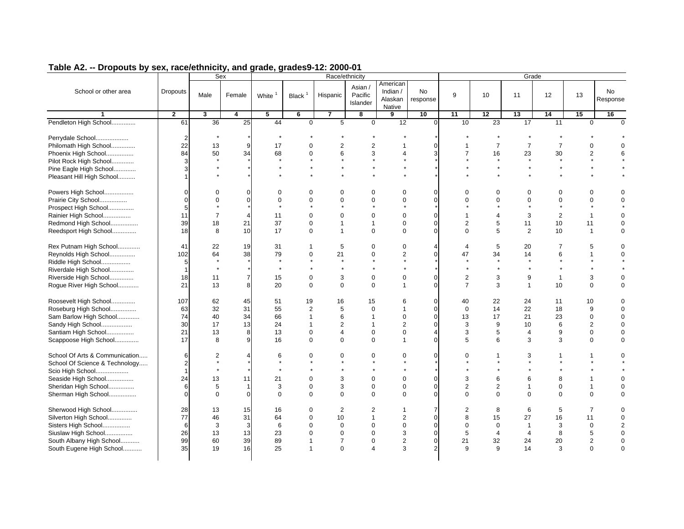|                                                                  |                            |                           | Sex                     |               |                        |                        | Race/ethnicity                 |                                           |                  |                                |                     |                 | Grade           |                |                |
|------------------------------------------------------------------|----------------------------|---------------------------|-------------------------|---------------|------------------------|------------------------|--------------------------------|-------------------------------------------|------------------|--------------------------------|---------------------|-----------------|-----------------|----------------|----------------|
| School or other area                                             | <b>Dropouts</b>            | Male                      | Female                  | White         | Black $1$              | Hispanic               | Asian /<br>Pacific<br>Islander | American<br>Indian /<br>Alaskan<br>Native | No<br>response   | 9                              | 10                  | 11              | 12              | 13             | No<br>Response |
| 1                                                                | $\overline{2}$             | 3                         | 4                       | 5             | 6                      | 7                      | 8                              | 9                                         | 10               | 11                             | 12                  | 13              | $\overline{14}$ | 15             | 16             |
| Pendleton High School                                            | 61                         | $\overline{36}$           | 25                      | 44            | $\overline{0}$         | $\overline{5}$         | $\mathbf 0$                    | $\overline{12}$                           | $\overline{0}$   | 10                             | $\overline{23}$     | $\overline{17}$ | 11              | $\mathbf 0$    | $\Omega$       |
| Perrydale School<br>Philomath High School                        | $\overline{2}$<br>22<br>84 | 13                        | 9<br>34                 | 17            | $\mathbf 0$            | $\overline{2}$         | $\overline{2}$                 | $\mathbf{1}$<br>$\overline{4}$            | $\mathbf 0$<br>3 | $\mathbf{1}$<br>$\overline{7}$ | $\overline{7}$      | $\overline{7}$  | $\overline{7}$  | $\mathbf 0$    | 0              |
| Phoenix High School                                              |                            | 50                        |                         | 68<br>$\star$ | 0                      | 6                      | 3                              |                                           |                  |                                | 16<br>$\star$       | 23<br>$\star$   | 30<br>$\star$   | 2              | 6              |
| Pilot Rock High School                                           | 3                          |                           |                         | $\star$       | $\star$                |                        | $\star$                        |                                           |                  |                                | $\star$             | $\star$         | $\star$         |                |                |
| Pine Eagle High School                                           | 3                          |                           |                         |               |                        |                        |                                |                                           |                  |                                |                     |                 |                 |                |                |
| Pleasant Hill High School                                        | 1                          |                           |                         |               |                        |                        |                                |                                           |                  |                                |                     |                 |                 |                |                |
| Powers High School                                               | $\Omega$                   | $\Omega$                  | $\Omega$                | $\Omega$      | $\Omega$               | $\Omega$               | $\mathbf 0$                    | $\mathbf 0$                               | $\mathbf 0$      | $\Omega$                       | $\Omega$            | $\mathbf 0$     | $\mathbf 0$     | $\Omega$       | 0              |
| Prairie City School                                              | $\Omega$                   | $\Omega$                  | $\Omega$                | $\Omega$      | $\Omega$               | $\Omega$               | $\Omega$                       | $\Omega$<br>$\star$                       | $\Omega$         | $\Omega$                       | $\Omega$<br>$\star$ | $\Omega$        | $\Omega$        | $\Omega$       | $\Omega$       |
| Prospect High School                                             | 5                          |                           |                         | $\star$       | $\star$                | $\star$                | $\star$                        |                                           |                  |                                |                     | $\star$         | $\star$         | $\star$        |                |
| Rainier High School                                              | 11                         | $\overline{7}$            | $\overline{\mathbf{4}}$ | 11            | $\Omega$               | $\Omega$               | $\Omega$                       | $\mathbf 0$                               | $\mathbf 0$      | $\overline{1}$                 | $\overline{4}$      | 3               | 2               | $\overline{1}$ | $\Omega$       |
| Redmond High School                                              | 39                         | 18                        | 21                      | 37            | $\mathbf 0$            | $\mathbf{1}$           | $\mathbf{1}$                   | $\mathbf 0$                               | $\mathbf 0$      | $\overline{2}$                 | 5                   | 11              | 10              | 11             | $\mathsf 0$    |
| Reedsport High School                                            | 18                         | 8                         | 10                      | 17            | $\mathbf 0$            | $\mathbf{1}$           | $\mathbf 0$                    | $\mathbf 0$                               | $\mathbf 0$      | $\mathbf 0$                    | 5                   | 2               | 10              | $\mathbf{1}$   | $\mathbf 0$    |
| Rex Putnam High School                                           | 41                         | 22                        | 19                      | 31            | $\mathbf{1}$           | 5                      | $\mathbf 0$                    | $\mathbf 0$                               | $\overline{4}$   | 4                              | 5                   | 20              | $\overline{7}$  | 5              | $\mathbf 0$    |
| Reynolds High School                                             | 102                        | 64                        | 38                      | 79            | $\mathbf 0$            | 21                     | $\mathbf 0$                    | $\overline{2}$                            | $\mathbf{0}$     | 47                             | 34                  | 14              | 6               | $\overline{1}$ | $\Omega$       |
| Riddle High School                                               | 5                          |                           |                         | $\star$       | $\star$                | $\star$                | $\star$                        | $\pmb{\star}$                             |                  |                                | $\star$             | $\star$         |                 |                |                |
| Riverdale High School                                            | $\mathbf{1}$               | $\star$                   |                         | $\star$       | $\star$                | $\star$                | $\star$                        | $\star$                                   |                  | $\star$                        | $\star$             | $\star$         |                 |                |                |
| Riverside High School                                            | 18                         | 11                        | $\overline{7}$          | 15            | 0                      | 3                      | $\mathbf 0$                    | $\mathbf 0$                               | $\mathbf{0}$     | $\overline{2}$                 | 3                   | 9               | $\mathbf{1}$    | 3              | $\mathbf 0$    |
| Rogue River High School                                          | 21                         | 13                        | 8                       | 20            | $\mathbf 0$            | $\mathbf 0$            | $\mathbf 0$                    | $\mathbf{1}$                              | $\overline{0}$   | $\overline{7}$                 | 3                   | $\overline{1}$  | 10              | $\mathbf 0$    | $\mathbf 0$    |
| Roosevelt High School                                            | 107                        | 62                        | 45                      | 51            | 19                     | 16                     | 15                             | 6                                         | $\mathbf 0$      | 40                             | 22                  | 24              | 11              | 10             | 0              |
| Roseburg High School                                             | 63                         | 32                        | 31                      | 55            | $\overline{2}$         | 5                      | $\mathbf 0$                    | $\mathbf{1}$                              | $\mathbf 0$      | $\mathbf 0$                    | 14                  | 22              | 18              | 9              | $\mathbf 0$    |
| Sam Barlow High School                                           | 74                         | 40                        | 34                      | 66            | $\mathbf{1}$           | 6                      | $\mathbf{1}$                   | $\mathbf 0$                               | $\mathbf{0}$     | 13                             | 17                  | 21              | 23              | $\mathbf 0$    | $\mathbf 0$    |
| Sandy High School                                                | 30                         | 17                        | 13                      | 24            | $\mathbf{1}$           | $\overline{2}$         | $\mathbf{1}$                   | $\overline{2}$                            | $\mathbf{0}$     | 3                              | 9                   | 10              | 6               | 2              | $\Omega$       |
| Santiam High School                                              | 21                         | 13                        | 8                       | 13            | $\Omega$               | $\overline{4}$         | $\Omega$                       | $\Omega$                                  | $\overline{4}$   | 3                              | 5                   | $\overline{4}$  | 9               | $\Omega$       | $\Omega$       |
| Scappoose High School                                            | 17                         | 8                         | 9                       | 16            | $\Omega$               | $\Omega$               | $\Omega$                       | $\mathbf{1}$                              | $\Omega$         | 5                              | 6                   | 3               | 3               | $\Omega$       | $\Omega$       |
| School Of Arts & Communication<br>School Of Science & Technology | 6<br>$\overline{2}$        | $\overline{2}$<br>$\star$ | $\overline{4}$          | 6<br>$\star$  | $\mathbf 0$<br>$\star$ | $\mathbf 0$<br>$\star$ | $\mathbf 0$<br>$\star$         | $\mathbf 0$<br>$\star$                    | $\mathbf 0$      | $\mathbf 0$                    | $\overline{1}$      | 3<br>$\star$    | $\mathbf{1}$    | 1              | 0              |
| Scio High School                                                 | 1                          | $\star$                   |                         | $\star$       | $\star$                | $\star$                | $\star$                        | $\star$                                   |                  |                                | $\star$             | $\star$         |                 |                |                |
| Seaside High School                                              | 24                         | 13                        | 11                      | 21            | 0                      | 3                      | $\mathbf 0$                    | $\mathbf 0$                               | $\mathbf 0$      | 3                              | 6                   | 6               | 8               | $\mathbf{1}$   | $\mathbf 0$    |
| Sheridan High School                                             | 6                          | 5                         | $\mathbf{1}$            | 3             | $\mathbf 0$            | 3                      | $\mathbf 0$                    | $\mathbf 0$                               | $\mathbf{0}$     | $\overline{2}$                 | 2                   | $\mathbf{1}$    | $\mathbf 0$     | $\mathbf{1}$   | $\mathbf 0$    |
| Sherman High School                                              | $\overline{0}$             | $\Omega$                  | $\overline{0}$          | $\Omega$      | $\mathbf 0$            | $\mathbf 0$            | $\Omega$                       | $\mathbf 0$                               | $\mathbf 0$      | $\Omega$                       | $\Omega$            | $\mathbf 0$     | $\mathbf 0$     | $\mathbf 0$    | $\mathbf 0$    |
| Sherwood High School                                             | 28                         | 13                        | 15                      | 16            | 0                      | $\overline{2}$         | $\overline{2}$                 | $\mathbf{1}$                              | $\overline{7}$   | $\overline{2}$                 | 8                   | 6               | $\sqrt{5}$      | $\overline{7}$ | $\mathbf 0$    |
| Silverton High School                                            | 77                         | 46                        | 31                      | 64            | $\mathbf 0$            | 10                     | $\mathbf{1}$                   | $\overline{2}$                            | $\mathbf 0$      | 8                              | 15                  | 27              | 16              | 11             | $\mathbf 0$    |
| Sisters High School                                              | 6                          | 3                         | 3                       | 6             | $\Omega$               | $\Omega$               | $\Omega$                       | $\mathbf 0$                               | $\Omega$         | $\mathbf 0$                    | $\Omega$            | $\overline{1}$  | 3               | $\mathbf 0$    | 2              |
| Siuslaw High School                                              | 26                         | 13                        | 13                      | 23            | $\mathbf 0$            | $\mathbf 0$            | $\mathbf 0$                    | 3                                         | $\mathbf{0}$     | 5                              | $\overline{4}$      | $\overline{4}$  | 8               | 5              | $\mathbf 0$    |
| South Albany High School                                         | 99                         | 60                        | 39                      | 89            | $\mathbf{1}$           | $\overline{7}$         | $\mathbf 0$                    | 2                                         | $\overline{0}$   | 21                             | 32                  | 24              | 20              | 2              | $\Omega$       |
| South Eugene High School                                         | 35                         | 19                        | 16                      | 25            | $\mathbf{1}$           | $\mathbf 0$            | $\overline{4}$                 | 3                                         | $\overline{2}$   | 9                              | 9                   | 14              | 3               | $\mathbf 0$    | $\mathbf 0$    |
|                                                                  |                            |                           |                         |               |                        |                        |                                |                                           |                  |                                |                     |                 |                 |                |                |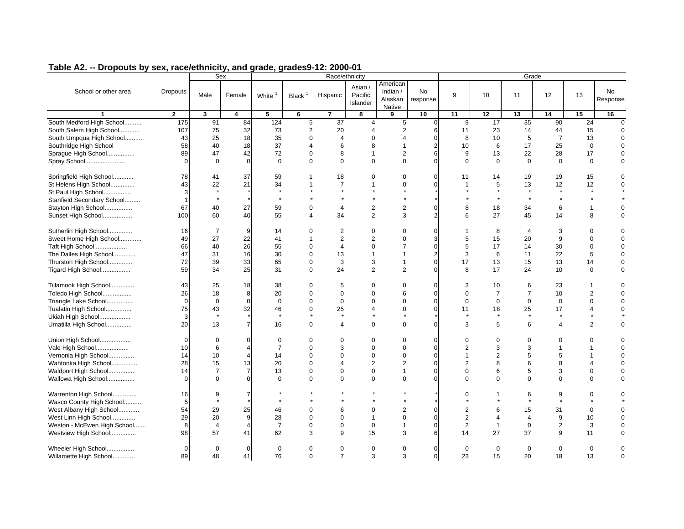|                                               |                 | Sex            |                |                |                      |                               | Race/ethnicity                 |                                           |                         |                   |                   | Grade             |                  |                   |                       |
|-----------------------------------------------|-----------------|----------------|----------------|----------------|----------------------|-------------------------------|--------------------------------|-------------------------------------------|-------------------------|-------------------|-------------------|-------------------|------------------|-------------------|-----------------------|
| School or other area                          | <b>Dropouts</b> | Male           | Female         | White          | Black $1$            | Hispanic                      | Asian /<br>Pacific<br>Islander | American<br>Indian /<br>Alaskan<br>Native | No<br>response          | 9                 | 10                | 11                | 12               | 13                | <b>No</b><br>Response |
| $\mathbf{1}$                                  | $\overline{2}$  | $\mathbf{3}$   | 4              | 5              | 6                    | $\overline{7}$                | 8                              | 9                                         | 10                      | 11                | 12                | 13                | 14               | 15                | 16                    |
| South Medford High School                     | 175             | 91             | 84             | 124            | 5                    | $\overline{37}$               | $\overline{4}$                 | 5                                         | $\mathbf 0$             | 9                 | 17                | 35                | 90               | 24                | $\overline{0}$        |
| South Salem High School                       | 107             | 75             | 32             | 73             | $\overline{2}$       | 20                            | $\overline{4}$                 | $\overline{2}$                            | 6                       | 11                | 23                | 14                | 44               | 15                | $\Omega$              |
| South Umpqua High School                      | 43              | 25             | 18             | 35             | $\mathbf 0$          | $\overline{4}$                | $\mathbf 0$                    | $\overline{4}$                            | $\mathbf 0$             | 8                 | 10                | 5                 | $\overline{7}$   | 13                | $\Omega$              |
| Southridge High School                        | 58              | 40             | 18             | 37             | $\overline{4}$       | 6                             | 8                              | $\mathbf{1}$                              | $\overline{2}$          | 10                | 6                 | 17                | 25               | $\mathbf 0$       | $\Omega$              |
| Sprague High School                           | 89              | 47             | 42             | 72             | $\mathbf 0$          | 8                             | $\mathbf{1}$                   | $\overline{2}$                            | 6                       | 9                 | 13                | 22                | 28               | 17                | $\Omega$              |
| Spray School                                  | $\Omega$        | $\Omega$       | $\mathbf 0$    | $\Omega$       | $\Omega$             | $\Omega$                      | $\Omega$                       | $\Omega$                                  | $\Omega$                | $\Omega$          | $\Omega$          | $\Omega$          | $\Omega$         | $\Omega$          | $\Omega$              |
| Springfield High School                       | 78              | 41             | 37             | 59             | $\mathbf{1}$         | 18                            | $\mathbf 0$                    | $\mathbf 0$                               | $\Omega$                | 11                | 14                | 19                | 19               | 15                | $\Omega$              |
| St Helens High School                         | 43              | 22             | 21             | 34             | $\mathbf{1}$         | $\overline{7}$                | $\mathbf{1}$                   | $\mathbf 0$                               | $\Omega$                | $\mathbf{1}$      | $\sqrt{5}$        | 13                | 12               | $12\,$            | $\mathbf 0$           |
| St Paul High School                           | 3               | $\star$        |                | $\star$        |                      |                               |                                | $\star$                                   |                         |                   | $\star$           | $\star$           |                  |                   |                       |
| Stanfield Secondary School                    | 1               | $\star$        |                | $\star$        |                      |                               |                                | $\star$                                   |                         |                   | $\star$           | $\star$           |                  |                   |                       |
| Stayton High School                           | 67              | 40             | 27             | 59             | $\mathbf 0$          | $\overline{4}$                | $\overline{2}$                 | $\sqrt{2}$                                | $\mathbf 0$             | 8                 | 18                | 34                | 6                | $\mathbf{1}$      | $\Omega$              |
| Sunset High School                            | 100             | 60             | 40             | 55             | $\overline{4}$       | 34                            | 2                              | 3                                         | $\overline{2}$          | 6                 | 27                | 45                | 14               | 8                 | $\mathbf 0$           |
| Sutherlin High School                         | 16              | $\overline{7}$ | 9              | 14             | $\Omega$             | $\overline{2}$                | $\mathbf 0$                    | $\mathbf 0$                               | $\Omega$                | $\overline{1}$    | 8                 | $\overline{4}$    | 3                | $\Omega$          | $\Omega$              |
| Sweet Home High School                        | 49              | 27             | 22             | 41             | $\mathbf{1}$         | $\overline{2}$                | $\overline{2}$                 | $\mathbf 0$                               | 3                       | 5                 | 15                | 20                | $\boldsymbol{9}$ | $\mathbf 0$       | $\Omega$              |
| Taft High School                              | 66              | 40             | 26             | 55             | $\mathbf 0$          | $\overline{4}$                | $\mathbf 0$                    | $\overline{7}$                            | $\mathbf 0$             | 5                 | 17                | 14                | 30               | 0                 | $\Omega$              |
| The Dalles High School                        | 47              | 31             | 16             | 30             | $\mathbf 0$          | 13                            | $\mathbf{1}$                   | $\mathbf{1}$                              | $\sqrt{2}$              | 3                 | 6                 | 11                | 22               | 5                 | $\Omega$              |
| Thurston High School                          | 72              | 39             | 33             | 65             | $\mathbf 0$          | 3                             | 3                              | $\mathbf{1}$                              | $\mathbf 0$             | 17                | 13                | 15                | 13               | 14                | $\mathbf 0$           |
| Tigard High School                            | 59              | 34             | 25             | 31             | $\mathbf 0$          | 24                            | $\overline{2}$                 | 2                                         | $\Omega$                | 8                 | 17                | 24                | 10               | $\mathbf 0$       | $\mathbf 0$           |
| Tillamook High School                         | 43              | 25             | 18             | 38             | $\mathbf 0$          | 5                             | $\mathbf 0$                    | $\mathbf 0$                               | $\mathbf 0$             | 3                 | 10                | 6                 | 23               | 1                 | $\Omega$              |
| Toledo High School                            | 26              | 18             | 8              | 20             | $\mathbf 0$          | $\mathbf 0$                   | $\mathbf 0$                    | 6                                         | $\mathbf 0$             | $\mathbf 0$       | $\overline{7}$    | $\overline{7}$    | 10               | $\overline{2}$    | $\mathbf 0$           |
| Triangle Lake School                          | $\mathbf 0$     | $\mathbf 0$    | $\mathbf 0$    | $\mathbf 0$    | $\mathbf 0$          | $\mathbf 0$                   | $\mathbf 0$                    | $\mathbf 0$                               | $\mathbf 0$             | $\mathbf 0$       | $\mathbf{0}$      | $\mathbf 0$       | $\mathbf 0$      | $\mathbf 0$       | $\Omega$              |
| Tualatin High School                          | 75              | 43             | 32             | 46             | $\mathbf 0$          | 25                            | $\overline{4}$                 | $\mathbf 0$                               | $\Omega$                | 11                | 18                | 25                | 17               | 4                 | $\Omega$              |
| Ukiah High School                             | 3               | $\star$        |                | $\star$        |                      | $\star$                       |                                | $\star$                                   |                         | $\star$           | $\star$           | $\star$           | $\star$          |                   |                       |
| Umatilla High School                          | 20              | 13             | $\overline{7}$ | 16             | $\Omega$             | $\overline{4}$                | $\mathbf 0$                    | $\mathbf 0$                               | $\Omega$                | 3                 | 5                 | 6                 | 4                | $\overline{2}$    | $\mathbf 0$           |
| Union High School                             | $\Omega$        | $\Omega$       | $\Omega$       | $\mathbf 0$    | $\mathbf 0$          | $\Omega$                      | $\mathbf 0$                    | $\mathbf 0$                               | $\Omega$                | $\mathbf 0$       | $\mathbf 0$       | $\Omega$          | $\Omega$         | $\Omega$          | $\Omega$              |
| Vale High School                              | 10              | 6              | $\overline{4}$ | $\overline{7}$ | $\Omega$             | 3                             | $\Omega$                       | $\mathbf 0$                               | $\mathbf{0}$            | 2                 | 3                 | 3                 | $\overline{1}$   | $\mathbf{1}$      | $\Omega$              |
| Vernonia High School                          | 14              | 10             | $\overline{4}$ | 14             | $\mathbf 0$          | $\Omega$                      | $\mathbf 0$                    | $\mathbf 0$                               | $\Omega$                | $\mathbf{1}$      | $\overline{2}$    | 5                 | 5                | 1                 | $\mathbf 0$           |
| Wahtonka High School                          | 28              | 15             | 13             | 20             | $\mathbf 0$          | $\overline{4}$                | $\overline{2}$                 | $\overline{2}$                            | $\mathbf 0$             | 2                 | 8                 | 6                 | 8                | 4                 | $\Omega$              |
| Waldport High School                          | 14              | $\overline{7}$ | $\overline{7}$ | 13             | $\mathbf 0$          | $\Omega$                      | $\mathbf 0$                    | $\mathbf{1}$                              | $\Omega$                | $\Omega$          | 6                 | 5                 | 3                | $\mathbf 0$       | $\mathbf 0$           |
| Wallowa High School                           | $\Omega$        | $\Omega$       | $\mathbf 0$    | $\Omega$       | $\Omega$             | $\Omega$                      | $\Omega$                       | $\mathbf 0$                               | $\Omega$                | $\Omega$          | $\Omega$          | $\Omega$          | $\Omega$         | $\Omega$          | $\Omega$              |
| Warrenton High School                         | 16              | 9              | $\overline{7}$ |                |                      |                               |                                |                                           |                         | $\Omega$          | 1                 | 6                 | 9                | $\Omega$          | $\Omega$              |
| Wasco County High School                      | 5               | $\star$        |                |                |                      |                               |                                |                                           |                         |                   |                   |                   |                  |                   |                       |
| West Albany High School                       | 54              | 29             | 25             | 46             | $\Omega$             | 6                             | $\mathbf 0$                    | $\overline{2}$                            | $\mathbf 0$             | $\overline{c}$    | 6                 | 15                | 31               | $\mathbf 0$       | $\Omega$              |
| West Linn High School                         | 29              | 20             | 9              | 28             | $\Omega$             | $\Omega$                      | $\mathbf{1}$                   | $\Omega$                                  | $\Omega$                | $\overline{2}$    | $\overline{4}$    | $\overline{4}$    | 9                | 10                | $\Omega$              |
| Weston - McEwen High School                   | 8               | $\overline{4}$ | $\overline{4}$ | $\overline{7}$ | $\mathbf 0$          | $\Omega$                      | $\mathbf 0$                    | $\mathbf{1}$                              | $\mathbf 0$             | 2                 | $\mathbf{1}$      | $\mathbf 0$       | $\overline{2}$   | 3                 | $\mathbf 0$           |
| Westview High School                          | 98              | 57             | 41             | 62             | 3                    | 9                             | 15                             | 3                                         | 6                       | 14                | 27                | 37                | 9                | 11                | $\Omega$              |
| Wheeler High School<br>Willamette High School | $\Omega$<br>89  | $\Omega$<br>48 | $\Omega$<br>41 | $\Omega$<br>76 | $\Omega$<br>$\Omega$ | $\mathbf 0$<br>$\overline{7}$ | $\mathbf 0$<br>3               | $\mathbf 0$<br>3                          | $\Omega$<br>$\mathbf 0$ | $\mathbf 0$<br>23 | $\mathbf 0$<br>15 | $\mathbf 0$<br>20 | $\Omega$<br>18   | $\mathbf 0$<br>13 | $\Omega$<br>$\Omega$  |
|                                               |                 |                |                |                |                      |                               |                                |                                           |                         |                   |                   |                   |                  |                   |                       |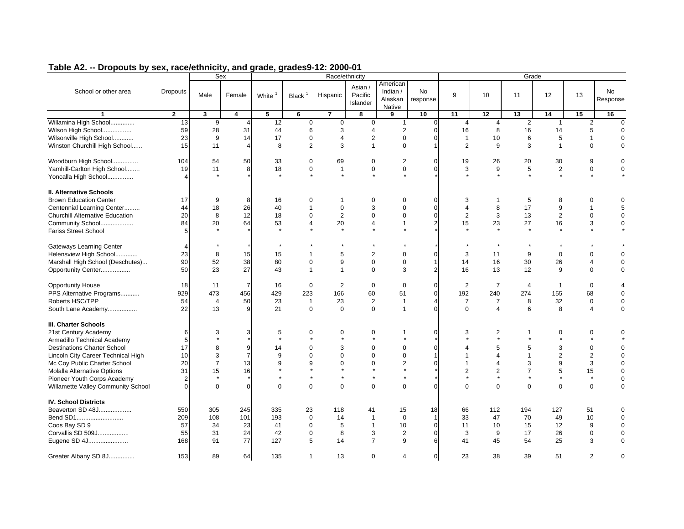|                                                                                                                                                                                                                                                                                                           |                                                              |                                                 | Sex                                              |                                                     |                                                                                |                                                                                          | Race/ethnicity                                                                              |                                                                                                              |                                                                        |                                                                                          |                                                                                              |                                                                                           | Grade                                                   |                                                                        |                                                                                             |
|-----------------------------------------------------------------------------------------------------------------------------------------------------------------------------------------------------------------------------------------------------------------------------------------------------------|--------------------------------------------------------------|-------------------------------------------------|--------------------------------------------------|-----------------------------------------------------|--------------------------------------------------------------------------------|------------------------------------------------------------------------------------------|---------------------------------------------------------------------------------------------|--------------------------------------------------------------------------------------------------------------|------------------------------------------------------------------------|------------------------------------------------------------------------------------------|----------------------------------------------------------------------------------------------|-------------------------------------------------------------------------------------------|---------------------------------------------------------|------------------------------------------------------------------------|---------------------------------------------------------------------------------------------|
| School or other area                                                                                                                                                                                                                                                                                      | <b>Dropouts</b>                                              | Male                                            | Female                                           | White                                               | Black $1$                                                                      | Hispanic                                                                                 | Asian /<br>Pacific<br>Islander                                                              | American<br>Indian /<br>Alaskan<br>Native                                                                    | <b>No</b><br>response                                                  | 9                                                                                        | 10                                                                                           | 11                                                                                        | 12                                                      | 13                                                                     | <b>No</b><br>Response                                                                       |
| $\mathbf{1}$                                                                                                                                                                                                                                                                                              | $\overline{2}$                                               | $\overline{\mathbf{3}}$                         | 4                                                | $\overline{5}$                                      | $\overline{6}$                                                                 | $\overline{\mathbf{z}}$                                                                  | 8                                                                                           | 9                                                                                                            | 10                                                                     | 11                                                                                       | 12                                                                                           | 13                                                                                        | 14                                                      | 15                                                                     | 16                                                                                          |
| Willamina High School<br>Wilson High School<br>Wilsonville High School<br>Winston Churchill High School                                                                                                                                                                                                   | 13<br>59<br>23<br>15                                         | 9<br>28<br>9<br>11                              | 4<br>31<br>14<br>$\overline{4}$                  | 12<br>44<br>17<br>8                                 | 0<br>6<br>$\mathbf 0$<br>$\overline{2}$                                        | $\overline{0}$<br>3<br>$\overline{4}$<br>3                                               | $\mathbf 0$<br>$\overline{4}$<br>$\overline{2}$<br>$\mathbf{1}$                             | $\mathbf{1}$<br>$\overline{2}$<br>$\mathbf 0$<br>$\mathbf 0$                                                 | $\overline{0}$<br>$\mathbf 0$<br>$\mathbf 0$<br>$\mathbf{1}$           | $\overline{4}$<br>16<br>$\mathbf{1}$<br>2                                                | $\overline{4}$<br>8<br>10<br>9                                                               | 2<br>16<br>6<br>3                                                                         | $\mathbf{1}$<br>14<br>5<br>$\overline{1}$               | 2<br>5<br>$\overline{1}$<br>$\mathbf 0$                                | $\mathbf{0}$<br>$\mathbf 0$<br>$\mathbf 0$<br>$\mathbf 0$                                   |
| Woodburn High School<br>Yamhill-Carlton High School<br>Yoncalla High School                                                                                                                                                                                                                               | 104<br>19                                                    | 54<br>11                                        | 50<br>8                                          | 33<br>18<br>$\star$                                 | $\mathbf 0$<br>$\mathbf 0$<br>$\star$                                          | 69<br>$\mathbf{1}$<br>$\star$                                                            | $\mathbf 0$<br>$\mathbf 0$<br>$\star$                                                       | $\overline{2}$<br>$\mathbf 0$<br>$\star$                                                                     | $\mathbf 0$<br>$\mathbf 0$                                             | 19<br>3                                                                                  | 26<br>$\boldsymbol{9}$<br>$\star$                                                            | 20<br>5<br>$\star$                                                                        | 30<br>$\sqrt{2}$<br>$\star$                             | 9<br>$\pmb{0}$<br>$\star$                                              | $\mathbf 0$<br>$\mathbf 0$                                                                  |
| II. Alternative Schools<br><b>Brown Education Center</b><br>Centennial Learning Center<br><b>Churchill Alternative Education</b><br>Community School<br><b>Fariss Street School</b>                                                                                                                       | 17<br>44<br>20<br>84<br>5                                    | 9<br>18<br>8<br>20                              | 8<br>26<br>12<br>64                              | 16<br>40<br>18<br>53                                | 0<br>$\mathbf{1}$<br>$\mathbf 0$<br>4                                          | $\mathbf{1}$<br>$\mathbf{0}$<br>$\overline{2}$<br>20<br>$\star$                          | $\mathbf 0$<br>3<br>$\mathbf 0$<br>$\overline{4}$<br>$\star$                                | $\mathbf 0$<br>$\mathbf 0$<br>$\mathbf 0$<br>$\mathbf{1}$<br>$\star$                                         | $\mathbf 0$<br>$\mathbf{0}$<br>$\mathbf 0$<br>$\overline{2}$           | 3<br>$\overline{4}$<br>$\overline{2}$<br>15                                              | $\overline{1}$<br>8<br>$\mathbf 3$<br>23<br>$\star$                                          | 5<br>17<br>13<br>27<br>$\star$                                                            | 8<br>$\boldsymbol{9}$<br>$\sqrt{2}$<br>16<br>$\star$    | $\mathbf 0$<br>$\overline{1}$<br>$\mathbf 0$<br>3<br>$\star$           | 0<br>5<br>$\mathbf 0$<br>$\mathbf 0$                                                        |
| <b>Gateways Learning Center</b><br>Helensview High School<br>Marshall High School (Deschutes)<br>Opportunity Center                                                                                                                                                                                       | 4<br>23<br>90<br>50                                          | 8<br>52<br>23                                   | 15<br>38<br>27                                   | $\star$<br>15<br>80<br>43                           | $\mathbf{1}$<br>$\mathbf 0$<br>$\mathbf{1}$                                    | 5<br>9<br>$\mathbf{1}$                                                                   | $\overline{2}$<br>$\mathbf 0$<br>$\mathbf 0$                                                | $\mathbf 0$<br>$\mathbf 0$<br>3                                                                              | $\mathbf{0}$<br>$\mathbf{1}$<br>$\overline{2}$                         | 3<br>14<br>16                                                                            | $\star$<br>11<br>16<br>13                                                                    | 9<br>30<br>12                                                                             | $\mathbf 0$<br>26<br>9                                  | $\Omega$<br>$\overline{\mathbf{A}}$<br>$\mathbf 0$                     | $\Omega$<br>$\mathbf 0$<br>$\mathbf 0$                                                      |
| <b>Opportunity House</b><br>PPS Alternative Programs<br>Roberts HSC/TPP<br>South Lane Academy                                                                                                                                                                                                             | 18<br>929<br>54<br>22                                        | 11<br>473<br>$\overline{4}$<br>13               | $\overline{7}$<br>456<br>50<br>9                 | 16<br>429<br>23<br>21                               | $\mathbf 0$<br>223<br>$\mathbf{1}$<br>$\Omega$                                 | $\overline{2}$<br>166<br>23<br>$\mathbf 0$                                               | $\mathbf 0$<br>60<br>2<br>$\Omega$                                                          | $\mathbf 0$<br>51<br>$\mathbf{1}$<br>$\mathbf{1}$                                                            | $\mathbf{0}$<br>$\mathbf{0}$<br>$\overline{4}$<br>$\Omega$             | 2<br>192<br>$\overline{7}$<br>$\Omega$                                                   | $\overline{7}$<br>240<br>$\overline{7}$<br>$\overline{4}$                                    | $\overline{4}$<br>274<br>8<br>6                                                           | $\overline{1}$<br>155<br>32<br>8                        | $\mathbf 0$<br>68<br>$\mathbf 0$<br>$\overline{4}$                     | $\overline{4}$<br>$\mathbf 0$<br>$\mathbf 0$<br>$\Omega$                                    |
| <b>III. Charter Schools</b><br>21st Century Academy<br>Armadillo Technical Academy<br><b>Destinations Charter School</b><br>Lincoln City Career Technical High<br>Mc Coy Public Charter School<br><b>Molalla Alternative Options</b><br>Pioneer Youth Corps Academy<br>Willamette Valley Community School | 6<br>5<br>17<br>10<br>20<br>31<br>$\overline{2}$<br>$\Omega$ | 3<br>8<br>3<br>$\overline{7}$<br>15<br>$\Omega$ | 3<br>9<br>$\overline{7}$<br>13<br>16<br>$\Omega$ | 5<br>$\star$<br>14<br>9<br>9<br>$\star$<br>$\Omega$ | 0<br>$\star$<br>$\mathbf 0$<br>$\Omega$<br>9<br>$\star$<br>$\star$<br>$\Omega$ | $\mathbf 0$<br>$\star$<br>3<br>$\Omega$<br>$\mathbf 0$<br>$\star$<br>$\star$<br>$\Omega$ | 0<br>$\star$<br>$\mathbf 0$<br>$\Omega$<br>$\mathbf 0$<br>$\star$<br>$\star$<br>$\mathbf 0$ | $\mathbf{1}$<br>$\star$<br>$\mathbf 0$<br>$\mathbf 0$<br>$\overline{2}$<br>$\star$<br>$\star$<br>$\mathbf 0$ | $\mathbf 0$<br>$\mathbf 0$<br>$\mathbf{1}$<br>$\mathbf{0}$<br>$\Omega$ | 3<br>$\Delta$<br>$\overline{1}$<br>$\mathbf{1}$<br>$\overline{2}$<br>$\star$<br>$\Omega$ | 2<br>$\star$<br>5<br>$\overline{A}$<br>$\overline{4}$<br>$\mathbf{2}$<br>$\star$<br>$\Omega$ | $\mathbf 1$<br>$\star$<br>5<br>$\mathbf{1}$<br>3<br>$\overline{7}$<br>$\star$<br>$\Omega$ | 0<br>$\star$<br>3<br>2<br>9<br>5<br>$\star$<br>$\Omega$ | 0<br>$\mathbf 0$<br>2<br>$\mathbf{3}$<br>15<br>$^\star$<br>$\mathbf 0$ | 0<br>$\mathbf 0$<br>$\mathbf 0$<br>$\mathbf 0$<br>$\mathbf 0$<br>$\mathbf 0$<br>$\mathbf 0$ |
| <b>IV. School Districts</b><br>Beaverton SD 48J<br>Bend SD1<br>Coos Bay SD 9<br>Corvallis SD 509J<br>Eugene SD 4J                                                                                                                                                                                         | 550<br>209<br>57<br>55<br>168                                | 305<br>108<br>34<br>31<br>91                    | 245<br>101<br>23<br>24<br>77                     | 335<br>193<br>41<br>42<br>127                       | 23<br>$\mathbf 0$<br>$\mathbf 0$<br>$\mathbf 0$<br>5                           | 118<br>14<br>5<br>8<br>14                                                                | 41<br>$\mathbf{1}$<br>$\mathbf{1}$<br>3<br>$\overline{7}$                                   | 15<br>$\mathbf 0$<br>10<br>$\overline{2}$<br>9                                                               | 18<br>$\mathbf{1}$<br>$\mathbf{0}$<br>$\Omega$<br>6                    | 66<br>33<br>11<br>3<br>41                                                                | 112<br>47<br>10<br>9<br>45                                                                   | 194<br>70<br>15<br>17<br>54                                                               | 127<br>49<br>12<br>26<br>25                             | 51<br>10<br>9<br>$\mathbf 0$<br>3                                      | 0<br>$\mathbf 0$<br>$\mathbf 0$<br>$\mathbf 0$<br>$\Omega$                                  |
| Greater Albany SD 8J                                                                                                                                                                                                                                                                                      | 153                                                          | 89                                              | 64                                               | 135                                                 | $\mathbf{1}$                                                                   | 13                                                                                       | $\Omega$                                                                                    | $\overline{4}$                                                                                               | $\mathbf{0}$                                                           | 23                                                                                       | 38                                                                                           | 39                                                                                        | 51                                                      | $\overline{2}$                                                         | 0                                                                                           |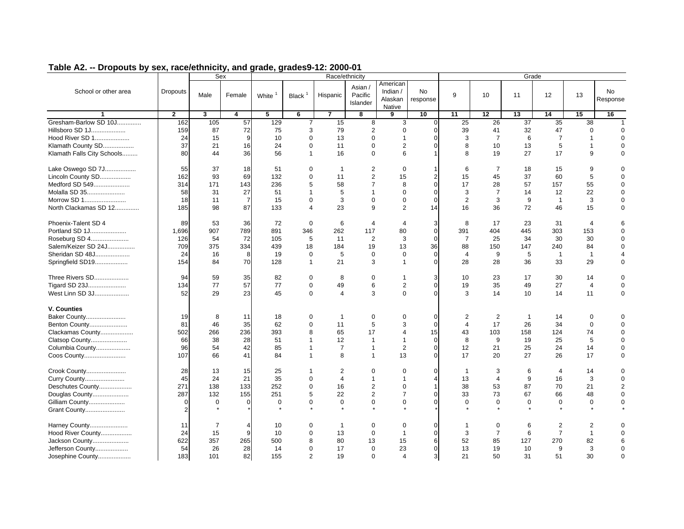|                            |                 | Sex                     |                |          |                |                | Race/ethnicity                 |                                             |                       |                |                | Grade          |                |                 |                 |
|----------------------------|-----------------|-------------------------|----------------|----------|----------------|----------------|--------------------------------|---------------------------------------------|-----------------------|----------------|----------------|----------------|----------------|-----------------|-----------------|
| School or other area       | <b>Dropouts</b> | Male                    | Female         | White    | Black $1$      | Hispanic       | Asian /<br>Pacific<br>Islander | American<br>Indian $/$<br>Alaskan<br>Native | <b>No</b><br>response | 9              | 10             | 11             | 12             | 13              | No.<br>Response |
| $\mathbf{1}$               | $\overline{2}$  | $\overline{\mathbf{3}}$ | 4              | 5        | 6              | $\overline{7}$ | 8                              | 9                                           | 10                    | 11             | 12             | 13             | 14             | 15              | 16              |
| Gresham-Barlow SD 10J      | 162             | 105                     | 57             | 129      | $\overline{7}$ | 15             | 8                              | 3                                           | $\overline{0}$        | 25             | 26             | 37             | 35             | $\overline{38}$ | $\overline{1}$  |
| Hillsboro SD 1J            | 159             | 87                      | 72             | 75       | 3              | 79             | $\overline{2}$                 | $\mathbf 0$                                 | $\mathbf{0}$          | 39             | 41             | 32             | 47             | $\mathbf 0$     | $\Omega$        |
| Hood River SD 1            | 24              | 15                      | 9              | 10       | $\mathbf 0$    | 13             | $\Omega$                       | $\mathbf{1}$                                | $\mathbf 0$           | 3              | $\overline{7}$ | 6              | $\overline{7}$ | $\overline{1}$  | $\Omega$        |
| Klamath County SD          | 37              | 21                      | 16             | 24       | $\mathbf 0$    | 11             | $\mathbf 0$                    | $\overline{2}$                              | $\mathbf{0}$          | 8              | 10             | 13             | 5              | $\mathbf{1}$    | $\Omega$        |
| Klamath Falls City Schools | 80              | 44                      | 36             | 56       | $\mathbf{1}$   | 16             | $\Omega$                       | 6                                           | $\mathbf{1}$          | 8              | 19             | 27             | 17             | 9               | $\Omega$        |
| Lake Oswego SD 7J          | 55              | 37                      | 18             | 51       | 0              | $\mathbf 1$    | 2                              | $\Omega$                                    | $\overline{1}$        | 6              | $\overline{7}$ | 18             | 15             | 9               | $\Omega$        |
| Lincoln County SD          | 162             | 93                      | 69             | 132      | $\mathbf 0$    | 11             | $\overline{2}$                 | 15                                          | $\overline{2}$        | 15             | 45             | 37             | 60             | 5               | $\Omega$        |
| Medford SD 549             | 314             | 171                     | 143            | 236      | 5              | 58             | $\overline{7}$                 | 8                                           | $\mathbf{0}$          | 17             | 28             | 57             | 157            | 55              | $\Omega$        |
| Molalla SD 35              | 58              | 31                      | 27             | 51       | $\mathbf{1}$   | 5              | $\mathbf{1}$                   | $\mathbf 0$                                 | $\mathbf{0}$          | 3              | $\overline{7}$ | 14             | 12             | 22              | $\Omega$        |
| Morrow SD 1                | 18              | 11                      | $\overline{7}$ | 15       | $\mathbf 0$    | 3              | $\mathbf 0$                    | $\mathbf 0$                                 | $\mathbf 0$           | 2              | 3              | 9              | $\mathbf{1}$   | 3               | $\Omega$        |
| North Clackamas SD 12      | 185             | 98                      | 87             | 133      | $\overline{4}$ | 23             | 9                              | 2                                           | 14                    | 16             | 36             | 72             | 46             | 15              | $\Omega$        |
| Phoenix-Talent SD 4        | 89              | 53                      | 36             | 72       | $\Omega$       | 6              | $\overline{4}$                 | $\overline{4}$                              | 3                     | 8              | 17             | 23             | 31             | $\overline{4}$  |                 |
| Portland SD 1J             | 1.696           | 907                     | 789            | 891      | 346            | 262            | 117                            | 80                                          | $\Omega$              | 391            | 404            | 445            | 303            | 153             |                 |
| Roseburg SD 4              | 126             | 54                      | 72             | 105      | 5              | 11             | $\overline{2}$                 | 3                                           | $\mathbf{0}$          | $\overline{7}$ | 25             | 34             | 30             | 30              | $\Omega$        |
| Salem/Keizer SD 24J        | 709             | 375                     | 334            | 439      | 18             | 184            | 19                             | 13                                          | 36                    | 88             | 150            | 147            | 240            | 84              | $\Omega$        |
| Sheridan SD 48J            | 24              | 16                      | 8              | 19       | $\mathbf 0$    | 5              | $\mathbf 0$                    | $\mathbf 0$                                 | $\overline{0}$        | $\overline{4}$ | 9              | 5              | $\overline{1}$ | $\overline{1}$  |                 |
| Springfield SD19           | 154             | 84                      | 70             | 128      | $\mathbf{1}$   | 21             | 3                              | $\mathbf{1}$                                | $\overline{0}$        | 28             | 28             | 36             | 33             | 29              | 0               |
| Three Rivers SD            | 94              | 59                      | 35             | 82       | 0              | 8              | $\mathbf 0$                    | $\mathbf{1}$                                | 3                     | 10             | 23             | 17             | 30             | 14              | $\Omega$        |
| Tigard SD 23J              | 134             | 77                      | 57             | 77       | $\mathbf 0$    | 49             | 6                              | 2                                           | $\mathbf{0}$          | 19             | 35             | 49             | 27             | $\overline{4}$  | $\Omega$        |
| West Linn SD 3J            | 52              | 29                      | 23             | 45       | $\mathbf 0$    | $\overline{4}$ | 3                              | $\mathbf 0$                                 | $\mathbf 0$           | 3              | 14             | 10             | 14             | 11              | $\Omega$        |
| V. Counties                |                 |                         |                |          |                |                |                                |                                             |                       |                |                |                |                |                 |                 |
| Baker County               | 19              | 8                       | 11             | 18       | 0              | $\mathbf{1}$   | $\mathbf 0$                    | $\mathbf 0$                                 | $\overline{0}$        | 2              | 2              | $\overline{1}$ | 14             | $\mathbf 0$     | 0               |
| Benton County              | 81              | 46                      | 35             | 62       | $\mathbf 0$    | 11             | 5                              | 3                                           | $\mathbf 0$           | $\overline{4}$ | 17             | 26             | 34             | $\mathbf 0$     | 0               |
| Clackamas County           | 502             | 266                     | 236            | 393      | 8              | 65             | 17                             | $\overline{4}$                              | 15                    | 43             | 103            | 158            | 124            | 74              | $\Omega$        |
| Clatsop County             | 66              | 38                      | 28             | 51       | $\mathbf{1}$   | 12             | $\mathbf{1}$                   | $\mathbf{1}$                                | $\mathbf{0}$          | 8              | 9              | 19             | 25             | 5               | $\Omega$        |
| Columbia County            | 96              | 54                      | 42             | 85       | $\mathbf{1}$   | $\overline{7}$ | $\mathbf{1}$                   | $\overline{2}$                              | $\mathbf{0}$          | 12             | 21             | 25             | 24             | 14              | $\Omega$        |
| Coos County                | 107             | 66                      | 41             | 84       | $\mathbf{1}$   | 8              | $\mathbf{1}$                   | 13                                          | $\mathbf 0$           | 17             | 20             | 27             | 26             | 17              | 0               |
| Crook County               | 28              | 13                      | 15             | 25       | 1              | 2              | $\Omega$                       | $\mathbf 0$                                 | $\mathbf 0$           | $\mathbf{1}$   | 3              | 6              | 4              | 14              | $\Omega$        |
| Curry County               | 45              | 24                      | 21             | 35       | $\mathbf 0$    | $\overline{4}$ | $\mathbf{1}$                   | $\mathbf{1}$                                | $\overline{4}$        | 13             | $\overline{4}$ | 9              | 16             | 3               | $\Omega$        |
| Deschutes County           | 271             | 138                     | 133            | 252      | $\Omega$       | 16             | $\overline{2}$                 | $\Omega$                                    | $\overline{1}$        | 38             | 53             | 87             | 70             | 21              | $\overline{2}$  |
| Douglas County             | 287             | 132                     | 155            | 251      | 5              | 22             | $\overline{2}$                 | $\overline{7}$                              | $\Omega$              | 33             | 73             | 67             | 66             | 48              | $\Omega$        |
| Gilliam County             | $\Omega$        | $\Omega$                | $\Omega$       | $\Omega$ | $\Omega$       | $\mathbf{0}$   | $\Omega$                       | $\Omega$                                    | $\Omega$              | $\Omega$       | $\Omega$       | $\Omega$       | $\Omega$       | $\Omega$        | $\Omega$        |
| Grant County               | $\overline{2}$  |                         |                |          |                |                |                                |                                             |                       |                |                |                |                |                 |                 |
| Harney County              | 11              | $\overline{7}$          | $\overline{4}$ | 10       | $\Omega$       | $\mathbf 1$    | $\mathbf 0$                    | $\mathbf 0$                                 | $\mathbf 0$           | $\mathbf 1$    | $\mathbf 0$    | 6              | $\overline{c}$ | 2               |                 |
| Hood River County          | 24              | 15                      | 9              | 10       | $\Omega$       | 13             | $\Omega$                       | $\mathbf{1}$                                | $\Omega$              | 3              | $\overline{7}$ | 6              | $\overline{7}$ | $\mathbf{1}$    |                 |
| Jackson County             | 622             | 357                     | 265            | 500      | 8              | 80             | 13                             | 15                                          | 6                     | 52             | 85             | 127            | 270            | 82              | 6               |
| Jefferson County           | 54              | 26                      | 28             | 14       | $\Omega$       | 17             | $\Omega$                       | 23                                          | $\Omega$              | 13             | 19             | 10             | 9              | 3               | $\Omega$        |
| Josephine County           | 183             | 101                     | 82             | 155      | $\overline{2}$ | 19             | $\Omega$                       | $\overline{4}$                              | 3                     | 21             | 50             | 31             | 51             | 30              | $\Omega$        |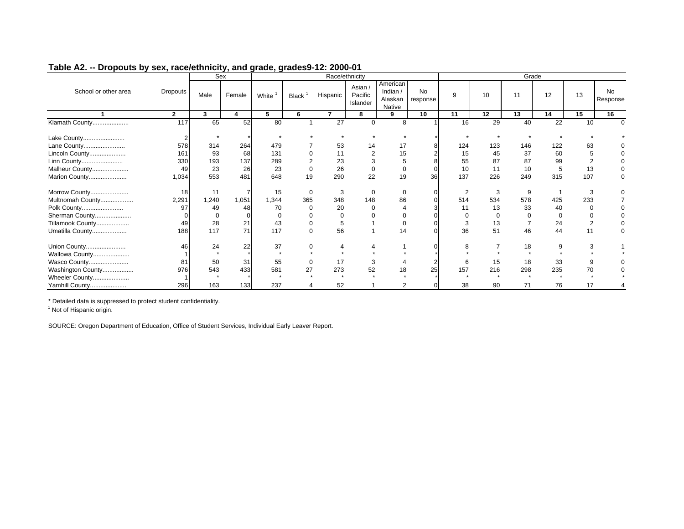|                      |                | Sex      |        |          |              |                          | Race/ethnicity                 |                                             |                       |                |     | Grade    |                 |          |                 |
|----------------------|----------------|----------|--------|----------|--------------|--------------------------|--------------------------------|---------------------------------------------|-----------------------|----------------|-----|----------|-----------------|----------|-----------------|
| School or other area | Dropouts       | Male     | Female | White    | <b>Black</b> | Hispanic                 | Asian /<br>Pacific<br>Islander | American<br>Indian $/$<br>Alaskan<br>Native | <b>No</b><br>response | 9              | 10  | 11       | 12              | 13       | No.<br>Response |
|                      | $\overline{2}$ | 3        | 4      | 5        | 6            | $\overline{\phantom{a}}$ | 8                              | 9                                           | 10                    | 11             | 12  | 13       | 14              | 15       | 16              |
| Klamath County       | 117            | 65       | 52     | 80       |              | $\overline{27}$          | $\Omega$                       | 8                                           |                       | 16             | 29  | 40       | $\overline{22}$ | 10       | $\Omega$        |
| Lake County          |                |          |        |          |              |                          |                                |                                             |                       |                |     |          |                 |          |                 |
| Lane County          | 578            | 314      | 264    | 479      |              | 53                       | 14                             | 17                                          |                       | 124            | 123 | 146      | 122             | 63       |                 |
| Lincoln County       | 161            | 93       | 68     | 131      |              | 11                       | $\overline{2}$                 | 15                                          |                       | 15             | 45  | 37       | 60              | 5        |                 |
| Linn County          | 330            | 193      | 137    | 289      |              | 23                       |                                |                                             |                       | 55             | 87  | 87       | 99              | c        |                 |
| Malheur County       | 49             | 23       | 26     | 23       |              | 26                       | 0                              | 0                                           |                       | 10             | 11  | 10       | 5               | 13       |                 |
| Marion County        | 1,034          | 553      | 481    | 648      | 19           | 290                      | 22                             | 19                                          | 36                    | 137            | 226 | 249      | 315             | 107      | 0               |
| Morrow County        | 18             | 11       |        | 15       | $\mathbf 0$  | 3                        | $\mathbf 0$                    | $\mathbf 0$                                 |                       | $\overline{2}$ | 3   | 9        |                 | 3        |                 |
| Multnomah County     | 2,291          | 1,240    | 1,051  | 1,344    | 365          | 348                      | 148                            | 86                                          |                       | 514            | 534 | 578      | 425             | 233      |                 |
| Polk County          | 97             | 49       | 48     | 70       |              | 20                       |                                |                                             |                       | 11             | 13  | 33       | 40              | $\Omega$ |                 |
| Sherman County       |                | $\Omega$ |        | $\Omega$ |              |                          |                                |                                             |                       |                | 0   | $\Omega$ |                 |          |                 |
| Tillamook County     | 49             | 28       | 21     | 43       | 0            | 5                        |                                | $\mathbf 0$                                 |                       | 3              | 13  |          | 24              | 2        | $\mathbf 0$     |
| Umatilla County      | 188            | 117      | 71     | 117      | $\Omega$     | 56                       |                                | 14                                          |                       | 36             | 51  | 46       | 44              | 11       |                 |
| Union County         | 46             | 24       | 22     | 37       | $\Omega$     |                          |                                |                                             |                       | 8              |     | 18       | 9               | 3        |                 |
| Wallowa County       |                |          |        | $\star$  |              |                          |                                |                                             |                       |                |     |          |                 |          |                 |
| Wasco County         | 81             | 50       | 31     | 55       | 0            | 17                       | 3                              |                                             |                       | 6              | 15  | 18       | 33              | 9        |                 |
| Washington County    | 976            | 543      | 433    | 581      | 27           | 273                      | 52                             | 18                                          | 25                    | 157            | 216 | 298      | 235             | 70       |                 |
| Wheeler County       |                |          |        |          |              |                          |                                |                                             |                       |                |     |          |                 |          |                 |
| Yamhill County       | 296            | 163      | 133    | 237      |              | 52                       |                                | 2                                           | $\Omega$              | 38             | 90  | 71       | 76              | 17       |                 |

\* Detailed data is suppressed to protect student confidentiality.

<sup>1</sup> Not of Hispanic origin.

SOURCE: Oregon Department of Education, Office of Student Services, Individual Early Leaver Report.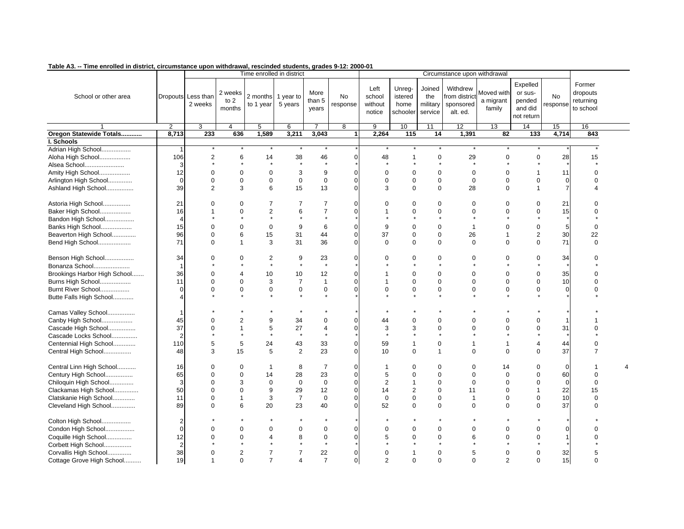| This chronou in district, chodinetalled apont withdrawal, resoluted students, grades of i.e. Loop of |                         |                               |                             |                                 |                |                         |                       |                                     |                                       |                                      |                                                   |                                   |                                                        |                |                                              |  |
|------------------------------------------------------------------------------------------------------|-------------------------|-------------------------------|-----------------------------|---------------------------------|----------------|-------------------------|-----------------------|-------------------------------------|---------------------------------------|--------------------------------------|---------------------------------------------------|-----------------------------------|--------------------------------------------------------|----------------|----------------------------------------------|--|
|                                                                                                      |                         |                               |                             | Time enrolled in district       |                |                         |                       |                                     |                                       |                                      | Circumstance upon withdrawal                      |                                   |                                                        |                |                                              |  |
| School or other area                                                                                 |                         | Dropouts Less than<br>2 weeks | 2 weeks<br>to $2$<br>months | 2 months 1 year to<br>to 1 year | 5 years        | More<br>than 5<br>years | <b>No</b><br>response | Left<br>school<br>without<br>notice | Unreg-<br>istered<br>home<br>schooler | Joined<br>the<br>military<br>service | Withdrew<br>from distric<br>sponsored<br>alt. ed. | Moved with<br>a migrant<br>family | Expelled<br>or sus-<br>pended<br>and did<br>not return | No<br>response | Former<br>dropouts<br>returning<br>to school |  |
|                                                                                                      | $\overline{2}$          | 3                             | 4                           | 5                               | 6              | $\overline{7}$          | 8                     | $\overline{9}$                      | 10                                    | 11                                   | $\overline{12}$                                   | 13                                | 14                                                     | 15             | 16                                           |  |
| Oregon Statewide Totals                                                                              | 8,713                   | 233                           | 636                         | 1,589                           | 3,211          | 3,043                   | 1                     | 2,264                               | 115                                   | 14                                   | 1,391                                             | 82                                | 133                                                    | 4,714          | 843                                          |  |
| I. Schools                                                                                           |                         |                               |                             |                                 |                |                         |                       |                                     |                                       |                                      |                                                   |                                   |                                                        |                |                                              |  |
| Adrian High School                                                                                   | -1                      |                               |                             |                                 |                |                         |                       |                                     |                                       |                                      |                                                   |                                   |                                                        |                |                                              |  |
| Aloha High School                                                                                    | 106                     | $\overline{2}$                | 6                           | 14                              | 38             | 46                      | $\Omega$              | 48                                  | $\mathbf 1$                           | $\Omega$                             | 29                                                | $\Omega$                          | $\Omega$                                               | 28             | 15                                           |  |
| Alsea School                                                                                         |                         |                               |                             |                                 |                |                         |                       |                                     |                                       |                                      |                                                   |                                   |                                                        |                |                                              |  |
| Amity High School                                                                                    | 12                      | 0                             | $\mathbf 0$                 | $\mathbf 0$                     | 3              | 9                       | $\Omega$              | $\Omega$                            | $\Omega$                              | $\Omega$                             | 0                                                 | $\Omega$                          | 1                                                      | 11             | 0                                            |  |
| Arlington High School                                                                                | $\Omega$                | $\Omega$                      | $\mathbf 0$                 | $\mathbf 0$                     | $\mathbf 0$    | $\mathbf 0$             | $\Omega$              | $\Omega$                            | $\Omega$                              | $\mathbf 0$                          | $\Omega$                                          | $\Omega$                          | $\Omega$                                               | $\mathbf 0$    | ი                                            |  |
| Ashland High School                                                                                  | 39                      | 2                             | 3                           | 6                               | 15             | 13                      | $\Omega$              | 3                                   | $\Omega$                              | $\mathbf 0$                          | 28                                                | $\Omega$                          | 1                                                      | $\overline{7}$ |                                              |  |
|                                                                                                      |                         |                               |                             |                                 |                |                         |                       |                                     |                                       |                                      |                                                   |                                   |                                                        |                |                                              |  |
| Astoria High School                                                                                  | 21                      | O                             | 0                           | 7                               | 7              | $\overline{7}$          | $\Omega$              | $\Omega$                            | $\Omega$                              | $\Omega$                             | 0                                                 | $\Omega$                          | 0                                                      | 21             | ი                                            |  |
| Baker High School                                                                                    | 16                      |                               | $\mathbf 0$                 | $\sqrt{2}$                      | 6              | $\overline{7}$          | $\Omega$              |                                     | $\Omega$                              | $\Omega$                             | $\Omega$                                          | $\Omega$                          | $\mathbf 0$                                            | 15             | O                                            |  |
| Bandon High School                                                                                   |                         |                               |                             |                                 |                |                         |                       |                                     |                                       |                                      |                                                   |                                   |                                                        |                |                                              |  |
| Banks High School                                                                                    | 15                      | $\Omega$                      | $\mathbf 0$                 | $\mathbf 0$                     | 9              | 6                       | $\mathbf 0$           | 9                                   | $\Omega$                              | $\mathbf 0$                          | $\overline{1}$                                    | $\Omega$                          | $\pmb{0}$                                              | 5              | 0                                            |  |
| Beaverton High School                                                                                | 96                      | $\Omega$                      | 6                           | 15                              | 31             | 44                      | $\mathbf 0$           | 37                                  | $\mathbf 0$                           | $\mathbf 0$                          | 26                                                | $\mathbf 1$                       | $\mathbf{2}$                                           | 30             | 22                                           |  |
| Bend High School                                                                                     | 71                      | $\Omega$                      | $\mathbf{1}$                | 3                               | 31             | 36                      | $\mathbf 0$           | $\mathbf 0$                         | $\mathbf 0$                           | $\mathbf 0$                          | $\mathbf{0}$                                      | $\mathbf 0$                       | $\mathbf 0$                                            | 71             | $\mathbf 0$                                  |  |
|                                                                                                      |                         |                               |                             |                                 |                |                         |                       |                                     |                                       |                                      |                                                   |                                   |                                                        |                |                                              |  |
| Benson High School                                                                                   | 34                      | $\Omega$                      | 0                           | 2                               | 9              | 23                      | $\mathbf 0$           | $\Omega$                            | $\Omega$                              | $\Omega$                             | 0                                                 | $\Omega$                          | 0                                                      | 34             |                                              |  |
| Bonanza School                                                                                       | $\overline{\mathbf{1}}$ |                               |                             |                                 | $\star$        |                         |                       |                                     |                                       |                                      |                                                   |                                   |                                                        |                |                                              |  |
| Brookings Harbor High School                                                                         | 36                      | $\Omega$                      | 4                           | 10                              | 10             | 12                      | $\Omega$              |                                     | $\Omega$                              | $\Omega$                             | $\Omega$                                          | $\Omega$                          | $\mathbf 0$                                            | 35             |                                              |  |
| Burns High School                                                                                    | 11                      | $\Omega$                      | $\Omega$                    | 3                               | $\overline{7}$ | $\overline{1}$          | $\Omega$              |                                     | $\Omega$                              | $\Omega$                             | $\Omega$                                          | $\Omega$                          | $\Omega$                                               | 10             | ი                                            |  |
| Burnt River School                                                                                   | $\Omega$                | $\Omega$                      | $\mathbf 0$                 | $\mathbf 0$                     | 0              | $\boldsymbol{0}$        | $\mathbf 0$           | $\Omega$                            | $\mathbf 0$                           | $\mathbf 0$                          | $\mathbf 0$                                       | $\mathbf 0$                       | $\mathbf 0$                                            | $\Omega$       |                                              |  |
| Butte Falls High School                                                                              |                         |                               |                             |                                 |                |                         |                       |                                     |                                       |                                      |                                                   |                                   |                                                        |                |                                              |  |
|                                                                                                      |                         |                               |                             |                                 |                |                         |                       |                                     |                                       |                                      |                                                   |                                   |                                                        |                |                                              |  |
| Camas Valley School                                                                                  | -1                      |                               |                             |                                 |                |                         |                       |                                     |                                       |                                      |                                                   |                                   |                                                        |                |                                              |  |
| Canby High School                                                                                    | 45                      | 0                             | 2                           | 9                               | 34             | 0                       | 0                     | 44                                  | $\Omega$                              | 0                                    | $\Omega$                                          | $\Omega$                          | $\mathbf 0$                                            | -1             |                                              |  |
| Cascade High School                                                                                  | 37                      | $\Omega$                      | 1                           | 5                               | 27             | $\overline{4}$          | $\Omega$              | 3                                   | 3                                     | $\Omega$                             | $\Omega$                                          | $\Omega$                          | $\mathbf 0$                                            | 31             |                                              |  |
| Cascade Locks School                                                                                 |                         |                               |                             |                                 | $\star$        |                         |                       |                                     |                                       |                                      |                                                   |                                   |                                                        |                |                                              |  |
| Centennial High School                                                                               | 110                     | 5                             | 5                           | 24                              | 43             | 33                      | $\Omega$              | 59                                  | $\mathbf 1$                           | $\mathbf 0$                          | 1                                                 | $\mathbf 1$                       | 4                                                      | 44             |                                              |  |
| Central High School                                                                                  | 48                      | 3                             | 15                          | 5                               | $\overline{2}$ | 23                      | $\Omega$              | 10                                  | $\mathbf 0$                           | $\mathbf 1$                          | $\Omega$                                          | $\Omega$                          | $\mathbf 0$                                            | 37             | 7                                            |  |
|                                                                                                      |                         |                               |                             |                                 |                |                         |                       |                                     |                                       |                                      |                                                   |                                   |                                                        |                |                                              |  |
| Central Linn High School                                                                             | 16                      | $\Omega$                      | 0                           | $\overline{1}$                  | 8              | $\overline{7}$          | 0                     | -1                                  | $\Omega$                              | $\Omega$                             | 0                                                 | 14                                | $\mathbf 0$                                            | $\mathbf 0$    |                                              |  |
| Century High School                                                                                  | 65                      | $\Omega$                      | 0                           | 14                              | 28             | 23                      | $\mathbf 0$           | 5                                   | $\Omega$                              | $\Omega$                             | $\Omega$                                          | $\Omega$                          | $\pmb{0}$                                              | 60             | $\Omega$                                     |  |
| Chiloquin High School                                                                                | 3                       | O                             | 3                           | $\mathbf 0$                     | $\mathbf 0$    | $\mathbf 0$             | $\Omega$              | $\overline{2}$                      | $\mathbf 1$                           | $\Omega$                             | $\Omega$                                          | $\Omega$                          | $\Omega$                                               | $\Omega$       | U                                            |  |
| Clackamas High School                                                                                | 50                      | $\Omega$                      | $\mathbf 0$                 | 9                               | 29             | 12                      | $\mathbf 0$           | 14                                  | $\overline{2}$                        | $\Omega$                             | 11                                                | $\Omega$                          | 1                                                      | 22             | 15                                           |  |
| Clatskanie High School                                                                               | 11                      | $\Omega$                      | 1                           | 3                               | $\overline{7}$ | $\mathbf 0$             | $\Omega$              | $\mathbf 0$                         | $\Omega$                              | $\Omega$                             | $\overline{\mathbf{1}}$                           | $\Omega$                          | $\Omega$                                               | 10             | $\Omega$                                     |  |
| Cleveland High School                                                                                | 89                      | $\Omega$                      | 6                           | 20                              | 23             | 40                      | $\Omega$              | 52                                  | $\mathbf 0$                           | $\mathbf 0$                          | $\mathbf 0$                                       | $\Omega$                          | $\Omega$                                               | 37             | $\Omega$                                     |  |
|                                                                                                      |                         |                               |                             |                                 |                |                         |                       |                                     |                                       |                                      |                                                   |                                   |                                                        |                |                                              |  |
| Colton High School                                                                                   | 2                       |                               |                             |                                 |                |                         |                       |                                     |                                       |                                      |                                                   |                                   |                                                        |                |                                              |  |
| Condon High School                                                                                   | $\Omega$                | U                             | $\mathbf 0$                 | $\mathbf 0$                     | 0              | $\mathbf 0$             | $\Omega$              | $\Omega$                            | $\Omega$                              | $\Omega$                             | $\Omega$                                          | $\Omega$                          | $\mathbf 0$                                            | $\Omega$       |                                              |  |
| Coquille High School                                                                                 | 12                      |                               | 0                           | $\overline{4}$                  | 8              | $\mathbf 0$             | $\Omega$              | 5                                   | $\Omega$                              | $\Omega$                             | 6                                                 | $\Omega$                          | $\mathbf 0$                                            |                |                                              |  |
| Corbett High School                                                                                  | $\overline{2}$          |                               |                             |                                 |                |                         |                       |                                     |                                       |                                      |                                                   |                                   |                                                        |                |                                              |  |
| Corvallis High School                                                                                | 38                      | $\Omega$                      | $\overline{2}$              | $\overline{7}$                  | $\overline{7}$ | 22                      | $\mathbf 0$           | $\Omega$                            |                                       | $\Omega$                             | 5                                                 | $\Omega$                          | $\mathbf 0$                                            | 32             |                                              |  |
| Cottage Grove High School                                                                            | 19                      | $\overline{1}$                | $\Omega$                    | $\overline{7}$                  | 4              | $\overline{7}$          | $\Omega$              | $\overline{2}$                      | $\Omega$                              | $\Omega$                             | $\Omega$                                          | $\overline{2}$                    | $\Omega$                                               | 15             | $\Omega$                                     |  |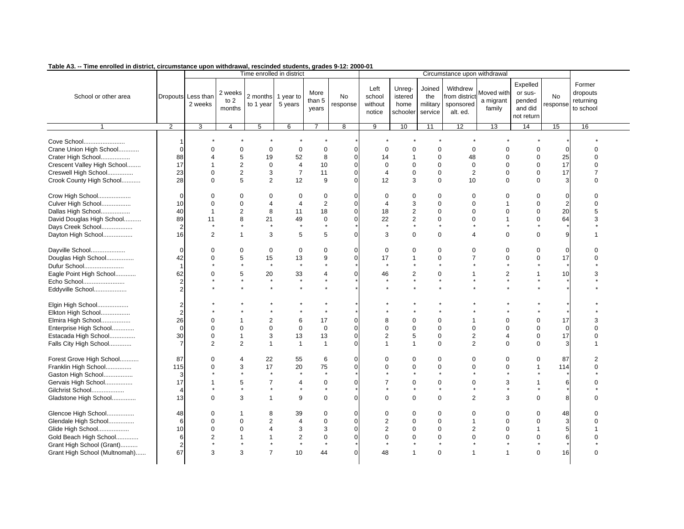| This chroned in district, chedinatures upon withdrawal, resonated students, grades of i.e. 2000 of |                      |                               |                             |                           |                      |                         |                               |                                     |                                       |                                      |                                                   |                                   |                                                        |                       |                                              |  |
|----------------------------------------------------------------------------------------------------|----------------------|-------------------------------|-----------------------------|---------------------------|----------------------|-------------------------|-------------------------------|-------------------------------------|---------------------------------------|--------------------------------------|---------------------------------------------------|-----------------------------------|--------------------------------------------------------|-----------------------|----------------------------------------------|--|
|                                                                                                    |                      |                               |                             | Time enrolled in district |                      |                         |                               |                                     |                                       |                                      | Circumstance upon withdrawal                      |                                   |                                                        |                       |                                              |  |
| School or other area                                                                               |                      | Dropouts Less than<br>2 weeks | 2 weeks<br>to $2$<br>months | 2 months<br>to 1 year     | 1 year to<br>5 years | More<br>than 5<br>years | No<br>response                | Left<br>school<br>without<br>notice | Unreg-<br>istered<br>home<br>schooler | Joined<br>the<br>military<br>service | Withdrew<br>from distric<br>sponsored<br>alt. ed. | Moved with<br>a migrant<br>family | Expelled<br>or sus-<br>pended<br>and did<br>not return | <b>No</b><br>response | Former<br>dropouts<br>returning<br>to school |  |
|                                                                                                    | 2                    | 3                             | $\overline{4}$              | 5                         | 6                    | $\overline{7}$          | $\overline{8}$                | $\overline{9}$                      | 10                                    | 11                                   | 12                                                | 13                                | 14                                                     | 15                    | 16                                           |  |
| Cove School<br>Crane Union High School<br>Crater High School                                       | -1<br>$\Omega$<br>88 | $\Omega$<br>4                 | $\mathbf 0$<br>5            | $\mathbf 0$<br>19         | $\mathbf 0$<br>52    | $\mathbf 0$<br>8        | $\overline{0}$<br>$\mathbf 0$ | $\Omega$<br>14                      | $\Omega$<br>$\mathbf{1}$              | $\Omega$<br>0                        | $\Omega$<br>48                                    | $\Omega$<br>$\mathbf 0$           | $\mathbf 0$<br>$\mathbf 0$                             | $\Omega$<br>25        | $\Omega$<br>U                                |  |
| Crescent Valley High School                                                                        | 17                   | 1                             | $\mathbf{2}$                | $\mathbf 0$               | $\overline{4}$       | 10                      | $\mathbf 0$                   | $\mathbf 0$                         | $\mathbf 0$                           | $\Omega$                             | $\mathbf 0$                                       | $\Omega$                          | $\Omega$                                               | 17                    |                                              |  |
| Creswell High School                                                                               | 23                   | $\Omega$                      | $\overline{2}$              | 3                         | $\overline{7}$       | 11                      | $\mathbf 0$                   | $\overline{4}$                      | $\mathbf 0$                           | $\mathbf 0$                          | 2                                                 | $\Omega$                          | $\Omega$                                               | 17                    | $\overline{7}$                               |  |
|                                                                                                    |                      |                               |                             |                           |                      |                         |                               |                                     |                                       |                                      |                                                   |                                   |                                                        |                       |                                              |  |
| Crook County High School                                                                           | 28                   | $\Omega$                      | 5                           | 2                         | 12                   | 9                       | $\Omega$                      | 12                                  | 3                                     | $\Omega$                             | 10                                                | $\Omega$                          | $\Omega$                                               | 3                     | $\Omega$                                     |  |
| Crow High School                                                                                   | $\Omega$             | $\Omega$                      | 0                           | $\mathbf 0$               | $\mathbf 0$          | $\mathbf 0$             | $\Omega$                      | $\Omega$                            | $\mathbf 0$                           | $\Omega$                             | $\Omega$                                          | $\Omega$                          | $\mathbf 0$                                            | $\Omega$              | $\Omega$                                     |  |
| Culver High School                                                                                 | 10                   | $\Omega$                      | $\mathbf 0$                 | 4                         | 4                    | $\overline{2}$          | $\mathbf{0}$                  | $\overline{4}$                      | 3                                     | $\Omega$                             | $\Omega$                                          |                                   | $\mathbf 0$                                            | $\overline{2}$        | $\Omega$                                     |  |
| Dallas High School                                                                                 | 40                   | $\overline{1}$                | $\overline{2}$              | 8                         | 11                   | 18                      | $\Omega$                      | 18                                  | $\overline{2}$                        | $\Omega$                             | $\Omega$                                          | $\Omega$                          | $\Omega$                                               | 20                    | 5                                            |  |
| David Douglas High School                                                                          | 89                   | 11                            | 8                           | 21                        | 49                   | 0                       | $\mathbf 0$                   | 22                                  | $\overline{2}$                        | $\mathbf 0$                          | $\Omega$                                          |                                   | $\Omega$                                               | 64                    | 3                                            |  |
| Days Creek School                                                                                  | $\overline{2}$       |                               |                             | $\star$                   | $\star$              |                         |                               |                                     |                                       |                                      |                                                   |                                   |                                                        |                       |                                              |  |
| Dayton High School                                                                                 | 16                   | 2                             | $\mathbf{1}$                | 3                         | 5                    | 5                       | $\Omega$                      | 3                                   | $\Omega$                              | $\Omega$                             | $\boldsymbol{\Delta}$                             | $\Omega$                          | $\Omega$                                               | 9                     |                                              |  |
|                                                                                                    |                      |                               |                             |                           |                      |                         |                               |                                     |                                       |                                      |                                                   |                                   |                                                        |                       |                                              |  |
| Dayville School                                                                                    | $\Omega$             | $\Omega$                      | 0                           | $\mathbf 0$               | $\mathbf 0$          | 0                       | 0                             | 0                                   | $\mathbf 0$                           | $\mathbf 0$                          | $\Omega$                                          | $\Omega$                          | $\mathbf 0$                                            | $\Omega$              | $\Omega$                                     |  |
| Douglas High School                                                                                | 42                   | 0                             | 5                           | 15                        | 13                   | 9                       | $\overline{0}$                | 17                                  | $\mathbf{1}$                          | $\mathbf 0$                          |                                                   | $\Omega$                          | $\mathbf 0$                                            | 17                    | $\Omega$                                     |  |
| Dufur School                                                                                       | $\overline{1}$       |                               |                             | $\star$                   | $\star$              |                         |                               |                                     |                                       |                                      |                                                   |                                   |                                                        |                       |                                              |  |
|                                                                                                    |                      | $\Omega$                      |                             |                           |                      |                         |                               |                                     |                                       |                                      |                                                   | $\overline{2}$                    | 1                                                      |                       |                                              |  |
| Eagle Point High School                                                                            | 62                   |                               | 5                           | 20<br>$\star$             | 33<br>$\pmb{\star}$  | 4                       | 0                             | 46                                  | $\overline{2}$                        | 0<br>$\star$                         |                                                   |                                   |                                                        | 10                    | 3                                            |  |
| Echo School                                                                                        | $\overline{2}$       |                               |                             |                           |                      |                         |                               |                                     |                                       |                                      |                                                   |                                   |                                                        |                       |                                              |  |
| Eddyville School                                                                                   | 2                    |                               |                             |                           |                      |                         |                               |                                     |                                       |                                      |                                                   |                                   |                                                        |                       |                                              |  |
| Elgin High School                                                                                  | $\overline{2}$       |                               |                             |                           |                      |                         |                               |                                     |                                       |                                      |                                                   |                                   |                                                        |                       |                                              |  |
| Elkton High School                                                                                 | $\overline{2}$       |                               |                             |                           |                      |                         |                               |                                     |                                       |                                      |                                                   |                                   |                                                        |                       |                                              |  |
| Elmira High School                                                                                 | 26                   | $\Omega$                      | $\mathbf 1$                 | 2                         | 6                    | 17                      | $\mathbf 0$                   | 8                                   | $\mathbf 0$                           | $\mathbf 0$                          |                                                   | $\Omega$                          | $\mathbf 0$                                            | 17                    | 3                                            |  |
| Enterprise High School                                                                             | $\mathbf 0$          | $\Omega$                      | $\mathbf 0$                 | $\mathbf 0$               | 0                    | $\mathbf 0$             | $\mathbf 0$                   | $\mathbf 0$                         | $\mathbf 0$                           | $\mathbf 0$                          | $\mathbf 0$                                       | $\Omega$                          | $\mathbf 0$                                            | $\mathbf 0$           | $\Omega$                                     |  |
| Estacada High School                                                                               | 30                   | $\mathbf 0$                   | $\mathbf{1}$                | 3                         | 13                   | 13                      | $\overline{0}$                | $\overline{2}$                      | 5                                     | 0                                    | $\overline{2}$                                    | $\overline{4}$                    | $\mathbf 0$                                            | 17                    | $\Omega$                                     |  |
| Falls City High School                                                                             | $\overline{7}$       | 2                             | 2                           | $\overline{1}$            | $\mathbf{1}$         | $\overline{1}$          | $\Omega$                      | $\overline{1}$                      | $\mathbf{1}$                          | $\Omega$                             | $\overline{2}$                                    | $\Omega$                          | $\Omega$                                               | 3                     |                                              |  |
|                                                                                                    |                      |                               |                             |                           |                      |                         |                               |                                     |                                       |                                      |                                                   |                                   |                                                        |                       |                                              |  |
| Forest Grove High School                                                                           | 87                   | $\Omega$                      | 4                           | 22                        | 55                   | 6                       | $\Omega$                      | $\Omega$                            | $\mathbf 0$                           | 0                                    | $\Omega$                                          | $\mathbf 0$                       | $\mathbf 0$                                            | 87                    | 2                                            |  |
| Franklin High School                                                                               | 115                  | $\Omega$                      | 3                           | 17                        | 20                   | 75                      | $\Omega$                      | $\Omega$                            | $\Omega$                              | $\Omega$                             | $\Omega$                                          | $\Omega$                          | $\mathbf{1}$                                           | 114                   | $\Omega$                                     |  |
| Gaston High School                                                                                 | 3                    |                               |                             |                           |                      |                         |                               |                                     |                                       |                                      |                                                   |                                   |                                                        |                       |                                              |  |
| Gervais High School                                                                                | 17                   |                               | 5                           | $\overline{7}$            | 4                    | 0                       | $\Omega$                      | 7                                   | $\Omega$                              | $\Omega$                             | $\Omega$                                          | 3                                 |                                                        | 6                     |                                              |  |
|                                                                                                    | $\Delta$             |                               | $\star$                     |                           | $\star$              |                         |                               |                                     |                                       |                                      |                                                   |                                   |                                                        |                       |                                              |  |
| Gilchrist School                                                                                   |                      |                               |                             |                           |                      |                         |                               |                                     |                                       |                                      |                                                   |                                   |                                                        |                       |                                              |  |
| Gladstone High School                                                                              | 13                   | $\Omega$                      | 3                           | $\overline{1}$            | 9                    | 0                       | $\Omega$                      | $\Omega$                            | $\Omega$                              | $\mathbf 0$                          | $\overline{2}$                                    | 3                                 | $\Omega$                                               | 8                     | $\Omega$                                     |  |
| Glencoe High School                                                                                | 48                   | $\Omega$                      | 1                           | 8                         | 39                   | 0                       | $\Omega$                      | $\Omega$                            | $\Omega$                              | $\Omega$                             | $\Omega$                                          | $\Omega$                          | $\Omega$                                               | 48                    |                                              |  |
| Glendale High School                                                                               | 6                    | 0                             | 0                           | 2                         | 4                    | $\mathbf 0$             | $\mathbf 0$                   | $\overline{2}$                      | $\mathbf 0$                           | 0                                    |                                                   | $\Omega$                          | $\mathbf 0$                                            | 3                     | U                                            |  |
|                                                                                                    |                      | $\Omega$                      | 0                           | $\overline{4}$            |                      |                         | $\Omega$                      | $\overline{2}$                      |                                       |                                      | $\overline{2}$                                    | $\Omega$                          | $\overline{1}$                                         |                       |                                              |  |
| Glide High School                                                                                  | 10                   |                               |                             |                           | 3                    | 3                       |                               |                                     | $\mathbf 0$                           | $\mathbf 0$                          |                                                   |                                   |                                                        | 5                     |                                              |  |
| Gold Beach High School                                                                             | 6                    | $\overline{2}$                | 1                           | $\mathbf{1}$              | $\overline{c}$       | $\mathbf 0$             | $\overline{0}$                | $\Omega$                            | $\Omega$                              | $\mathbf 0$                          | $\Omega$                                          | $\Omega$                          | $\Omega$                                               | 6                     |                                              |  |
| Grant High School (Grant)                                                                          | $\overline{2}$       |                               | $\star$                     | $^\star$                  | $\star$              |                         |                               |                                     |                                       | $\star$                              |                                                   |                                   |                                                        |                       |                                              |  |
| Grant High School (Multnomah)                                                                      | 67                   | 3                             | 3                           | $\overline{7}$            | 10                   | 44                      | $\Omega$                      | 48                                  | 1                                     | $\mathbf 0$                          |                                                   |                                   | $\Omega$                                               | 16                    | $\Omega$                                     |  |
|                                                                                                    |                      |                               |                             |                           |                      |                         |                               |                                     |                                       |                                      |                                                   |                                   |                                                        |                       |                                              |  |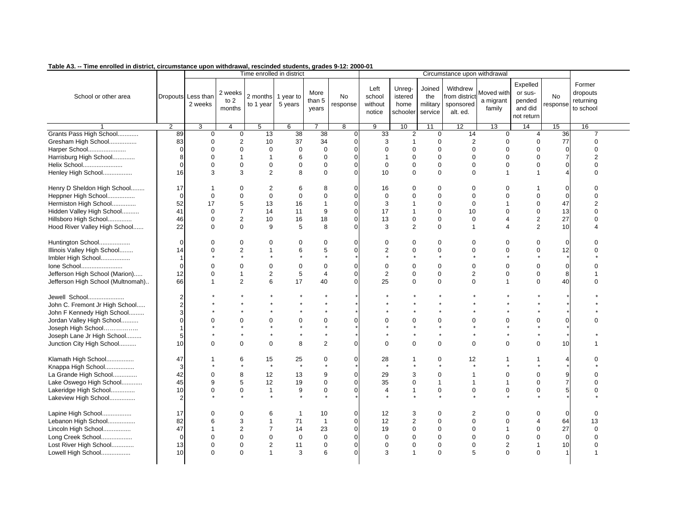| rable AJ. -- Time em olieu in ulstrict, circumstance upon withurawal, rescinueu students, grades 3-12. 2000-01 |                |                               |                             |                                 |                |                         |                |                                     |                                       |                                      |                                                   |                                   |                                                        |                       |                                              |  |
|----------------------------------------------------------------------------------------------------------------|----------------|-------------------------------|-----------------------------|---------------------------------|----------------|-------------------------|----------------|-------------------------------------|---------------------------------------|--------------------------------------|---------------------------------------------------|-----------------------------------|--------------------------------------------------------|-----------------------|----------------------------------------------|--|
|                                                                                                                |                |                               |                             | Time enrolled in district       |                |                         |                |                                     |                                       |                                      | Circumstance upon withdrawal                      |                                   |                                                        |                       |                                              |  |
| School or other area                                                                                           |                | Dropouts Less than<br>2 weeks | 2 weeks<br>to $2$<br>months | 2 months 1 year to<br>to 1 year | 5 years        | More<br>than 5<br>years | No<br>response | Left<br>school<br>without<br>notice | Unreg-<br>istered<br>home<br>schooler | Joined<br>the<br>military<br>service | Withdrew<br>from distric<br>sponsored<br>alt. ed. | Moved with<br>a migrant<br>family | Expelled<br>or sus-<br>pended<br>and did<br>not return | <b>No</b><br>response | Former<br>dropouts<br>returning<br>to school |  |
|                                                                                                                | $\overline{2}$ | 3                             | $\overline{4}$              | 5                               | 6              | $\overline{7}$          | $\overline{8}$ | 9                                   | 10                                    | 11                                   | $\overline{12}$                                   | 13                                | 14                                                     | 15                    | 16                                           |  |
| Grants Pass High School                                                                                        | 89             | $\mathbf 0$                   | $\overline{0}$              | 13                              | 38             | 38                      | $\Omega$       | 33                                  | 2                                     | $\mathbf 0$                          | 14                                                | $\mathbf 0$                       | $\overline{4}$                                         | 36                    | $\overline{7}$                               |  |
| Gresham High School                                                                                            | 83             | $\Omega$                      | $\sqrt{2}$                  | 10                              | 37             | 34                      | $\Omega$       | 3                                   | $\overline{1}$                        | $\mathbf 0$                          | $\overline{2}$                                    | $\Omega$                          | $\mathbf 0$                                            | 77                    | $\Omega$                                     |  |
| Harper School                                                                                                  | $\Omega$       | $\Omega$                      | $\Omega$                    | $\Omega$                        | $\mathbf 0$    | $\mathbf 0$             | $\Omega$       | $\Omega$                            | $\Omega$                              | $\Omega$                             | $\Omega$                                          | $\Omega$                          | $\Omega$                                               | $\Omega$              | $\Omega$                                     |  |
| Harrisburg High School                                                                                         | 8              | $\mathbf 0$                   | $\mathbf{1}$                | 1                               | 6              | $\mathbf 0$             | $\mathbf 0$    | $\overline{1}$                      | $\mathbf 0$                           | 0                                    | $\mathbf 0$                                       | $\mathbf 0$                       | $\mathbf 0$                                            |                       | 2                                            |  |
| Helix School                                                                                                   | $\Omega$       | $\Omega$                      | $\mathbf 0$                 | $\mathbf 0$                     | $\mathbf 0$    | $\mathbf 0$             | $\Omega$       | $\mathbf 0$                         | $\Omega$                              | $\mathbf 0$                          | $\mathbf 0$                                       | $\Omega$                          | $\Omega$                                               | $\Omega$              | $\Omega$                                     |  |
| Henley High School                                                                                             | 16             | 3                             | 3                           | 2                               | 8              | $\Omega$                | $\Omega$       | 10                                  | $\Omega$                              | $\mathbf 0$                          | $\Omega$                                          | $\overline{1}$                    | $\mathbf{1}$                                           |                       | $\Omega$                                     |  |
|                                                                                                                |                |                               |                             |                                 |                |                         |                |                                     |                                       |                                      |                                                   |                                   |                                                        |                       |                                              |  |
| Henry D Sheldon High School                                                                                    | 17             |                               | $\Omega$                    | 2                               | 6              | 8                       | $\Omega$       | 16                                  | $\Omega$                              | 0                                    | $\Omega$                                          | $\Omega$                          | -1                                                     | $\Omega$              |                                              |  |
| Heppner High School                                                                                            | $\Omega$       | $\Omega$                      | $\Omega$                    | $\Omega$                        | $\Omega$       | $\Omega$                | $\Omega$       | $\mathbf 0$                         | $\Omega$                              | $\Omega$                             | $\Omega$                                          | $\Omega$                          | $\mathbf 0$                                            | $\Omega$              |                                              |  |
| Hermiston High School                                                                                          | 52             | 17                            | 5                           | 13                              | 16             | $\mathbf{1}$            | $\Omega$       | 3                                   | 1                                     | $\mathbf 0$                          | $\Omega$                                          |                                   | $\mathbf 0$                                            | 47                    | 2                                            |  |
| Hidden Valley High School                                                                                      | 41             | $\Omega$                      | $\overline{7}$              | 14                              | 11             | 9                       | $\Omega$       | 17                                  | $\overline{1}$                        | $\mathbf 0$                          | 10                                                | $\Omega$                          | $\mathbf 0$                                            | 13                    | $\Omega$                                     |  |
| Hillsboro High School                                                                                          | 46             | $\Omega$                      | $\overline{2}$              | 10                              | 16             | 18                      | $\Omega$       | 13                                  | $\mathbf 0$                           | 0                                    | $\mathbf 0$                                       | $\overline{4}$                    | $\sqrt{2}$                                             | 27                    | $\Omega$                                     |  |
| Hood River Valley High School                                                                                  | 22             | $\Omega$                      | $\Omega$                    | 9                               | 5              | 8                       |                | 3                                   | 2                                     | $\mathbf 0$                          |                                                   | $\boldsymbol{\Delta}$             | $\overline{2}$                                         | 10                    | 4                                            |  |
|                                                                                                                |                |                               |                             |                                 |                |                         |                |                                     |                                       |                                      |                                                   |                                   |                                                        |                       |                                              |  |
| Huntington School                                                                                              | $\Omega$       | $\Omega$                      | $\mathbf 0$                 | 0                               | $\Omega$       | $\Omega$                | $\mathbf 0$    | $\mathbf 0$                         | $\mathbf 0$                           | 0                                    | $\Omega$                                          | $\Omega$                          | $\mathbf 0$                                            | $\Omega$              |                                              |  |
| Illinois Valley High School                                                                                    | 14             | $\Omega$                      | $\overline{2}$              | 1                               | 6              | 5                       | $\Omega$       | $\overline{2}$                      | $\Omega$                              | $\mathbf 0$                          | $\Omega$                                          | $\Omega$                          | $\mathbf 0$                                            | 12                    |                                              |  |
| Imbler High School                                                                                             |                |                               |                             |                                 | $\star$        |                         |                |                                     |                                       | $\star$                              |                                                   |                                   |                                                        |                       |                                              |  |
| Ione School                                                                                                    | $\Omega$       |                               | $\mathbf 0$                 | $\mathbf 0$                     | $\mathbf 0$    | $\mathbf 0$             | $\Omega$       | $\mathbf 0$                         | $\Omega$                              | $\mathbf 0$                          | $\mathbf 0$                                       | $\Omega$                          | $\mathbf 0$                                            | $\Omega$              |                                              |  |
| Jefferson High School (Marion)                                                                                 | 12             | $\Omega$                      | $\mathbf{1}$                | 2                               | $\overline{5}$ | $\overline{4}$          | $\Omega$       | $\overline{2}$                      | $\Omega$                              | $\mathbf 0$                          | 2                                                 | $\Omega$                          | $\mathbf 0$                                            | 8                     |                                              |  |
| Jefferson High School (Multnomah)                                                                              | 66             |                               | 2                           | 6                               | 17             | 40                      | $\Omega$       | 25                                  | $\Omega$                              | $\mathbf 0$                          | $\Omega$                                          | $\overline{1}$                    | $\Omega$                                               | 40                    |                                              |  |
|                                                                                                                |                |                               |                             |                                 |                |                         |                |                                     |                                       |                                      |                                                   |                                   |                                                        |                       |                                              |  |
| Jewell School                                                                                                  | 2              |                               |                             |                                 |                |                         |                |                                     |                                       |                                      |                                                   |                                   |                                                        |                       |                                              |  |
| John C. Fremont Jr High School                                                                                 |                |                               |                             |                                 |                |                         |                |                                     |                                       |                                      |                                                   |                                   |                                                        |                       |                                              |  |
| John F Kennedy High School                                                                                     |                |                               |                             |                                 |                |                         |                |                                     |                                       |                                      |                                                   |                                   |                                                        |                       |                                              |  |
| Jordan Valley High School                                                                                      | $\Omega$       | $\Omega$                      | $\Omega$                    | $\Omega$                        | $\pmb{0}$      | $\mathbf 0$             | $\Omega$       | $\Omega$                            | $\Omega$                              | $\mathbf 0$                          | $\Omega$                                          | $\Omega$                          | $\mathbf 0$                                            | $\Omega$              |                                              |  |
| Joseph High School                                                                                             |                |                               |                             |                                 | $\star$        | $\star$                 |                |                                     |                                       |                                      |                                                   |                                   |                                                        |                       |                                              |  |
| Joseph Lane Jr High School                                                                                     | 5              |                               |                             |                                 | $\star$        | $\star$                 |                |                                     |                                       |                                      |                                                   |                                   |                                                        |                       |                                              |  |
| Junction City High School                                                                                      | 10             | $\Omega$                      | $\Omega$                    | $\Omega$                        | 8              | $\overline{2}$          | $\Omega$       | $\Omega$                            | $\Omega$                              | $\mathbf 0$                          | $\Omega$                                          | $\Omega$                          | $\Omega$                                               | 10                    |                                              |  |
|                                                                                                                |                |                               |                             |                                 |                |                         |                |                                     |                                       |                                      |                                                   |                                   |                                                        |                       |                                              |  |
| Klamath High School                                                                                            | 47             |                               | 6                           | 15                              | 25             | 0                       | $\mathbf 0$    | 28                                  |                                       | 0                                    | 12                                                |                                   | 1                                                      | 4                     |                                              |  |
| Knappa High School                                                                                             | 3              |                               |                             | $\star$                         | $\star$        | $\star$                 |                |                                     |                                       |                                      |                                                   |                                   |                                                        |                       |                                              |  |
| La Grande High School                                                                                          | 42             | $\Omega$                      | 8                           | 12                              | 13             | 9                       | $\Omega$       | 29                                  | 3                                     | $\mathbf 0$                          |                                                   | $\Omega$                          | $\mathbf 0$                                            | 9                     |                                              |  |
| Lake Oswego High School                                                                                        | 45             | 9                             | 5                           | 12                              | 19             | $\mathbf 0$             | $\Omega$       | 35                                  | $\mathbf 0$                           | $\mathbf{1}$                         | $\mathbf{1}$                                      | $\mathbf 1$                       | $\mathbf 0$                                            |                       |                                              |  |
| Lakeridge High School                                                                                          | 10             | $\Omega$                      | $\mathbf 0$                 | $\overline{1}$                  | 9              | $\mathbf 0$             |                | $\overline{4}$                      | $\mathbf{1}$                          | 0                                    | $\Omega$                                          | $\Omega$                          | $\Omega$                                               |                       | $\Omega$                                     |  |
| Lakeview High School                                                                                           |                |                               |                             |                                 | $\star$        |                         |                |                                     |                                       |                                      |                                                   |                                   |                                                        |                       |                                              |  |
|                                                                                                                |                |                               |                             |                                 |                |                         |                |                                     |                                       |                                      |                                                   |                                   |                                                        |                       |                                              |  |
| Lapine High School                                                                                             | 17             | $\Omega$                      | $\Omega$                    | 6                               | $\mathbf{1}$   | 10                      | $\Omega$       | 12                                  | 3                                     | $\Omega$                             | $\overline{2}$                                    | $\Omega$                          | $\mathbf 0$                                            | $\Omega$              | $\Omega$                                     |  |
| Lebanon High School                                                                                            | 82             | 6                             | 3                           | $\mathbf 1$                     | 71             | $\overline{1}$          | $\Omega$       | 12                                  | $\overline{2}$                        | $\mathbf 0$                          | $\Omega$                                          | $\mathbf 0$                       | $\overline{4}$                                         | 64                    | 13                                           |  |
| Lincoln High School                                                                                            | 47             |                               | $\overline{2}$              | $\overline{7}$                  | 14             | 23                      | $\Omega$       | 19                                  | $\mathbf 0$                           | $\mathbf 0$                          | $\Omega$                                          | 1                                 | $\mathbf 0$                                            | 27                    | $\Omega$                                     |  |
| Long Creek School                                                                                              | $\Omega$       | $\Omega$                      | $\Omega$                    | $\mathbf 0$                     | $\mathbf 0$    | $\boldsymbol{0}$        | $\Omega$       | $\mathbf 0$                         | $\mathbf 0$                           | 0                                    | $\Omega$                                          | $\mathbf 0$                       | $\mathbf 0$                                            | $\Omega$              | $\Omega$                                     |  |
| Lost River High School                                                                                         | 13             | $\Omega$                      | $\mathbf 0$                 | 2                               | 11             | 0                       | $\Omega$       | 0                                   | $\mathbf 0$                           | 0                                    | $\mathbf 0$                                       | $\overline{2}$                    | $\mathbf{1}$                                           | 10                    | $\Omega$                                     |  |
| Lowell High School                                                                                             | 10             | $\Omega$                      | $\Omega$                    | $\mathbf{1}$                    | 3              | 6                       | $\Omega$       | 3                                   | $\overline{1}$                        | $\Omega$                             | 5                                                 | $\Omega$                          | $\Omega$                                               |                       |                                              |  |
|                                                                                                                |                |                               |                             |                                 |                |                         |                |                                     |                                       |                                      |                                                   |                                   |                                                        |                       |                                              |  |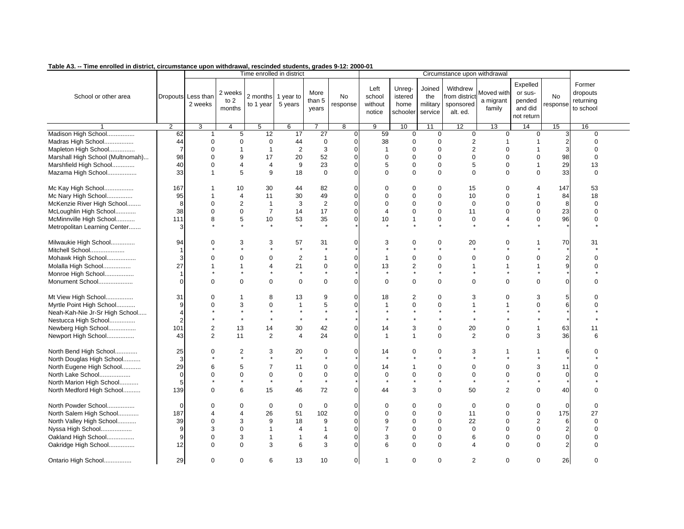| rabie AJ. -- Time em oneu in ulstrict, circumstance upon withurawal, rescinueu students, grades J-12. 2000-01 |                |                    |                         |                           |                |                |                |                |                |             |                              |                          |                  |                  |             |  |
|---------------------------------------------------------------------------------------------------------------|----------------|--------------------|-------------------------|---------------------------|----------------|----------------|----------------|----------------|----------------|-------------|------------------------------|--------------------------|------------------|------------------|-------------|--|
|                                                                                                               |                |                    |                         | Time enrolled in district |                |                |                |                |                |             | Circumstance upon withdrawal |                          |                  |                  |             |  |
|                                                                                                               |                |                    |                         |                           |                |                |                |                |                |             |                              |                          | Expelled         |                  | Former      |  |
|                                                                                                               |                |                    | 2 weeks                 |                           |                | More           |                | Left           | Unreg-         | Joined      | Withdrew                     | Moved with               | or sus-          |                  | dropouts    |  |
| School or other area                                                                                          |                | Dropouts Less than | to $2$                  | 2 months                  | 1 year to      | than 5         | <b>No</b>      | school         | istered        | the         | from district                | a migrant                | pended           | No               | returning   |  |
|                                                                                                               |                | 2 weeks            | months                  | to 1 year                 | 5 years        | years          | response       | without        | home           | military    | sponsored                    | family                   | and did          | response         | to school   |  |
|                                                                                                               |                |                    |                         |                           |                |                |                | notice         | schooler       | service     | alt. ed.                     |                          | not return       |                  |             |  |
|                                                                                                               | $\overline{2}$ | 3                  | $\overline{4}$          | $5\overline{)}$           | 6              | $\overline{7}$ | $\overline{8}$ | $\overline{9}$ | 10             | 11          | 12                           | 13                       | 14               | 15               | 16          |  |
| Madison High School                                                                                           | 62             | 1                  | 5                       | 12                        | 17             | 27             | 0              | 59             | $\mathbf 0$    | $\mathbf 0$ | 0                            | $\mathbf 0$              | $\mathbf 0$      | 3                | $\mathbf 0$ |  |
| Madras High School                                                                                            | 44             | $\Omega$           | $\mathbf 0$             | $\mathbf 0$               | 44             | $\mathbf 0$    |                | 38             | $\mathbf 0$    | $\mathbf 0$ | $\overline{c}$               |                          | -1               | $\overline{2}$   | $\Omega$    |  |
| Mapleton High School                                                                                          | $\overline{7}$ | $\Omega$           | $\overline{\mathbf{1}}$ | $\mathbf{1}$              | $\sqrt{2}$     | $\mathsf 3$    |                | $\mathbf{1}$   | $\mathbf 0$    | $\mathbf 0$ | $\mathbf 2$                  | $\Omega$                 | $\overline{1}$   | 3                | $\Omega$    |  |
| Marshall High School (Multnomah)                                                                              | 98             | $\Omega$           | 9                       | 17                        | 20             | 52             |                | $\Omega$       | $\mathbf 0$    | $\Omega$    | $\mathbf 0$                  | $\Omega$                 | $\mathbf 0$      | 98               | $\Omega$    |  |
| Marshfield High School                                                                                        | 40             | $\mathbf 0$        | $\overline{4}$          | $\overline{4}$            | $9\,$          | 23             | $\Omega$       | 5              | $\mathbf 0$    | $\mathbf 0$ | 5                            | $\mathbf 0$              | $\overline{1}$   | 29               | 13          |  |
|                                                                                                               |                | $\overline{1}$     |                         |                           |                | $\Omega$       |                |                | $\Omega$       | $\Omega$    | $\Omega$                     |                          |                  |                  |             |  |
| Mazama High School                                                                                            | 33             |                    | 5                       | 9                         | 18             |                |                | $\Omega$       |                |             |                              | $\Omega$                 | $\Omega$         | 33               | $\mathbf 0$ |  |
| Mc Kay High School                                                                                            | 167            | $\mathbf{1}$       | 10                      | 30                        | 44             | 82             | O              | $\Omega$       | $\mathbf 0$    | $\mathbf 0$ | 15                           | $\mathbf 0$              | 4                | 147              | 53          |  |
| Mc Nary High School                                                                                           | 95             |                    | $\overline{4}$          | 11                        | 30             | 49             | $\Omega$       | $\Omega$       | $\mathbf 0$    | $\mathbf 0$ | 10                           | $\Omega$                 | $\mathbf 1$      | 84               | 18          |  |
| McKenzie River High School                                                                                    | 8              | $\Omega$           | $\overline{2}$          | $\mathbf{1}$              | 3              | $\overline{2}$ |                | $\Omega$       | $\mathbf 0$    | $\mathbf 0$ | 0                            | $\Omega$                 | $\mathbf 0$      | 8                | $\Omega$    |  |
| McLoughlin High School                                                                                        | 38             | $\mathbf 0$        | $\mathsf 0$             | $\overline{7}$            | 14             | 17             | $\Omega$       | 4              | $\mathbf 0$    | $\mathbf 0$ | 11                           | $\Omega$                 | $\boldsymbol{0}$ | 23               | $\mathbf 0$ |  |
| McMinnville High School                                                                                       | 111            | 8                  | 5                       | 10                        | 53             | 35             |                | 10             | $\mathbf{1}$   | $\mathbf 0$ | 0                            | $\overline{\mathcal{A}}$ | $\mathbf 0$      | 96               | $\mathbf 0$ |  |
| Metropolitan Learning Center                                                                                  | 3              |                    |                         | $\star$                   | $\star$        |                |                |                |                | $\star$     |                              |                          |                  |                  |             |  |
|                                                                                                               |                |                    |                         |                           |                |                |                |                |                |             |                              |                          |                  |                  |             |  |
| Milwaukie High School                                                                                         | 94             | $\Omega$           | 3                       | 3                         | 57             | 31             | O              | 3              | $\mathbf 0$    | $\mathbf 0$ | 20                           | $\Omega$                 | 1                | 70               | 31          |  |
| Mitchell School                                                                                               |                |                    |                         |                           | $\star$        |                |                |                |                |             |                              |                          |                  |                  |             |  |
| Mohawk High School                                                                                            | 3              | $\Omega$           | $\mathbf 0$             | $\mathbf 0$               | $\sqrt{2}$     | $\mathbf{1}$   |                |                | $\mathbf 0$    | $\mathbf 0$ | $\mathbf 0$                  | $\Omega$                 | 0                | $\mathbf{2}$     | $\Omega$    |  |
| Molalla High School                                                                                           | 27             |                    |                         | $\overline{4}$            | 21             | $\mathbf 0$    | $\Omega$       | 13             | $\mathbf{2}$   | $\mathbf 0$ | 1                            |                          | 1                | $\overline{9}$   | $\Omega$    |  |
| Monroe High School                                                                                            |                |                    |                         |                           | $\pmb{\ast}$   | $\star$        |                |                | $\star$        | $\star$     |                              |                          |                  |                  |             |  |
| Monument School                                                                                               | $\mathcal{C}$  | $\Omega$           | $\Omega$                | $\mathbf 0$               | $\mathbf 0$    | $\mathbf 0$    | $\Omega$       | $\Omega$       | $\mathbf 0$    | $\mathbf 0$ | $\mathbf 0$                  | $\Omega$                 | $\Omega$         | $\Omega$         | $\Omega$    |  |
|                                                                                                               |                |                    |                         |                           |                |                |                |                |                |             |                              |                          |                  |                  |             |  |
| Mt View High School                                                                                           | 31             | $\Omega$           | -1                      | 8                         | 13             | 9              | O              | 18             | $\overline{2}$ | $\mathbf 0$ | 3                            | $\Omega$                 | 3                | 5                |             |  |
| Myrtle Point High School                                                                                      | 9              | $\Omega$           | 3                       | $\mathbf 0$               | $\mathbf{1}$   | 5              |                | 1              | $\Omega$       | $\mathbf 0$ | 1                            |                          | $\Omega$         | 6                | $\Omega$    |  |
| Neah-Kah-Nie Jr-Sr High School                                                                                | $\overline{4}$ |                    | $\star$                 |                           |                | $\star$        |                |                |                | $\star$     |                              |                          |                  |                  |             |  |
| Nestucca High School                                                                                          | $\overline{2}$ |                    | $\star$                 | $\star$                   | $\star$        | $\star$        |                |                |                | $\star$     |                              |                          |                  |                  |             |  |
| Newberg High School                                                                                           | 101            | $\overline{2}$     | 13                      | 14                        | 30             | 42             | O              | 14             | 3              | $\mathbf 0$ | 20                           | $\Omega$                 | $\mathbf{1}$     | 63               | 11          |  |
| Newport High School                                                                                           | 43             | 2                  | 11                      | $\overline{2}$            | 4              | 24             | U              | -1             | $\mathbf 1$    | $\mathbf 0$ | 2                            | $\Omega$                 | 3                | 36               | 6           |  |
|                                                                                                               |                |                    |                         |                           |                |                |                |                |                |             |                              |                          |                  |                  |             |  |
| North Bend High School                                                                                        | 25             | $\Omega$           | $\overline{2}$          | 3                         | 20             | $\mathbf 0$    | O              | 14             | $\Omega$       | $\mathbf 0$ | 3                            |                          | 1                | 6                | ∩           |  |
| North Douglas High School                                                                                     | 3              |                    | $\star$                 | $\star$                   | $\star$        | $\star$        |                |                |                | $\star$     |                              |                          |                  |                  |             |  |
| North Eugene High School                                                                                      | 29             | 6                  | 5                       | $\overline{7}$            | 11             | $\mathbf 0$    | O              | 14             | $\mathbf 1$    | $\mathbf 0$ | 0                            | $\Omega$                 | 3                | 11               | $\Omega$    |  |
| North Lake School                                                                                             | $\mathbf 0$    | $\Omega$           | $\mathbf 0$             | $\mathbf 0$               | $\mathbf 0$    | $\mathbf 0$    |                | $\mathbf 0$    | $\mathbf 0$    | $\mathbf 0$ | $\mathbf 0$                  | $\Omega$                 | $\mathbf 0$      | $\overline{0}$   | $\Omega$    |  |
| North Marion High School                                                                                      | 5              |                    | $\star$                 | $\star$                   | $\star$        | $\star$        |                |                |                | $\star$     |                              |                          |                  |                  |             |  |
| North Medford High School                                                                                     | 139            | $\Omega$           | 6                       | 15                        | 46             | 72             | $\Omega$       | 44             | 3              | $\mathbf 0$ | 50                           | 2                        | $\Omega$         | 40               | $\Omega$    |  |
| North Powder School                                                                                           | $\mathbf 0$    | $\mathbf 0$        | $\mathbf 0$             | $\mathbf 0$               | $\mathbf 0$    | $\mathbf 0$    |                | $\mathbf 0$    | $\mathbf 0$    | $\mathbf 0$ | $\mathbf 0$                  | $\mathbf 0$              | $\mathbf 0$      | $\mathbf 0$      | $\mathbf 0$ |  |
| North Salem High School                                                                                       | 187            | $\Delta$           | $\overline{4}$          | 26                        | 51             | 102            | 0              | $\mathbf 0$    | $\mathbf 0$    | $\mathbf 0$ | 11                           | $\Omega$                 | $\mathbf 0$      | 175              | 27          |  |
| North Valley High School                                                                                      | 39             | $\Omega$           | 3                       | 9                         | 18             | 9              | ŋ              | 9              | $\mathbf 0$    | $\mathbf 0$ | 22                           | $\Omega$                 | $\overline{2}$   | 6                | $\Omega$    |  |
| Nyssa High School                                                                                             | g              | 3                  | $\mathbf 0$             | $\mathbf{1}$              | $\overline{4}$ | $\mathbf{1}$   |                | $\overline{7}$ | $\mathbf 0$    | $\mathbf 0$ | $\mathbf 0$                  | $\Omega$                 | $\mathbf 0$      | $\boldsymbol{2}$ | $\Omega$    |  |
| Oakland High School                                                                                           | 9              | $\Omega$           | 3                       | $\mathbf{1}$              | $\mathbf{1}$   | $\overline{4}$ | $\Omega$       | 3              | $\mathbf 0$    | $\mathbf 0$ | 6                            | $\Omega$                 | $\mathbf 0$      | $\mathsf{o}$     | $\Omega$    |  |
| Oakridge High School                                                                                          | 12             | $\Omega$           | $\Omega$                | 3                         | 6              | 3              | 0              | 6              | $\Omega$       | $\mathbf 0$ | 4                            | $\Omega$                 | $\Omega$         | $\overline{2}$   | $\Omega$    |  |
|                                                                                                               |                |                    |                         |                           |                |                |                |                |                |             |                              |                          |                  |                  |             |  |
| Ontario High School                                                                                           | 29             | $\mathbf 0$        | $\mathbf 0$             | 6                         | 13             | 10             | $\overline{0}$ | 1              | $\mathbf 0$    | $\mathbf 0$ | $\overline{2}$               | $\Omega$                 | $\mathbf 0$      | 26               | $\Omega$    |  |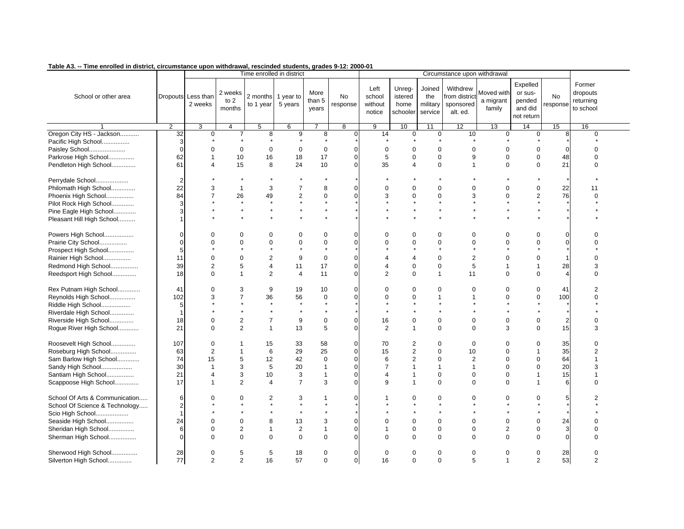| ו מטוס אט. -- ווווס סוויטוסט ווו טוסטוט, טווטטווסנמוטס טאטוו אומוטומאמו, וסטטווטסט אטטסונט, אומט ט- וב. בטטט־ט |                                  |                                           |                               |                                 | Time enrolled in district |                                  |                               |                                     |                                       |                                      | Circumstance upon withdrawal                       |                                   |                                                        |                       |                                              |
|----------------------------------------------------------------------------------------------------------------|----------------------------------|-------------------------------------------|-------------------------------|---------------------------------|---------------------------|----------------------------------|-------------------------------|-------------------------------------|---------------------------------------|--------------------------------------|----------------------------------------------------|-----------------------------------|--------------------------------------------------------|-----------------------|----------------------------------------------|
| School or other area                                                                                           |                                  | Dropouts Less than<br>2 weeks             | 2 weeks<br>to $2$<br>months   | 2 months 1 year to<br>to 1 year | 5 years                   | More<br>than 5<br>years          | <b>No</b><br>response         | Left<br>school<br>without<br>notice | Unreg-<br>istered<br>home<br>schooler | Joined<br>the<br>military<br>service | Withdrew<br>from district<br>sponsored<br>alt. ed. | Moved with<br>a migrant<br>family | Expelled<br>or sus-<br>pended<br>and did<br>not return | <b>No</b><br>response | Former<br>dropouts<br>returning<br>to school |
|                                                                                                                | $\overline{2}$                   | 3                                         | 4                             | $\overline{5}$                  | 6                         |                                  | 8                             | 9                                   | 10                                    | 11                                   | 12                                                 | 13                                | 14                                                     | 15                    | 16                                           |
| Oregon City HS - Jackson<br>Pacific High School<br>Paisley School                                              | $\overline{32}$<br>3<br>$\Omega$ | $\mathbf 0$<br>$\Omega$<br>$\overline{1}$ | $\overline{7}$<br>$\mathbf 0$ | 8<br>$\mathbf 0$                | 9<br>$\Omega$             | 8<br>$\mathbf 0$                 | $\overline{0}$<br>$\Omega$    | 14<br>$\Omega$                      | 0<br>$\Omega$                         | 0<br>$\Omega$                        | 10<br>$\mathbf 0$                                  | $\mathbf 0$<br>$\Omega$           | $\mathbf 0$<br>$\mathbf 0$                             | 8<br>$\Omega$         | 0<br>$\Omega$<br>$\Omega$                    |
| Parkrose High School                                                                                           | 62                               | $\overline{4}$                            | 10                            | 16                              | 18                        | 17                               | 0<br>0                        | 5                                   | $\mathbf 0$                           | $\mathbf 0$                          | 9<br>$\mathbf{1}$                                  | $\mathbf 0$                       | $\mathbf 0$                                            | 48                    | $\Omega$                                     |
| Pendleton High School                                                                                          | 61                               |                                           | 15                            | 8                               | 24                        | 10                               |                               | 35                                  | $\overline{4}$                        | $\mathbf 0$                          |                                                    | $\mathbf 0$                       | $\mathbf 0$                                            | 21                    |                                              |
| Perrydale School                                                                                               | $\overline{2}$                   |                                           |                               | $\star$                         |                           |                                  |                               |                                     |                                       |                                      |                                                    |                                   |                                                        |                       |                                              |
| Philomath High School                                                                                          | 22                               | 3                                         | $\mathbf{1}$                  | 3                               | $\overline{7}$            | 8                                | 0                             | $\Omega$                            | $\Omega$                              | $\Omega$                             | $\Omega$                                           | $\Omega$                          | $\mathbf 0$                                            | 22                    | 11                                           |
| Phoenix High School                                                                                            | 84                               | $\overline{7}$                            | 26                            | 49                              | $\overline{c}$            | 0                                | 0                             | 3                                   | $\Omega$                              | $\mathbf 0$                          | 3                                                  | U                                 | $\overline{2}$                                         | 76                    | $\Omega$                                     |
| Pilot Rock High School                                                                                         | 3                                |                                           | $\star$                       | $\star$                         |                           |                                  |                               |                                     |                                       |                                      |                                                    |                                   |                                                        |                       |                                              |
| Pine Eagle High School                                                                                         | 3                                |                                           |                               |                                 |                           |                                  |                               |                                     |                                       |                                      |                                                    |                                   |                                                        |                       |                                              |
| Pleasant Hill High School                                                                                      |                                  |                                           |                               | $\star$                         | $\star$                   |                                  |                               |                                     |                                       |                                      |                                                    |                                   |                                                        |                       |                                              |
| Powers High School                                                                                             | $\Omega$                         | $\Omega$                                  | $\Omega$                      | $\Omega$                        | $\Omega$                  | $\Omega$                         | O                             | O                                   | $\Omega$                              | $\Omega$                             | $\Omega$                                           | 0                                 | $\mathbf 0$                                            | $\Omega$              |                                              |
| Prairie City School                                                                                            | $\Omega$                         | $\Omega$                                  | $\Omega$                      | $\mathbf 0$                     | $\Omega$                  | 0                                | 0                             | $\Omega$                            | $\Omega$                              | $\mathbf 0$                          | 0                                                  | $\Omega$                          | $\boldsymbol{0}$                                       | $\Omega$              | $\Omega$                                     |
| Prospect High School                                                                                           | 5                                |                                           |                               |                                 |                           |                                  |                               |                                     |                                       |                                      |                                                    |                                   |                                                        |                       |                                              |
| Rainier High School                                                                                            | 11                               | $\Omega$                                  | $\Omega$                      | $\overline{2}$                  | 9                         | $\mathbf 0$                      | 0                             |                                     | 4                                     | $\Omega$                             | 2                                                  | $\Omega$                          | $\mathbf 0$                                            |                       | $\Omega$                                     |
| Redmond High School                                                                                            | 39                               | $\overline{2}$                            | 5                             | $\overline{4}$                  | 11                        | 17                               | 0                             | 4                                   | $\mathbf 0$                           | $\mathbf 0$                          | 5                                                  | 1                                 | $\mathbf{1}$                                           | 28                    | 3                                            |
| Reedsport High School                                                                                          | 18                               | $\Omega$                                  | $\mathbf{1}$                  | $\overline{2}$                  | 4                         | 11                               | $\Omega$                      | $\mathfrak{p}$                      | $\Omega$                              | $\mathbf{1}$                         | 11                                                 | $\Omega$                          | $\mathbf 0$                                            | $\overline{4}$        | $\Omega$                                     |
|                                                                                                                |                                  |                                           |                               |                                 |                           |                                  |                               |                                     |                                       |                                      |                                                    |                                   |                                                        |                       |                                              |
| Rex Putnam High School                                                                                         | 41                               | $\Omega$                                  | 3                             | 9                               | 19                        | 10                               | U                             | ∩                                   | 0                                     | $\Omega$                             | 0                                                  | 0                                 | $\mathbf 0$                                            | 41                    | $\overline{2}$                               |
| Reynolds High School                                                                                           | 102                              | 3                                         | $\overline{7}$                | 36                              | 56                        | $\mathbf 0$                      | O                             | ∩                                   | $\mathbf 0$                           | $\mathbf{1}$                         |                                                    | $\Omega$                          | $\mathbf 0$                                            | 100                   | $\Omega$                                     |
| Riddle High School                                                                                             | 5                                |                                           |                               | $\star$                         | $\star$                   | $\star$                          |                               |                                     |                                       |                                      |                                                    |                                   |                                                        |                       |                                              |
| Riverdale High School                                                                                          |                                  |                                           | $\star$                       | $\star$                         | $\star$                   |                                  |                               |                                     |                                       |                                      |                                                    |                                   |                                                        |                       |                                              |
| Riverside High School                                                                                          | 18                               | $\mathbf 0$                               | $\overline{2}$                | $\overline{7}$                  | 9                         | $\mathbf 0$                      | 0                             | 16                                  | 0                                     | $\mathbf 0$                          | 0                                                  | $\mathbf 0$                       | $\mathbf 0$                                            | $\overline{2}$        | $\Omega$                                     |
| Rogue River High School                                                                                        | 21                               | $\Omega$                                  | $\overline{2}$                | $\mathbf{1}$                    | 13                        | 5                                | 0                             | 2                                   | $\mathbf{1}$                          | $\mathbf 0$                          | 0                                                  | 3                                 | $\mathbf 0$                                            | 15                    | 3                                            |
| Roosevelt High School                                                                                          | 107                              | $\mathbf 0$                               | $\overline{1}$                | 15                              | 33                        | 58                               | 0<br>$\Omega$                 | 70                                  | 2                                     | $\Omega$                             | 0                                                  | $\Omega$<br>$\Omega$              | 0<br>$\overline{1}$                                    | 35                    | $\Omega$<br>$\mathfrak{p}$                   |
| Roseburg High School                                                                                           | 63                               | $\overline{2}$                            |                               | 6                               | 29                        | 25                               | 0                             | 15                                  | $\boldsymbol{2}$                      | $\mathbf 0$<br>$\Omega$              | 10                                                 |                                   |                                                        | 35                    | $\mathbf{1}$                                 |
| Sam Barlow High School                                                                                         | 74<br>30                         | 15<br>$\overline{1}$                      | 5                             | 12                              | 42                        | $\boldsymbol{0}$<br>$\mathbf{1}$ | 0                             | 6<br>7                              | 2<br>$\mathbf{1}$                     | $\mathbf{1}$                         | $\overline{2}$                                     | $\Omega$<br>$\Omega$              | $\mathbf 0$<br>$\mathbf 0$                             | 64<br>20              | 3                                            |
| Sandy High School                                                                                              |                                  |                                           | 3                             | 5                               | 20                        |                                  |                               |                                     |                                       |                                      | $\mathbf{1}$                                       |                                   |                                                        |                       |                                              |
| Santiam High School                                                                                            | 21                               | $\overline{4}$                            | 3                             | 10                              | 3                         | $\mathbf{1}$                     | 0                             |                                     | $\mathbf{1}$                          | $\mathbf 0$                          | $\mathbf 0$                                        | $\Omega$                          | $\overline{1}$                                         | 15                    | 1                                            |
| Scappoose High School                                                                                          | 17                               | $\overline{\mathbf{1}}$                   | 2                             | $\overline{4}$                  | $\overline{7}$            | 3                                | 0                             | q                                   | $\overline{1}$                        | $\Omega$                             | 0                                                  | $\Omega$                          | $\mathbf 1$                                            | 6                     | $\Omega$                                     |
| School Of Arts & Communication                                                                                 | 6                                | $\Omega$                                  | 0                             | 2                               | 3                         | 1                                | O                             |                                     | 0                                     | $\mathbf 0$                          | 0                                                  | $\Omega$                          | 0                                                      | 5                     |                                              |
| School Of Science & Technology                                                                                 | $\overline{2}$                   |                                           |                               | $\star$                         | $\star$                   | $\star$                          |                               |                                     |                                       | $\star$                              |                                                    |                                   |                                                        |                       |                                              |
| Scio High School                                                                                               |                                  |                                           |                               |                                 |                           |                                  |                               |                                     |                                       |                                      |                                                    |                                   |                                                        |                       |                                              |
| Seaside High School                                                                                            | 24                               | $\Omega$                                  | $\mathbf 0$                   | 8                               | 13                        | 3                                | 0                             |                                     | $\mathbf 0$                           | $\mathbf 0$                          | $\mathbf 0$                                        | $\mathbf 0$                       | $\mathbf 0$                                            | 24                    | $\Omega$                                     |
| Sheridan High School                                                                                           | 6                                | $\mathbf 0$                               | $\overline{2}$                | $\mathbf{1}$                    | $\mathbf{2}$              | $\mathbf{1}$                     | 0                             |                                     | $\pmb{0}$                             | $\mathbf 0$                          | 0                                                  | $\overline{2}$                    | $\boldsymbol{0}$                                       | 3                     | $\Omega$                                     |
| Sherman High School                                                                                            | C                                | $\Omega$                                  | $\Omega$                      | $\Omega$                        | $\Omega$                  | $\Omega$                         | $\Omega$                      |                                     | $\Omega$                              | $\Omega$                             | $\Omega$                                           | $\Omega$                          | $\Omega$                                               | $\Omega$              | $\Omega$                                     |
| Sherwood High School<br>Silverton High School                                                                  | 28<br>77                         | $\mathbf 0$<br>2                          | 5<br>$\overline{2}$           | 5<br>16                         | 18<br>57                  | 0<br>0                           | $\mathbf 0$<br>$\overline{0}$ | 0<br>16                             | $\Omega$<br>$\Omega$                  | $\mathbf 0$<br>$\mathbf 0$           | 0<br>5                                             | $\mathbf 0$<br>1                  | $\pmb{0}$<br>$\overline{2}$                            | 28<br>53              | $\Omega$<br>$\overline{2}$                   |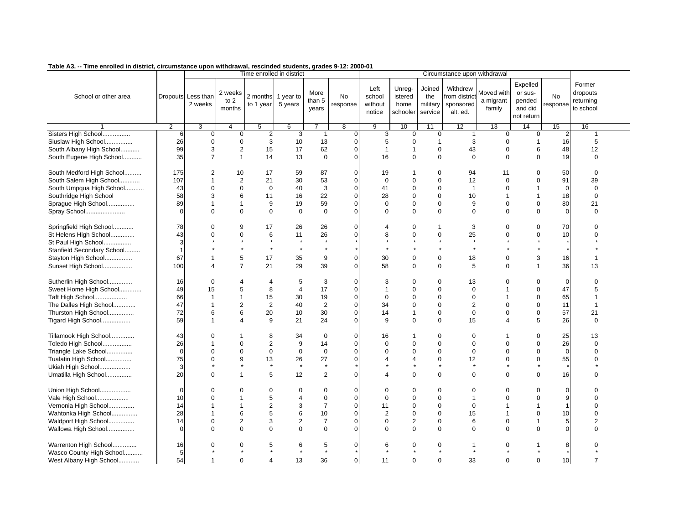| rabic AJ. -- Time em oneu in ursu ici, circumsiance upon withurawai, rescinueu students, grades 9-12. zooc-o r |                |                               |                             |                                                              |                         |                         |                       |                                     |                                       |                                      |                                                                                    |                                   |                                                        |                       |                                              |
|----------------------------------------------------------------------------------------------------------------|----------------|-------------------------------|-----------------------------|--------------------------------------------------------------|-------------------------|-------------------------|-----------------------|-------------------------------------|---------------------------------------|--------------------------------------|------------------------------------------------------------------------------------|-----------------------------------|--------------------------------------------------------|-----------------------|----------------------------------------------|
| School or other area                                                                                           |                | Dropouts Less than<br>2 weeks | 2 weeks<br>to $2$<br>months | Time enrolled in district<br>2 months 1 year to<br>to 1 year | 5 years                 | More<br>than 5<br>years | <b>No</b><br>response | Left<br>school<br>without<br>notice | Unreg-<br>istered<br>home<br>schooler | Joined<br>the<br>military<br>service | Circumstance upon withdrawal<br>Withdrew<br>from district<br>sponsored<br>alt. ed. | Moved with<br>a migrant<br>family | Expelled<br>or sus-<br>pended<br>and did<br>not return | <b>No</b><br>response | Former<br>dropouts<br>returning<br>to school |
|                                                                                                                | $\mathcal{P}$  | 3                             | $\overline{4}$              | 5                                                            | 6                       | $\overline{7}$          | $\overline{8}$        | 9                                   | 10                                    | 11                                   | 12                                                                                 | 13                                | 14                                                     | 15                    | 16                                           |
| Sisters High School                                                                                            | 6              | $\mathbf 0$                   | $\mathbf 0$                 | 2                                                            | 3                       | $\mathbf{1}$            | $\overline{0}$        | 3                                   | $\mathbf 0$                           | $\mathbf 0$                          | $\mathbf{1}$                                                                       | $\mathbf 0$                       | $\mathbf 0$                                            | 2                     | 1                                            |
| Siuslaw High School                                                                                            | 26             | $\mathbf 0$                   | $\mathbf 0$                 | 3                                                            | 10                      | 13                      | $\overline{0}$        | 5                                   | $\mathbf 0$                           | $\mathbf{1}$                         | 3                                                                                  | $\mathbf 0$                       | $\overline{1}$                                         | 16                    | 5                                            |
| South Albany High School                                                                                       | 99             | 3                             | $\overline{c}$              | 15                                                           | 17                      | 62                      | $\Omega$              | $\mathbf{1}$                        | -1                                    | $\Omega$                             | 43                                                                                 | $\mathbf 0$                       | 6                                                      | 48                    | 12                                           |
| South Eugene High School                                                                                       | 35             | $\overline{7}$                | $\mathbf{1}$                | 14                                                           | 13                      | $\mathbf 0$             | $\Omega$              | 16                                  | $\Omega$                              | $\Omega$                             | $\mathbf 0$                                                                        | $\Omega$                          | $\mathbf 0$                                            | 19                    | $\Omega$                                     |
| South Medford High School                                                                                      | 175            | 2                             | 10                          | 17                                                           | 59                      | 87                      | $\overline{0}$        | 19                                  |                                       | $\Omega$                             | 94                                                                                 | 11                                | $\mathbf 0$                                            | 50                    | $\Omega$                                     |
| South Salem High School                                                                                        | 107            | $\mathbf{1}$                  | $\overline{2}$              | 21                                                           | 30                      | 53                      | $\Omega$              | $\mathbf 0$                         | $\mathbf 0$                           | $\mathbf 0$                          | 12                                                                                 | $\Omega$                          | $\mathbf 0$                                            | 91                    | 39                                           |
| South Umpqua High School                                                                                       | 43             | $\Omega$                      | $\mathbf 0$                 | $\mathbf 0$                                                  | 40                      | 3                       | $\Omega$              | 41                                  | $\mathbf 0$                           | $\Omega$                             | $\mathbf{1}$                                                                       | $\Omega$                          | $\overline{1}$                                         | $\Omega$              | $\mathbf 0$                                  |
| Southridge High School                                                                                         | 58             | 3                             | 6                           | 11                                                           | 16                      | 22                      | $\Omega$              | 28                                  | $\mathbf 0$                           | $\mathbf 0$                          | 10                                                                                 | $\overline{1}$                    | $\mathbf{1}$                                           | 18                    | $\mathbf 0$                                  |
| Sprague High School                                                                                            | 89             | $\overline{1}$                | $\mathbf{1}$                | 9                                                            | 19                      | 59                      | $\Omega$              | $\Omega$                            | $\Omega$                              | $\pmb{0}$                            | 9                                                                                  | $\mathbf 0$                       | $\mathbf 0$                                            | 80                    | 21                                           |
| Spray School                                                                                                   | $\Omega$       | $\Omega$                      | $\Omega$                    | $\mathbf 0$                                                  | $\mathbf 0$             | $\Omega$                | $\Omega$              | $\Omega$                            | $\Omega$                              | $\mathbf 0$                          | $\mathbf 0$                                                                        | $\Omega$                          | $\Omega$                                               | $\Omega$              | $\Omega$                                     |
| Springfield High School                                                                                        | 78             | $\mathbf 0$                   | 9                           | 17                                                           | 26                      | 26                      | $\Omega$              |                                     | 0                                     | $\mathbf 1$                          | 3                                                                                  | $\mathbf 0$                       | $\mathbf 0$                                            | 70                    | $\Omega$                                     |
| St Helens High School                                                                                          | 43             | $\Omega$                      | $\mathbf 0$                 | 6                                                            | 11                      | 26                      | 0                     | 8                                   | $\mathbf 0$                           | $\mathbf 0$                          | 25                                                                                 | $\Omega$                          | $\boldsymbol{0}$                                       | 10                    | $\Omega$                                     |
| St Paul High School                                                                                            | 3              |                               |                             | $\star$                                                      | $\star$                 |                         |                       |                                     |                                       | $\star$                              | $\star$                                                                            |                                   |                                                        |                       |                                              |
| Stanfield Secondary School                                                                                     | $\overline{1}$ |                               |                             |                                                              | $\star$                 |                         |                       |                                     |                                       |                                      | $\star$                                                                            |                                   |                                                        |                       |                                              |
| Stayton High School                                                                                            | 67             |                               | 5                           | 17                                                           | 35                      | 9                       | $\Omega$              | 30                                  | $\mathbf 0$                           | $\mathbf 0$                          | 18                                                                                 | $\mathbf 0$                       | 3                                                      | 16                    |                                              |
| Sunset High School                                                                                             | 100            | $\boldsymbol{\varDelta}$      | $\overline{7}$              | 21                                                           | 29                      | 39                      | $\Omega$              | 58                                  | $\mathbf 0$                           | $\mathbf 0$                          | 5                                                                                  | $\Omega$                          | $\overline{1}$                                         | 36                    | 13                                           |
| Sutherlin High School                                                                                          | 16             | $\mathbf 0$                   | 4                           | 4                                                            | 5                       | 3                       | $\overline{0}$        | 3                                   | $\Omega$                              | 0                                    | 13                                                                                 | 0                                 | 0                                                      | $\mathbf 0$           | $\Omega$                                     |
| Sweet Home High School                                                                                         | 49             | 15                            | 5                           | 8                                                            | $\overline{\mathbf{4}}$ | 17                      | $\overline{0}$        |                                     | $\mathbf 0$                           | $\mathbf 0$                          | 0                                                                                  | $\overline{1}$                    | $\pmb{0}$                                              | 47                    | 5                                            |
| <b>Taft High School</b>                                                                                        | 66             | $\mathbf{1}$                  | $\mathbf{1}$                | 15                                                           | 30                      | 19                      | $\overline{0}$        | $\Omega$                            | $\Omega$                              | $\mathbf 0$                          | $\mathbf 0$                                                                        | $\overline{1}$                    | $\mathbf 0$                                            | 65                    | 1                                            |
| The Dalles High School                                                                                         | 47             | $\overline{1}$                | $\overline{2}$              | $\overline{2}$                                               | 40                      | $\overline{2}$          | $\overline{0}$        | 34                                  | $\mathbf 0$                           | $\mathbf 0$                          | $\overline{2}$                                                                     | $\Omega$                          | $\mathbf 0$                                            | 11                    | $\mathbf{1}$                                 |
| Thurston High School                                                                                           | 72             | 6                             | 6                           | 20                                                           | 10                      | 30                      | $\Omega$              | 14                                  | $\mathbf{1}$                          | $\mathbf 0$                          | $\mathbf 0$                                                                        | $\Omega$                          | $\mathbf 0$                                            | 57                    | 21                                           |
| Tigard High School                                                                                             | 59             | $\mathbf{1}$                  | $\overline{4}$              | 9                                                            | 21                      | 24                      | 0                     | 9                                   | $\mathbf 0$                           | $\mathbf 0$                          | 15                                                                                 | $\boldsymbol{\Delta}$             | 5                                                      | 26                    | $\mathbf 0$                                  |
| Tillamook High School                                                                                          | 43             | $\Omega$                      | -1                          | 8                                                            | 34                      | $\mathbf 0$             | $\Omega$              | 16                                  | -1                                    | $\mathbf 0$                          | $\mathbf 0$                                                                        | 1                                 | $\mathbf 0$                                            | 25                    | 13                                           |
| Toledo High School                                                                                             | 26             | $\overline{1}$                | $\mathbf 0$                 | $\overline{2}$                                               | 9                       | 14                      | $\overline{0}$        | $\Omega$                            | $\mathbf 0$                           | $\mathbf 0$                          | $\mathbf 0$                                                                        | $\Omega$                          | $\pmb{0}$                                              | 26                    | $\Omega$                                     |
| Triangle Lake School                                                                                           | $\mathbf 0$    | $\Omega$                      | $\Omega$                    | $\mathbf 0$                                                  | $\mathbf 0$             | $\mathbf 0$             | $\Omega$              |                                     | $\Omega$                              | $\mathbf 0$                          | $\mathbf 0$                                                                        | $\Omega$                          | $\mathbf 0$                                            | $\mathbf 0$           | $\Omega$                                     |
| Tualatin High School                                                                                           | 75             | $\Omega$                      | 9                           | 13                                                           | 26                      | 27                      | $\Omega$              |                                     | $\overline{4}$                        | $\mathbf 0$                          | 12                                                                                 | $\Omega$                          | $\mathbf 0$                                            | 55                    | $\Omega$                                     |
| Ukiah High School                                                                                              | 3              |                               |                             | $\star$                                                      | $\star$                 |                         |                       |                                     |                                       | $\star$                              | $\star$                                                                            |                                   |                                                        |                       |                                              |
| Umatilla High School                                                                                           | 20             | $\Omega$                      | $\mathbf 1$                 | 5                                                            | 12                      | 2                       | $\Omega$              |                                     | $\Omega$                              | $\Omega$                             | $\mathbf 0$                                                                        | $\Omega$                          | $\mathbf 0$                                            | 16                    | $\Omega$                                     |
| Union High School                                                                                              | $\mathbf 0$    | $\Omega$                      | $\Omega$                    | $\mathbf 0$                                                  | 0                       | $\mathbf 0$             | $\overline{0}$        | $\Omega$                            | $\mathbf 0$                           | 0                                    | 0                                                                                  | $\mathbf 0$                       | $\mathbf 0$                                            | $\Omega$              | $\Omega$                                     |
| Vale High School                                                                                               | 10             | $\Omega$                      | $\mathbf 1$                 | 5                                                            | 4                       | $\mathbf 0$             | $\mathbf{0}$          | $\Omega$                            | $\Omega$                              | $\mathbf 0$                          | 1                                                                                  | $\Omega$                          | $\mathbf 0$                                            | 9                     | $\Omega$                                     |
| Vernonia High School                                                                                           | 14             |                               | $\mathbf 1$                 | $\overline{2}$                                               | 3                       | $\overline{7}$          | $\Omega$              | 11                                  | $\Omega$                              | $\mathbf 0$                          | $\mathbf 0$                                                                        | 1                                 | $\overline{1}$                                         |                       | $\Omega$                                     |
| Wahtonka High School                                                                                           | 28             | 1                             | 6                           | 5                                                            | 6                       | $10$                    | $\overline{0}$        | $\overline{2}$                      | $\mathbf 0$                           | $\mathbf 0$                          | 15                                                                                 | $\overline{1}$                    | $\mathbf 0$                                            | 10                    | $\mathbf 0$                                  |
| Waldport High School                                                                                           | 14             | $\Omega$                      | 2                           | 3                                                            | 2                       | $\overline{7}$          | $\Omega$              | $\Omega$                            | 2                                     | $\mathbf 0$                          | 6                                                                                  | $\Omega$                          | $\overline{1}$                                         | 5                     | $\overline{2}$                               |
| Wallowa High School                                                                                            | $\mathbf 0$    | $\Omega$                      | $\mathbf 0$                 | $\mathbf 0$                                                  | $\mathbf 0$             | $\mathbf 0$             | $\Omega$              | $\Omega$                            | $\mathbf 0$                           | $\mathbf 0$                          | $\mathbf 0$                                                                        | $\Omega$                          | $\mathbf 0$                                            | $\Omega$              | $\Omega$                                     |
| Warrenton High School                                                                                          | 16             | $\Omega$                      | $\Omega$                    | 5                                                            | 6                       | 5                       | $\Omega$              | 6                                   | $\Omega$                              | $\Omega$                             |                                                                                    | $\Omega$                          |                                                        | 8                     |                                              |
| Wasco County High School                                                                                       | 5              |                               |                             |                                                              |                         | $\star$                 |                       |                                     |                                       |                                      |                                                                                    |                                   |                                                        |                       |                                              |
| West Albany High School                                                                                        | 54             | $\mathbf{1}$                  | $\Omega$                    | $\overline{4}$                                               | 13                      | 36                      | $\overline{0}$        | 11                                  | $\Omega$                              | $\Omega$                             | 33                                                                                 | $\Omega$                          | $\mathbf 0$                                            | 10                    | $\overline{7}$                               |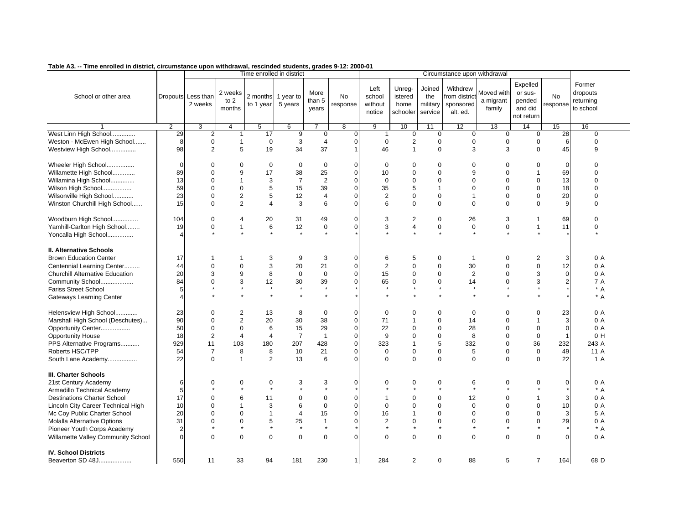| -- Time em onea in alsulut, un unilistanue aponi withurawal, resumueu students, grades o-12. Zuu0-u l |                       |                    |                |                           |                |                  |                |                |                |                |                              |             |                  |             |                |
|-------------------------------------------------------------------------------------------------------|-----------------------|--------------------|----------------|---------------------------|----------------|------------------|----------------|----------------|----------------|----------------|------------------------------|-------------|------------------|-------------|----------------|
|                                                                                                       |                       |                    |                | Time enrolled in district |                |                  |                |                |                |                | Circumstance upon withdrawal |             | Expelled         |             | Former         |
|                                                                                                       |                       |                    | 2 weeks        |                           |                | More             |                | Left           | Unreg-         | Joined         | Withdrew                     | Moved with  | or sus-          |             | dropouts       |
| School or other area                                                                                  |                       | Dropouts Less than | to $2$         | 2 months 1 year to        |                | than 5           | No             | school         | istered        | the            | from district                | a migrant   | pended           | <b>No</b>   | returning      |
|                                                                                                       |                       | 2 weeks            |                | to 1 year                 | 5 years        |                  | response       | without        | home           | military       | sponsored                    |             |                  | response    |                |
|                                                                                                       |                       |                    | months         |                           |                | years            |                | notice         | schooler       | service        | alt. ed.                     | family      | and did          |             | to school      |
|                                                                                                       |                       |                    |                |                           |                |                  |                |                |                |                |                              |             | not return       |             |                |
|                                                                                                       | $\overline{2}$        | 3                  | $\overline{4}$ | $\overline{5}$            | 6              | $\overline{7}$   | $\overline{8}$ | $\overline{9}$ | 10             | 11             | 12                           | 13          | 14               | 15          | 16             |
| West Linn High School                                                                                 | 29                    | 2                  |                | 17                        | 9              | $\mathbf 0$      | $\Omega$       | $\mathbf{1}$   | 0              | 0              | $\mathbf 0$                  | $\mathbf 0$ | $\mathbf 0$      | 28          | 0              |
| Weston - McEwen High School                                                                           | 8                     | $\mathbf 0$        | $\mathbf 1$    | $\mathbf 0$               | $\sqrt{3}$     | $\overline{4}$   | $\overline{0}$ | $\mathbf 0$    | $\overline{c}$ | $\mathbf 0$    | $\mathbf 0$                  | 0           | $\boldsymbol{0}$ | 6           | 0              |
| Westview High School                                                                                  | 98                    | $\overline{2}$     | 5              | 19                        | 34             | 37               |                | 46             | $\overline{1}$ | $\Omega$       | 3                            | 3           | $\Omega$         | 45          | 9              |
|                                                                                                       |                       |                    |                |                           |                |                  |                |                |                |                |                              |             |                  |             |                |
| Wheeler High School                                                                                   | $\mathbf 0$           | $\mathbf 0$        | $\mathbf 0$    | $\mathbf 0$               | $\mathbf 0$    | $\boldsymbol{0}$ | $\Omega$       | $\mathbf 0$    | $\mathbf 0$    | $\mathbf 0$    | $\mathsf 0$                  | $\mathbf 0$ | $\mathbf 0$      | $\mathbf 0$ | $\Omega$       |
| Willamette High School                                                                                | 89                    | $\Omega$           | 9              | 17                        | 38             | 25               | $\Omega$       | 10             | $\mathbf 0$    | $\mathbf 0$    | 9                            | $\Omega$    | $\overline{1}$   | 69          | $\Omega$       |
| Willamina High School                                                                                 | 13                    | $\Omega$           | $\overline{1}$ | 3                         | $\overline{7}$ | $\overline{2}$   | $\Omega$       | $\mathbf 0$    | $\mathbf 0$    | $\mathbf 0$    | 0                            | $\mathbf 0$ | $\boldsymbol{0}$ | 13          | $\Omega$       |
| Wilson High School                                                                                    | 59                    | $\Omega$           | $\mathbf 0$    | 5                         | 15             | 39               | $\Omega$       | 35             | 5              | $\overline{1}$ | 0                            | $\Omega$    | $\mathbf 0$      | 18          | $\Omega$       |
| Wilsonville High School                                                                               | 23                    | $\Omega$           | $\overline{2}$ | 5                         | 12             | 4                | $\Omega$       | $\overline{2}$ | $\mathbf 0$    | $\mathbf 0$    | $\mathbf{1}$                 | 0           | $\boldsymbol{0}$ | 20          | $\mathbf 0$    |
| Winston Churchill High School                                                                         | 15                    | $\Omega$           | $\overline{2}$ | $\overline{4}$            | 3              | 6                | $\Omega$       | 6              | $\mathbf 0$    | $\mathbf 0$    | $\mathbf 0$                  | $\Omega$    | $\mathbf 0$      | 9           | 0              |
|                                                                                                       |                       |                    |                |                           |                |                  |                |                |                |                |                              |             |                  |             |                |
| Woodburn High School                                                                                  | 104                   | $\mathbf 0$        | $\overline{4}$ | 20                        | 31             | 49               | $\Omega$       | 3              | 2              | $\mathbf 0$    | 26                           | 3           | $\mathbf 1$      | 69          | $\mathbf 0$    |
| Yamhill-Carlton High School                                                                           | 19                    | $\mathbf 0$        | $\mathbf{1}$   | 6                         | 12             | 0                | $\overline{0}$ | 3              | $\overline{4}$ | $\pmb{0}$      | $\boldsymbol{0}$             | 0           | $\mathbf{1}$     | 11          | 0              |
| Yoncalla High School                                                                                  | $\boldsymbol{\Delta}$ |                    |                |                           |                |                  |                |                |                | $\star$        |                              |             |                  |             |                |
|                                                                                                       |                       |                    |                |                           |                |                  |                |                |                |                |                              |             |                  |             |                |
| II. Alternative Schools                                                                               |                       |                    |                |                           |                |                  |                |                |                |                |                              |             |                  |             |                |
| <b>Brown Education Center</b>                                                                         | 17                    |                    |                | 3                         | 9              | 3                | 0              | 6              | 5              | $\mathbf 0$    | $\mathbf{1}$                 | $\mathbf 0$ | $\overline{c}$   | 3           | 0 A            |
| Centennial Learning Center                                                                            | 44                    | $\mathbf 0$        | $\mathbf 0$    | 3                         | 20             | 21               | $\Omega$       | $\overline{2}$ | $\mathbf 0$    | $\mathbf 0$    | 30                           | $\mathbf 0$ | $\mathsf 0$      | 12          | 0 A            |
| Churchill Alternative Education                                                                       | 20                    | 3                  | 9              | 8                         | $\mathbf 0$    | $\mathbf 0$      | $\Omega$       | 15             | $\mathbf 0$    | $\mathbf 0$    | $\overline{2}$               | $\Omega$    | 3                | $\Omega$    | 0 A            |
| Community School                                                                                      | 84                    | $\Omega$           | 3              | 12                        | 30             | 39               | $\Omega$       | 65             | $\mathbf 0$    | $\mathbf 0$    | 14                           | 0           | 3                |             | 7 A            |
| <b>Fariss Street School</b>                                                                           | 5                     |                    | $\star$        | $\star$                   | $\star$        | $\star$          |                | $\star$        | $\star$        | $\star$        | $\star$                      |             | $\star$          |             | * A            |
| <b>Gateways Learning Center</b>                                                                       | $\angle$              |                    |                | $\star$                   | $\star$        | $\star$          |                |                |                | $\star$        | $\star$                      |             |                  |             | $* A$          |
|                                                                                                       |                       |                    |                |                           |                |                  |                |                |                |                |                              |             |                  |             |                |
| Helensview High School                                                                                | 23                    | $\mathbf 0$        | $\overline{2}$ | 13                        | 8              | $\mathbf 0$      | $\Omega$       | $\mathbf 0$    | $\mathbf 0$    | $\mathbf 0$    | $\mathbf{0}$                 | $\Omega$    | $\mathbf 0$      | 23          | 0 A            |
| Marshall High School (Deschutes)                                                                      | 90                    | $\mathbf 0$        | 2              | 20                        | 30             | 38               | $\Omega$       | 71             | $\mathbf 1$    | $\mathbf 0$    | 14                           | $\Omega$    | $\overline{1}$   | 3           | 0 A            |
| Opportunity Center                                                                                    | 50                    | $\mathbf 0$        | $\mathbf 0$    | 6                         | 15             | 29               | $\overline{0}$ | 22             | $\mathbf 0$    | $\mathbf 0$    | 28                           | $\mathbf 0$ | $\mathbf 0$      | $\Omega$    | 0 A            |
| <b>Opportunity House</b>                                                                              | 18                    | $\overline{2}$     | $\overline{4}$ | $\overline{4}$            | $\overline{7}$ | $\overline{1}$   | $\Omega$       | 9              | $\mathbf 0$    | $\mathbf 0$    | 8                            | $\mathbf 0$ | $\mathbf{0}$     |             | 0 <sub>H</sub> |
| PPS Alternative Programs                                                                              | 929                   | 11                 | 103            | 180                       | 207            | 428              | 0              | 323            | $\mathbf{1}$   | 5              | 332                          | $\mathbf 0$ | 36               | 232         | 243 A          |
| Roberts HSC/TPP                                                                                       | 54                    | $\overline{7}$     | 8              | 8                         | 10             | 21               | $\Omega$       | $\mathbf 0$    | $\mathbf 0$    | $\mathbf 0$    | 5                            | $\mathbf 0$ | $\mathsf 0$      | 49          | 11 A           |
| South Lane Academy                                                                                    | 22                    | $\Omega$           | $\overline{1}$ | 2                         | 13             | 6                | $\Omega$       | $\Omega$       | $\Omega$       | $\mathbf 0$    | $\Omega$                     | $\Omega$    | $\Omega$         | 22          | 1 A            |
|                                                                                                       |                       |                    |                |                           |                |                  |                |                |                |                |                              |             |                  |             |                |
| III. Charter Schools                                                                                  |                       |                    |                |                           |                |                  |                |                |                |                |                              |             |                  |             |                |
| 21st Century Academy                                                                                  | 6                     | 0                  | 0<br>$\star$   | 0<br>$\star$              | 3<br>$\star$   | 3<br>$\star$     | 0              | 0              | 0<br>$\star$   | 0<br>$\star$   | 6<br>$\star$                 | 0           | 0                | $\mathbf 0$ | 0 A            |
| Armadillo Technical Academy                                                                           | 5                     |                    |                |                           |                |                  |                |                |                |                |                              |             |                  |             | $* A$          |
| <b>Destinations Charter School</b>                                                                    | 17                    | $\Omega$           | 6              | 11                        | $\mathbf 0$    | $\boldsymbol{0}$ | $\Omega$       |                | 0              | $\mathbf 0$    | 12                           | $\mathbf 0$ | $\mathbf 1$      | 3           | 0 A            |
| Lincoln City Career Technical High                                                                    | 10                    | $\Omega$           | $\mathbf 1$    | 3                         | 6              | $\mathbf 0$      | $\Omega$       | $\Omega$       | $\Omega$       | $\mathbf 0$    | $\mathsf 0$                  | $\Omega$    | $\mathbf 0$      | 10          | 0A             |
| Mc Coy Public Charter School                                                                          | 20                    | $\Omega$           | $\mathbf 0$    | $\mathbf{1}$              | $\overline{4}$ | 15               | 0              | 16             | $\mathbf{1}$   | $\mathbf 0$    | 0                            | $\mathbf 0$ | $\mathbf 0$      | 3           | 5 A            |
| <b>Molalla Alternative Options</b>                                                                    | 31                    | $\Omega$           | $\mathbf 0$    | 5                         | 25             | $\mathbf{1}$     | $\Omega$       | $\overline{2}$ | $\mathbf 0$    | $\mathbf 0$    | $\mathbf 0$                  | $\Omega$    | $\mathbf 0$      | 29          | 0 A            |
| Pioneer Youth Corps Academy                                                                           | $\overline{2}$        |                    | $\star$        | $^\star$                  | $\star$        | $\star$          |                |                | $\star$        | $\star$        | $\star$                      |             | $\star$          |             | $* A$          |
| Willamette Valley Community School                                                                    | $\Omega$              | $\Omega$           | $\Omega$       | $\mathbf 0$               | $\mathbf 0$    | $\Omega$         | $\Omega$       | $\Omega$       | $\Omega$       | $\mathbf 0$    | $\mathbf 0$                  | $\Omega$    | $\Omega$         | $\Omega$    | 0 A            |
|                                                                                                       |                       |                    |                |                           |                |                  |                |                |                |                |                              |             |                  |             |                |
| <b>IV. School Districts</b>                                                                           |                       |                    |                |                           |                |                  |                |                |                |                |                              |             |                  |             |                |
| Beaverton SD 48J                                                                                      | 550                   | 11                 | 33             | 94                        | 181            | 230              | 1              | 284            | 2              | $\mathbf 0$    | 88                           | 5           | $\overline{7}$   | 164         | 68 D           |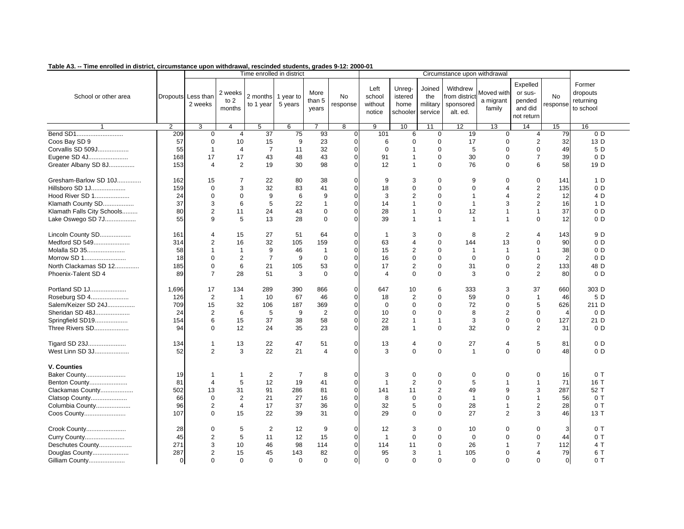| rabic AJ. -- Time em oneu in ursu ici, circumsiance upon withurawai, rescinueu students, grades 9-12. zooc-o r |                |                                |                             | Time enrolled in district       |                |                         |                            |                                     |                                       |                                      | Circumstance upon withdrawal                      |                                   |                                                        |                       |                                              |
|----------------------------------------------------------------------------------------------------------------|----------------|--------------------------------|-----------------------------|---------------------------------|----------------|-------------------------|----------------------------|-------------------------------------|---------------------------------------|--------------------------------------|---------------------------------------------------|-----------------------------------|--------------------------------------------------------|-----------------------|----------------------------------------------|
| School or other area                                                                                           |                | Dropouts Less than<br>2 weeks  | 2 weeks<br>to $2$<br>months | 2 months 1 year to<br>to 1 year | 5 years        | More<br>than 5<br>years | <b>No</b><br>response      | Left<br>school<br>without<br>notice | Unreg-<br>istered<br>home<br>schooler | Joined<br>the<br>military<br>service | Withdrew<br>from distric<br>sponsored<br>alt. ed. | Moved with<br>a migrant<br>family | Expelled<br>or sus-<br>pended<br>and did<br>not return | <b>No</b><br>response | Former<br>dropouts<br>returning<br>to school |
|                                                                                                                | $\overline{2}$ | 3                              | $\overline{4}$              | $5\overline{)}$                 | 6              | $\overline{7}$          | $\overline{8}$             | $\overline{9}$                      | 10                                    | 11                                   | 12                                                | 13                                | 14                                                     | 15                    | 16                                           |
|                                                                                                                | 209            | $\mathbf 0$                    | $\overline{4}$              | 37                              | 75             | 93                      | $\overline{0}$             | 101                                 | 6                                     | $\mathbf 0$                          | 19                                                | $\mathbf 0$                       | $\overline{4}$                                         | 79                    | 0 <sub>D</sub>                               |
| Coos Bay SD 9                                                                                                  | 57             | $\mathbf 0$                    | 10                          | 15                              | 9              | 23                      | $\overline{0}$             | 6                                   | $\mathbf 0$                           | $\Omega$                             | 17                                                | $\mathbf 0$                       | $\overline{2}$                                         | 32                    | 13 D                                         |
| Corvallis SD 509J                                                                                              | 55             | $\mathbf{1}$                   | $\overline{4}$              | $\overline{7}$                  | 11             | 32                      | $\overline{0}$             | $\mathbf 0$                         | $\mathbf 1$                           | $\Omega$                             | 5                                                 | $\mathbf 0$                       | $\mathbf 0$                                            | 49                    | 5 D                                          |
| Eugene SD 4J                                                                                                   | 168            | 17                             | 17                          | 43                              | 48             | 43                      | $\overline{0}$             | 91                                  | $\mathbf{1}$                          | $\mathbf 0$                          | 30                                                | $\Omega$                          | $\overline{7}$                                         | 39                    | 0 <sub>D</sub>                               |
| Greater Albany SD 8J                                                                                           | 153            | $\overline{4}$                 | $\overline{2}$              | 19                              | 30             | 98                      | $\Omega$                   | 12                                  | $\mathbf{1}$                          | $\mathbf 0$                          | 76                                                | $\mathbf 0$                       | 6                                                      | 58                    | 19 D                                         |
| Gresham-Barlow SD 10J                                                                                          | 162            | 15                             | 7                           | 22                              | 80             | 38                      | $\overline{0}$             | 9                                   | 3                                     | 0                                    | 9                                                 | 0                                 | $\mathbf 0$                                            | 141                   | 1 D                                          |
| Hillsboro SD 1J                                                                                                | 159            | $\mathbf 0$                    | 3                           | 32                              | 83             | 41                      | $\overline{0}$             | 18                                  | $\pmb{0}$                             | $\mathbf 0$                          | $\mathbf 0$                                       | 4                                 | $\mathbf 2$                                            | 135                   | 0 <sub>D</sub>                               |
| Hood River SD 1                                                                                                | 24             | $\mathbf 0$                    | $\mathbf 0$                 | 9                               | 6              | 9                       | $\Omega$                   | 3                                   | $\overline{2}$                        | $\Omega$                             | $\mathbf{1}$                                      | 4                                 | $\overline{2}$                                         | 12                    | 4 D                                          |
| Klamath County SD                                                                                              | 37             | 3                              | 6                           | 5                               | 22             | $\mathbf{1}$            | $\Omega$                   | 14                                  | $\mathbf{1}$                          | $\Omega$                             | $\mathbf{1}$                                      | 3                                 | $\overline{2}$                                         | 16                    | 1 D                                          |
| Klamath Falls City Schools                                                                                     | 80             | $\overline{2}$                 | 11                          | 24                              | 43             | 0                       | $\overline{0}$             | 28                                  | $\mathbf{1}$                          | $\mathbf 0$                          | 12                                                | $\overline{1}$                    | $\overline{1}$                                         | 37                    | 0 <sub>D</sub>                               |
| Lake Oswego SD 7J                                                                                              | 55             | 9                              | 5                           | 13                              | 28             | $\Omega$                | $\Omega$                   | 39                                  | $\mathbf{1}$                          | $\mathbf{1}$                         | $\mathbf{1}$                                      | $\overline{1}$                    | $\mathbf 0$                                            | 12                    | 0 <sub>D</sub>                               |
| Lincoln County SD                                                                                              | 161            | $\overline{4}$                 | 15                          | 27                              | 51             | 64                      | $\overline{0}$             | $\overline{1}$                      | 3                                     | 0                                    | 8                                                 | $\overline{2}$                    | $\overline{4}$                                         | 143                   | 9 D                                          |
| Medford SD 549                                                                                                 | 314            | $\overline{2}$                 | 16                          | 32                              | 105            | 159                     | $\overline{0}$             | 63                                  | $\overline{4}$                        | $\Omega$                             | 144                                               | 13                                | $\boldsymbol{0}$                                       | 90                    | 0 <sub>D</sub>                               |
| Molalla SD 35                                                                                                  | 58             | $\mathbf{1}$                   | $\mathbf{1}$                | 9                               | 46             | $\mathbf{1}$            | $\Omega$                   | 15                                  | $\boldsymbol{2}$                      | $\Omega$                             | $\mathbf{1}$                                      | $\overline{1}$                    | $\overline{1}$                                         | 38                    | 0 <sub>D</sub>                               |
| Morrow SD 1                                                                                                    | 18             | $\mathbf 0$                    | $\overline{2}$              | $\overline{7}$                  | 9              | $\mathbf 0$             | $\overline{0}$             | 16                                  | $\mathbf 0$                           | $\Omega$                             | $\mathbf 0$                                       | $\mathbf 0$                       | $\mathbf 0$                                            | $\overline{2}$        | 0 <sub>D</sub>                               |
| North Clackamas SD 12                                                                                          | 185            | $\mathbf 0$                    | 6                           | 21                              | 105            | 53                      | $\Omega$                   | 17                                  | $\overline{2}$                        | $\mathbf 0$                          | 31                                                | $\mathbf 0$                       | 2                                                      | 133                   | 48 D                                         |
| Phoenix-Talent SD 4                                                                                            | 89             | $\overline{7}$                 | 28                          | 51                              | 3              | $\mathbf 0$             | $\overline{0}$             | $\overline{4}$                      | $\mathbf 0$                           | $\mathbf 0$                          | 3                                                 | $\mathbf 0$                       | 2                                                      | 80                    | 0 <sub>D</sub>                               |
| Portland SD 1J                                                                                                 | 1,696          | 17                             | 134                         | 289                             | 390            | 866                     | $\overline{0}$             | 647                                 | 10                                    | 6                                    | 333                                               | 3                                 | 37                                                     | 660                   | 303 D                                        |
| Roseburg SD 4                                                                                                  | 126            | $\overline{2}$                 | $\overline{1}$              | 10                              | 67             | 46                      | $\overline{0}$             | 18                                  | $\overline{2}$                        | $\mathbf 0$                          | 59                                                | $\mathbf 0$                       | $\mathbf{1}$                                           | 46                    | 5 D                                          |
| Salem/Keizer SD 24J                                                                                            | 709            | 15                             | 32                          | 106                             | 187            | 369                     | $\Omega$                   | $\Omega$                            | $\Omega$                              | $\Omega$                             | 72                                                | $\Omega$                          | 5                                                      | 626                   | 211 D                                        |
| Sheridan SD 48J                                                                                                | 24             | 2                              | 6                           | 5                               | 9              | 2                       | $\Omega$                   | 10                                  | $\mathbf 0$                           | $\mathbf 0$                          | 8                                                 | 2                                 | $\mathbf 0$                                            | $\overline{4}$        | 0 <sub>D</sub>                               |
| Springfield SD19                                                                                               | 154            | 6                              | 15                          | 37                              | 38             | 58                      | 0                          | 22                                  | $\mathbf{1}$                          | $\mathbf{1}$                         | 3                                                 | $\mathbf 0$                       | $\mathbf 0$                                            | 127                   | 21 D                                         |
| Three Rivers SD                                                                                                | 94             | $\Omega$                       | 12                          | 24                              | 35             | 23                      | $\Omega$                   | 28                                  | $\mathbf{1}$                          | $\Omega$                             | 32                                                | $\Omega$                          | 2                                                      | 31                    | 0 <sub>D</sub>                               |
| Tigard SD 23J<br>West Linn SD 3J                                                                               | 134<br>52      | $\mathbf{1}$<br>$\overline{2}$ | 13<br>3                     | 22<br>22                        | 47<br>21       | 51<br>$\overline{4}$    | $\overline{0}$<br>$\Omega$ | 13<br>3                             | 4<br>$\Omega$                         | $\pmb{0}$<br>$\Omega$                | 27<br>$\mathbf{1}$                                | $\overline{4}$<br>$\Omega$        | $\sqrt{5}$<br>$\Omega$                                 | 81<br>48              | 0 <sub>D</sub><br>0 <sub>D</sub>             |
| V. Counties                                                                                                    |                |                                |                             |                                 |                |                         |                            |                                     |                                       |                                      |                                                   |                                   |                                                        |                       |                                              |
| Baker County                                                                                                   | 19             | $\mathbf{1}$                   | $\mathbf{1}$                | $\overline{2}$                  | $\overline{7}$ | 8                       | $\overline{0}$             | 3                                   | $\mathbf 0$                           | $\mathbf 0$                          | $\mathbf 0$                                       | 0                                 | $\mathbf 0$                                            | 16                    | 0T                                           |
| Benton County                                                                                                  | 81             | $\overline{4}$                 | 5                           | 12                              | 19             | 41                      | $\overline{0}$             | $\mathbf{1}$                        | $\overline{2}$                        | $\mathbf 0$                          | 5                                                 | $\mathbf{1}$                      | $\overline{1}$                                         | 71                    | 16 T                                         |
| Clackamas County                                                                                               | 502            | 13                             | 31                          | 91                              | 286            | 81                      | $\Omega$                   | 141                                 | 11                                    | $\overline{2}$                       | 49                                                | 9                                 | 3                                                      | 287                   | 52 T                                         |
| Clatsop County                                                                                                 | 66             | $\mathbf 0$                    | $\overline{2}$              | 21                              | 27             | 16                      | $\Omega$                   | 8                                   | $\mathbf 0$                           | $\Omega$                             | $\overline{1}$                                    | $\Omega$                          | $\overline{1}$                                         | 56                    | 0T                                           |
| Columbia County                                                                                                | 96             | $\overline{2}$                 | 4                           | 17                              | 37             | 36                      | 0                          | 32                                  | 5                                     | $\pmb{0}$                            | 28                                                | $\mathbf{1}$                      | $\overline{c}$                                         | 28                    | 0T                                           |
| Coos County                                                                                                    | 107            | $\Omega$                       | 15                          | 22                              | 39             | 31                      | $\Omega$                   | 29                                  | $\Omega$                              | $\Omega$                             | 27                                                | $\overline{2}$                    | 3                                                      | 46                    | 13T                                          |
| Crook County                                                                                                   | 28             | $\mathbf 0$                    | 5                           | $\overline{2}$                  | 12             | 9                       | $\overline{0}$             | 12                                  | 3                                     | $\mathbf 0$                          | 10                                                | $\mathbf 0$                       | $\pmb{0}$                                              | 3                     | 0T                                           |
| Curry County                                                                                                   | 45             | $\overline{2}$                 | 5                           | 11                              | 12             | 15                      | $\Omega$                   | $\mathbf{1}$                        | $\Omega$                              | $\Omega$                             | $\Omega$                                          | $\Omega$                          | $\mathbf 0$                                            | 44                    | 0T                                           |
| Deschutes County                                                                                               | 271            | 3                              | 10                          | 46                              | 98             | 114                     | $\overline{0}$             | 114                                 | 11                                    | $\mathbf 0$                          | 26                                                | $\overline{1}$                    | $\overline{7}$                                         | 112                   | 4 T                                          |
| Douglas County                                                                                                 | 287            | $\overline{2}$                 | 15                          | 45                              | 143            | 82                      | $\overline{0}$             | 95                                  | 3                                     | $\mathbf{1}$                         | 105                                               | $\mathbf 0$                       | $\overline{4}$                                         | 79                    | 6 T                                          |
| Gilliam County                                                                                                 | $\mathbf 0$    | $\Omega$                       | $\Omega$                    | $\mathbf 0$                     | $\mathbf 0$    | $\Omega$                | $\overline{0}$             | $\Omega$                            | $\Omega$                              | $\Omega$                             | $\mathbf 0$                                       | $\Omega$                          | $\mathbf 0$                                            | $\overline{0}$        | 0T                                           |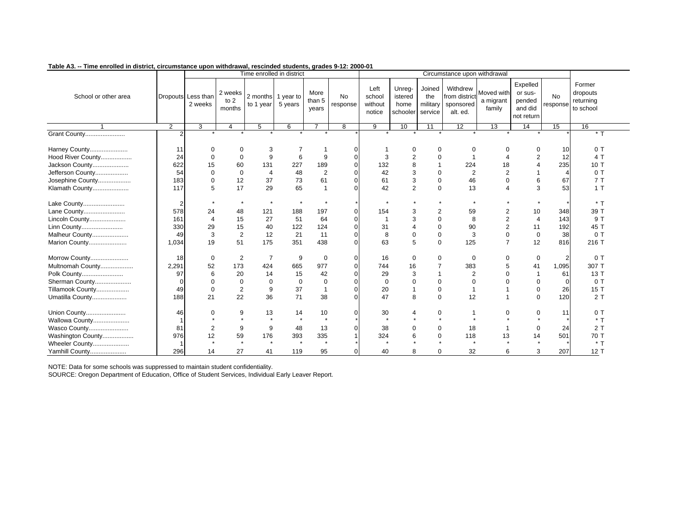| $1.000$ cm check in whenever commenced apoint minimizing, recentled characting, graded characters |                |                               |                           |                                 | Time enrolled in district |                         |                       |                                     |                                       |                                      | Circumstance upon withdrawal                       |                                   |                                                        |                       |                                              |
|---------------------------------------------------------------------------------------------------|----------------|-------------------------------|---------------------------|---------------------------------|---------------------------|-------------------------|-----------------------|-------------------------------------|---------------------------------------|--------------------------------------|----------------------------------------------------|-----------------------------------|--------------------------------------------------------|-----------------------|----------------------------------------------|
| School or other area                                                                              |                | Dropouts Less than<br>2 weeks | 2 weeks<br>to 2<br>months | 2 months 1 year to<br>to 1 year | 5 years                   | More<br>than 5<br>years | <b>No</b><br>response | Left<br>school<br>without<br>notice | Unreg-<br>istered<br>home<br>schooler | Joined<br>the<br>military<br>service | Withdrew<br>from district<br>sponsored<br>alt. ed. | Moved with<br>a migrant<br>family | Expelled<br>or sus-<br>pended<br>and did<br>not return | <b>No</b><br>response | Former<br>dropouts<br>returning<br>to school |
|                                                                                                   | $\mathcal{P}$  | 3                             | 4                         | 5                               | 6                         |                         | 8                     | 9                                   | 10                                    | 11                                   | $\overline{12}$                                    | 13                                | 14                                                     | 15                    | 16                                           |
| <b>Grant County</b>                                                                               | $\overline{2}$ |                               |                           |                                 |                           |                         |                       |                                     |                                       |                                      |                                                    |                                   |                                                        |                       | $*$ 1                                        |
| Harney County                                                                                     | 11             | $\mathbf 0$                   | $\mathbf 0$               | 3                               |                           |                         |                       |                                     | 0                                     | 0                                    | 0                                                  |                                   | $\mathbf 0$                                            | 10                    | 0T                                           |
| Hood River County                                                                                 | 24             | $\Omega$                      | $\mathbf 0$               | 9                               | 6                         | 9                       |                       | 3                                   | $\overline{2}$                        | $\mathbf 0$                          | -1                                                 |                                   | 2                                                      | 12                    | 4 T                                          |
| Jackson County                                                                                    | 622            | 15                            | 60                        | 131                             | 227                       | 189                     |                       | 132                                 | 8                                     | $\overline{1}$                       | 224                                                | 18                                | $\overline{4}$                                         | 235                   | 10 T                                         |
| Jefferson County                                                                                  | 54             | $\Omega$                      | $\mathbf 0$               | $\overline{4}$                  | 48                        | $\overline{2}$          |                       | 42                                  | 3                                     | $\Omega$                             | 2                                                  | $\overline{2}$                    | $\overline{1}$                                         | $\overline{4}$        | 0T                                           |
| Josephine County                                                                                  | 183            | $\Omega$                      | 12                        | 37                              | 73                        | 61                      |                       | 61                                  | 3                                     | $\mathbf 0$                          | 46                                                 | $\Omega$                          | 6                                                      | 67                    | 7T                                           |
| Klamath County                                                                                    | 117            | 5                             | 17                        | 29                              | 65                        |                         |                       | 42                                  | 2                                     | $\Omega$                             | 13                                                 |                                   | 3                                                      | 53                    | 1T                                           |
| Lake County                                                                                       | 2              |                               | $\star$                   | $\star$                         | $\star$                   |                         |                       |                                     |                                       |                                      | $\star$                                            |                                   |                                                        |                       | $*$ T                                        |
| Lane County                                                                                       | 578            | 24                            | 48                        | 121                             | 188                       | 197                     |                       | 154                                 | 3                                     | $\overline{2}$                       | 59                                                 |                                   | 10                                                     | 348                   | 39 T                                         |
| Lincoln County                                                                                    | 161            | $\overline{4}$                | 15                        | 27                              | 51                        | 64                      |                       |                                     | 3                                     | $\Omega$                             | 8                                                  | $\overline{2}$                    | $\overline{4}$                                         | 143                   | 9 T                                          |
| Linn County                                                                                       | 330            | 29                            | 15                        | 40                              | 122                       | 124                     |                       | 31                                  |                                       | $\Omega$                             | 90                                                 | $\overline{2}$                    | 11                                                     | 192                   | 45 T                                         |
| Malheur County                                                                                    | 49             | 3                             | $\overline{2}$            | 12                              | 21                        | 11                      |                       | 8                                   | $\mathbf 0$                           | $\mathbf 0$                          | 3                                                  | $\mathbf 0$                       | $\mathbf 0$                                            | 38                    | 0T                                           |
| Marion County                                                                                     | 1,034          | 19                            | 51                        | 175                             | 351                       | 438                     |                       | 63                                  | 5                                     | $\mathbf 0$                          | 125                                                | $\overline{7}$                    | 12                                                     | 816                   | 216 T                                        |
| Morrow County                                                                                     | 18             | $\mathbf 0$                   | 2                         | $\overline{7}$                  | 9                         | 0                       | O                     | 16                                  | $\mathbf 0$                           | $\mathbf 0$                          | 0                                                  | 0                                 | 0                                                      | 2                     | 0T                                           |
| Multnomah County                                                                                  | 2,291          | 52                            | 173                       | 424                             | 665                       | 977                     |                       | 744                                 | 16                                    | $\overline{7}$                       | 383                                                | 5                                 | 41                                                     | 1,095                 | 307 T                                        |
| Polk County                                                                                       | 97             | 6                             | 20                        | 14                              | 15                        | 42                      |                       | 29                                  | 3                                     | $\overline{1}$                       | 2                                                  | $\Omega$                          | $\overline{\mathbf{1}}$                                | 61                    | 13T                                          |
| Sherman County                                                                                    | O              | $\Omega$                      | $\mathbf 0$               | 0                               | $\mathbf 0$               | $\mathbf 0$             |                       | $\Omega$                            | $\mathbf 0$                           | $\mathbf 0$                          | $\Omega$                                           |                                   | $\mathbf 0$                                            | $\Omega$              | 0T                                           |
| Tillamook County                                                                                  | 49             | $\Omega$                      | $\overline{2}$            | 9                               | 37                        |                         |                       | 20                                  |                                       | $\mathbf 0$                          | -1                                                 |                                   | $\mathbf 0$                                            | 26                    | 15 T                                         |
| Umatilla County                                                                                   | 188            | 21                            | 22                        | 36                              | 71                        | 38                      |                       | 47                                  | 8                                     | $\mathbf 0$                          | 12                                                 |                                   | 0                                                      | 120                   | 2T                                           |
| Union County                                                                                      | 46             | $\Omega$                      | 9                         | 13                              | 14                        | 10                      |                       | 30                                  | 4                                     | $\pmb{0}$                            |                                                    | $\Omega$                          | 0                                                      | 11                    | 0T                                           |
| Wallowa County                                                                                    |                |                               | $\star$                   | $\star$                         | $\star$                   | $\star$                 |                       | $\star$                             |                                       | $\star$                              | $\star$                                            |                                   |                                                        |                       | $*$ T                                        |
| Wasco County                                                                                      | 81             | $\overline{2}$                | 9                         | 9                               | 48                        | 13                      |                       | 38                                  | $\Omega$                              | $\mathbf 0$                          | 18                                                 |                                   | $\mathbf 0$                                            | 24                    | 2T                                           |
| Washington County                                                                                 | 976            | 12                            | 59                        | 176                             | 393                       | 335                     |                       | 324                                 | 6                                     | $\mathbf 0$                          | 118                                                | 13                                | 14                                                     | 501                   | 70 T                                         |
| Wheeler County                                                                                    |                |                               | $\star$                   | $\star$                         | $\star$                   | $\star$                 |                       |                                     |                                       | $\star$                              | $\star$                                            |                                   | $\star$                                                |                       | $*$ T                                        |
| Yamhill County                                                                                    | 296            | 14                            | 27                        | 41                              | 119                       | 95                      |                       | 40                                  | 8                                     | $\Omega$                             | 32                                                 | 6                                 | 3                                                      | 207                   | 12T                                          |

NOTE: Data for some schools was suppressed to maintain student confidentiality.

SOURCE: Oregon Department of Education, Office of Student Services, Individual Early Leaver Report.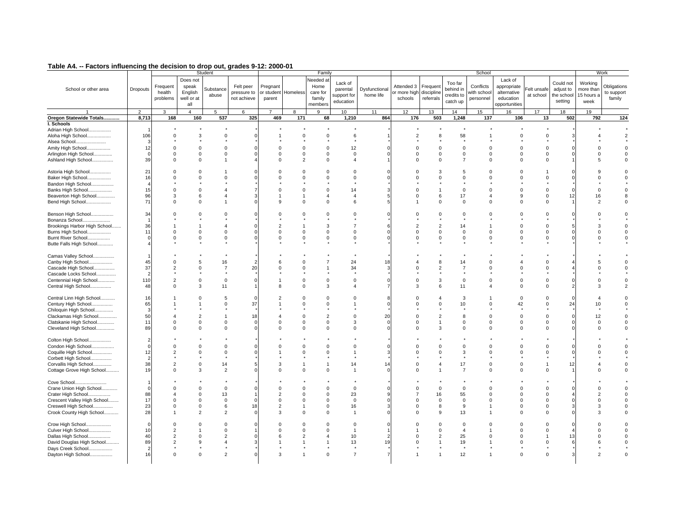|  | Table A4. -- Factors influencing the decision to drop out, grades 9-12: 2000-01 |  |  |  |  |  |
|--|---------------------------------------------------------------------------------|--|--|--|--|--|
|--|---------------------------------------------------------------------------------|--|--|--|--|--|

| - ------- -----------                                                                                                                                |                                            |                                                               |                                                                             | Student                                                                    |                                              |                                                                  |                                                          | Family                                                            |                                                                     |                            |                                       |                                                       |                                                         | School                                            |                                                                     |                                                             |                                                 |                                            | Work                                |
|------------------------------------------------------------------------------------------------------------------------------------------------------|--------------------------------------------|---------------------------------------------------------------|-----------------------------------------------------------------------------|----------------------------------------------------------------------------|----------------------------------------------|------------------------------------------------------------------|----------------------------------------------------------|-------------------------------------------------------------------|---------------------------------------------------------------------|----------------------------|---------------------------------------|-------------------------------------------------------|---------------------------------------------------------|---------------------------------------------------|---------------------------------------------------------------------|-------------------------------------------------------------|-------------------------------------------------|--------------------------------------------|-------------------------------------|
| School or other area                                                                                                                                 | Dropouts                                   | Frequent<br>health<br>problems<br>3                           | Does not<br>speak<br>English<br>well or at<br>all<br>$\boldsymbol{\Lambda}$ | Substance<br>abuse                                                         | Felt peer<br>pressure to<br>not achieve<br>6 | Pregnant<br>parent                                               | or student Homeless                                      | Needed a<br>Home<br>care for<br>family<br>members                 | Lack of<br>parental<br>support for<br>education                     | Dysfunctional<br>home life | Attended 3<br>or more high<br>schools | Frequen<br>discipline<br>referrals                    | Too far<br>behind i<br>credits to<br>catch up           | Conflicts<br>with schoo<br>personnel              | Lack of<br>appropriate<br>alternative<br>education<br>opportunities | elt unsafe<br>at school                                     | Could not<br>adjust to<br>the school<br>setting | Working<br>more than<br>15 hours a<br>week | Obligations<br>to support<br>family |
|                                                                                                                                                      | $\overline{2}$                             |                                                               |                                                                             | 5                                                                          | 325                                          |                                                                  | 8                                                        |                                                                   | 10                                                                  | 11<br>864                  | 12<br>176                             | 13<br>503                                             | 14                                                      | 15                                                | 16                                                                  | 17                                                          | 18                                              | 19<br>792                                  | 124                                 |
| Oregon Statewide Totals                                                                                                                              | 8,713                                      | 168                                                           | 160                                                                         | 537                                                                        |                                              | 469                                                              | 171                                                      | 68                                                                | 1,210                                                               |                            |                                       |                                                       | 1,248                                                   | 137                                               | 106                                                                 | 13                                                          | 502                                             |                                            |                                     |
| I. Schools<br>Adrian High School<br>Aloha High School<br>Alsea School<br>Amity High School<br>Arlington High School<br>Ashland High School           | 106<br>э<br>12<br>$\epsilon$<br>39         | $\Omega$<br>$\Omega$<br>$\mathbf 0$<br>$\Omega$               | $\Omega$<br>$\Omega$                                                        | $\mathbf 0$<br>$\Omega$<br>$\mathbf 0$<br>$\overline{1}$                   |                                              | $\Omega$<br>0<br>$\Omega$                                        | $\Omega$<br>$\Omega$<br>$\mathbf 0$<br>$\overline{2}$    | $\Omega$<br>$\Omega$<br>$\pmb{0}$<br>$\mathbf 0$                  | 6<br>12<br>$\mathbf 0$<br>$\overline{4}$                            |                            | $\Omega$                              | 8<br>$\Omega$<br>$\mathsf 0$<br>$\Omega$              | 58<br>$\Omega$<br>$\mathbf 0$<br>$\overline{7}$         | $\Omega$<br>$\mathbf 0$<br>$\Omega$               | 0<br>O<br>$\mathbf 0$<br>$\Omega$                                   | $\Omega$<br>$\Omega$<br>$\mathbf 0$<br>$\Omega$             |                                                 | $\Omega$<br>5                              |                                     |
| Astoria High School<br>Baker High School<br>Bandon High School<br>Banks High School<br>Beaverton High School<br>Bend High School                     | 21<br>16<br>15<br>96<br>71                 | $\Omega$<br>$\Omega$<br>$\Omega$<br>3<br>$\Omega$             | 6<br>$\Omega$                                                               | $\Omega$<br>$\overline{a}$                                                 |                                              | $\alpha$                                                         | $\Omega$<br>$\Omega$<br>$\Omega$<br>$\Omega$             | $\Omega$<br>$\Omega$<br>$\Omega$<br>$\overline{4}$<br>$\Omega$    | $\Omega$<br>$\Omega$<br>14<br>$\overline{4}$<br>6                   |                            |                                       | 3<br>$\Omega$<br>6<br>$\Omega$                        | 5<br>$\Omega$<br>$\Omega$<br>17<br>$\Omega$             | $\Omega$<br>$\Omega$<br>$\Omega$<br>4<br>$\Omega$ | $\Omega$<br>O<br>$\Omega$<br>9<br>$\Omega$                          | $\Omega$<br>$\Omega$<br>$\mathbf 0$<br>$\Omega$             | 12                                              | $\Omega$<br>16<br>$\mathcal{P}$            |                                     |
| Benson High School<br>Bonanza School<br>Brookings Harbor High School<br>Burns High School<br>Burnt River School<br>Butte Falls High School           | 34<br>36<br>11                             | $\Omega$<br>$\Omega$<br>0                                     | $\Omega$<br>$\Omega$                                                        | $\Omega$<br>$\boldsymbol{\Lambda}$<br>$\Omega$<br>$\mathbf 0$              |                                              | $\mathcal{P}$<br>$\Omega$<br>$\Omega$                            | $\Omega$<br>$\Omega$<br>$\Omega$                         | $\Omega$<br>3<br>$\Omega$<br>$\mathbf 0$                          | $\Omega$<br>$\overline{7}$<br>$\Omega$<br>$\mathbf 0$               |                            |                                       | $\Omega$<br>$\overline{2}$<br>$\Omega$<br>$\mathbf 0$ | $\Omega$<br>14<br>$\Omega$<br>$\mathbf 0$               | $\Omega$<br>$\Omega$<br>$\mathbf 0$               | $\Omega$<br>O<br>$\Omega$<br>$\mathbf 0$                            | $\Omega$<br>$\Omega$<br>$\Omega$<br>$\mathbf 0$             |                                                 | ٩<br>$\Omega$                              |                                     |
| Camas Valley School<br>Canby High School<br>Cascade High School<br>Cascade Locks School<br>Centennial High School<br>Central High School             | 45<br>37<br>2<br>11C<br>48                 | $\Omega$<br>2<br>$\overline{2}$<br>$\Omega$                   | $\Omega$<br>$\mathbf{z}$                                                    | 16<br>$\overline{7}$<br>$\mathbf 0$<br>11                                  | 20                                           | в<br>$\Omega$<br>$\mathbf{R}$                                    | $\Omega$<br>$\Omega$<br>$\Omega$<br>$\Omega$             | $\mathbf 0$<br>3                                                  | 24<br>34<br>$\Omega$<br>$\boldsymbol{\Lambda}$                      | 18                         |                                       | <sub>8</sub><br>2<br>3<br>6                           | 14<br>7<br>$\Omega$<br>11                               | $\Omega$<br>$\Omega$<br>$\Omega$<br>$\Delta$      | n<br>$\Omega$<br>$\Omega$                                           | $\Omega$<br><sup>0</sup><br>$\Omega$<br>$\Omega$            |                                                 |                                            | $\mathcal{P}$                       |
| Central Linn High School<br>Century High School<br>Chiloquin High School<br>Clackamas High School<br>Clatskanie High School<br>Cleveland High School | 16<br>65<br>÷.<br>50<br>11<br>89           | $\overline{\mathbf{A}}$<br>0<br>$\Omega$                      | 2<br>$\Omega$<br>$\Omega$                                                   | 5<br>$\Omega$<br>$\mathbf 0$<br>$\Omega$                                   | 37<br>18                                     | $\Omega$<br>$\Omega$                                             | $\Omega$<br>$\Omega$<br>$\Omega$<br>$\Omega$<br>$\Omega$ | $\Omega$<br>$\Omega$<br>$\overline{2}$<br>$\mathbf 0$<br>$\Omega$ | $\Omega$<br>3<br>$\Omega$                                           | 20                         |                                       | 4<br>$\Omega$<br>$\overline{2}$<br>3                  | 3<br>10<br>8<br>$\mathbf 0$<br>$\Omega$                 | $\Omega$<br>$\Omega$<br>$\mathbf 0$<br>$\Omega$   | $\Omega$<br>42<br>$\Omega$<br>$\mathbf 0$<br>O                      | $\Omega$<br>$\Omega$<br>$\Omega$<br>$\mathbf 0$<br>$\Omega$ | 24                                              | 10<br>12<br>$\Omega$                       |                                     |
| Colton High School<br>Condon High School<br>Coquille High School<br>Corbett High School<br>Corvallis High School<br>Cottage Grove High School        | C<br>12<br>2<br>38<br>19                   | $\Omega$<br>$\overline{2}$<br>$\mathbf{2}$<br>$\Omega$        | $\Omega$<br>$\mathbf{z}$                                                    | $\Omega$<br>$\mathbf 0$<br>14<br>$\overline{2}$                            | 5                                            | 3<br>$\Omega$                                                    | $\Omega$<br>$\Omega$<br>$\Omega$                         | $\Omega$<br>$\Omega$<br>$\overline{1}$<br>$\Omega$                | $\Omega$<br>14<br>$\mathbf{1}$                                      |                            |                                       | $\Omega$<br>$\Omega$                                  | $\Omega$<br>3<br>17<br>$\overline{7}$                   | $\Omega$<br>$\Omega$<br>$\Omega$<br>$\Omega$      | O<br>0<br>$\Omega$<br>O                                             | $\Omega$<br>0<br>$\Omega$                                   | 12                                              |                                            |                                     |
| Cove School<br>Crane Union High School<br>Crater High School<br>Crescent Valley High School<br>Creswell High School<br>Crook County High School      | C<br>88<br>17<br>23<br>28                  | $\Omega$<br>$\Omega$<br>$\Omega$                              | $\Omega$<br>$\Omega$<br>$\Omega$                                            | $\mathbf 0$<br>13<br>$\mathbf 0$<br>6<br>$\overline{2}$                    | $\Omega$<br>18                               | $\Omega$<br>$\overline{2}$<br>$\mathbf 0$<br>$\overline{2}$<br>3 | $\Omega$<br>$\Omega$<br>$\Omega$<br>$\Omega$             | $\mathbf 0$<br>$\Omega$<br>$\mathbf 0$<br>$\mathbf 0$<br>$\Omega$ | $\Omega$<br>23<br>$\Omega$<br>16<br>$\overline{1}$                  |                            |                                       | $\Omega$<br>16<br>$\mathbf 0$<br>8<br>9               | $\Omega$<br>55<br>$\Omega$<br>9<br>13                   | $\Omega$<br>$\Omega$<br>$\mathbf 0$<br>1          | $\Omega$<br>0<br>$\Omega$<br>$\Omega$<br>0                          | $\Omega$<br>$\Omega$<br>$\Omega$<br>$\Omega$<br>$\Omega$    |                                                 | $\Omega$<br>$\Omega$                       |                                     |
| Crow High School<br>Culver High School<br>Dallas High School<br>David Douglas High School<br>Days Creek School<br>Dayton High School                 | $\mathcal{C}$<br>10<br>40<br>89<br>2<br>16 | $\Omega$<br>$\overline{2}$<br>2<br>$\overline{2}$<br>$\Omega$ | 9<br>$\Omega$                                                               | $\Omega$<br>$\Omega$<br>$\overline{2}$<br>$\overline{4}$<br>$\overline{2}$ |                                              | $\Omega$<br>6                                                    | $\Omega$<br>$\overline{2}$                               | $\Omega$<br>$\Omega$<br>$\Omega$                                  | $\Omega$<br>$\overline{1}$<br>10<br>13<br>$\star$<br>$\overline{7}$ | 19                         |                                       | $\Omega$<br>$\Omega$<br>2                             | $\Omega$<br>$\overline{4}$<br>25<br>19<br>$\star$<br>12 | $\Omega$<br>1                                     | O<br>$\Omega$<br>$\Omega$<br>0<br>O                                 | $\Omega$<br>$\Omega$<br>$\Omega$<br>$\Omega$                | 13                                              |                                            |                                     |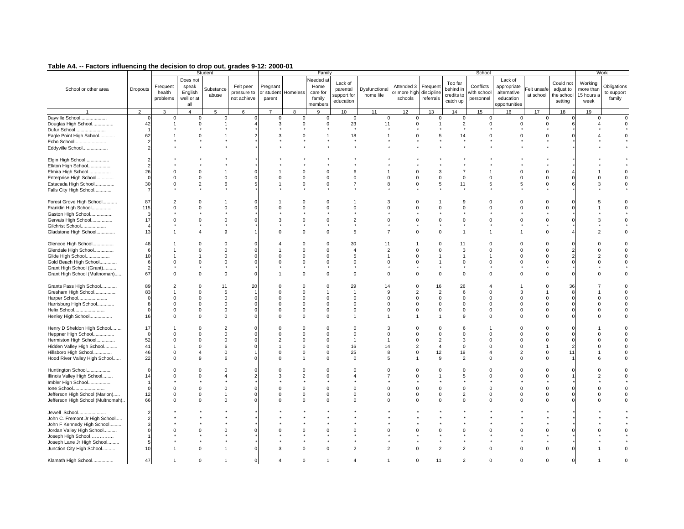#### 1 1 2 3 4 5 6 7 8 9 10 11 12 13 14 15 16 17 18 19 Lack of appropriate alternative education opportunities Attended 3 Frequent or more high discipline schoolsreferralsToo far behind in credits to catch up Conflicts with school personnel Frequent health problems Does not speak English well or at all Substance abuseFelt peer pressure to not achievePregnant or student Homeless parent Needed at Home care for family membersLack of parental support for education School or other area Dropouts Dysfunctional home lifeDayville School.................... 0 0 0 0 0 0 0 0 0 0 0 0 0 0 0 0 0 0 0 Douglas High School................. | 42| 1 0 1 4| 3 0 0 23 11| 0 1 2 0 0 6| 4 0 Dufur School....................... 1 \* \* \* \* \* \* \* \* \* \* \* \* \* \* \* \* \* \*Eagle Point High School............. | 62| 1 0 1 2| 3 0 1 18 1| 0 5 14 0 0 0 4 0 Echo School........................ 2 \* \* \* \* \* \* \* \* \* \* \* \* \* \* \* \* \* \*Eddyville School................... 2 \* \* \* \* \* \* \* \* \* \* \* \* \* \* \* \* \* \* Elgin High School.................. 2 \* \* \* \* \* \* \* \* \* \* \* \* \* \* \* \* \* \* Elkton High School................. 2 \* \* \* \* \* \* \* \* \* \* \* \* \* \* \* \* \* \* Elmira High School.................. | 26| 0 0 1 0| 1 0 6 1 | 0 3 7 1 0 4| 1 0 Enterprise High School............. 0 0 0 0 0 0 0 0 0 0 0 0 0 0 0 0 0 0 0

### **Table A4. -- Factors influencing the decision to drop out, grades 9-12: 2000-01** Student Family

| Estacada High School                                    | 30             | $\Omega$             | 2           | 6              |    |                | $\mathbf 0$          | $\Omega$             |                         |    | $\mathbf{0}$ | 5              | 11             | 5                    | -5             |                         |          | 3 |          |
|---------------------------------------------------------|----------------|----------------------|-------------|----------------|----|----------------|----------------------|----------------------|-------------------------|----|--------------|----------------|----------------|----------------------|----------------|-------------------------|----------|---|----------|
| Falls City High School                                  | $\overline{7}$ |                      |             |                |    |                |                      |                      |                         |    |              |                |                |                      |                |                         |          |   |          |
|                                                         |                |                      |             |                |    |                |                      |                      |                         |    |              |                |                |                      |                |                         |          |   |          |
| Forest Grove High School                                | 87             |                      |             |                |    |                |                      |                      |                         |    |              |                |                |                      |                |                         |          |   |          |
| Franklin High School                                    | 115            |                      |             |                |    |                |                      |                      |                         |    |              |                |                |                      |                |                         |          |   |          |
| Gaston High School                                      |                |                      |             |                |    |                |                      |                      |                         |    |              |                |                |                      |                |                         |          |   |          |
| Gervais High School                                     | 17             |                      |             |                |    |                |                      |                      |                         |    |              |                |                |                      |                |                         |          |   |          |
| Gilchrist School                                        |                |                      |             |                |    |                |                      |                      |                         |    |              |                |                |                      |                |                         |          |   |          |
| Gladstone High School                                   | 13             |                      |             | <b>q</b>       |    |                | $\Omega$             | $\Omega$             | 5                       |    |              |                |                |                      |                | $\Omega$                |          |   |          |
|                                                         |                |                      |             |                |    |                |                      |                      |                         |    |              |                |                |                      |                |                         |          |   |          |
| Glencoe High School                                     | 48             |                      |             | <sup>0</sup>   |    |                | $\Omega$             | $\Omega$             | 30                      | 11 |              |                | 11             | $\Omega$             | $\Omega$       |                         |          |   |          |
| Glendale High School                                    | 6              |                      |             | $\Omega$       |    |                | $\Omega$             | $\Omega$             |                         |    |              |                | 3              | $\Omega$             | $\Omega$       | $\Omega$                |          |   | $\Omega$ |
| Glide High School                                       | 10             |                      |             |                |    |                |                      | $\Omega$             | 5                       |    |              |                |                |                      | $\Omega$       | $\Omega$                |          |   | $\Omega$ |
| Gold Beach High School                                  |                |                      |             |                |    |                |                      | $\Omega$             | $\Omega$                |    |              |                |                |                      | $\Omega$       | $\Omega$                |          |   | $\Omega$ |
| Grant High School (Grant)                               |                |                      |             |                |    |                |                      |                      |                         |    |              |                |                |                      |                |                         |          |   |          |
| Grant High School (Multnomah)                           | 67             | $\Omega$             | $\Omega$    | $\Omega$       |    |                | $\Omega$             | $\Omega$             | $\Omega$                |    |              | $\Omega$       | $\Omega$       | $\Omega$             | $\Omega$       | $\Omega$                |          |   |          |
|                                                         |                |                      |             |                |    |                |                      |                      |                         |    |              |                |                |                      |                |                         |          |   |          |
| Grants Pass High School                                 | 89             | $\overline{2}$       | $\Omega$    | 11             | 20 |                | $\Omega$             | $\Omega$             | 29                      | 14 |              | 16             | 26             |                      |                | $\Omega$                | 36       |   |          |
| Gresham High School                                     | 83             |                      | $\Omega$    | 5              |    |                | $\Omega$             |                      | $\overline{1}$          |    |              | $\overline{2}$ | 6              | $\Omega$             | 3              |                         |          |   | $\Omega$ |
| Harper School                                           | $\Omega$       | $\Omega$             | $\Omega$    | $\Omega$       |    |                | $\Omega$             | $\Omega$             | $\Omega$                |    |              |                | $\Omega$       | $\Omega$             | $\Omega$       | $\Omega$                |          |   |          |
| Harrisburg High School                                  |                | $\Omega$             | $\Omega$    | $\Omega$       |    |                | $\Omega$             | $\Omega$             | $\Omega$                |    |              |                |                | $\Omega$             | $\Omega$       | $\Omega$                |          |   | $\Omega$ |
| Helix School                                            |                | $\Omega$             | $\Omega$    | $\Omega$       |    |                |                      | $\Omega$             | $\Omega$                |    |              |                |                | $\Omega$             | $\Omega$       | $\Omega$                |          |   |          |
| Henley High School                                      | 16             | $\Omega$             | $\mathbf 0$ | $\Omega$       |    | $\Omega$       | $\Omega$             | $\mathbf 0$          | $\blacktriangleleft$    |    |              |                | <b>q</b>       | $\Omega$             | $\mathbf 0$    | $\Omega$                |          |   | $\Omega$ |
|                                                         |                |                      |             |                |    |                |                      |                      |                         |    |              |                |                |                      |                |                         |          |   |          |
| Henry D Sheldon High School                             | 17             |                      |             | $\overline{2}$ |    |                |                      |                      |                         |    |              |                |                |                      | $\Omega$       |                         |          |   |          |
| Heppner High School                                     | $\mathbf 0$    | $\Omega$             |             | $\Omega$       |    |                |                      | $\Omega$             | $\Omega$                |    |              |                |                |                      | $\Omega$       |                         |          |   | $\Omega$ |
| Hermiston High School                                   | 52             | $\Omega$             |             |                |    |                |                      | $\Omega$             | $\mathbf{1}$            |    |              |                |                |                      | $\Omega$       | $\Omega$                |          |   |          |
| Hidden Valley High School                               | 41             |                      | $\Omega$    |                |    |                |                      | $\Omega$             | 16                      | 14 |              |                |                |                      | $\Omega$       |                         |          |   | $\Omega$ |
| Hillsboro High School                                   | 46             | $\mathbf 0$          |             |                |    |                |                      | $\Omega$             | 25                      |    |              | 12             | 19             |                      | $\overline{2}$ | $\mathbf 0$             |          |   |          |
| Hood River Valley High School                           | 22             | $\Omega$             | q           |                |    |                |                      | $\Omega$             | $\Omega$                |    |              | $\alpha$       | $\overline{2}$ | $\Omega$             | $\Omega$       | $\Omega$                |          |   | $\Omega$ |
|                                                         |                |                      |             |                |    |                |                      |                      |                         |    |              |                |                |                      |                |                         |          |   |          |
| Huntington School                                       |                |                      |             |                |    |                | $\Omega$             |                      |                         |    |              |                |                | $\Omega$             | $\Omega$       |                         |          |   |          |
| Illinois Valley High School                             | 14             | $\Omega$             |             |                |    | 3              | $\mathcal{P}$        |                      |                         |    |              |                |                | $\Omega$             | $\Omega$       | $\Omega$                |          |   | $\Omega$ |
| Imbler High School                                      |                | $\Omega$             |             |                |    |                |                      | $\Omega$             |                         |    |              |                |                |                      | $\Omega$       | $\Omega$                |          |   |          |
| Ione School                                             |                |                      |             |                |    |                |                      |                      | $\Omega$                |    |              |                |                | n                    |                |                         |          |   |          |
| Jefferson High School (Marion)                          | 12<br>66       | $\Omega$<br>$\Omega$ | $\Omega$    | $\Omega$       |    |                | $\Omega$<br>$\Omega$ | $\Omega$<br>$\Omega$ | $\mathbf 0$<br>$\Omega$ |    |              | $\Omega$       | 2<br>$\Omega$  | $\Omega$<br>$\Omega$ | $\mathbf 0$    | $\mathbf 0$<br>$\Omega$ |          |   | $\Omega$ |
| Jefferson High School (Multnomah)                       |                |                      | $\Omega$    |                |    |                |                      |                      |                         |    |              |                |                |                      | $\mathbf 0$    |                         |          |   | $\Omega$ |
| Jewell School                                           |                |                      |             |                |    |                |                      |                      |                         |    |              |                |                |                      |                |                         |          |   |          |
| John C. Fremont Jr High School                          |                |                      |             |                |    |                |                      |                      |                         |    |              |                |                |                      |                |                         |          |   |          |
|                                                         |                |                      |             |                |    |                |                      |                      |                         |    |              |                |                |                      |                |                         |          |   |          |
| John F Kennedy High School<br>Jordan Valley High School |                |                      |             | $\Omega$       |    |                | $\Omega$             | $\Omega$             | $\Omega$                |    |              |                | $\Omega$       | $\Omega$             | $\Omega$       |                         |          |   |          |
| Joseph High School                                      |                |                      |             |                |    |                |                      |                      |                         |    |              |                |                |                      |                |                         |          |   |          |
| Joseph Lane Jr High School                              |                |                      |             |                |    |                |                      |                      |                         |    |              |                |                |                      |                |                         |          |   |          |
| Junction City High School                               | 10             |                      | $\Omega$    |                |    | 3              | $\Omega$             | $\mathbf 0$          | $\overline{2}$          |    |              | 2              | $\overline{2}$ | $\Omega$             | $\mathbf 0$    | $\mathbf 0$             |          |   |          |
|                                                         |                |                      |             |                |    |                |                      |                      |                         |    |              |                |                |                      |                |                         |          |   |          |
| Klamath High School                                     | 47             |                      | 0           |                | 0  | $\overline{a}$ | $\Omega$             | $\overline{1}$       | $\overline{4}$          |    | $\Omega$     | 11             | $\overline{2}$ | $\Omega$             | $\mathbf 0$    | $\mathbf 0$             | $\Omega$ |   |          |
|                                                         |                |                      |             |                |    |                |                      |                      |                         |    |              |                |                |                      |                |                         |          |   |          |
|                                                         |                |                      |             |                |    |                |                      |                      |                         |    |              |                |                |                      |                |                         |          |   |          |

**Obligations** to support family

 $\mathsf{o}\,$ 

 $\star$ 

Felt unsafe at school

School Work

Could not adjust to the school setting

Working more than 15 hours a week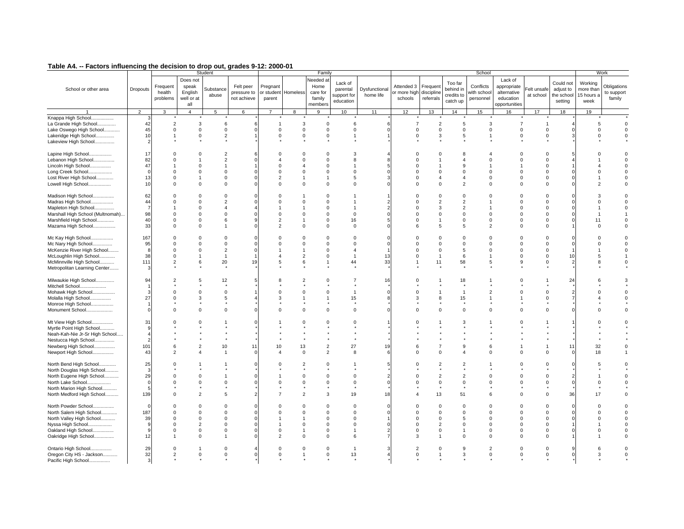| - ------- - -----------                                                                         |                            | .                                             |                                                   | Student                                              |                                         |                                      |                              | Family                                                   |                                                 |                            |                                       |                                    |                                                | School                               |                                                                     |                                  |                                                 |                                            | Work                                |
|-------------------------------------------------------------------------------------------------|----------------------------|-----------------------------------------------|---------------------------------------------------|------------------------------------------------------|-----------------------------------------|--------------------------------------|------------------------------|----------------------------------------------------------|-------------------------------------------------|----------------------------|---------------------------------------|------------------------------------|------------------------------------------------|--------------------------------------|---------------------------------------------------------------------|----------------------------------|-------------------------------------------------|--------------------------------------------|-------------------------------------|
| School or other area                                                                            | Dropouts                   | Frequent<br>health<br>problems                | Does not<br>speak<br>English<br>well or at<br>all | Substance<br>abuse                                   | Felt peer<br>pressure to<br>not achieve | Pregnant<br>or student<br>parent     | Homeless                     | <b>Needed</b> a<br>Home<br>care for<br>family<br>members | Lack of<br>parental<br>support for<br>education | Dysfunctional<br>home life | Attended 3<br>or more high<br>schools | Frequen<br>discipline<br>referrals | Too far<br>behind in<br>credits to<br>catch up | Conflicts<br>vith schoo<br>personnel | Lack of<br>appropriate<br>alternative<br>education<br>opportunities | Felt unsafe<br>at school         | Could not<br>adjust to<br>the school<br>setting | Working<br>more thar<br>15 hours a<br>week | Obligations<br>to support<br>family |
|                                                                                                 | $\overline{2}$             | 3                                             | $\overline{4}$                                    | 5                                                    | 6                                       | $\overline{7}$                       | 8                            | 9                                                        | 10                                              | 11                         | 12                                    | 13                                 | 14                                             | 15                                   | 16                                                                  | 17                               | 18                                              | 19                                         |                                     |
| Knappa High School<br>La Grande High School<br>Lake Oswego High School<br>Lakeridge High School | 42<br>45<br>10             | $\overline{2}$<br>$\mathbf 0$<br>$\mathbf{1}$ | 3<br>$\Omega$<br>$\mathsf 0$                      | 6<br>$\Omega$<br>$\sqrt{2}$                          |                                         | -1<br>$\Omega$<br>$\mathbf 0$        | 3<br>$\Omega$<br>$\mathbf 0$ | $\Omega$<br>$\mathbf 0$<br>$\mathbf 0$                   | 6<br>$\mathsf 0$<br>$\overline{1}$              |                            | $\Omega$<br>$\mathbf 0$               | $\overline{2}$<br>$\mathbf 0$<br>3 | 5<br>$\mathbf 0$<br>$\,$ 5                     | 3<br>$\Omega$<br>1                   | $\overline{7}$<br>$\mathbf 0$<br>$\mathbf 0$                        | $\Omega$<br>0                    |                                                 | 5<br>$\Omega$<br>$\mathbf 0$               | $\Omega$<br>$\mathbf 0$<br>0        |
| Lakeview High School                                                                            |                            |                                               |                                                   |                                                      |                                         |                                      |                              |                                                          |                                                 |                            |                                       |                                    |                                                |                                      |                                                                     |                                  |                                                 |                                            |                                     |
| Lapine High School<br>Lebanon High School<br>Lincoln High School                                | 17<br>82<br>47             | $\Omega$<br>$\Omega$                          | $\Omega$                                          | $\overline{2}$<br>$\overline{2}$                     |                                         | $\boldsymbol{\varDelta}$<br>$\Omega$ | $\Omega$                     | $\Omega$<br>$\Omega$<br>$\Omega$                         | 3<br>8                                          |                            | $\Omega$                              |                                    | 9                                              | $\Omega$                             | $\Omega$<br>$\Omega$                                                | $\Omega$                         |                                                 |                                            |                                     |
| Long Creek School                                                                               | $\sqrt{ }$                 | $\Omega$                                      | $\Omega$                                          | $\Omega$                                             |                                         | $\Omega$                             | $\Omega$                     | $\mathbf 0$                                              | $\mathbf 0$                                     |                            | $\Omega$                              | $\Omega$                           | $\Omega$                                       | $\Omega$                             | $\Omega$                                                            | $\Omega$                         |                                                 | U                                          |                                     |
| Lost River High School                                                                          | 13                         | $\Omega$                                      |                                                   | $\Omega$                                             |                                         | $\overline{2}$                       |                              | $\overline{1}$                                           | 5                                               |                            | $\Omega$                              | $\overline{4}$                     | $\overline{A}$                                 | $\Omega$                             | $\Omega$                                                            | $\Omega$                         |                                                 |                                            |                                     |
| Lowell High School                                                                              | 10                         | $\mathbf 0$                                   | $\Omega$                                          | $\Omega$                                             |                                         | $\Omega$                             | $\Omega$                     | $\mathbf 0$                                              | $\mathbf 0$                                     |                            | $\Omega$                              | $\Omega$                           | $\overline{2}$                                 | $\Omega$                             | $\mathbf 0$                                                         | $\Omega$                         |                                                 | $\mathcal{P}$                              |                                     |
| Madison High School<br>Madras High School<br>Mapleton High School                               | 62<br>44<br>$\overline{7}$ | $\Omega$<br>$\Omega$                          | $\Omega$<br>$\Omega$<br>$\Omega$                  | $\Omega$<br>$\overline{2}$<br>$\boldsymbol{\Lambda}$ |                                         | $\Omega$<br>$\Omega$                 | $\Omega$                     | $\Omega$<br>$\Omega$<br>$\Omega$                         | -1                                              |                            | $\Omega$                              | $\Omega$<br>$\overline{2}$<br>3    | $\Omega$<br>$\overline{2}$<br>$\overline{2}$   | $\Omega$<br>-1                       | $\Omega$<br>$\Omega$<br>$\Omega$                                    | $\Omega$<br>$\Omega$<br>$\Omega$ |                                                 | $\Omega$                                   |                                     |
| Marshall High School (Multnomah)                                                                | 98                         | $\Omega$                                      | $\Omega$                                          | $\Omega$                                             |                                         | $\Omega$                             | $\Omega$                     | $\Omega$                                                 | $\mathbf 0$                                     |                            | $\Omega$                              | $\Omega$                           | $\mathbf 0$                                    | $\Omega$                             | $\Omega$                                                            | $\Omega$                         |                                                 |                                            |                                     |
|                                                                                                 |                            | $\Omega$                                      | $\Omega$                                          | 6                                                    |                                         | $\overline{2}$                       |                              |                                                          |                                                 |                            |                                       | $\overline{1}$                     |                                                | $\Omega$                             | $\Omega$                                                            | $\Omega$                         |                                                 |                                            |                                     |
| Marshfield High School<br>Mazama High School                                                    | 40<br>33                   | $\Omega$                                      | $\Omega$                                          |                                                      |                                         | $\overline{2}$                       | $\Omega$                     | $\mathbf 0$<br>$\mathbf 0$                               | 16<br>$\mathbf 0$                               |                            | 6                                     | 5                                  | 0<br>5                                         | $\overline{2}$                       | $\Omega$                                                            | $\Omega$                         |                                                 | 11<br>$\Omega$                             |                                     |
| Mc Kay High School                                                                              | 167                        | $\Omega$                                      | $\Omega$                                          | $\Omega$                                             |                                         | $\Omega$                             | $\Omega$                     | $\Omega$                                                 | $\Omega$                                        |                            |                                       | $\Omega$                           | $\Omega$                                       | $\Omega$                             | $\Omega$                                                            | $\Omega$                         |                                                 | n                                          |                                     |
| Mc Nary High School                                                                             | 95                         | $\Omega$                                      | $\Omega$                                          | $\Omega$                                             |                                         | $\Omega$                             | $\Omega$                     | $\Omega$                                                 | $\mathbf 0$                                     |                            |                                       | $\Omega$                           | $\mathbf 0$                                    | $\Omega$                             | $\Omega$                                                            | $\Omega$                         |                                                 | $\Omega$                                   |                                     |
| McKenzie River High School                                                                      | 8                          | $\mathbf 0$                                   | $\Omega$                                          | $\overline{2}$                                       |                                         |                                      |                              | $\mathbf 0$                                              | $\overline{4}$                                  |                            |                                       | $\mathbf 0$                        | 5                                              | $\Omega$                             | $\mathbf 0$                                                         | $\Omega$                         |                                                 |                                            |                                     |
| McLoughlin High School                                                                          | 38                         | $\Omega$                                      |                                                   | $\overline{1}$                                       |                                         | $\overline{a}$                       | $\overline{2}$               | $\Omega$                                                 | $\overline{1}$                                  | 13                         |                                       | $\mathbf{1}$                       | 6                                              | $\overline{1}$                       | $\Omega$                                                            | $\Omega$                         | 10                                              | 5                                          |                                     |
| McMinnville High School<br>Metropolitan Learning Center                                         | 111<br>з                   | $\overline{2}$                                | 6                                                 | 20                                                   | 19                                      | 5                                    | 6                            | $\mathbf{1}$                                             | 44                                              | 33                         |                                       | 11                                 | 58                                             | 5                                    | 9                                                                   | $\Omega$                         | $\overline{2}$                                  | 8                                          |                                     |
| Milwaukie High School<br>Mitchell School                                                        | 94                         | $\overline{2}$                                |                                                   | 12                                                   |                                         |                                      |                              | $\sqrt{2}$                                               |                                                 | 16                         |                                       |                                    | 18                                             |                                      | $\Omega$                                                            |                                  | 24                                              |                                            |                                     |
| Mohawk High School                                                                              | Я                          | $\Omega$                                      | $\Omega$                                          | $\Omega$                                             |                                         | $\Omega$                             | $\Omega$                     | $\Omega$                                                 | $\overline{1}$                                  |                            |                                       |                                    | $\overline{1}$                                 | $\overline{2}$                       | $\Omega$                                                            |                                  | $\mathcal{D}$                                   | $\Omega$                                   |                                     |
| Molalla High School                                                                             | 27                         | $\Omega$                                      | 3                                                 | 5                                                    |                                         | 3                                    |                              | $\overline{1}$                                           | 15                                              |                            | 3                                     | 8                                  | 15                                             | $\overline{1}$                       |                                                                     | $\Omega$                         |                                                 |                                            |                                     |
| Monroe High School                                                                              |                            |                                               |                                                   |                                                      |                                         |                                      |                              |                                                          |                                                 |                            |                                       |                                    |                                                |                                      |                                                                     |                                  |                                                 |                                            |                                     |
| Monument School                                                                                 |                            | $\Omega$                                      |                                                   | $\Omega$                                             |                                         | $\Omega$                             | $\Omega$                     | $\Omega$                                                 | $\mathbf 0$                                     |                            |                                       | $\Omega$                           | $\mathbf 0$                                    | $\Omega$                             | $\Omega$                                                            | $\Omega$                         |                                                 |                                            | $\Omega$                            |
| Mt View High School                                                                             | 31                         | $\Omega$                                      |                                                   |                                                      |                                         |                                      | $\Omega$                     | $\Omega$                                                 | $\Omega$                                        |                            |                                       |                                    | 3                                              |                                      |                                                                     |                                  |                                                 |                                            |                                     |
| Myrtle Point High School                                                                        |                            |                                               |                                                   |                                                      |                                         |                                      |                              |                                                          |                                                 |                            |                                       |                                    |                                                |                                      |                                                                     |                                  |                                                 |                                            |                                     |
| Neah-Kah-Nie Jr-Sr High School                                                                  |                            |                                               |                                                   |                                                      |                                         |                                      |                              |                                                          |                                                 |                            |                                       |                                    |                                                |                                      |                                                                     |                                  |                                                 |                                            |                                     |
| Nestucca High School                                                                            |                            |                                               |                                                   |                                                      |                                         |                                      |                              |                                                          |                                                 |                            |                                       |                                    |                                                |                                      |                                                                     |                                  |                                                 |                                            |                                     |
| Newberg High School                                                                             | 101                        | 6                                             | $\overline{2}$                                    | 10                                                   | 11                                      | 10                                   | 13                           | $\overline{2}$                                           | 27                                              | 19                         |                                       | $\overline{7}$                     | 9                                              | 6                                    |                                                                     |                                  | 11                                              | 32                                         | $\Omega$                            |
| Newport High School<br>North Bend High School                                                   | 43<br>25                   | $\overline{2}$<br>$\Omega$                    |                                                   | $\mathbf{1}$                                         |                                         | $\overline{4}$                       | $\Omega$<br>$\overline{2}$   | $\overline{2}$<br>$\Omega$                               | 8                                               |                            |                                       | $\Omega$<br>$\overline{2}$         | $\overline{4}$<br>$\overline{2}$               | $\Omega$                             | $\Omega$<br>$\Omega$                                                | $\Omega$                         |                                                 | 18                                         |                                     |
| North Douglas High School                                                                       | 3                          |                                               |                                                   |                                                      |                                         |                                      |                              |                                                          |                                                 |                            |                                       |                                    |                                                |                                      |                                                                     |                                  |                                                 |                                            |                                     |
| North Eugene High School                                                                        | 29                         | $\Omega$                                      | $\Omega$                                          |                                                      |                                         |                                      | $\Omega$                     | $\mathbf 0$                                              | $\mathbf 0$                                     |                            |                                       | $\overline{2}$                     | $\overline{2}$                                 | $\Omega$                             | $\Omega$                                                            | $\Omega$                         |                                                 |                                            |                                     |
| North Lake School                                                                               | $\epsilon$                 | $\mathbf 0$                                   | $\Omega$                                          | $\Omega$                                             |                                         | $\Omega$                             | $\Omega$                     | $\mathbf 0$                                              | $\mathbf 0$                                     |                            |                                       | $\mathbf 0$                        | $\mathbf 0$                                    | $\mathbf 0$                          | $\mathbf 0$                                                         | $\Omega$                         | $\Omega$                                        | $\Omega$                                   |                                     |
| North Marion High School                                                                        |                            |                                               |                                                   |                                                      |                                         |                                      |                              |                                                          |                                                 |                            |                                       |                                    |                                                |                                      |                                                                     |                                  |                                                 |                                            |                                     |
| North Medford High School                                                                       | 139                        | $\Omega$                                      | $\mathcal{P}$                                     | 5                                                    |                                         |                                      | $\overline{2}$               | 3                                                        | 19                                              | 18                         |                                       | 13                                 | 51                                             | 6                                    | $\Omega$                                                            | $\Omega$                         | 36                                              | 17                                         |                                     |
| North Powder School                                                                             | $\epsilon$                 | $\Omega$                                      |                                                   | $\Omega$                                             |                                         |                                      | $\Omega$                     | $\Omega$                                                 | $\mathbf 0$                                     |                            |                                       | $\Omega$                           | $\Omega$                                       | $\Omega$                             | $\Omega$                                                            | $\Omega$                         |                                                 | $\Omega$                                   |                                     |
| North Salem High School                                                                         | 187                        | $\Omega$                                      | $\Omega$                                          | $\Omega$                                             |                                         | $\Omega$                             | $\Omega$                     | $\mathbf 0$                                              | $\mathbf 0$                                     |                            | $\Omega$                              | $\Omega$                           | $\Omega$                                       | $\Omega$                             | $\Omega$                                                            | $\Omega$                         |                                                 | $\Omega$                                   |                                     |
| North Valley High School                                                                        | 39                         | $\Omega$                                      | $\Omega$                                          | $\Omega$                                             |                                         |                                      |                              | $\Omega$                                                 | $\mathbf 0$                                     |                            |                                       | $\Omega$                           | 5                                              | $\Omega$                             | $\Omega$                                                            | $\Omega$                         |                                                 |                                            |                                     |
| Nyssa High School                                                                               | g                          | $\Omega$                                      | $\overline{2}$                                    | $\Omega$                                             |                                         |                                      | $\Omega$                     | $\Omega$                                                 | $\mathbf 0$                                     |                            |                                       | $\overline{2}$                     | 0                                              | $\Omega$                             | $\Omega$                                                            | $\Omega$                         |                                                 |                                            |                                     |
| Oakland High School                                                                             | Ç                          | $\Omega$                                      | $\Omega$                                          | $\Omega$                                             |                                         | $\Omega$                             |                              | $\mathbf 0$                                              | $\overline{1}$                                  |                            |                                       | $\Omega$                           | $\overline{1}$                                 | $\Omega$                             | $\Omega$                                                            | $\Omega$                         |                                                 |                                            |                                     |
| Oakridge High School                                                                            | 12                         |                                               |                                                   |                                                      |                                         | $\mathcal{P}$                        |                              | $\Omega$                                                 | 6                                               |                            |                                       | $\mathbf{1}$                       | $\Omega$                                       | $\Omega$                             | $\Omega$                                                            | $\Omega$                         |                                                 |                                            |                                     |
| Ontario High School                                                                             | 29                         | $\Omega$                                      |                                                   | $\mathbf 0$                                          |                                         | $\Omega$                             | $\Omega$                     | $\mathbf 0$                                              | $\overline{1}$                                  |                            |                                       | $\mathbf 0$                        | 9                                              | $\overline{2}$                       | $\mathbf 0$                                                         | $\Omega$                         |                                                 | 6                                          | $\mathbf 0$                         |
| Oregon City HS - Jackson<br>Pacific High School                                                 | 32<br>3                    | $\overline{2}$                                | $\Omega$                                          | $\mathbf 0$                                          |                                         | $\Omega$                             |                              | $\mathbf 0$                                              | 13                                              |                            | $\Omega$                              | $\mathbf{1}$                       | 3                                              | $\Omega$                             | $\Omega$                                                            | $\Omega$                         | $\Omega$                                        | 3                                          | 0                                   |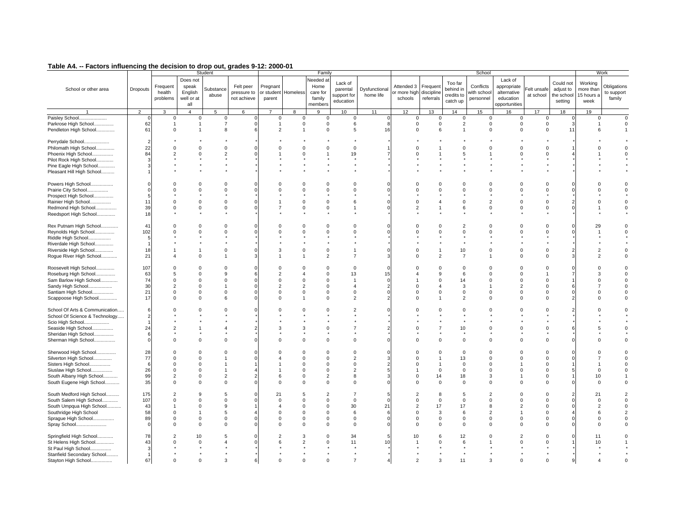| - ------- ------------                                                                                                                                     |                                          |                                                                               |                                                                     | Student                                                       |                                              |                                                                                  |                                                                      | Family                                                                        |                                                                                      |                                 |                                             |                                                     |                                                                   | School                                                                       |                                                                             |                                                                      |                                                       |                                                               | Work                                |
|------------------------------------------------------------------------------------------------------------------------------------------------------------|------------------------------------------|-------------------------------------------------------------------------------|---------------------------------------------------------------------|---------------------------------------------------------------|----------------------------------------------|----------------------------------------------------------------------------------|----------------------------------------------------------------------|-------------------------------------------------------------------------------|--------------------------------------------------------------------------------------|---------------------------------|---------------------------------------------|-----------------------------------------------------|-------------------------------------------------------------------|------------------------------------------------------------------------------|-----------------------------------------------------------------------------|----------------------------------------------------------------------|-------------------------------------------------------|---------------------------------------------------------------|-------------------------------------|
| School or other area<br>$\blacktriangleleft$                                                                                                               | Dropouts<br>$\overline{2}$               | Frequent<br>health<br>problems<br>3                                           | Does not<br>speak<br>English<br>well or at<br>all<br>$\overline{4}$ | Substance<br>abuse<br>5                                       | Felt peer<br>pressure to<br>not achieve<br>6 | Pregnant<br>or student<br>parent<br>$\overline{7}$                               | Homeless<br>8                                                        | Needed at<br>Home<br>care for<br>family<br>members<br>9                       | Lack of<br>parental<br>support for<br>education<br>10                                | Dysfunctiona<br>home life<br>11 | Attended 3<br>or more high<br>schools<br>12 | Frequent<br>discipline<br>referrals<br>13           | Too far<br>behind in<br>credits to<br>catch up<br>14              | Conflicts<br>with schoo<br>personnel<br>15                                   | Lack of<br>appropriate<br>alternative<br>education<br>opportunities<br>16   | elt unsafe<br>at school<br>17                                        | Could not<br>adjust to<br>the school<br>setting<br>18 | Working<br>more than<br>15 hours a<br>week<br>19              | Obligations<br>to support<br>family |
|                                                                                                                                                            |                                          |                                                                               |                                                                     |                                                               |                                              |                                                                                  |                                                                      |                                                                               |                                                                                      |                                 |                                             |                                                     |                                                                   |                                                                              |                                                                             |                                                                      |                                                       |                                                               | $\Omega$                            |
| Paisley School<br>Parkrose High School<br>Pendleton High School                                                                                            | 62<br>61                                 | $\mathbf 0$<br>$\overline{1}$<br>$\Omega$                                     | 0                                                                   | 0<br>$\overline{7}$<br>8                                      |                                              | 0<br>$\mathbf{1}$<br>$\mathcal{P}$                                               | 0<br>$\mathbf 0$                                                     | $\mathbf 0$<br>$\Omega$<br>$\Omega$                                           | 0<br>6<br>5                                                                          | 16                              | 0<br>$\Omega$<br>$\Omega$                   | 0<br>$\Omega$<br>6                                  | 0<br>$\overline{2}$                                               | 0<br>$\Omega$<br>$\Omega$                                                    | 0<br>$\mathbf 0$<br>$\Omega$                                                | $\mathbf 0$<br>$\Omega$<br>$\Omega$                                  | $\mathbf{B}$<br>11                                    | 0<br>$\mathbf{1}$<br>6                                        | $\Omega$                            |
| Perrydale School<br>Philomath High School<br>Phoenix High School<br>Pilot Rock High School<br>Pine Eagle High School<br>Pleasant Hill High School          | 2<br>22<br>84                            | $\Omega$<br>$\overline{2}$                                                    |                                                                     | $\Omega$<br>$\overline{2}$                                    |                                              |                                                                                  | $\Omega$                                                             | $\Omega$                                                                      | $\Omega$<br>19                                                                       |                                 |                                             |                                                     | $\Omega$                                                          | $\Omega$                                                                     | $\Omega$<br>$\Omega$                                                        |                                                                      |                                                       |                                                               |                                     |
| Powers High School<br>Prairie City School<br>Prospect High School<br>Rainier High School<br>Redmond High School<br>Reedsport High School                   | £<br>11<br>39<br>18                      | $\Omega$<br>$\Omega$<br>$\Omega$<br>$\Omega$                                  | $\Omega$<br>$\Omega$<br>$\mathbf 0$                                 | $\Omega$<br>$\Omega$<br>$\Omega$<br>$\Omega$                  |                                              | $\Omega$<br>$\overline{7}$                                                       | $\Omega$<br>$\Omega$<br>$\Omega$<br>$\Omega$                         | $\Omega$<br>$\Omega$<br>$\Omega$<br>$\Omega$                                  | $\Omega$<br>$\Omega$<br>6<br>1                                                       |                                 | 2                                           | $\Omega$<br>$\Omega$                                | $\Omega$<br>$\Omega$<br>$\Omega$<br>6                             | $\Omega$<br>$\Omega$<br>$\overline{2}$<br>$\Omega$                           | $\Omega$<br>$\Omega$<br>$\Omega$<br>$\Omega$                                | $\Omega$<br>$\Omega$                                                 |                                                       | $\Omega$                                                      | $\Omega$                            |
| Rex Putnam High School<br>Reynolds High School<br>Riddle High School<br>Riverdale High School<br>Riverside High School<br>Rogue River High School          | 41<br>102<br>5<br>18<br>21               | $\mathbf 0$<br>$\Omega$<br>$\mathbf{1}$<br>$\boldsymbol{\Lambda}$             | $\Omega$                                                            | $\Omega$<br>$\Omega$<br>$\mathbf 0$<br>$\overline{1}$         |                                              | 3                                                                                | $\Omega$<br>$\Omega$<br>$\mathbf 0$                                  | $\Omega$<br>$\Omega$<br>$\mathsf 0$<br>$\mathcal{P}$                          | $\Omega$<br>$\Omega$<br>$\overline{7}$                                               |                                 | U                                           | $\Omega$<br>$\Omega$<br>$\mathcal{P}$               | $\overline{2}$<br>$\Omega$<br>10<br>$\overline{7}$                | $\Omega$<br>$\Omega$<br>$\mathbf 0$                                          | $\Omega$<br>$\Omega$<br>$\mathbf 0$<br>$\Omega$                             | $\Omega$<br>$\Omega$                                                 | っ                                                     | 29<br>$\overline{2}$<br>$\mathfrak{p}$                        | $\Omega$                            |
| Roosevelt High School<br>Roseburg High School<br>Sam Barlow High School<br>Sandy High School<br>Santiam High School<br>Scappoose High School               | 107<br>63<br>74<br>30<br>21<br>17        | $\Omega$<br>5<br>$\Omega$<br>$\overline{2}$<br>$\mathbf 0$<br>$\Omega$        | $\Omega$<br>$\Omega$<br>$\Omega$<br>0<br>$\Omega$                   | $\Omega$<br>9<br>$\Omega$<br>$\Omega$<br>6                    |                                              | $\Omega$<br>$\overline{2}$<br>$\Omega$<br>$\overline{2}$<br>$\Omega$<br>$\Omega$ | $\Omega$<br>$\Omega$<br>$\mathcal{P}$<br>$\Omega$                    | $\Omega$<br>$\Omega$<br>$\Omega$<br>$\Omega$<br>0<br>$\Omega$                 | $\mathbf 0$<br>13<br>$\mathbf{1}$<br>$\overline{4}$<br>$\mathbf 0$<br>$\overline{2}$ | 15                              | $\Omega$                                    | $\Omega$<br>9<br>$\Omega$<br>$\Omega$               | $\Omega$<br>6<br>14<br>3<br>$\mathbf 0$<br>$\overline{2}$         | $\Omega$<br>$\Omega$<br>$\Omega$<br>$\mathbf 0$<br>$\Omega$                  | $\Omega$<br>$\Omega$<br>$\Omega$<br>$\mathbf{2}$<br>$\mathbf 0$<br>$\Omega$ | $\Omega$<br>$\Omega$<br>$\Omega$                                     |                                                       | 3<br>$\Omega$<br>$\Omega$                                     |                                     |
| School Of Arts & Communication<br>School Of Science & Technology<br>Scio High School<br>Seaside High School<br>Sheridan High School<br>Sherman High School | 24                                       | $\overline{2}$<br>$\Omega$                                                    |                                                                     | $\Omega$<br>$\overline{4}$<br>$\Omega$                        |                                              | $\Omega$                                                                         | 3<br>$\Omega$                                                        | $\Omega$<br>0<br>$\Omega$                                                     | $\Omega$                                                                             |                                 |                                             | $\Omega$                                            | 10<br>$\Omega$                                                    | $\Omega$<br>$\Omega$                                                         | $\Omega$<br>$\Omega$                                                        | $\Omega$                                                             |                                                       |                                                               |                                     |
| Sherwood High School<br>Silverton High School<br>Sisters High School<br>Siuslaw High School<br>South Albany High School<br>South Eugene High School        | 28<br>77<br>$\epsilon$<br>26<br>99<br>35 | $\Omega$<br>$\Omega$<br>$\Omega$<br>$\mathbf 0$<br>$\overline{2}$<br>$\Omega$ | $\Omega$<br>$\Omega$<br>$\Omega$<br>$\Omega$                        | $\Omega$<br>$\overline{1}$<br>$\overline{1}$<br>2<br>$\Omega$ |                                              | 6<br>$\Omega$                                                                    | $\Omega$<br>$\Omega$<br>$\Omega$<br>$\Omega$<br>$\Omega$<br>$\Omega$ | $\Omega$<br>$\Omega$<br>$\Omega$<br>$\Omega$<br>$\overline{2}$<br>$\Omega$    | $\Omega$<br>$\overline{2}$<br>$\mathbf 0$<br>$\overline{2}$<br>8<br>$\mathbf 0$      |                                 |                                             | $\Omega$<br>$\Omega$<br>14<br>$\Omega$              | $\overline{0}$<br>13<br>$\Omega$<br>$\mathbf 0$<br>18<br>$\Omega$ | $\Omega$<br>$\Omega$<br>$\Omega$<br>$\Omega$<br>3<br>$\Omega$                | $\Omega$<br>$\Omega$<br>$\Omega$<br>$\Omega$                                | $\Omega$<br>$\Omega$<br>$\Omega$<br>$\Omega$<br>$\Omega$             | 5                                                     | $\Omega$<br>10<br>$\Omega$                                    | $\Omega$                            |
| South Medford High School<br>South Salem High School<br>South Umpqua High School<br>Southridge High School<br>Sprague High School<br>Spray School          | 175<br>107<br>43<br>58<br>89             | $\overline{2}$<br>$\Omega$<br>$\Omega$<br>$\mathbf 0$<br>$\Omega$             | $\Omega$<br>$\Omega$<br>$\Omega$<br>$\Omega$                        | 5<br>$\mathsf 0$<br>9<br>5<br>$\mathbf 0$<br>$\Omega$         |                                              | 21<br>$\Omega$<br>$\Omega$<br>$\Omega$<br>$\Omega$                               | 5<br>$\Omega$<br>$\Omega$<br>$\Omega$<br>$\Omega$<br>$\Omega$        | $\overline{2}$<br>$\Omega$<br>$\Omega$<br>$\Omega$<br>$\mathbf 0$<br>$\Omega$ | $\overline{7}$<br>$\mathbf 0$<br>30<br>6<br>$\mathbf 0$<br>$\mathbf 0$               | 21                              | $\Omega$<br>$\Omega$<br>$\Omega$            | 8<br>$\Omega$<br>17<br>3<br>$\mathbf 0$<br>$\Omega$ | .5<br>$\Omega$<br>17<br>6<br>$\mathbf 0$<br>$\Omega$              | $\overline{2}$<br>$\Omega$<br>8<br>$\overline{2}$<br>$\mathbf 0$<br>$\Omega$ | $\Omega$<br>$\Omega$<br>$\overline{2}$<br>$\mathbf 0$<br>$\Omega$           | $\Omega$<br>$\Omega$<br>$\Omega$<br>$\Omega$<br>$\Omega$<br>$\Omega$ | 2                                                     | 21<br>$\Omega$<br>$\overline{2}$<br>6<br>$\Omega$<br>$\Omega$ |                                     |
| Springfield High School<br>St Helens High School<br>St Paul High School<br>Stanfield Secondary School<br>Stayton High School                               | 78<br>43<br>67                           | $\overline{2}$<br>$\Omega$<br>$\Omega$                                        | 10<br>$\Omega$                                                      | 5<br>3                                                        |                                              | $\Omega$                                                                         | 3<br>$\Omega$                                                        | $\Omega$<br>$\Omega$                                                          | 34<br>11<br>$\overline{7}$                                                           | 10                              |                                             | 3                                                   | 12<br>6<br>11                                                     | $\Omega$<br>3                                                                | 2<br>$\Omega$                                                               | $\Omega$                                                             | 9                                                     | 11<br>10                                                      |                                     |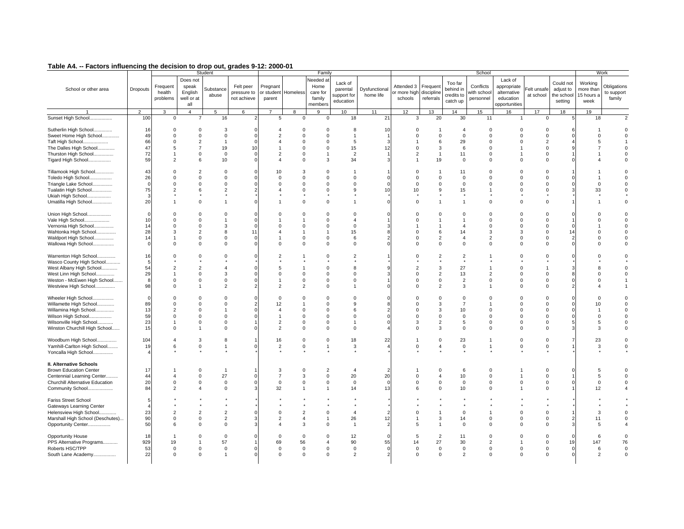|                                               |               |                                |                                                   | Student            |                                         |                                  |                | Family                                             |                                                 |                           |                                       |                                     |                                                | School                                |                                                                     |                          |                                                 |                                            | Work                                |
|-----------------------------------------------|---------------|--------------------------------|---------------------------------------------------|--------------------|-----------------------------------------|----------------------------------|----------------|----------------------------------------------------|-------------------------------------------------|---------------------------|---------------------------------------|-------------------------------------|------------------------------------------------|---------------------------------------|---------------------------------------------------------------------|--------------------------|-------------------------------------------------|--------------------------------------------|-------------------------------------|
| School or other area                          | Dropouts      | Frequent<br>health<br>problems | Does not<br>speak<br>English<br>well or at<br>all | Substance<br>abuse | Felt peer<br>pressure to<br>not achieve | Pregnant<br>or student<br>parent | Homeless       | Needed at<br>Home<br>care for<br>family<br>members | Lack of<br>parental<br>support for<br>education | Dysfunctiona<br>home life | Attended 3<br>or more high<br>schools | Frequent<br>discipline<br>referrals | Too far<br>behind in<br>credits to<br>catch up | Conflicts<br>with school<br>personnel | Lack of<br>appropriate<br>alternative<br>education<br>opportunities | Felt unsafe<br>at school | Could not<br>adjust to<br>the school<br>setting | Working<br>more thar<br>15 hours a<br>week | Obligations<br>to support<br>family |
| $\overline{1}$                                | 2             | 3                              | $\overline{4}$                                    | 5                  | 6                                       | $\overline{7}$                   | 8              | 9                                                  | 10 <sup>1</sup>                                 | 11                        | 12                                    | 13                                  | 14                                             | 15                                    | 16                                                                  | 17                       | 18                                              | 19                                         |                                     |
| Sunset High School<br>.                       | 100           | $\mathsf 0$                    |                                                   | 16                 |                                         | 5                                | $\mathbf 0$    | $\mathbf{0}$                                       | 18                                              | 21                        | 3                                     | 20                                  | 30                                             | 11                                    |                                                                     | $\mathbf 0$              |                                                 | 18                                         |                                     |
| Sutherlin High School                         | 16            | $^{\circ}$                     | $\Omega$                                          | 3                  |                                         | $\overline{a}$                   | $\mathbf 0$    | $\Omega$                                           | 8                                               | -10                       | $\Omega$                              | -1                                  | $\overline{4}$                                 | $\Omega$<br>$\Omega$                  | $\Omega$                                                            | $\Omega$                 |                                                 |                                            |                                     |
| Sweet Home High School                        | 49            | $\mathsf 0$                    | $\Omega$                                          | $\mathsf 0$        |                                         | $\overline{2}$                   | $\overline{0}$ | $\Omega$                                           | $\overline{1}$                                  |                           | $\Omega$                              | $\mathbf 0$                         | $\mathbf 0$                                    |                                       | $\mathbf 0$                                                         | $\Omega$                 |                                                 | $\Omega$                                   | $\Omega$                            |
| Taft High School                              | 66            | $\mathbf 0$                    | 2                                                 | $\overline{1}$     |                                         | $\overline{4}$                   | $\Omega$       | $\Omega$                                           | 5                                               |                           |                                       | 6                                   | 29                                             | $\Omega$                              | $\Omega$                                                            | 2                        |                                                 | 5                                          |                                     |
| The Dalles High School                        | 47            | 5                              | $\overline{7}$                                    | 19                 | 10                                      | $\mathbf{1}$                     | $\mathbf 0$    | $\mathbf 0$                                        | 15                                              | 12                        | $\mathbf 0$                           | 3                                   | 6                                              | $\mathbf 0$                           | 1                                                                   | $\mathbf 0$              |                                                 | 7                                          | $\mathbf 0$                         |
| Thurston High School                          | 72            | $\mathbf{1}$                   | $\Omega$                                          | $\mathbf 0$        |                                         | $\overline{2}$                   | $\Omega$       | $\mathbf{1}$                                       | $\overline{2}$                                  |                           | $\overline{2}$                        | $\mathbf{1}$                        | 11                                             | $\Omega$                              |                                                                     | $\Omega$                 |                                                 |                                            | $\Omega$                            |
| Tigard High School                            | 59            | $\overline{2}$                 | 6                                                 | 10                 |                                         | $\overline{4}$                   | $\Omega$       | 3                                                  | 34                                              |                           |                                       | 19                                  | $\mathbf 0$                                    | $\Omega$                              | $\Omega$                                                            | $\Omega$                 | $\Omega$                                        |                                            |                                     |
|                                               |               |                                |                                                   |                    |                                         |                                  |                |                                                    |                                                 |                           |                                       |                                     |                                                |                                       |                                                                     |                          |                                                 |                                            |                                     |
| Tillamook High School                         | 43            | $\mathbf 0$                    | $\overline{2}$                                    | $\mathbf 0$        |                                         | 10                               | 3              | $\mathbf 0$                                        |                                                 |                           | $^{\circ}$                            |                                     | 11                                             | $\mathbf 0$                           | $\mathbf 0$                                                         | $\mathbf 0$              |                                                 |                                            |                                     |
| Toledo High School                            | 26            | $\Omega$                       | $\Omega$                                          | $\Omega$           |                                         | $\Omega$                         | $\Omega$       | $\Omega$                                           | $\mathbf 0$                                     |                           | $\Omega$                              | $\Omega$                            | $\mathbf 0$                                    | $\Omega$                              | $\Omega$                                                            | $\Omega$                 |                                                 |                                            | $\Omega$                            |
| Triangle Lake School                          | $\epsilon$    | $\mathbf 0$                    | $\Omega$                                          | $\mathbf 0$        |                                         | $\Omega$                         | $\Omega$       | $\mathbf 0$                                        | $\mathbf 0$                                     |                           | $\Omega$                              | $\mathbf 0$                         | $\mathbf 0$                                    | $\Omega$                              | $\Omega$                                                            | $\Omega$                 | $\Omega$                                        | $\Omega$                                   | $\Omega$                            |
| Tualatin High School                          | 75            | $\overline{2}$                 | 6                                                 | 2                  |                                         | $\overline{4}$                   | $\Omega$       | $\mathbf 0$                                        | 9                                               | 10                        | 10                                    | 9                                   | 15                                             | $\overline{1}$                        | $\Omega$                                                            | $\Omega$                 | 3                                               | 33                                         | $\Omega$                            |
| Ukiah High School                             |               |                                |                                                   |                    |                                         |                                  |                |                                                    |                                                 |                           |                                       |                                     |                                                |                                       |                                                                     |                          |                                                 |                                            |                                     |
| Umatilla High School                          | 20            | $\mathbf{1}$                   | $\Omega$                                          | $\overline{1}$     |                                         |                                  | $\Omega$       | $\Omega$                                           | $\overline{1}$                                  |                           | $\Omega$                              |                                     | $\overline{1}$                                 | $\Omega$                              | $\Omega$                                                            | $\Omega$                 |                                                 |                                            | $\Omega$                            |
|                                               |               |                                |                                                   |                    |                                         |                                  |                |                                                    |                                                 |                           |                                       |                                     |                                                |                                       |                                                                     |                          |                                                 |                                            |                                     |
| Union High School                             | $\mathcal{C}$ | $\Omega$                       | $\Omega$                                          | $\Omega$           |                                         | $\Omega$                         | $\Omega$       | $\Omega$                                           | $\Omega$                                        |                           |                                       | $\Omega$                            | $\Omega$                                       | $\Omega$                              | $\Omega$                                                            | $\Omega$                 |                                                 | $\Omega$                                   |                                     |
| Vale High School                              | 10            | $\Omega$                       | $\Omega$                                          | $\mathbf{1}$       |                                         |                                  |                | $\Omega$                                           | $\overline{4}$                                  |                           | $\Omega$                              |                                     |                                                | $\Omega$                              | $\Omega$                                                            | $\Omega$                 |                                                 | $\Omega$                                   | 0                                   |
| Vernonia High School                          | 14            | $\Omega$                       | $\Omega$                                          | 3                  |                                         | $\Omega$                         | $\Omega$       | $\Omega$                                           | $\Omega$                                        |                           |                                       |                                     | $\boldsymbol{\Lambda}$                         | $\Omega$                              | $\Omega$                                                            | $\Omega$                 | $\Omega$                                        |                                            | $\Omega$                            |
| Wahtonka High School                          | 28            | 3                              | $\overline{2}$                                    | 8                  | 11                                      | $\overline{4}$                   |                | $\overline{1}$                                     | 15                                              |                           |                                       | 6                                   | 14                                             | 3                                     | 3                                                                   | $\Omega$                 | 14                                              | $\Omega$                                   | $\mathbf 0$                         |
| Waldport High School                          | 14            | $\mathbf{1}$                   | $\Omega$                                          | $\Omega$           |                                         | $\overline{1}$                   | $\Omega$       | $\mathsf 0$                                        | 6                                               |                           | $\Omega$                              | $\overline{2}$                      | $\overline{4}$                                 | $\overline{2}$                        | $\Omega$                                                            | $\Omega$                 |                                                 | $\Omega$                                   | 0                                   |
| Wallowa High School                           | $\epsilon$    | $\Omega$                       | $\Omega$                                          | $\Omega$           |                                         | $\Omega$                         | $\Omega$       | $\mathbf 0$                                        | 0                                               |                           | $\Omega$                              | $\Omega$                            | $\mathbf 0$                                    | $\Omega$                              | $\Omega$                                                            | $\Omega$                 | $\Omega$                                        | $\Omega$                                   | 0                                   |
|                                               |               |                                |                                                   |                    |                                         |                                  |                |                                                    |                                                 |                           |                                       |                                     |                                                |                                       |                                                                     |                          |                                                 |                                            |                                     |
| Warrenton High School                         | 16            | $\Omega$                       |                                                   | $\Omega$           |                                         | $\overline{2}$                   |                | $\Omega$                                           | $\overline{2}$                                  |                           |                                       | $\overline{2}$                      | $\overline{2}$                                 |                                       | $\Omega$                                                            | $\Omega$                 |                                                 |                                            |                                     |
| Wasco County High School                      | 5             |                                |                                                   |                    |                                         |                                  |                |                                                    |                                                 |                           |                                       |                                     |                                                |                                       |                                                                     |                          |                                                 |                                            |                                     |
| West Albany High School                       | 54            | $\overline{2}$                 | $\overline{2}$                                    | $\overline{4}$     |                                         | 5                                |                | $\Omega$                                           | 8                                               |                           | $\overline{\mathbf{c}}$               | 3                                   | 27                                             |                                       | $\Omega$                                                            |                          |                                                 | 8                                          | $\Omega$                            |
| West Linn High School                         | 29            | $\mathbf{1}$                   | $\Omega$                                          | 3                  |                                         | $\Omega$                         | $\mathbf 0$    | $\Omega$                                           | $\mathbf 0$                                     |                           | $\Omega$                              | $\mathbf 2$                         | 13                                             | $\overline{2}$                        | $\Omega$                                                            | $\Omega$                 |                                                 | $\Omega$                                   | $\Omega$                            |
| Weston - McEwen High School                   | F             | $\Omega$                       | $\Omega$                                          | $\Omega$           |                                         | $\mathbf{1}$                     | $\Omega$       | $\Omega$                                           | 0                                               |                           | $\Omega$                              | $\mathbf 0$                         | $\overline{2}$                                 | $\Omega$                              | $\Omega$                                                            | $\Omega$                 | $\Omega$                                        | $\Omega$                                   |                                     |
| Westview High School                          | 98            | $\mathsf 0$                    | $\overline{1}$                                    | $\overline{2}$     |                                         | $\overline{2}$                   | 2              | $\mathsf 0$                                        | $\overline{1}$                                  |                           | $\Omega$                              | $\overline{2}$                      | 3                                              | $\overline{1}$                        | $\Omega$                                                            | $\Omega$                 | $\mathcal{P}$                                   | $\overline{A}$                             |                                     |
|                                               |               |                                |                                                   |                    |                                         |                                  |                |                                                    |                                                 |                           |                                       |                                     |                                                |                                       |                                                                     |                          |                                                 |                                            |                                     |
| Wheeler High School                           | $\mathcal{C}$ | $\mathbf 0$                    | $\Omega$                                          | $\Omega$           |                                         | $\Omega$                         | $\Omega$       | $\Omega$                                           | $\Omega$                                        |                           | $\Omega$                              | $\Omega$                            | $\mathbf 0$                                    | $\Omega$                              | $\Omega$                                                            | $\Omega$                 | $\Omega$                                        | $\Omega$                                   | $\Omega$                            |
| Willamette High School                        | 89            | $\mathbf 0$                    | $\Omega$                                          | $\Omega$           |                                         | 12                               |                | $\Omega$                                           | 9                                               |                           | $\Omega$                              | 3                                   | $\overline{7}$                                 | $\mathbf{1}$                          | $\Omega$                                                            | $\Omega$                 | $\Omega$                                        | 10                                         | $\Omega$                            |
| Willamina High School                         | 13            | $\overline{2}$                 | $\Omega$                                          | -1                 |                                         | $\overline{4}$                   | $\Omega$       | $\Omega$                                           | 6                                               |                           | $\Omega$                              | 3                                   | $10$                                           | $\Omega$                              | $\Omega$                                                            | $\Omega$                 |                                                 | 1                                          | $\Omega$                            |
|                                               | 59            |                                |                                                   |                    |                                         | $\overline{1}$                   |                |                                                    |                                                 |                           | $\Omega$                              | $\Omega$                            |                                                |                                       | $\Omega$                                                            | $\Omega$                 |                                                 | $\Omega$                                   |                                     |
| Wilson High School                            |               | $\mathbf 0$                    | $\Omega$                                          | $\mathbf 0$        |                                         |                                  | $\Omega$       | $\Omega$                                           | $\mathbf 0$                                     |                           |                                       |                                     | $\mathbf 0$                                    | $\Omega$                              | $\Omega$                                                            | $\Omega$                 |                                                 |                                            |                                     |
| Wilsonville High School                       | 23            | 1                              | $\Omega$                                          | $^{\circ}$         |                                         | $\overline{2}$                   | $\mathbf 0$    | $\mathbf 0$                                        | $\overline{1}$                                  |                           | 3                                     | $\overline{2}$                      | 5                                              | $\Omega$                              |                                                                     |                          | -5                                              | 5                                          | $\Omega$                            |
| Winston Churchill High School                 | 15            | $\Omega$                       |                                                   | $\Omega$           |                                         | 2                                | $\Omega$       | $\Omega$                                           | $\mathbf 0$                                     |                           | $\Omega$                              | 3                                   | $\mathbf 0$                                    | $\Omega$                              | $\Omega$                                                            | $\Omega$                 |                                                 | 3                                          | 0                                   |
| Woodburn High School                          | 104           | $\overline{4}$                 | 3                                                 | 8                  |                                         | 16                               | $\mathbf 0$    | $\Omega$                                           | 18                                              | 22                        |                                       | $\Omega$                            | 23                                             | $\overline{1}$                        | $\Omega$                                                            | $\Omega$                 |                                                 | 23                                         | $\mathbf 0$                         |
|                                               |               |                                |                                                   |                    |                                         |                                  |                | $\overline{1}$                                     |                                                 |                           | $\overline{0}$                        | $\overline{4}$                      |                                                |                                       |                                                                     |                          |                                                 |                                            |                                     |
| Yamhill-Carlton High School                   | 19            | 6                              | $\mathsf 0$                                       | $\overline{1}$     |                                         | $\overline{2}$                   | $\mathbf 0$    |                                                    | 3                                               |                           |                                       |                                     | $\,0\,$                                        | -1                                    | $\mathsf 0$                                                         | $\mathbf 0$              |                                                 | 3                                          | $\mathsf{O}\xspace$                 |
| Yoncalla High School                          |               |                                |                                                   |                    |                                         |                                  |                |                                                    |                                                 |                           |                                       |                                     |                                                |                                       |                                                                     |                          |                                                 |                                            |                                     |
| II. Alternative Schools                       |               |                                |                                                   |                    |                                         |                                  |                |                                                    |                                                 |                           |                                       |                                     |                                                |                                       |                                                                     |                          |                                                 |                                            |                                     |
| <b>Brown Education Center</b>                 | 17            | -1                             | $\Omega$                                          | $\overline{1}$     |                                         | 3                                | $\mathbf 0$    | $\overline{2}$                                     | $\overline{4}$                                  |                           |                                       | $\Omega$                            | 6                                              | $\Omega$                              |                                                                     | $\Omega$                 | $\Omega$                                        | 5                                          | $\Omega$                            |
| Centennial Learning Center                    | 44            | $\overline{4}$                 | $\mathsf 0$                                       | 27                 |                                         | $\overline{7}$                   | 3              | $\mathbf 0$                                        | 20                                              | 20                        | $\mathbf 0$                           | $\overline{4}$                      | 10                                             | $\mathbf 0$                           | $\mathbf{1}$                                                        | $\mathbf 0$              |                                                 | 5                                          | $\mathsf{O}\xspace$                 |
|                                               |               |                                |                                                   |                    |                                         |                                  |                |                                                    |                                                 |                           |                                       |                                     |                                                |                                       |                                                                     |                          |                                                 |                                            |                                     |
| Churchill Alternative Education               | 20            | $\mathbf 0$                    | $\mathbf 0$                                       | $\mathsf 0$        |                                         | $\mathbf 0$                      | $\mathbf 0$    | $\mathsf 0$                                        | $\mathbf 0$                                     |                           | $\Omega$                              | $\mathbf 0$                         | $\mathbf 0$                                    | $\mathbf 0$                           | $\mathbf 0$                                                         | $\Omega$                 | $\Omega$                                        | 0                                          | $\mathbf 0$                         |
| Community School                              | 84            | $\overline{2}$                 |                                                   | $\Omega$           |                                         | 32                               |                | $\mathbf{1}$                                       | 14                                              | 13                        | 6                                     | $\Omega$                            | 10                                             | $\Omega$                              |                                                                     | $\Omega$                 |                                                 | 12                                         |                                     |
| <b>Fariss Street School</b>                   |               |                                |                                                   |                    |                                         |                                  |                |                                                    |                                                 |                           |                                       |                                     |                                                |                                       |                                                                     |                          |                                                 |                                            |                                     |
|                                               |               |                                |                                                   |                    |                                         |                                  |                |                                                    |                                                 |                           |                                       |                                     |                                                |                                       |                                                                     |                          |                                                 |                                            |                                     |
| Gateways Learning Center                      |               |                                |                                                   |                    |                                         |                                  |                |                                                    |                                                 |                           |                                       |                                     |                                                |                                       | $\Omega$                                                            |                          |                                                 | 3                                          |                                     |
| Helensview High School                        | 23            | $\overline{2}$                 | 2                                                 | $\overline{2}$     |                                         | $\Omega$                         | $\overline{2}$ | $\Omega$                                           | $\overline{4}$                                  |                           | $\Omega$                              |                                     | $\mathbf 0$                                    | -1                                    |                                                                     | $\Omega$                 |                                                 |                                            | $\Omega$                            |
| Marshall High School (Deschutes)              | 90            | $\mathbf 0$                    | $\Omega$                                          | $\overline{2}$     |                                         | $\overline{2}$                   | $\overline{4}$ | $\overline{1}$                                     | 26                                              | 12                        |                                       | 3                                   | 14                                             | $\Omega$                              | $\Omega$                                                            | $\Omega$                 | $\overline{\mathbf{2}}$                         | 11                                         | $\mathbf 0$                         |
| Opportunity Center                            | 50            | 6                              | $\Omega$                                          | $\mathbf 0$        |                                         | $\overline{4}$                   | 3              | $\Omega$                                           | $\overline{1}$                                  | 2                         | 5                                     | $\mathbf{1}$                        | $\mathbf 0$                                    | $\Omega$                              | $\Omega$                                                            | $\Omega$                 | 3                                               | 5                                          | 4                                   |
|                                               | 18            | $\overline{1}$                 | $\Omega$                                          | $\mathbf 0$        |                                         | $\mathbf 0$                      | $\mathbf 0$    | $\Omega$                                           | 12                                              |                           | 5                                     | $\overline{2}$                      | 11                                             | $\Omega$                              | $\Omega$                                                            | $\Omega$                 |                                                 | 6                                          | $\Omega$                            |
| Opportunity House<br>PPS Alternative Programs | 929           | 19                             |                                                   | 57                 |                                         | 69                               | 56             | $\overline{A}$                                     | 90                                              | 55                        |                                       | 27                                  | 30                                             | $\overline{2}$                        | -1                                                                  | $\mathbf 0$              | 19                                              | 147                                        | 76                                  |
|                                               |               |                                |                                                   |                    |                                         |                                  |                |                                                    |                                                 |                           | 14                                    |                                     |                                                |                                       |                                                                     |                          |                                                 |                                            |                                     |
| Roberts HSC/TPP                               | 53            | $\mathbf 0$                    | $\mathbf 0$                                       | $\mathsf 0$        |                                         | $\mathbf 0$                      | $\mathbf 0$    | $\Omega$                                           | $\mathbf 0$                                     |                           | $\overline{0}$<br>$\Omega$            | $\mathbf 0$                         | $\mathbf 0$                                    | $\mathbf 0$                           | 0                                                                   | $\mathbf 0$              | $\Omega$                                        | 6                                          | $^{\circ}$                          |
| South Lane Academy                            | 22            | $\Omega$                       | $\mathbf 0$                                       | $\overline{1}$     |                                         | $\Omega$                         | $\mathbf 0$    | $\mathbf 0$                                        | $\overline{2}$                                  |                           |                                       | $\Omega$                            | $\overline{2}$                                 | $\Omega$                              | $\Omega$                                                            | $\Omega$                 | $\Omega$                                        | $\overline{2}$                             | $\mathbf 0$                         |
|                                               |               |                                |                                                   |                    |                                         |                                  |                |                                                    |                                                 |                           |                                       |                                     |                                                |                                       |                                                                     |                          |                                                 |                                            |                                     |
|                                               |               |                                |                                                   |                    |                                         |                                  |                |                                                    |                                                 |                           |                                       |                                     |                                                |                                       |                                                                     |                          |                                                 |                                            |                                     |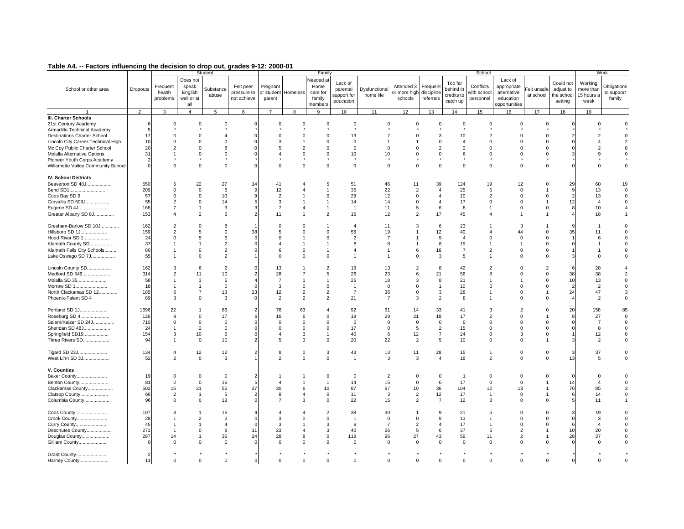|  |  | Table A4. -- Factors influencing the decision to drop out, grades 9-12: 2000-01 |
|--|--|---------------------------------------------------------------------------------|
|--|--|---------------------------------------------------------------------------------|

| - ------- -----------                                                                                    |                               |                                                                      |                                                           | Student                                            |                                         |                                               |                                             | Family                                                                 |                                                    |                            |                                                                |                                                            |                                               | School                                                                  |                                                                     |                                                                                   |                                                 |                                                              | Work                                   |
|----------------------------------------------------------------------------------------------------------|-------------------------------|----------------------------------------------------------------------|-----------------------------------------------------------|----------------------------------------------------|-----------------------------------------|-----------------------------------------------|---------------------------------------------|------------------------------------------------------------------------|----------------------------------------------------|----------------------------|----------------------------------------------------------------|------------------------------------------------------------|-----------------------------------------------|-------------------------------------------------------------------------|---------------------------------------------------------------------|-----------------------------------------------------------------------------------|-------------------------------------------------|--------------------------------------------------------------|----------------------------------------|
| School or other area                                                                                     | Dropouts                      | Frequent<br>health<br>problems                                       | Does not<br>speak<br>English<br>well or at<br>all         | Substance<br>abuse                                 | Felt peer<br>pressure to<br>not achieve | Pregnant<br>parent                            | or student Homeless                         | Needed at<br>Home<br>care for<br>family<br>members                     | Lack of<br>parental<br>support for<br>education    | Dysfunctional<br>home life | Attended 3<br>or more high<br>schools                          | Frequen<br>discipline<br>referrals                         | Too far<br>behind i<br>credits to<br>catch up | Conflicts<br>with schoo<br>personnel                                    | Lack of<br>appropriate<br>alternative<br>education<br>opportunities | Felt unsafe<br>at school                                                          | Could not<br>adjust to<br>the school<br>setting | Working<br>more than<br>15 hours a<br>week                   | Obligations<br>to support<br>family    |
|                                                                                                          | $\overline{2}$                | $\mathbf{3}$                                                         | $\overline{4}$                                            | 5                                                  | 6                                       | $\overline{7}$                                | 8                                           | 9                                                                      | 10                                                 | 11                         | 12                                                             | 13                                                         | 14                                            | 15                                                                      | 16                                                                  | 17                                                                                | 18                                              | 19                                                           |                                        |
| <b>III. Charter Schools</b><br>21st Century Academy<br>Armadillo Technical Academy                       | $\epsilon$<br>F.              | $\mathbf 0$                                                          | $\Omega$                                                  | $\Omega$                                           |                                         | $\Omega$                                      | $\Omega$                                    | $\Omega$                                                               | $\Omega$                                           |                            | $\Omega$                                                       | $\mathbf 0$                                                | $\Omega$                                      | $\Omega$                                                                | $\Omega$                                                            | $\Omega$                                                                          | $\mathbf 0$                                     | $\Omega$                                                     |                                        |
| <b>Destinations Charter School</b><br>Lincoln City Career Technical High<br>Mc Coy Public Charter School | 17<br>10<br>20                | $\Omega$<br>0<br>$\overline{2}$                                      | $\Omega$<br>$\Omega$<br>$\Omega$                          | $\overline{a}$<br>$\mathbf 0$<br>$\mathbf{R}$      |                                         | $\Omega$<br>3<br>5                            | $\Omega$<br>$\mathcal{P}$                   | $\Omega$<br>$\mathbf 0$<br>$\Omega$                                    | 13<br>0<br>$\Omega$                                |                            |                                                                | 3<br>$\mathsf 0$<br>2                                      | 10<br>$\overline{4}$<br>$\overline{2}$        | $\overline{2}$<br>0<br>$\Omega$                                         | $\Omega$<br>$\mathbf 0$<br>$\Omega$                                 | $\Omega$<br>0<br>$\Omega$                                                         |                                                 |                                                              |                                        |
| Molalla Alternative Options<br>Pioneer Youth Corps Academy<br>Willamette Valley Community School         | 31                            | $\overline{1}$<br>$\Omega$                                           | $\Omega$<br>$\Omega$                                      | $\Omega$<br>$\mathbf 0$                            |                                         | $\overline{\mathbf{A}}$<br>$\Omega$           | $\Omega$<br>$\Omega$                        | $\mathbf 0$<br>$\mathbf 0$                                             | 10<br>$\mathbf 0$                                  | 10                         |                                                                | $\mathsf 0$<br>$\Omega$                                    | 6<br>$\Omega$                                 | $\mathbf 0$<br>$\Omega$                                                 | $\Omega$<br>$\Omega$                                                | $\mathbf 0$<br>$\mathbf 0$                                                        |                                                 | g                                                            |                                        |
| <b>IV. School Districts</b><br>Beaverton SD 48J<br>Bend SD1                                              | 550<br>209                    | 5<br>$\mathbf 0$<br>$\mathsf 0$                                      | 22<br>$\mathbf 0$<br>$\Omega$                             | 27<br>6<br>10                                      | 14<br>$\mathbf{Q}$                      | 41<br>12<br>$\overline{2}$                    |                                             | 5<br>$\Omega$                                                          | 51<br>35                                           | 46<br>22<br>12             | 11<br>$\overline{2}$<br>$\Omega$                               | 39<br>$\overline{4}$<br>$\overline{4}$                     | 124<br>25<br>10                               | 19<br>5<br>$\overline{2}$                                               | 12<br>$\Omega$<br>$\Omega$                                          | $\Omega$<br>1<br>$\Omega$                                                         | 29<br>9<br>$\overline{2}$                       | 60<br>13<br>13                                               | 19<br>$\Omega$<br>$\Omega$             |
| Coos Bay SD 9<br>Corvallis SD 509J<br>Eugene SD 4J<br>Greater Albany SD 8J                               | 57<br>55<br>168<br>153        | 2<br>$\overline{7}$<br>4                                             | $\Omega$<br>$\mathbf{1}$<br>$\overline{2}$                | 14<br>$\mathbf 3$<br>6                             | 3                                       | 3<br>$\overline{7}$<br>11                     | $\overline{4}$                              | $\overline{1}$<br>$\overline{1}$<br>$\overline{2}$                     | 29<br>14<br>$\mathbf{1}$<br>16                     | 14<br>11<br>12             | $\Omega$<br>5<br>$\overline{2}$                                | 4<br>6<br>17                                               | 17<br>8<br>45                                 | $\Omega$<br>$\mathbf{1}$<br>$\boldsymbol{\Delta}$                       | $\Omega$<br>$\Omega$                                                | 1<br>$\Omega$<br>$\mathbf{1}$                                                     | 12                                              | $\overline{4}$<br>10<br>18                                   |                                        |
| Gresham-Barlow SD 10J<br>Hillsboro SD 1J<br>Hood River SD 1                                              | 162<br>159<br>24              | $\overline{2}$<br>$\overline{2}$<br>$\Omega$                         | $\Omega$<br>5<br>$\mathbf{Q}$                             | 8<br>$\Omega$<br>6                                 | 38                                      | $\Omega$<br>5<br>$\Omega$                     | $\Omega$<br>$\Omega$                        | $\overline{1}$<br>$\Omega$<br>$\Omega$                                 | $\overline{4}$<br>56<br>$\overline{2}$             | 11<br>19                   |                                                                | 6<br>12<br>9                                               | 23<br>40<br>$\overline{4}$                    | -1<br>$\overline{4}$<br>$\Omega$                                        | 3<br>44<br>$\Omega$                                                 | $\mathbf{1}$<br>$\Omega$<br>$\Omega$                                              | 35                                              | 11<br>6                                                      |                                        |
| Klamath County SD<br>Klamath Falls City Schools<br>Lake Oswego SD 7J                                     | 37<br>80<br>55                | -1                                                                   | $\mathbf 0$<br>$\Omega$                                   | $\overline{2}$<br>$\overline{2}$<br>$\overline{2}$ | $\Omega$                                | $\overline{\mathbf{A}}$<br>6<br>$\mathbf 0$   | $\Omega$<br>$\Omega$                        | $\overline{1}$<br>$^{\circ}$                                           | 8<br>$\overline{4}$                                |                            | ĥ                                                              | 8<br>16<br>3                                               | 15<br>$\overline{7}$<br>5                     | 1<br>$\overline{2}$<br>1                                                | $\Omega$<br>$\Omega$                                                | $\Omega$<br>$\Omega$<br>$\Omega$                                                  |                                                 | $\Omega$                                                     |                                        |
| Lincoln County SD<br>Medford SD 549<br>Molalla SD 35<br>Morrow SD 1<br>North Clackamas SD 12             | 162<br>314<br>58<br>18<br>185 | 3<br>$\overline{2}$<br>1<br>1<br>6                                   | 6<br>11<br>3<br>$\overline{1}$<br>$\overline{7}$          | $\overline{2}$<br>10<br>5<br>$\mathbf 0$<br>13     | $\overline{2}$<br>$\Omega$<br>23        | 13<br>28<br>$\overline{7}$<br>3<br>12         | $\overline{7}$<br>$\Omega$<br>2             | $\overline{2}$<br>5<br>$\overline{1}$<br>$\mathbf 0$<br>$\overline{2}$ | 19<br>26<br>25<br>$\overline{1}$<br>$\overline{7}$ | 13<br>23<br>18<br>36       | $\Omega$<br>$\Omega$                                           | 8<br>21<br>8<br>$\overline{1}$<br>3                        | 42<br>56<br>21<br>10<br>28                    | $\overline{2}$<br>8<br>1<br>$\Omega$<br>-1                              | 0<br>$\Omega$<br>$\Omega$<br>$\Omega$                               | $\overline{2}$<br>$\mathbf 0$<br>$\Omega$<br>$\mathbf 0$<br>$\overline{1}$        | 6<br>38<br>10<br>$\overline{2}$<br>24           | 28<br>38<br>13<br>$\overline{2}$<br>47                       | $\overline{2}$                         |
| Phoenix-Talent SD 4<br>Portland SD 1J                                                                    | 89<br>1696                    | 3<br>22                                                              | $\Omega$                                                  | 3<br>66                                            | $\overline{2}$                          | $\overline{2}$<br>76                          | $\overline{2}$<br>63                        | $\overline{2}$<br>$\overline{4}$                                       | 21<br>92                                           | 61                         | $\mathcal{R}$<br>14                                            | $\overline{2}$<br>33                                       | 8<br>41                                       | -1<br>3                                                                 | $\Omega$<br>$\overline{2}$                                          | $\Omega$<br>$\mathbf 0$                                                           | 20                                              | $\overline{2}$<br>158                                        | 85                                     |
| Roseburg SD 4<br>Salem/Keizer SD 24J<br>Sheridan SD 48J<br>Springfield SD19<br>Three Rivers SD           | 126<br>710<br>24<br>154<br>94 | 9<br>$\mathbf 0$<br>$\overline{1}$<br>3<br>$\mathbf{1}$              | $\Omega$<br>$\mathsf 0$<br>2<br>10<br>$\mathbf 0$         | 17<br>$\mathbf 0$<br>$\mathbf 0$<br>6<br>10        | $\Omega$<br>$\Omega$<br>$\Omega$        | 16<br>0<br>$\mathbf 0$<br>$\overline{4}$<br>5 | 6<br>$\mathbf 0$<br>$\Omega$<br>3<br>3      | $\Omega$<br>0<br>$\mathbf 0$<br>$\overline{1}$<br>$\mathbf 0$          | 19<br>$\mathbf 0$<br>17<br>40<br>20                | 29<br>6<br>22              | 21<br>$\Omega$<br>5<br>12<br>$\overline{2}$                    | 18<br>$\mathsf 0$<br>$\overline{2}$<br>$\overline{7}$<br>5 | 17<br>$\mathbf 0$<br>15<br>24<br>10           | $\overline{2}$<br>$\mathbf 0$<br>$\Omega$<br>$\mathbf 0$<br>$\mathbf 0$ | $\Omega$<br>$\mathbf 0$<br>$\Omega$<br>3<br>$\Omega$                | $\overline{1}$<br>$\mathbf 0$<br>$\Omega$<br>$\mathbf 0$<br>$\overline{1}$        |                                                 | 27<br>$\overline{7}$<br>$\mathsf{R}$<br>12<br>$\overline{2}$ | $\mathbf 0$<br>$\mathbf 0$<br>$\Omega$ |
| Tigard SD 23J<br>West Linn SD 3J                                                                         | 134<br>52                     | $\overline{4}$<br>$\mathbf{2}$                                       | 12<br>$\mathbf 0$                                         | 12<br>3                                            | $\overline{2}$                          | 8<br>2                                        | $\mathsf{O}\xspace$<br>$\mathbf 0$          | $\mathbf{3}$<br>$\mathbf 0$                                            | 43<br>$\overline{1}$                               | 13                         | 11<br>3                                                        | 28<br>$\overline{4}$                                       | 15<br>18                                      | $\mathbf{1}$<br>$\overline{2}$                                          | $\mathbf 0$<br>$\mathbf{0}$                                         | $\mathsf 0$<br>$\mathbf 0$                                                        | 3<br>13                                         | 37<br>5                                                      | $\Omega$                               |
| V. Counties<br>Baker County<br>Benton County<br>Clackamas County<br>Clatsop County<br>Columbia County    | 19<br>81<br>502<br>66<br>96   | $\mathbf 0$<br>$\overline{2}$<br>15<br>$\overline{2}$<br>$\mathbf 0$ | $\Omega$<br>$\mathbf 0$<br>21<br>$\mathbf{1}$<br>$\Omega$ | $\mathsf 0$<br>16<br>55<br>5<br>13                 | 2<br>5<br>37<br>$\Omega$                | $\overline{4}$<br>30<br>8<br>$\overline{7}$   | 6<br>$\overline{4}$<br>3                    | $\mathbf 0$<br>$\overline{1}$<br>10<br>$\mathbf 0$<br>$\mathbf 0$      | $\Omega$<br>14<br>87<br>11<br>22                   | 15<br>97<br>15             | $\Omega$<br>$\Omega$<br>10<br>$\overline{2}$<br>$\overline{2}$ | $\mathsf 0$<br>6<br>36<br>12<br>$\overline{7}$             | $\mathbf{1}$<br>17<br>104<br>17<br>12         | $\Omega$<br>$\mathbf 0$<br>12<br>$\mathbf{1}$<br>3                      | $\Omega$<br>$\Omega$<br>13<br>$\Omega$<br>$\Omega$                  | $\Omega$<br>1<br>-1<br>$\overline{1}$<br>$\mathbf 0$                              | 14<br>70                                        | $\Omega$<br>$\overline{\mathbf{A}}$<br>85<br>14<br>11        |                                        |
| Coos County<br>Crook County<br>Curry County<br>Deschutes County<br>Douglas County<br>Gilliam County      | 107<br>28<br>45<br>271<br>287 | 3<br>$\blacktriangleleft$<br>1<br>$\overline{1}$<br>14<br>$\Omega$   | $\mathcal{P}$<br>$\mathbf 0$<br>$\Omega$                  | 15<br>2<br>$\overline{4}$<br>8<br>36<br>$\Omega$   | 9<br>$\Omega$<br>$\Omega$<br>11<br>24   | 4<br>3<br>3<br>23<br>28<br>$\mathbf 0$        | $\Omega$<br>$\overline{a}$<br>8<br>$\Omega$ | $\overline{2}$<br>$\Omega$<br>3<br>3<br>$\mathbf 0$<br>$\mathbf 0$     | 38<br>$\overline{1}$<br>9<br>40<br>119<br>$\Omega$ | 30<br>26<br>96             | $\Omega$<br>$\overline{2}$<br>5<br>27<br>$\Omega$              | 9<br>9<br>$\overline{4}$<br>6<br>43<br>$\mathbf 0$         | 21<br>13<br>17<br>37<br>59<br>$\Omega$        | 5<br>-1<br>$\overline{1}$<br>5<br>11<br>$\Omega$                        | 0<br>$\Omega$<br>$\Omega$<br>2<br>$\overline{2}$<br>$\Omega$        | $\Omega$<br>$\Omega$<br>$\Omega$<br>$\mathbf{1}$<br>$\overline{1}$<br>$\mathbf 0$ | $\Omega$<br>6<br>10<br>28                       | 19<br>$\mathcal{R}$<br>20<br>37<br>$\Omega$                  |                                        |
| Grant County<br>Harney County                                                                            | 2<br>11                       | $\mathbf 0$                                                          | $\Omega$                                                  | $\Omega$                                           | $\Omega$                                | $\Omega$                                      | $\Omega$                                    | $\Omega$                                                               | $\Omega$                                           |                            | $\Omega$                                                       | $\Omega$                                                   | $\Omega$                                      | $\mathbf 0$                                                             | $\Omega$                                                            | $\mathbf 0$                                                                       | $\mathbf 0$                                     | $\Omega$                                                     |                                        |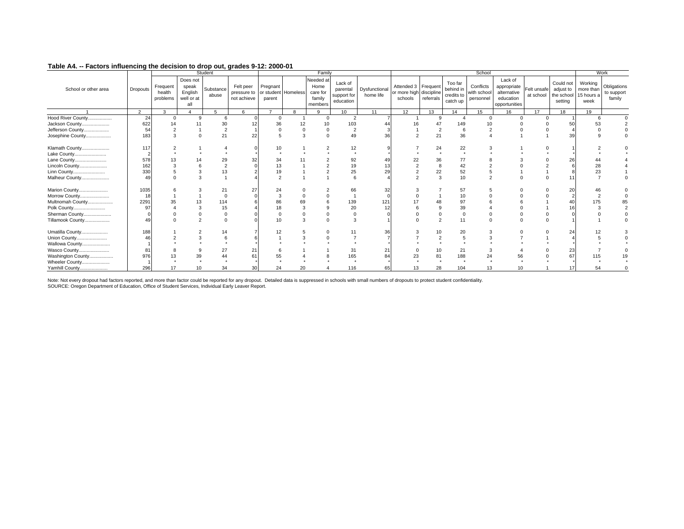|                      |                 |                                |                                                   | Student            |                                         |                                           |    | Family                                             |                                                 |                            |                                                           |           |                                                | School                                |                                                                     |                          |                                                 |                                            | Work                                |
|----------------------|-----------------|--------------------------------|---------------------------------------------------|--------------------|-----------------------------------------|-------------------------------------------|----|----------------------------------------------------|-------------------------------------------------|----------------------------|-----------------------------------------------------------|-----------|------------------------------------------------|---------------------------------------|---------------------------------------------------------------------|--------------------------|-------------------------------------------------|--------------------------------------------|-------------------------------------|
| School or other area | <b>Dropouts</b> | Frequent<br>health<br>problems | Does not<br>speak<br>English<br>well or at<br>all | Substance<br>abuse | Felt peer<br>pressure to<br>not achieve | Pregnant<br>or student Homeless<br>parent |    | Needed at<br>Home<br>care for<br>family<br>members | Lack of<br>parental<br>support for<br>education | Dysfunctional<br>home life | Attended 3 Frequent<br>or more high discipline<br>schools | referrals | Too far<br>behind in<br>credits to<br>catch up | Conflicts<br>with school<br>personnel | Lack of<br>appropriate<br>alternative<br>education<br>opportunities | Felt unsafe<br>at school | Could not<br>adjust to<br>the school<br>setting | Working<br>more than<br>15 hours a<br>week | Obligations<br>to support<br>family |
|                      | 2               | 3                              | $\Delta$                                          | 5                  | 6                                       | $\overline{ }$                            | 8  | 9                                                  | 10                                              | 11                         | 12                                                        | 13        | 14                                             | 15                                    | 16                                                                  | 17                       | 18                                              | 19                                         |                                     |
| Hood River County    | 24              | $^{\circ}$                     | a                                                 | 6                  |                                         | $\Omega$                                  |    | $\Omega$                                           | $\overline{2}$                                  |                            |                                                           | 9         |                                                | $\Omega$                              | $\cap$                                                              | $\Omega$                 |                                                 |                                            |                                     |
| Jackson County       | 622             | 14                             |                                                   | 30                 |                                         | 36                                        | 12 |                                                    | 103                                             |                            |                                                           |           | 149                                            |                                       |                                                                     |                          |                                                 | 53                                         |                                     |
| Jefferson County     | 54              |                                |                                                   | $\overline{2}$     |                                         |                                           |    |                                                    | $\overline{2}$                                  |                            |                                                           |           |                                                |                                       |                                                                     |                          |                                                 |                                            |                                     |
| Josephine County     | 183             | 3                              |                                                   | 21                 | 22                                      |                                           |    |                                                    | 49                                              | 36                         |                                                           | 21        | 36                                             |                                       |                                                                     |                          |                                                 |                                            |                                     |
| Klamath County       | 117             |                                |                                                   |                    |                                         | 10                                        |    |                                                    | 12                                              |                            |                                                           | 24        | 22                                             |                                       |                                                                     |                          |                                                 |                                            |                                     |
| Lake County          |                 |                                |                                                   |                    |                                         |                                           |    |                                                    |                                                 |                            |                                                           |           |                                                |                                       |                                                                     |                          |                                                 |                                            |                                     |
| Lane County          | 578             |                                |                                                   |                    | 32                                      |                                           |    |                                                    | 92                                              |                            |                                                           | 36        | 77                                             |                                       |                                                                     |                          | 26                                              |                                            |                                     |
| Lincoln County       | 162             |                                |                                                   |                    |                                         | 13                                        |    |                                                    | 19                                              |                            |                                                           |           | 42                                             |                                       |                                                                     |                          |                                                 |                                            |                                     |
| Linn County          | 330             |                                |                                                   | 13                 |                                         | 19                                        |    |                                                    | 25                                              | 29                         |                                                           | 22        | 52                                             |                                       |                                                                     |                          |                                                 |                                            |                                     |
| Malheur County       | 49              |                                |                                                   |                    |                                         |                                           |    |                                                    |                                                 |                            |                                                           | 3         | 10                                             |                                       |                                                                     |                          |                                                 |                                            |                                     |
| Marion County        | 1035            |                                |                                                   |                    | 27                                      | 24                                        |    |                                                    | 66                                              |                            |                                                           |           | 57                                             |                                       |                                                                     |                          | 20                                              |                                            |                                     |
| Morrow County        | 18              |                                |                                                   |                    |                                         |                                           |    |                                                    |                                                 |                            |                                                           |           |                                                |                                       |                                                                     |                          |                                                 |                                            |                                     |
| Multnomah County     | 2291            |                                |                                                   | 114                |                                         |                                           |    |                                                    | 139                                             | 121                        |                                                           |           |                                                |                                       |                                                                     |                          |                                                 |                                            |                                     |
| Polk County          | 97              |                                |                                                   | 15                 |                                         |                                           |    |                                                    | 20                                              |                            |                                                           |           | 39                                             |                                       |                                                                     |                          |                                                 |                                            |                                     |
| Sherman County       |                 |                                |                                                   |                    |                                         |                                           |    |                                                    |                                                 |                            |                                                           |           | $\Omega$                                       |                                       |                                                                     |                          |                                                 |                                            |                                     |
| Tillamook County     | 49              |                                |                                                   |                    |                                         |                                           |    |                                                    |                                                 |                            |                                                           |           | 11                                             |                                       |                                                                     |                          |                                                 |                                            |                                     |
| Umatilla County      | 188             |                                |                                                   | 14                 |                                         |                                           |    |                                                    |                                                 | 36                         |                                                           | 10        | 20                                             |                                       |                                                                     |                          | 24                                              |                                            |                                     |
| Union County         | 46              |                                |                                                   |                    |                                         |                                           |    |                                                    |                                                 |                            |                                                           |           |                                                |                                       |                                                                     |                          |                                                 |                                            |                                     |
| Wallowa County       |                 |                                |                                                   |                    |                                         |                                           |    |                                                    |                                                 |                            |                                                           |           |                                                |                                       |                                                                     |                          |                                                 |                                            |                                     |
| Wasco County         | 8               |                                |                                                   |                    | 21                                      |                                           |    |                                                    | 31                                              |                            |                                                           | 10        | 21                                             |                                       |                                                                     |                          | 23                                              |                                            |                                     |
| Washington County    | 976             |                                |                                                   |                    | 61                                      |                                           |    |                                                    | 165                                             | 84                         | 23                                                        | 81        | 188                                            | 24                                    |                                                                     |                          | 67                                              |                                            |                                     |
| Wheeler County       |                 |                                |                                                   |                    |                                         |                                           |    |                                                    |                                                 |                            |                                                           |           |                                                |                                       |                                                                     |                          |                                                 |                                            |                                     |
| Yamhill County       | 296             |                                |                                                   | 34                 | 30                                      | 24                                        | 20 |                                                    | 116                                             | 65                         | 13                                                        | 28        | 104                                            | 13                                    | 10                                                                  |                          |                                                 |                                            |                                     |

Note: Not every dropout had factors reported, and more than factor could be reported for any dropout. Detailed data is suppressed in schools with small numbers of dropouts to protect student confidentiality.<br>SOURCE: Oregon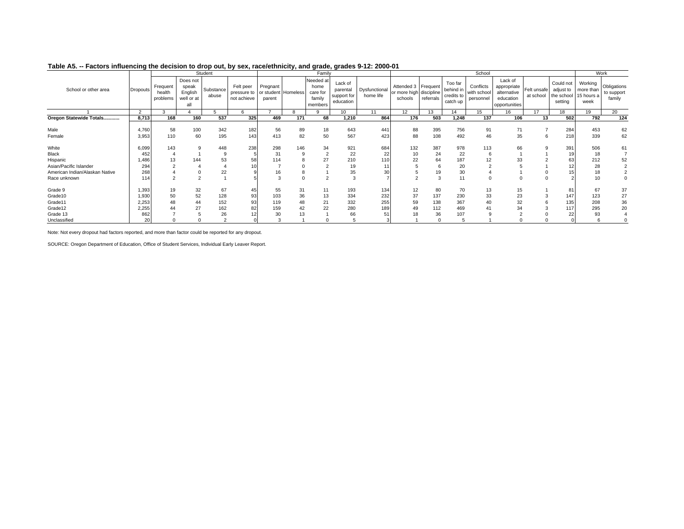|                                |                 |                                |                                                   | Student            |                                                             |                    |          | Family                                             |                                                 |                            |                                                           |            |                                                | School                                |                                                                     |                          |                                                 |                                            | Work                                |
|--------------------------------|-----------------|--------------------------------|---------------------------------------------------|--------------------|-------------------------------------------------------------|--------------------|----------|----------------------------------------------------|-------------------------------------------------|----------------------------|-----------------------------------------------------------|------------|------------------------------------------------|---------------------------------------|---------------------------------------------------------------------|--------------------------|-------------------------------------------------|--------------------------------------------|-------------------------------------|
| School or other area           | <b>Dropouts</b> | Frequent<br>health<br>problems | Does not<br>speak<br>English<br>well or at<br>all | Substance<br>abuse | Felt peer<br>pressure to or student Homeless<br>not achieve | Pregnant<br>parent |          | Needed at<br>home<br>care for<br>family<br>members | Lack of<br>parental<br>support for<br>education | Dysfunctional<br>home life | Attended 3 Frequent<br>or more high discipline<br>schools | referrals  | Too far<br>behind in<br>credits to<br>catch up | Conflicts<br>with school<br>personnel | Lack of<br>appropriate<br>alternative<br>education<br>opportunities | Felt unsafe<br>at school | Could not<br>adjust to<br>the school<br>setting | Working<br>more than<br>15 hours a<br>week | Obligations<br>to support<br>family |
|                                | $\Omega$        | ঽ                              |                                                   |                    |                                                             |                    |          | $\Omega$                                           | 10                                              | 11                         | 12                                                        | 13         | 14                                             | 15                                    | 16                                                                  | 17                       | 18                                              | 19                                         | $20^{-}$                            |
| Oregon Statewide Totals        | 8,713           | 168                            | 160                                               | 537                | 325                                                         | 469                | 171      | 68                                                 | 1,210                                           | 864                        | 176                                                       | 503        | 1,248                                          | 137                                   | 106                                                                 | 13                       | 502                                             | 792                                        | 124                                 |
| Male<br>Female                 | 4,760<br>3,953  | 58<br>110                      | 100<br>60                                         | 342<br>195         | 182<br>143                                                  | 56<br>413          | 89<br>82 | 18<br>50                                           | 643<br>567                                      | 441<br>423                 | 88<br>88                                                  | 395<br>108 | 756<br>492                                     | 91<br>46                              | 71<br>35                                                            |                          | 284<br>218                                      | 453<br>339                                 | 62<br>62                            |
| White                          | 6,099           | 143                            |                                                   | 448                | 238                                                         | 298                | 146      | 34                                                 | 921                                             | 684                        | 132                                                       | 387        | 978                                            | 113                                   | 66                                                                  |                          | 391                                             | 506                                        | 61                                  |
| Black                          | 452             |                                |                                                   |                    |                                                             | 31                 | 9        |                                                    | 22                                              | 22                         | 10                                                        | 24         | 22                                             |                                       |                                                                     |                          |                                                 | 18                                         |                                     |
| Hispanic                       | 1,486           | 13                             | 144                                               | 53                 | 58                                                          | 114                |          | 27                                                 | 210                                             |                            | 22                                                        | 64         | 187                                            |                                       | 33                                                                  |                          | 63                                              | 212                                        | 52                                  |
| Asian/Pacific Islander         | 294             |                                |                                                   |                    |                                                             |                    |          |                                                    | 19                                              |                            |                                                           | 6          | 20                                             |                                       |                                                                     |                          |                                                 | 28                                         |                                     |
| American Indian/Alaskan Native | 268             |                                |                                                   | 22                 |                                                             |                    |          |                                                    | 35                                              |                            |                                                           | 19         | 30                                             |                                       |                                                                     |                          |                                                 | 18                                         |                                     |
| Race unknown                   |                 |                                |                                                   |                    |                                                             |                    |          |                                                    | 3                                               |                            |                                                           | 3          | 11                                             |                                       |                                                                     |                          |                                                 |                                            |                                     |
| Grade 9                        | 1,393           | 19                             | 32                                                | 67                 | 45                                                          | 55                 | 31       | 11                                                 | 193                                             | 134                        | 12                                                        | 80         | 70                                             | 13                                    | 15                                                                  |                          | 81                                              | 67                                         | 37                                  |
| Grade10                        | 1,930           | 50                             | 52                                                | 128                | 93                                                          | 103                | 36       | 13                                                 | 334                                             | 232                        | 37                                                        | 137        | 230                                            | 33                                    | 23                                                                  |                          | 147                                             | 123                                        | 27                                  |
| Grade11                        | 2,253           | 48                             | 44                                                | 152                | 93                                                          | 119                | 48       | 21                                                 | 332                                             | 255                        | 59                                                        | 138        | 367                                            | 40                                    | 32                                                                  |                          | 135                                             | 208                                        | 36                                  |
| Grade12                        | 2,255           |                                | 27                                                | 162                | 82                                                          | 159                | 42       | 22                                                 | 280                                             | 189                        |                                                           | 112        | 469                                            | 4                                     | 34                                                                  |                          | 117                                             | 295                                        | 20                                  |
| Grade 13                       | 862             |                                |                                                   | 26                 |                                                             | 30                 |          |                                                    | 66                                              | 51                         |                                                           | 36         | 107                                            |                                       |                                                                     |                          |                                                 |                                            |                                     |
| Unclassified                   | 20              |                                |                                                   |                    |                                                             |                    |          |                                                    |                                                 |                            |                                                           | $\Omega$   |                                                |                                       |                                                                     |                          |                                                 |                                            |                                     |

#### **Table A5. -- Factors influencing the decision to drop out, by sex, race/ethnicity, and grade, grades 9-12: 2000-01**

Note: Not every dropout had factors reported, and more than factor could be reported for any dropout.

SOURCE: Oregon Department of Education, Office of Student Services, Individual Early Leaver Report.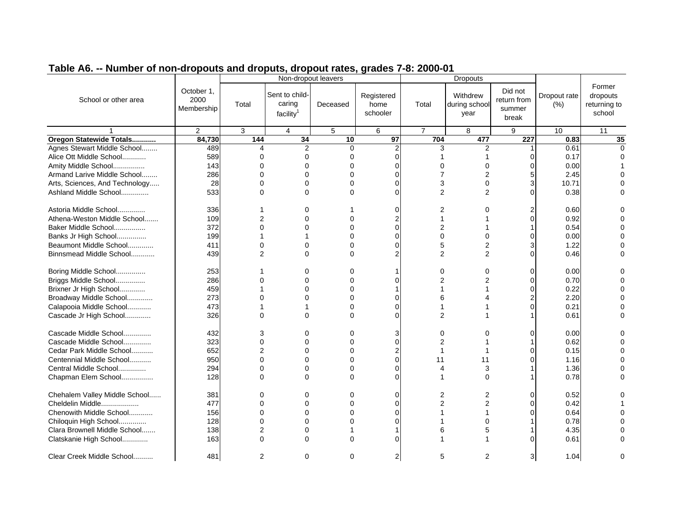|                                |                                  |                | Non-dropout leavers                               |          |                                |                | <b>Dropouts</b>                   |                                           |                      |                                              |
|--------------------------------|----------------------------------|----------------|---------------------------------------------------|----------|--------------------------------|----------------|-----------------------------------|-------------------------------------------|----------------------|----------------------------------------------|
| School or other area           | October 1,<br>2000<br>Membership | Total          | Sent to child-<br>caring<br>facility <sup>1</sup> | Deceased | Registered<br>home<br>schooler | Total          | Withdrew<br>during school<br>year | Did not<br>return from<br>summer<br>break | Dropout rate<br>(% ) | Former<br>dropouts<br>returning to<br>school |
|                                | $\overline{c}$                   | 3              | 4                                                 | 5        | 6                              | $\overline{7}$ | 8                                 | 9                                         | 10                   | 11                                           |
| Oregon Statewide Totals        | 84,730                           | 144            | 34                                                | 10       | 97                             | 704            | 477                               | 227                                       | 0.83                 | 35                                           |
| Agnes Stewart Middle School    | 489                              | 4              | $\overline{2}$                                    | $\Omega$ | $\overline{2}$                 | 3              | 2                                 |                                           | 0.61                 | $\Omega$                                     |
| Alice Ott Middle School        | 589                              | $\Omega$       | $\Omega$                                          | O        | $\Omega$                       |                |                                   | O                                         | 0.17                 |                                              |
| Amity Middle School            | 143                              | $\Omega$       | $\Omega$                                          | $\Omega$ | $\Omega$                       | 0              | 0                                 | O                                         | 0.00                 |                                              |
| Armand Larive Middle School    | 286                              | $\Omega$       | $\Omega$                                          | $\Omega$ | $\Omega$                       | 7              | $\overline{2}$                    |                                           | 2.45                 |                                              |
| Arts, Sciences, And Technology | 28                               | $\Omega$       | $\Omega$                                          | $\Omega$ | C                              | 3              | $\Omega$                          |                                           | 10.71                |                                              |
| Ashland Middle School          | 533                              | $\Omega$       | $\Omega$                                          | $\Omega$ | $\Omega$                       | $\overline{2}$ | $\overline{2}$                    | O                                         | 0.38                 |                                              |
|                                |                                  |                |                                                   |          |                                |                |                                   |                                           |                      |                                              |
| Astoria Middle School          | 336                              |                | $\Omega$                                          |          | $\Omega$                       | 2              | 0                                 |                                           | 0.60                 |                                              |
| Athena-Weston Middle School    | 109                              | $\overline{2}$ | 0                                                 | 0        | $\overline{2}$                 | 1              |                                   | O                                         | 0.92                 |                                              |
| Baker Middle School            | 372                              | $\Omega$       | $\Omega$                                          | 0        | $\Omega$                       | 2              |                                   |                                           | 0.54                 |                                              |
| Banks Jr High School           | 199                              |                |                                                   | ∩        | $\Omega$                       | 0              | 0                                 |                                           | 0.00                 |                                              |
| Beaumont Middle School         | 411                              | $\Omega$       | $\Omega$                                          | $\Omega$ | $\Omega$                       | 5              | $\overline{2}$                    |                                           | 1.22                 |                                              |
| Binnsmead Middle School        | 439                              | $\mathfrak{p}$ | $\Omega$                                          | $\Omega$ |                                | $\overline{c}$ | $\overline{2}$                    | ∩                                         | 0.46                 |                                              |
|                                |                                  |                |                                                   |          |                                |                |                                   |                                           |                      |                                              |
| Boring Middle School           | 253                              |                | 0                                                 | 0        |                                | 0              | 0                                 | 0                                         | 0.00                 |                                              |
| Briggs Middle School           | 286                              | $\Omega$       | 0                                                 | 0        | 0                              | $\overline{c}$ | $\overline{2}$                    |                                           | 0.70                 |                                              |
| Brixner Jr High School         | 459                              |                | $\Omega$                                          | $\Omega$ |                                |                |                                   |                                           | 0.22                 |                                              |
| Broadway Middle School         | 273                              | $\Omega$       | $\Omega$                                          | O        | C                              | հ              |                                   |                                           | 2.20                 |                                              |
| Calapooia Middle School        | 473                              |                |                                                   | $\Omega$ | $\Omega$                       |                |                                   |                                           | 0.21                 |                                              |
| Cascade Jr High School         | 326                              | $\Omega$       | $\Omega$                                          | $\Omega$ | $\Omega$                       | $\overline{c}$ |                                   |                                           | 0.61                 |                                              |
|                                |                                  |                |                                                   |          |                                |                |                                   |                                           |                      |                                              |
| Cascade Middle School          | 432                              | 3              | 0                                                 | 0        | 3                              | 0              | 0                                 | O                                         | 0.00                 |                                              |
| Cascade Middle School          | 323                              | $\Omega$       | $\Omega$                                          | 0        | $\Omega$                       | $\overline{2}$ |                                   |                                           | 0.62                 |                                              |
| Cedar Park Middle School       | 652                              |                | $\Omega$                                          | $\Omega$ |                                |                |                                   |                                           | 0.15                 |                                              |
| Centennial Middle School       | 950                              | $\Omega$       | $\Omega$                                          | $\Omega$ | $\Omega$                       | 11             | 11                                |                                           | 1.16                 |                                              |
| Central Middle School          | 294                              | 0              | $\Omega$                                          | 0        | $\Omega$                       | 4              | 3                                 |                                           | 1.36                 |                                              |
| Chapman Elem School            | 128                              | $\Omega$       | 0                                                 | $\Omega$ | $\Omega$                       |                | 0                                 |                                           | 0.78                 |                                              |
|                                |                                  |                |                                                   |          |                                |                |                                   |                                           |                      |                                              |
| Chehalem Valley Middle School  | 381                              | 0              | $\Omega$                                          | 0        | $\Omega$                       | 2              | 2                                 |                                           | 0.52                 |                                              |
| Cheldelin Middle               | 477                              | $\Omega$       | $\Omega$                                          | $\Omega$ | $\Omega$                       | $\overline{2}$ | $\overline{2}$                    |                                           | 0.42                 |                                              |
| Chenowith Middle School        | 156                              | $\Omega$       | $\Omega$                                          | O        | $\Omega$                       |                |                                   |                                           | 0.64                 |                                              |
| Chiloquin High School          | 128                              | $\Omega$       | $\Omega$                                          |          | $\Omega$                       |                | 0                                 |                                           | 0.78                 |                                              |
| Clara Brownell Middle School   | 138                              | $\overline{2}$ | $\Omega$                                          |          |                                |                |                                   |                                           | 4.35                 |                                              |
| Clatskanie High School         | 163                              | $\Omega$       | $\Omega$                                          | ∩        |                                |                |                                   |                                           | 0.61                 |                                              |
|                                |                                  |                |                                                   |          |                                |                |                                   |                                           |                      |                                              |
| Clear Creek Middle School      | 481                              | $\overline{2}$ | $\Omega$                                          | $\Omega$ | 2                              | 5              | $\overline{2}$                    | 3                                         | 1.04                 | $\Omega$                                     |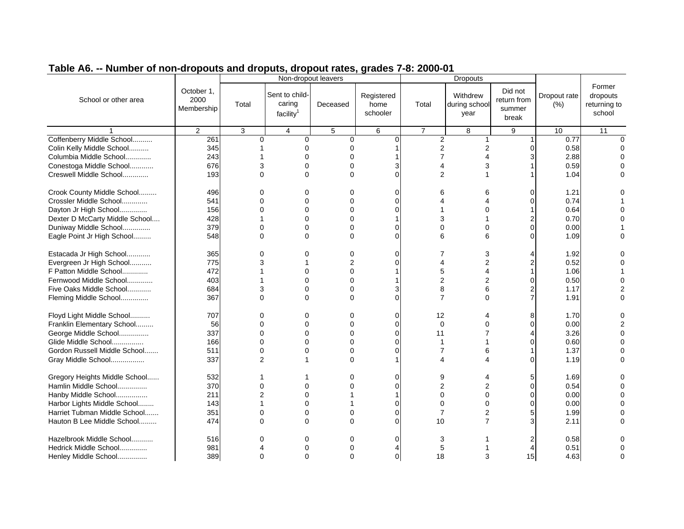|                                |                |                | Non-dropout leavers   |             |             |                |                 |             |              |              |
|--------------------------------|----------------|----------------|-----------------------|-------------|-------------|----------------|-----------------|-------------|--------------|--------------|
|                                |                |                |                       |             |             |                | <b>Dropouts</b> |             |              |              |
|                                | October 1,     |                | Sent to child-        |             |             |                |                 | Did not     |              | Former       |
| School or other area           | 2000           |                |                       |             | Registered  |                | Withdrew        | return from | Dropout rate | dropouts     |
|                                | Membership     | Total          | caring                | Deceased    | home        | Total          | during school   | summer      | (% )         | returning to |
|                                |                |                | facility <sup>1</sup> |             | schooler    |                | year            | break       |              | school       |
|                                |                |                |                       |             |             |                |                 |             |              |              |
|                                | $\overline{2}$ | 3              | $\overline{4}$        | 5           | 6           | $\overline{7}$ | 8               | 9           | 10           | 11           |
| Coffenberry Middle School      | 261            | $\Omega$       | 0                     | $\mathbf 0$ | 0           | $\overline{2}$ |                 |             | 0.77         |              |
| Colin Kelly Middle School      | 345            |                | 0                     | 0           |             | 2              | 2               |             | 0.58         |              |
| Columbia Middle School         | 243            |                | $\Omega$              |             |             | 7              |                 |             | 2.88         |              |
| Conestoga Middle School        | 676            | 3              | 0                     | 0           | 3           | 4              | 3               |             | 0.59         |              |
| Creswell Middle School         | 193            | $\Omega$       | $\Omega$              | 0           | $\Omega$    | $\overline{c}$ |                 |             | 1.04         |              |
|                                |                |                |                       |             |             |                |                 |             |              |              |
| Crook County Middle School     | 496            | $\Omega$       | 0                     | 0           | $\Omega$    | 6              | ิค              |             | 1.21         |              |
| Crossler Middle School         | 541            | $\Omega$       | $\Omega$              | $\Omega$    | $\Omega$    | 4              |                 |             | 0.74         |              |
| Dayton Jr High School          | 156            | $\Omega$       | 0                     | $\Omega$    | $\Omega$    |                | 0               |             | 0.64         |              |
| Dexter D McCarty Middle School | 428            |                | $\Omega$              | $\Omega$    |             | 3              |                 |             | 0.70         |              |
| Duniway Middle School          | 379            | 0              | $\Omega$              | 0           | 0           | 0              |                 | ŋ           | 0.00         |              |
| Eagle Point Jr High School     | 548            | $\Omega$       | $\Omega$              | $\Omega$    | $\Omega$    | 6              | 6               | ∩           | 1.09         |              |
|                                |                |                |                       |             |             |                |                 |             |              |              |
| Estacada Jr High School        | 365            | $\Omega$       | 0                     | 0           | $\Omega$    |                |                 |             | 1.92         |              |
| Evergreen Jr High School       | 775            | 3              |                       | 2           | $\Omega$    | 4              | 2               | 2           | 0.52         |              |
| F Patton Middle School         | 472            |                | 0                     | $\Omega$    |             | 5              |                 |             | 1.06         |              |
| Fernwood Middle School         | 403            |                | 0                     | 0           |             | $\overline{c}$ | 2               | 0           | 0.50         |              |
| Five Oaks Middle School        | 684            | 3              | $\Omega$              | 0           | 3           | 8              | 6               | 2           | 1.17         |              |
| Fleming Middle School          | 367            | $\Omega$       | $\Omega$              | $\Omega$    | $\Omega$    | $\overline{7}$ | $\Omega$        | 7           | 1.91         |              |
|                                |                |                |                       |             |             |                |                 |             |              |              |
| Floyd Light Middle School      | 707            | $\Omega$       | $\Omega$              | $\Omega$    | $\Omega$    | 12             |                 |             | 1.70         |              |
| Franklin Elementary School     | 56             | $\Omega$       | $\Omega$              | $\Omega$    | $\Omega$    | $\Omega$       | U               | ∩           | 0.00         |              |
| George Middle School           | 337            | $\Omega$       | $\Omega$              | 0           | $\mathbf 0$ | 11             |                 |             | 3.26         |              |
| Glide Middle School            | 166            | O              | $\Omega$              | 0           | $\Omega$    |                |                 |             | 0.60         |              |
| Gordon Russell Middle School   | 511            | $\Omega$       | 0                     | 0           | $\Omega$    | 7              | 6               |             | 1.37         |              |
| Gray Middle School             | 337            | 2              |                       | $\Omega$    |             | 4              | Δ               | ∩           | 1.19         |              |
|                                |                |                |                       |             |             |                |                 |             |              |              |
| Gregory Heights Middle School  | 532            |                |                       | 0           | $\Omega$    | 9              |                 |             | 1.69         |              |
| Hamlin Middle School           | 370            | $\Omega$       | $\Omega$              |             | $\Omega$    | $\overline{c}$ |                 | ∩           | 0.54         |              |
| Hanby Middle School            | 211            | $\overline{2}$ | 0                     |             |             | 0              | 0               | $\Omega$    | 0.00         |              |
| Harbor Lights Middle School    | 143            |                | $\Omega$              |             | $\Omega$    | 0              | O               | ი           | 0.00         |              |
| Harriet Tubman Middle School   | 351            | $\Omega$       | $\Omega$              | 0           | $\mathbf 0$ | 7              | 2               | 5           | 1.99         |              |
| Hauton B Lee Middle School     | 474            | $\Omega$       | $\Omega$              | $\Omega$    | $\Omega$    | 10             | 7               | 3           | 2.11         |              |
|                                |                |                |                       |             |             |                |                 |             |              |              |
| Hazelbrook Middle School       |                |                |                       |             |             |                |                 |             | 0.58         |              |
|                                | 516            | O              | 0                     | $\Omega$    | 0           | 3              |                 |             |              |              |
| Hedrick Middle School          | 981            |                | $\Omega$              | O           |             | 5              |                 |             | 0.51         |              |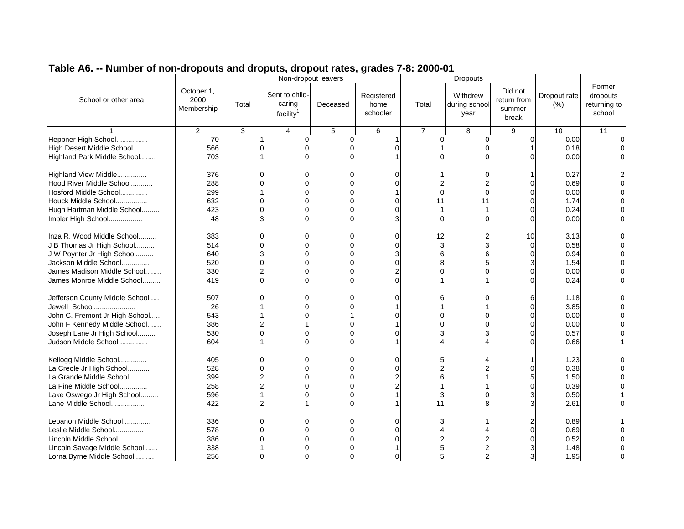|                                |                                  |                | Non-dropout leavers                               |             |                                |                | <b>Dropouts</b>                   |                                           |                      |                                              |
|--------------------------------|----------------------------------|----------------|---------------------------------------------------|-------------|--------------------------------|----------------|-----------------------------------|-------------------------------------------|----------------------|----------------------------------------------|
| School or other area           | October 1,<br>2000<br>Membership | Total          | Sent to child-<br>caring<br>facility <sup>1</sup> | Deceased    | Registered<br>home<br>schooler | Total          | Withdrew<br>during school<br>year | Did not<br>return from<br>summer<br>break | Dropout rate<br>(% ) | Former<br>dropouts<br>returning to<br>school |
|                                | 2                                | 3              | 4                                                 | 5           | 6                              | $\overline{7}$ | 8                                 | 9                                         | 10                   | 11                                           |
| Heppner High School            | 70                               |                | 0                                                 | $\mathbf 0$ |                                | 0              | 0                                 | $\Omega$                                  | 0.00                 |                                              |
| High Desert Middle School      | 566                              | $\Omega$       | $\Omega$                                          | 0           |                                |                | $\Omega$                          |                                           | 0.18                 |                                              |
| Highland Park Middle School    | 703                              |                | $\Omega$                                          | $\Omega$    |                                | 0              | $\Omega$                          |                                           | 0.00                 |                                              |
| Highland View Middle           | 376                              |                | 0                                                 | 0           | C                              |                | ი                                 |                                           | 0.27                 |                                              |
| Hood River Middle School       | 288                              |                | $\Omega$                                          |             |                                | 2              |                                   | O                                         | 0.69                 |                                              |
| Hosford Middle School          | 299                              |                | $\Omega$                                          | $\Omega$    |                                | $\Omega$       | $\Omega$                          | O                                         | 0.00                 |                                              |
| Houck Middle School            | 632                              | $\Omega$       | $\Omega$                                          | O           | $\Omega$                       | 11             | 11                                |                                           | 1.74                 |                                              |
| Hugh Hartman Middle School     | 423                              | $\Omega$       | $\Omega$                                          | $\Omega$    | $\Omega$                       |                |                                   |                                           | 0.24                 |                                              |
| Imbler High School             | 48                               | 3              | $\Omega$                                          | $\Omega$    | 3                              | $\Omega$       | $\Omega$                          | O                                         | 0.00                 |                                              |
| Inza R. Wood Middle School     | 383                              | 0              | 0                                                 | $\Omega$    | $\Omega$                       | 12             | 2                                 | 10                                        | 3.13                 |                                              |
| J B Thomas Jr High School      | 514                              | $\Omega$       | $\Omega$                                          | $\Omega$    | $\Omega$                       | 3              | 3                                 | $\Omega$                                  | 0.58                 |                                              |
| J W Poynter Jr High School     | 640                              | 3              | $\Omega$                                          | $\Omega$    | 3                              | 6              | 6                                 |                                           | 0.94                 |                                              |
| Jackson Middle School          | 520                              | $\Omega$       | $\Omega$                                          | $\Omega$    | $\Omega$                       | 8              | 5                                 |                                           | 1.54                 |                                              |
| James Madison Middle School    | 330                              | 2              | $\Omega$                                          | $\Omega$    | $\overline{2}$                 | 0              | ∩                                 | 0                                         | 0.00                 |                                              |
| James Monroe Middle School     | 419                              | $\Omega$       | $\Omega$                                          | 0           | $\Omega$                       |                |                                   |                                           | 0.24                 |                                              |
| Jefferson County Middle School | 507                              | ∩              | $\Omega$                                          | $\Omega$    | C                              | 6              |                                   | 6                                         | 1.18                 |                                              |
| Jewell School                  | 26                               |                | $\Omega$                                          | $\Omega$    |                                |                |                                   | O                                         | 3.85                 |                                              |
| John C. Fremont Jr High School | 543                              |                | $\Omega$                                          |             |                                | 0              |                                   |                                           | 0.00                 |                                              |
| John F Kennedy Middle School   | 386                              | 2              |                                                   | ∩           |                                | O              |                                   |                                           | 0.00                 |                                              |
| Joseph Lane Jr High School     | 530                              | $\Omega$       | $\Omega$                                          | 0           | $\Omega$                       | 3              | 3                                 | O                                         | 0.57                 |                                              |
| Judson Middle School           | 604                              |                | $\Omega$                                          | $\Omega$    |                                | Δ              |                                   | ∩                                         | 0.66                 |                                              |
| Kellogg Middle School          | 405                              | $\Omega$       | $\Omega$                                          | $\mathbf 0$ | $\Omega$                       | 5              |                                   |                                           | 1.23                 |                                              |
| La Creole Jr High School       | 528                              | $\Omega$       | $\Omega$                                          | 0           | $\Omega$                       | 2              |                                   |                                           | 0.38                 |                                              |
| La Grande Middle School        | 399                              | $\overline{2}$ | $\Omega$                                          | 0           | 2                              | 6              |                                   |                                           | 1.50                 |                                              |
| La Pine Middle School          | 258                              | $\overline{2}$ | $\Omega$                                          | $\Omega$    | $\overline{2}$                 |                |                                   | 0                                         | 0.39                 |                                              |
| Lake Oswego Jr High School     | 596                              |                | $\Omega$                                          | 0           |                                | 3              | O                                 |                                           | 0.50                 |                                              |
| Lane Middle School             | 422                              | $\overline{2}$ |                                                   | $\Omega$    |                                | 11             | 8                                 | 3                                         | 2.61                 | $\cap$                                       |
| Lebanon Middle School          | 336                              | 0              | 0                                                 | 0           | 0                              | 3              |                                   |                                           | 0.89                 |                                              |
| Leslie Middle School           | 578                              | $\Omega$       | $\Omega$                                          | 0           | $\Omega$                       | 4              |                                   |                                           | 0.69                 |                                              |
| Lincoln Middle School          | 386                              |                | $\Omega$                                          |             |                                | 2              |                                   |                                           | 0.52                 |                                              |
| Lincoln Savage Middle School   | 338                              |                | $\Omega$                                          | 0           |                                | 5              | 2                                 |                                           | 1.48                 |                                              |
| Lorna Byrne Middle School      | 256                              |                | $\Omega$                                          | $\Omega$    | $\Omega$                       | 5              | $\overline{2}$                    | 3                                         | 1.95                 | $\Omega$                                     |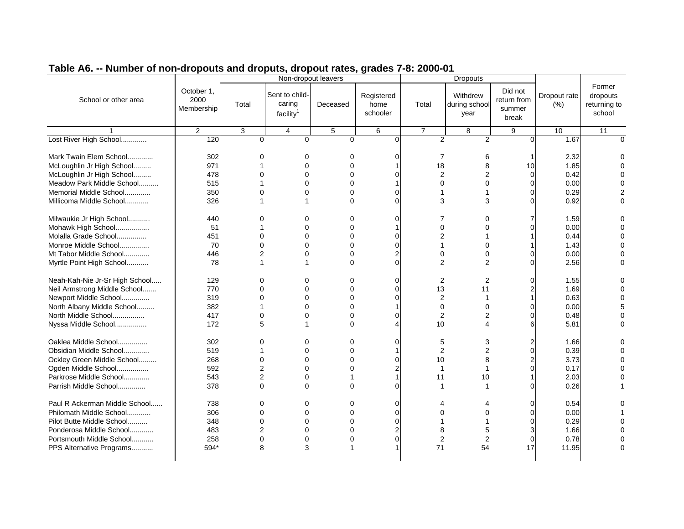| Former<br>Did not<br>October 1,<br>Sent to child-<br>Registered<br>Withdrew<br>Dropout rate<br>dropouts<br>2000<br>School or other area<br>return from<br>caring<br>Total<br>home<br>Total<br>returning to<br>Deceased<br>during school<br>(% )<br>Membership<br>summer<br>facility <sup>1</sup><br>schooler<br>school<br>year<br>break<br>$\overline{2}$<br>3<br>$\overline{\mathbf{4}}$<br>$\sqrt{5}$<br>6<br>$\overline{7}$<br>8<br>9<br>10<br>11<br>Lost River High School<br>$\overline{2}$<br>120<br>$\overline{2}$<br>$\Omega$<br>1.67<br>$\Omega$<br>$\Omega$<br>$\Omega$<br>$\Omega$<br>$\Omega$<br>Mark Twain Elem School<br>302<br>2.32<br>7<br>0<br>0<br>0<br>0<br>6<br>McLoughlin Jr High School<br>971<br>18<br>1.85<br>$\Omega$<br>$\Omega$<br>8<br>10<br>$\overline{2}$<br>McLoughlin Jr High School<br>478<br>$\Omega$<br>0.42<br>$\Omega$<br>$\Omega$<br>$\Omega$<br>2<br>0<br>0.00<br>Meadow Park Middle School<br>515<br>$\Omega$<br>$\Omega$<br>$\Omega$<br>$\Omega$<br>$\Omega$<br>Memorial Middle School<br>350<br>0.29<br>$\Omega$<br>$\Omega$<br>$\Omega$<br>$\Omega$<br>1<br>Millicoma Middle School<br>326<br>$\Omega$<br>$\Omega$<br>3<br>3<br>0.92<br>1<br>$\Omega$<br>∩<br>Milwaukie Jr High School<br>1.59<br>440<br>$\Omega$<br>0<br>0<br>0<br>7<br>0<br>7<br>Mohawk High School<br>51<br>0<br>0.00<br>$\Omega$<br>0<br>$\Omega$<br>∩<br>$\overline{c}$<br>$\Omega$<br>$\Omega$<br>0<br>$\Omega$<br>Molalla Grade School<br>451<br>0.44<br>Monroe Middle School<br>70<br>$\mathbf 0$<br>1.43<br>$\Omega$<br>$\Omega$<br>0<br>1<br>O<br>Mt Tabor Middle School<br>446<br>2<br>0<br>0.00<br>2<br>0<br>0<br>0<br>$\Omega$<br>ი<br>$\Omega$<br>$\overline{2}$<br>Myrtle Point High School<br>78<br>$\Omega$<br>$\overline{2}$<br>2.56<br>$\mathbf 1$<br>$\Omega$<br>$\Omega$<br>Neah-Kah-Nie Jr-Sr High School<br>129<br>$\Omega$<br>$\overline{2}$<br>1.55<br>$\Omega$<br>0<br>$\Omega$<br>2<br>∩<br>U<br>13<br>Neil Armstrong Middle School<br>770<br>$\Omega$<br>$\mathbf 0$<br>11<br>1.69<br>$\Omega$<br>$\Omega$<br>2<br>$\overline{c}$<br>0.63<br>Newport Middle School<br>319<br>$\Omega$<br>$\Omega$<br>0<br>$\mathbf 0$<br>North Albany Middle School<br>382<br>0.00<br>$\Omega$<br>0<br>$\mathbf 0$<br>0<br>$\Omega$<br>$\overline{2}$<br>North Middle School<br>417<br>$\Omega$<br>$\Omega$<br>0.48<br>$\Omega$<br>$\Omega$<br>2<br>∩<br>172<br>10<br>5.81<br>Nyssa Middle School<br>5<br>$\Omega$<br>4<br>1<br>Δ<br>6<br>Oaklea Middle School<br>302<br>1.66<br>$\Omega$<br>0<br>$\Omega$<br>$\Omega$<br>5<br>3<br>$\overline{c}$<br>0.39<br>Obsidian Middle School<br>519<br>0<br>0<br>2<br>$\Omega$<br>268<br>3.73<br>Ockley Green Middle School<br>$\Omega$<br>$\Omega$<br>$\Omega$<br>$\Omega$<br>10<br>8<br>2<br>Ogden Middle School<br>592<br>$\overline{2}$<br>$\Omega$<br>$\overline{c}$<br>$\Omega$<br>0.17<br>$\Omega$<br>1<br>Parkrose Middle School<br>$\overline{2}$<br>543<br>0<br>11<br>2.03<br>10<br>Parrish Middle School<br>378<br>$\Omega$<br>$\mathbf 0$<br>$\Omega$<br>0.26<br>$\Omega$<br>$\Omega$<br>1<br>1<br>Paul R Ackerman Middle School<br>738<br>$\Omega$<br>$\mathbf 0$<br>0.54<br>0<br>0<br>4<br>∩<br>Philomath Middle School<br>306<br>$\Omega$<br>$\Omega$<br>0<br>$\Omega$<br>0.00<br>0<br>$\Omega$<br>∩<br>$\Omega$<br>0.29<br>Pilot Butte Middle School<br>348<br>$\Omega$<br>$\Omega$<br>$\Omega$<br>∩<br>Ponderosa Middle School<br>483<br>$\overline{2}$<br>$\overline{c}$<br>8<br>1.66<br>0<br>0<br>5<br>3<br>258<br>0<br>$\Omega$<br>$\overline{2}$<br>$\overline{2}$<br>0.78<br>Portsmouth Middle School<br>0<br>0<br>0<br>3<br>71<br>54<br>17<br>11.95<br>PPS Alternative Programs<br>594*<br>8 |  | Non-dropout leavers |  | <b>Dropouts</b> |  |  |
|------------------------------------------------------------------------------------------------------------------------------------------------------------------------------------------------------------------------------------------------------------------------------------------------------------------------------------------------------------------------------------------------------------------------------------------------------------------------------------------------------------------------------------------------------------------------------------------------------------------------------------------------------------------------------------------------------------------------------------------------------------------------------------------------------------------------------------------------------------------------------------------------------------------------------------------------------------------------------------------------------------------------------------------------------------------------------------------------------------------------------------------------------------------------------------------------------------------------------------------------------------------------------------------------------------------------------------------------------------------------------------------------------------------------------------------------------------------------------------------------------------------------------------------------------------------------------------------------------------------------------------------------------------------------------------------------------------------------------------------------------------------------------------------------------------------------------------------------------------------------------------------------------------------------------------------------------------------------------------------------------------------------------------------------------------------------------------------------------------------------------------------------------------------------------------------------------------------------------------------------------------------------------------------------------------------------------------------------------------------------------------------------------------------------------------------------------------------------------------------------------------------------------------------------------------------------------------------------------------------------------------------------------------------------------------------------------------------------------------------------------------------------------------------------------------------------------------------------------------------------------------------------------------------------------------------------------------------------------------------------------------------------------------------------------------------------------------------------------------------------------------------------------------------------------------------------------------------------------------------------------------------------------------------------------------------------------------------------------------------------------------------------------------------------------------------------------------------------------------------------------------------------------------------------------------------------------------------------------------------------------------------------------------------------------------|--|---------------------|--|-----------------|--|--|
|                                                                                                                                                                                                                                                                                                                                                                                                                                                                                                                                                                                                                                                                                                                                                                                                                                                                                                                                                                                                                                                                                                                                                                                                                                                                                                                                                                                                                                                                                                                                                                                                                                                                                                                                                                                                                                                                                                                                                                                                                                                                                                                                                                                                                                                                                                                                                                                                                                                                                                                                                                                                                                                                                                                                                                                                                                                                                                                                                                                                                                                                                                                                                                                                                                                                                                                                                                                                                                                                                                                                                                                                                                                                                    |  |                     |  |                 |  |  |
|                                                                                                                                                                                                                                                                                                                                                                                                                                                                                                                                                                                                                                                                                                                                                                                                                                                                                                                                                                                                                                                                                                                                                                                                                                                                                                                                                                                                                                                                                                                                                                                                                                                                                                                                                                                                                                                                                                                                                                                                                                                                                                                                                                                                                                                                                                                                                                                                                                                                                                                                                                                                                                                                                                                                                                                                                                                                                                                                                                                                                                                                                                                                                                                                                                                                                                                                                                                                                                                                                                                                                                                                                                                                                    |  |                     |  |                 |  |  |
|                                                                                                                                                                                                                                                                                                                                                                                                                                                                                                                                                                                                                                                                                                                                                                                                                                                                                                                                                                                                                                                                                                                                                                                                                                                                                                                                                                                                                                                                                                                                                                                                                                                                                                                                                                                                                                                                                                                                                                                                                                                                                                                                                                                                                                                                                                                                                                                                                                                                                                                                                                                                                                                                                                                                                                                                                                                                                                                                                                                                                                                                                                                                                                                                                                                                                                                                                                                                                                                                                                                                                                                                                                                                                    |  |                     |  |                 |  |  |
|                                                                                                                                                                                                                                                                                                                                                                                                                                                                                                                                                                                                                                                                                                                                                                                                                                                                                                                                                                                                                                                                                                                                                                                                                                                                                                                                                                                                                                                                                                                                                                                                                                                                                                                                                                                                                                                                                                                                                                                                                                                                                                                                                                                                                                                                                                                                                                                                                                                                                                                                                                                                                                                                                                                                                                                                                                                                                                                                                                                                                                                                                                                                                                                                                                                                                                                                                                                                                                                                                                                                                                                                                                                                                    |  |                     |  |                 |  |  |
|                                                                                                                                                                                                                                                                                                                                                                                                                                                                                                                                                                                                                                                                                                                                                                                                                                                                                                                                                                                                                                                                                                                                                                                                                                                                                                                                                                                                                                                                                                                                                                                                                                                                                                                                                                                                                                                                                                                                                                                                                                                                                                                                                                                                                                                                                                                                                                                                                                                                                                                                                                                                                                                                                                                                                                                                                                                                                                                                                                                                                                                                                                                                                                                                                                                                                                                                                                                                                                                                                                                                                                                                                                                                                    |  |                     |  |                 |  |  |
|                                                                                                                                                                                                                                                                                                                                                                                                                                                                                                                                                                                                                                                                                                                                                                                                                                                                                                                                                                                                                                                                                                                                                                                                                                                                                                                                                                                                                                                                                                                                                                                                                                                                                                                                                                                                                                                                                                                                                                                                                                                                                                                                                                                                                                                                                                                                                                                                                                                                                                                                                                                                                                                                                                                                                                                                                                                                                                                                                                                                                                                                                                                                                                                                                                                                                                                                                                                                                                                                                                                                                                                                                                                                                    |  |                     |  |                 |  |  |
|                                                                                                                                                                                                                                                                                                                                                                                                                                                                                                                                                                                                                                                                                                                                                                                                                                                                                                                                                                                                                                                                                                                                                                                                                                                                                                                                                                                                                                                                                                                                                                                                                                                                                                                                                                                                                                                                                                                                                                                                                                                                                                                                                                                                                                                                                                                                                                                                                                                                                                                                                                                                                                                                                                                                                                                                                                                                                                                                                                                                                                                                                                                                                                                                                                                                                                                                                                                                                                                                                                                                                                                                                                                                                    |  |                     |  |                 |  |  |
|                                                                                                                                                                                                                                                                                                                                                                                                                                                                                                                                                                                                                                                                                                                                                                                                                                                                                                                                                                                                                                                                                                                                                                                                                                                                                                                                                                                                                                                                                                                                                                                                                                                                                                                                                                                                                                                                                                                                                                                                                                                                                                                                                                                                                                                                                                                                                                                                                                                                                                                                                                                                                                                                                                                                                                                                                                                                                                                                                                                                                                                                                                                                                                                                                                                                                                                                                                                                                                                                                                                                                                                                                                                                                    |  |                     |  |                 |  |  |
|                                                                                                                                                                                                                                                                                                                                                                                                                                                                                                                                                                                                                                                                                                                                                                                                                                                                                                                                                                                                                                                                                                                                                                                                                                                                                                                                                                                                                                                                                                                                                                                                                                                                                                                                                                                                                                                                                                                                                                                                                                                                                                                                                                                                                                                                                                                                                                                                                                                                                                                                                                                                                                                                                                                                                                                                                                                                                                                                                                                                                                                                                                                                                                                                                                                                                                                                                                                                                                                                                                                                                                                                                                                                                    |  |                     |  |                 |  |  |
|                                                                                                                                                                                                                                                                                                                                                                                                                                                                                                                                                                                                                                                                                                                                                                                                                                                                                                                                                                                                                                                                                                                                                                                                                                                                                                                                                                                                                                                                                                                                                                                                                                                                                                                                                                                                                                                                                                                                                                                                                                                                                                                                                                                                                                                                                                                                                                                                                                                                                                                                                                                                                                                                                                                                                                                                                                                                                                                                                                                                                                                                                                                                                                                                                                                                                                                                                                                                                                                                                                                                                                                                                                                                                    |  |                     |  |                 |  |  |
|                                                                                                                                                                                                                                                                                                                                                                                                                                                                                                                                                                                                                                                                                                                                                                                                                                                                                                                                                                                                                                                                                                                                                                                                                                                                                                                                                                                                                                                                                                                                                                                                                                                                                                                                                                                                                                                                                                                                                                                                                                                                                                                                                                                                                                                                                                                                                                                                                                                                                                                                                                                                                                                                                                                                                                                                                                                                                                                                                                                                                                                                                                                                                                                                                                                                                                                                                                                                                                                                                                                                                                                                                                                                                    |  |                     |  |                 |  |  |
|                                                                                                                                                                                                                                                                                                                                                                                                                                                                                                                                                                                                                                                                                                                                                                                                                                                                                                                                                                                                                                                                                                                                                                                                                                                                                                                                                                                                                                                                                                                                                                                                                                                                                                                                                                                                                                                                                                                                                                                                                                                                                                                                                                                                                                                                                                                                                                                                                                                                                                                                                                                                                                                                                                                                                                                                                                                                                                                                                                                                                                                                                                                                                                                                                                                                                                                                                                                                                                                                                                                                                                                                                                                                                    |  |                     |  |                 |  |  |
|                                                                                                                                                                                                                                                                                                                                                                                                                                                                                                                                                                                                                                                                                                                                                                                                                                                                                                                                                                                                                                                                                                                                                                                                                                                                                                                                                                                                                                                                                                                                                                                                                                                                                                                                                                                                                                                                                                                                                                                                                                                                                                                                                                                                                                                                                                                                                                                                                                                                                                                                                                                                                                                                                                                                                                                                                                                                                                                                                                                                                                                                                                                                                                                                                                                                                                                                                                                                                                                                                                                                                                                                                                                                                    |  |                     |  |                 |  |  |
|                                                                                                                                                                                                                                                                                                                                                                                                                                                                                                                                                                                                                                                                                                                                                                                                                                                                                                                                                                                                                                                                                                                                                                                                                                                                                                                                                                                                                                                                                                                                                                                                                                                                                                                                                                                                                                                                                                                                                                                                                                                                                                                                                                                                                                                                                                                                                                                                                                                                                                                                                                                                                                                                                                                                                                                                                                                                                                                                                                                                                                                                                                                                                                                                                                                                                                                                                                                                                                                                                                                                                                                                                                                                                    |  |                     |  |                 |  |  |
|                                                                                                                                                                                                                                                                                                                                                                                                                                                                                                                                                                                                                                                                                                                                                                                                                                                                                                                                                                                                                                                                                                                                                                                                                                                                                                                                                                                                                                                                                                                                                                                                                                                                                                                                                                                                                                                                                                                                                                                                                                                                                                                                                                                                                                                                                                                                                                                                                                                                                                                                                                                                                                                                                                                                                                                                                                                                                                                                                                                                                                                                                                                                                                                                                                                                                                                                                                                                                                                                                                                                                                                                                                                                                    |  |                     |  |                 |  |  |
|                                                                                                                                                                                                                                                                                                                                                                                                                                                                                                                                                                                                                                                                                                                                                                                                                                                                                                                                                                                                                                                                                                                                                                                                                                                                                                                                                                                                                                                                                                                                                                                                                                                                                                                                                                                                                                                                                                                                                                                                                                                                                                                                                                                                                                                                                                                                                                                                                                                                                                                                                                                                                                                                                                                                                                                                                                                                                                                                                                                                                                                                                                                                                                                                                                                                                                                                                                                                                                                                                                                                                                                                                                                                                    |  |                     |  |                 |  |  |
|                                                                                                                                                                                                                                                                                                                                                                                                                                                                                                                                                                                                                                                                                                                                                                                                                                                                                                                                                                                                                                                                                                                                                                                                                                                                                                                                                                                                                                                                                                                                                                                                                                                                                                                                                                                                                                                                                                                                                                                                                                                                                                                                                                                                                                                                                                                                                                                                                                                                                                                                                                                                                                                                                                                                                                                                                                                                                                                                                                                                                                                                                                                                                                                                                                                                                                                                                                                                                                                                                                                                                                                                                                                                                    |  |                     |  |                 |  |  |
|                                                                                                                                                                                                                                                                                                                                                                                                                                                                                                                                                                                                                                                                                                                                                                                                                                                                                                                                                                                                                                                                                                                                                                                                                                                                                                                                                                                                                                                                                                                                                                                                                                                                                                                                                                                                                                                                                                                                                                                                                                                                                                                                                                                                                                                                                                                                                                                                                                                                                                                                                                                                                                                                                                                                                                                                                                                                                                                                                                                                                                                                                                                                                                                                                                                                                                                                                                                                                                                                                                                                                                                                                                                                                    |  |                     |  |                 |  |  |
|                                                                                                                                                                                                                                                                                                                                                                                                                                                                                                                                                                                                                                                                                                                                                                                                                                                                                                                                                                                                                                                                                                                                                                                                                                                                                                                                                                                                                                                                                                                                                                                                                                                                                                                                                                                                                                                                                                                                                                                                                                                                                                                                                                                                                                                                                                                                                                                                                                                                                                                                                                                                                                                                                                                                                                                                                                                                                                                                                                                                                                                                                                                                                                                                                                                                                                                                                                                                                                                                                                                                                                                                                                                                                    |  |                     |  |                 |  |  |
|                                                                                                                                                                                                                                                                                                                                                                                                                                                                                                                                                                                                                                                                                                                                                                                                                                                                                                                                                                                                                                                                                                                                                                                                                                                                                                                                                                                                                                                                                                                                                                                                                                                                                                                                                                                                                                                                                                                                                                                                                                                                                                                                                                                                                                                                                                                                                                                                                                                                                                                                                                                                                                                                                                                                                                                                                                                                                                                                                                                                                                                                                                                                                                                                                                                                                                                                                                                                                                                                                                                                                                                                                                                                                    |  |                     |  |                 |  |  |
|                                                                                                                                                                                                                                                                                                                                                                                                                                                                                                                                                                                                                                                                                                                                                                                                                                                                                                                                                                                                                                                                                                                                                                                                                                                                                                                                                                                                                                                                                                                                                                                                                                                                                                                                                                                                                                                                                                                                                                                                                                                                                                                                                                                                                                                                                                                                                                                                                                                                                                                                                                                                                                                                                                                                                                                                                                                                                                                                                                                                                                                                                                                                                                                                                                                                                                                                                                                                                                                                                                                                                                                                                                                                                    |  |                     |  |                 |  |  |
|                                                                                                                                                                                                                                                                                                                                                                                                                                                                                                                                                                                                                                                                                                                                                                                                                                                                                                                                                                                                                                                                                                                                                                                                                                                                                                                                                                                                                                                                                                                                                                                                                                                                                                                                                                                                                                                                                                                                                                                                                                                                                                                                                                                                                                                                                                                                                                                                                                                                                                                                                                                                                                                                                                                                                                                                                                                                                                                                                                                                                                                                                                                                                                                                                                                                                                                                                                                                                                                                                                                                                                                                                                                                                    |  |                     |  |                 |  |  |
|                                                                                                                                                                                                                                                                                                                                                                                                                                                                                                                                                                                                                                                                                                                                                                                                                                                                                                                                                                                                                                                                                                                                                                                                                                                                                                                                                                                                                                                                                                                                                                                                                                                                                                                                                                                                                                                                                                                                                                                                                                                                                                                                                                                                                                                                                                                                                                                                                                                                                                                                                                                                                                                                                                                                                                                                                                                                                                                                                                                                                                                                                                                                                                                                                                                                                                                                                                                                                                                                                                                                                                                                                                                                                    |  |                     |  |                 |  |  |
|                                                                                                                                                                                                                                                                                                                                                                                                                                                                                                                                                                                                                                                                                                                                                                                                                                                                                                                                                                                                                                                                                                                                                                                                                                                                                                                                                                                                                                                                                                                                                                                                                                                                                                                                                                                                                                                                                                                                                                                                                                                                                                                                                                                                                                                                                                                                                                                                                                                                                                                                                                                                                                                                                                                                                                                                                                                                                                                                                                                                                                                                                                                                                                                                                                                                                                                                                                                                                                                                                                                                                                                                                                                                                    |  |                     |  |                 |  |  |
|                                                                                                                                                                                                                                                                                                                                                                                                                                                                                                                                                                                                                                                                                                                                                                                                                                                                                                                                                                                                                                                                                                                                                                                                                                                                                                                                                                                                                                                                                                                                                                                                                                                                                                                                                                                                                                                                                                                                                                                                                                                                                                                                                                                                                                                                                                                                                                                                                                                                                                                                                                                                                                                                                                                                                                                                                                                                                                                                                                                                                                                                                                                                                                                                                                                                                                                                                                                                                                                                                                                                                                                                                                                                                    |  |                     |  |                 |  |  |
|                                                                                                                                                                                                                                                                                                                                                                                                                                                                                                                                                                                                                                                                                                                                                                                                                                                                                                                                                                                                                                                                                                                                                                                                                                                                                                                                                                                                                                                                                                                                                                                                                                                                                                                                                                                                                                                                                                                                                                                                                                                                                                                                                                                                                                                                                                                                                                                                                                                                                                                                                                                                                                                                                                                                                                                                                                                                                                                                                                                                                                                                                                                                                                                                                                                                                                                                                                                                                                                                                                                                                                                                                                                                                    |  |                     |  |                 |  |  |
|                                                                                                                                                                                                                                                                                                                                                                                                                                                                                                                                                                                                                                                                                                                                                                                                                                                                                                                                                                                                                                                                                                                                                                                                                                                                                                                                                                                                                                                                                                                                                                                                                                                                                                                                                                                                                                                                                                                                                                                                                                                                                                                                                                                                                                                                                                                                                                                                                                                                                                                                                                                                                                                                                                                                                                                                                                                                                                                                                                                                                                                                                                                                                                                                                                                                                                                                                                                                                                                                                                                                                                                                                                                                                    |  |                     |  |                 |  |  |
|                                                                                                                                                                                                                                                                                                                                                                                                                                                                                                                                                                                                                                                                                                                                                                                                                                                                                                                                                                                                                                                                                                                                                                                                                                                                                                                                                                                                                                                                                                                                                                                                                                                                                                                                                                                                                                                                                                                                                                                                                                                                                                                                                                                                                                                                                                                                                                                                                                                                                                                                                                                                                                                                                                                                                                                                                                                                                                                                                                                                                                                                                                                                                                                                                                                                                                                                                                                                                                                                                                                                                                                                                                                                                    |  |                     |  |                 |  |  |
|                                                                                                                                                                                                                                                                                                                                                                                                                                                                                                                                                                                                                                                                                                                                                                                                                                                                                                                                                                                                                                                                                                                                                                                                                                                                                                                                                                                                                                                                                                                                                                                                                                                                                                                                                                                                                                                                                                                                                                                                                                                                                                                                                                                                                                                                                                                                                                                                                                                                                                                                                                                                                                                                                                                                                                                                                                                                                                                                                                                                                                                                                                                                                                                                                                                                                                                                                                                                                                                                                                                                                                                                                                                                                    |  |                     |  |                 |  |  |
|                                                                                                                                                                                                                                                                                                                                                                                                                                                                                                                                                                                                                                                                                                                                                                                                                                                                                                                                                                                                                                                                                                                                                                                                                                                                                                                                                                                                                                                                                                                                                                                                                                                                                                                                                                                                                                                                                                                                                                                                                                                                                                                                                                                                                                                                                                                                                                                                                                                                                                                                                                                                                                                                                                                                                                                                                                                                                                                                                                                                                                                                                                                                                                                                                                                                                                                                                                                                                                                                                                                                                                                                                                                                                    |  |                     |  |                 |  |  |
|                                                                                                                                                                                                                                                                                                                                                                                                                                                                                                                                                                                                                                                                                                                                                                                                                                                                                                                                                                                                                                                                                                                                                                                                                                                                                                                                                                                                                                                                                                                                                                                                                                                                                                                                                                                                                                                                                                                                                                                                                                                                                                                                                                                                                                                                                                                                                                                                                                                                                                                                                                                                                                                                                                                                                                                                                                                                                                                                                                                                                                                                                                                                                                                                                                                                                                                                                                                                                                                                                                                                                                                                                                                                                    |  |                     |  |                 |  |  |
|                                                                                                                                                                                                                                                                                                                                                                                                                                                                                                                                                                                                                                                                                                                                                                                                                                                                                                                                                                                                                                                                                                                                                                                                                                                                                                                                                                                                                                                                                                                                                                                                                                                                                                                                                                                                                                                                                                                                                                                                                                                                                                                                                                                                                                                                                                                                                                                                                                                                                                                                                                                                                                                                                                                                                                                                                                                                                                                                                                                                                                                                                                                                                                                                                                                                                                                                                                                                                                                                                                                                                                                                                                                                                    |  |                     |  |                 |  |  |
|                                                                                                                                                                                                                                                                                                                                                                                                                                                                                                                                                                                                                                                                                                                                                                                                                                                                                                                                                                                                                                                                                                                                                                                                                                                                                                                                                                                                                                                                                                                                                                                                                                                                                                                                                                                                                                                                                                                                                                                                                                                                                                                                                                                                                                                                                                                                                                                                                                                                                                                                                                                                                                                                                                                                                                                                                                                                                                                                                                                                                                                                                                                                                                                                                                                                                                                                                                                                                                                                                                                                                                                                                                                                                    |  |                     |  |                 |  |  |
|                                                                                                                                                                                                                                                                                                                                                                                                                                                                                                                                                                                                                                                                                                                                                                                                                                                                                                                                                                                                                                                                                                                                                                                                                                                                                                                                                                                                                                                                                                                                                                                                                                                                                                                                                                                                                                                                                                                                                                                                                                                                                                                                                                                                                                                                                                                                                                                                                                                                                                                                                                                                                                                                                                                                                                                                                                                                                                                                                                                                                                                                                                                                                                                                                                                                                                                                                                                                                                                                                                                                                                                                                                                                                    |  |                     |  |                 |  |  |
|                                                                                                                                                                                                                                                                                                                                                                                                                                                                                                                                                                                                                                                                                                                                                                                                                                                                                                                                                                                                                                                                                                                                                                                                                                                                                                                                                                                                                                                                                                                                                                                                                                                                                                                                                                                                                                                                                                                                                                                                                                                                                                                                                                                                                                                                                                                                                                                                                                                                                                                                                                                                                                                                                                                                                                                                                                                                                                                                                                                                                                                                                                                                                                                                                                                                                                                                                                                                                                                                                                                                                                                                                                                                                    |  |                     |  |                 |  |  |
|                                                                                                                                                                                                                                                                                                                                                                                                                                                                                                                                                                                                                                                                                                                                                                                                                                                                                                                                                                                                                                                                                                                                                                                                                                                                                                                                                                                                                                                                                                                                                                                                                                                                                                                                                                                                                                                                                                                                                                                                                                                                                                                                                                                                                                                                                                                                                                                                                                                                                                                                                                                                                                                                                                                                                                                                                                                                                                                                                                                                                                                                                                                                                                                                                                                                                                                                                                                                                                                                                                                                                                                                                                                                                    |  |                     |  |                 |  |  |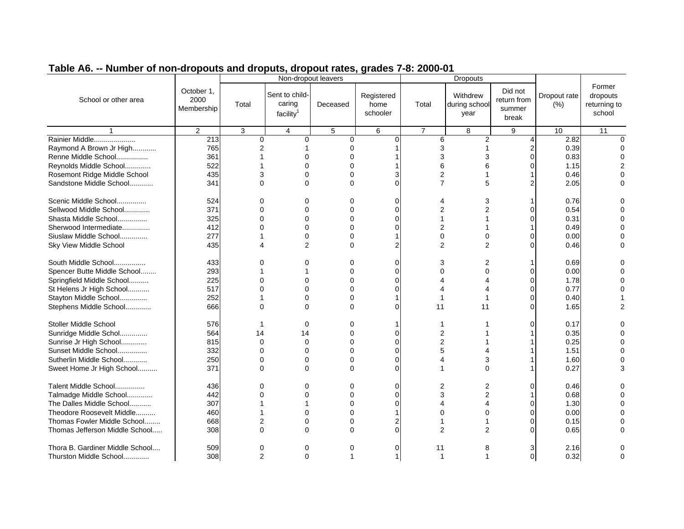|                                 |                                  |                | Non-dropout leavers                               |          |                                |                | <b>Dropouts</b>                   |                                           |                      |                                              |
|---------------------------------|----------------------------------|----------------|---------------------------------------------------|----------|--------------------------------|----------------|-----------------------------------|-------------------------------------------|----------------------|----------------------------------------------|
| School or other area            | October 1,<br>2000<br>Membership | Total          | Sent to child-<br>caring<br>facility <sup>1</sup> | Deceased | Registered<br>home<br>schooler | Total          | Withdrew<br>during school<br>year | Did not<br>return from<br>summer<br>break | Dropout rate<br>(% ) | Former<br>dropouts<br>returning to<br>school |
|                                 | $\overline{2}$                   | 3              | $\overline{4}$                                    | 5        | 6                              | $\overline{7}$ | 8                                 | 9                                         | 10                   | 11                                           |
| Rainier Middle                  | 213                              | 0              | 0                                                 | 0        | $\Omega$                       | 6              | $\overline{c}$                    |                                           | 2.82                 |                                              |
| Raymond A Brown Jr High         | 765                              | $\overline{2}$ |                                                   | 0        |                                | 3              |                                   |                                           | 0.39                 |                                              |
| Renne Middle School             | 361                              |                | $\Omega$                                          |          |                                | 3              |                                   |                                           | 0.83                 |                                              |
| Reynolds Middle School          | 522                              |                | $\Omega$                                          | 0        |                                | 6              | 6                                 |                                           | 1.15                 |                                              |
| Rosemont Ridge Middle School    | 435                              | 3              | 0                                                 | $\Omega$ |                                | $\overline{c}$ |                                   |                                           | 0.46                 |                                              |
| Sandstone Middle School         | 341                              | $\Omega$       | $\Omega$                                          | $\Omega$ |                                | $\overline{7}$ | 5                                 |                                           | 2.05                 |                                              |
|                                 |                                  |                |                                                   |          |                                |                |                                   |                                           |                      |                                              |
| Scenic Middle School            | 524                              | $\Omega$       | $\Omega$                                          | $\Omega$ | C                              | 4              | 3                                 |                                           | 0.76                 |                                              |
| Sellwood Middle School          | 371                              | $\Omega$       | 0                                                 | 0        | $\Omega$                       | 2              |                                   |                                           | 0.54                 |                                              |
| Shasta Middle School            | 325                              | $\Omega$       | $\mathbf 0$                                       | $\Omega$ | $\Omega$                       |                |                                   |                                           | 0.31                 |                                              |
| Sherwood Intermediate           | 412                              | O              | $\Omega$                                          | O        |                                | 2              |                                   |                                           | 0.49                 |                                              |
| Siuslaw Middle School           | 277                              |                | $\mathbf 0$                                       | 0        |                                | 0              | 0                                 |                                           | 0.00                 |                                              |
| Sky View Middle School          | 435                              | Δ              | $\overline{2}$                                    | $\Omega$ |                                | $\overline{2}$ | $\overline{2}$                    |                                           | 0.46                 |                                              |
|                                 |                                  |                |                                                   |          |                                |                |                                   |                                           |                      |                                              |
| South Middle School             | 433                              | $\Omega$       | $\Omega$                                          | $\Omega$ | $\mathcal{C}$                  | 3              | 2                                 |                                           | 0.69                 |                                              |
| Spencer Butte Middle School     | 293                              |                |                                                   | 0        | $\Omega$                       | 0              | 0                                 |                                           | 0.00                 |                                              |
| Springfield Middle School       | 225                              | 0              | 0                                                 | 0        | $\Omega$                       |                |                                   |                                           | 1.78                 |                                              |
| St Helens Jr High School        | 517                              | ∩              | $\Omega$                                          | 0        | C                              | Δ              |                                   |                                           | 0.77                 |                                              |
| Stayton Middle School           | 252                              |                | $\Omega$                                          | $\Omega$ |                                |                |                                   |                                           | 0.40                 |                                              |
| Stephens Middle School          | 666                              | $\Omega$       | $\Omega$                                          | $\Omega$ | $\Omega$                       | 11             | 11                                |                                           | 1.65                 |                                              |
|                                 |                                  |                |                                                   |          |                                |                |                                   |                                           |                      |                                              |
| <b>Stoller Middle School</b>    | 576                              | -1             | $\Omega$                                          | $\Omega$ |                                |                |                                   |                                           | 0.17                 |                                              |
| Sunridge Middle Schol           | 564                              | 14             | 14                                                | $\Omega$ | $\Omega$                       | 2              |                                   |                                           | 0.35                 |                                              |
| Sunrise Jr High School          | 815                              | $\Omega$       | $\mathbf 0$                                       | 0        | C                              | 2              |                                   |                                           | 0.25                 |                                              |
| Sunset Middle School            | 332                              | $\Omega$       | $\Omega$                                          | 0        | $\Omega$                       | 5              |                                   |                                           | 1.51                 |                                              |
| Sutherlin Middle School         | 250                              | $\Omega$       | $\mathbf 0$                                       | $\Omega$ | $\Omega$                       | Δ              | 3                                 |                                           | 1.60                 |                                              |
| Sweet Home Jr High School       | 371                              | $\Omega$       | $\Omega$                                          | $\Omega$ | $\sqrt{ }$                     |                | $\Omega$                          |                                           | 0.27                 |                                              |
|                                 |                                  |                |                                                   |          |                                |                |                                   |                                           |                      |                                              |
| Talent Middle School            | 436                              | $\Omega$       | $\Omega$                                          | $\Omega$ | $\Omega$                       | 2              | 2                                 | ∩                                         | 0.46                 |                                              |
| Talmadge Middle School          | 442                              | $\Omega$       | 0                                                 | 0        | $\Omega$                       | 3              | $\overline{c}$                    |                                           | 0.68                 |                                              |
| The Dalles Middle School        | 307                              |                |                                                   | 0        | C                              | 4              |                                   |                                           | 1.30                 |                                              |
| Theodore Roosevelt Middle       | 460                              |                | $\Omega$                                          | O        |                                | 0              | $\Omega$                          |                                           | 0.00                 |                                              |
| Thomas Fowler Middle School     | 668                              | $\overline{2}$ | $\Omega$                                          | $\Omega$ | 2                              |                |                                   |                                           | 0.15                 |                                              |
| Thomas Jefferson Middle School  | 308                              | 0              | $\Omega$                                          | $\Omega$ | $\Omega$                       | $\overline{2}$ | $\mathfrak{p}$                    |                                           | 0.65                 |                                              |
|                                 |                                  |                |                                                   |          |                                |                |                                   |                                           |                      |                                              |
| Thora B. Gardiner Middle School | 509                              | 0              | 0                                                 | 0        | $\Omega$                       | 11             | 8                                 |                                           | 2.16                 |                                              |
| Thurston Middle School          | 308                              | 2              | $\Omega$                                          |          |                                |                |                                   | $\Omega$                                  | 0.32                 |                                              |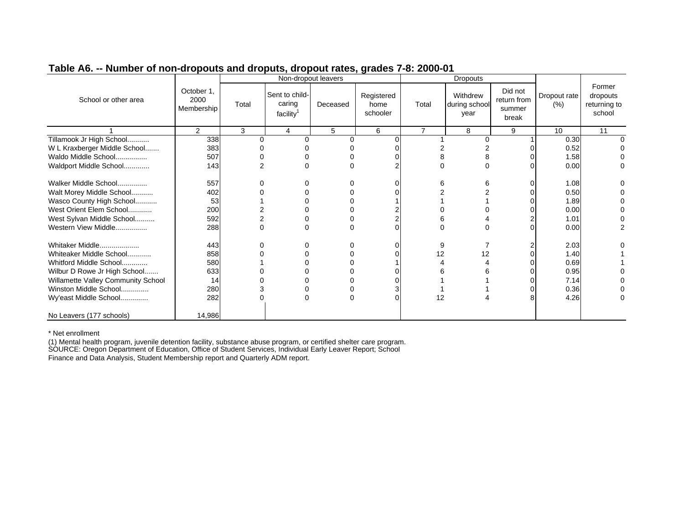| Table A6. -- Number of non-dropouts and droputs, dropout rates, grades 7-8: 2000-01 |  |
|-------------------------------------------------------------------------------------|--|
|                                                                                     |  |

|                                    |                                  |          |                                                   | Non-dropout leavers |                                | -- - -- <i>-</i> --- | <b>Dropouts</b>                   |                                           |                      |                                              |
|------------------------------------|----------------------------------|----------|---------------------------------------------------|---------------------|--------------------------------|----------------------|-----------------------------------|-------------------------------------------|----------------------|----------------------------------------------|
| School or other area               | October 1,<br>2000<br>Membership | Total    | Sent to child-<br>caring<br>facility <sup>1</sup> | Deceased            | Registered<br>home<br>schooler | Total                | Withdrew<br>during school<br>year | Did not<br>return from<br>summer<br>break | Dropout rate<br>(% ) | Former<br>dropouts<br>returning to<br>school |
|                                    | $\mathcal{P}$                    | 3        | 4                                                 | 5                   | 6                              | $\overline{7}$       | 8                                 | 9                                         | 10                   | 11                                           |
| Tillamook Jr High School           | 338                              | ∩        |                                                   |                     |                                |                      | <sup>0</sup>                      |                                           | 0.30                 |                                              |
| W L Kraxberger Middle School       | 383                              |          |                                                   |                     |                                |                      |                                   |                                           | 0.52                 |                                              |
| Waldo Middle School                | 507                              |          |                                                   |                     |                                |                      |                                   |                                           | 1.58                 |                                              |
| Waldport Middle School             | 143                              |          | U                                                 |                     |                                |                      | $\Omega$                          |                                           | 0.00                 |                                              |
| Walker Middle School               | 557                              |          |                                                   |                     |                                | 6                    |                                   |                                           | 1.08                 |                                              |
| Walt Morey Middle School           | 402                              |          |                                                   |                     |                                |                      |                                   |                                           | 0.50                 |                                              |
| Wasco County High School           | 53                               |          |                                                   |                     |                                |                      |                                   |                                           | 1.89                 |                                              |
| West Orient Elem School            | 200                              |          |                                                   |                     |                                |                      |                                   |                                           | 0.00                 |                                              |
| West Sylvan Middle School          | 592                              |          |                                                   |                     | 2                              |                      |                                   |                                           | 1.01                 |                                              |
| Western View Middle                | 288                              | $\Omega$ |                                                   |                     | $\Omega$                       |                      |                                   |                                           | 0.00                 |                                              |
| Whitaker Middle                    | 443                              |          |                                                   |                     | 0                              | 9                    |                                   |                                           | 2.03                 |                                              |
| Whiteaker Middle School            | 858                              |          |                                                   |                     |                                | 12                   | 12                                |                                           | 1.40                 |                                              |
| Whitford Middle School             | 580                              |          |                                                   |                     |                                |                      |                                   |                                           | 0.69                 |                                              |
| Wilbur D Rowe Jr High School       | 633                              |          |                                                   |                     |                                |                      |                                   |                                           | 0.95                 |                                              |
| Willamette Valley Community School | 14                               |          |                                                   |                     |                                |                      |                                   |                                           | 7.14                 |                                              |
| Winston Middle School              | 280                              |          |                                                   |                     |                                |                      |                                   |                                           | 0.36                 |                                              |
| Wy'east Middle School              | 282                              |          | 0                                                 |                     | $\Omega$                       | 12                   |                                   |                                           | 4.26                 |                                              |
| No Leavers (177 schools)           | 14,986                           |          |                                                   |                     |                                |                      |                                   |                                           |                      |                                              |

\* Net enrollment

 (1) Mental health program, juvenile detention facility, substance abuse program, or certified shelter care program. SOURCE: Oregon Department of Education, Office of Student Services, Individual Early Leaver Report; School Finance and Data Analysis, Student Membership report and Quarterly ADM report.